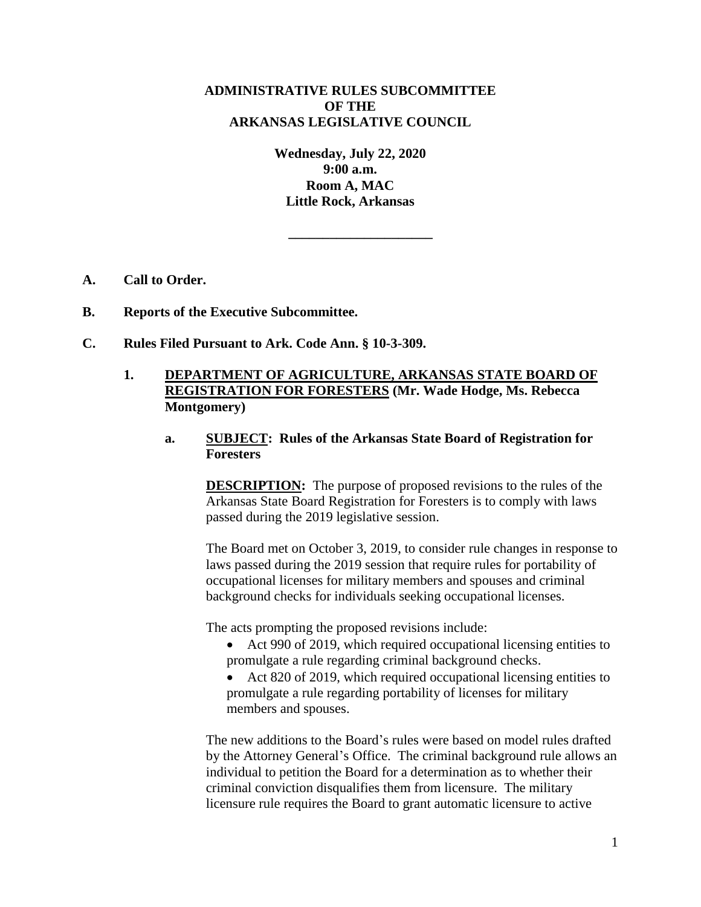# **ADMINISTRATIVE RULES SUBCOMMITTEE OF THE ARKANSAS LEGISLATIVE COUNCIL**

**Wednesday, July 22, 2020 9:00 a.m. Room A, MAC Little Rock, Arkansas**

**\_\_\_\_\_\_\_\_\_\_\_\_\_\_\_\_\_\_\_\_\_**

- **A. Call to Order.**
- **B. Reports of the Executive Subcommittee.**
- **C. Rules Filed Pursuant to Ark. Code Ann. § 10-3-309.**
	- **1. DEPARTMENT OF AGRICULTURE, ARKANSAS STATE BOARD OF REGISTRATION FOR FORESTERS (Mr. Wade Hodge, Ms. Rebecca Montgomery)**
		- **a. SUBJECT: Rules of the Arkansas State Board of Registration for Foresters**

**DESCRIPTION:** The purpose of proposed revisions to the rules of the Arkansas State Board Registration for Foresters is to comply with laws passed during the 2019 legislative session.

The Board met on October 3, 2019, to consider rule changes in response to laws passed during the 2019 session that require rules for portability of occupational licenses for military members and spouses and criminal background checks for individuals seeking occupational licenses.

The acts prompting the proposed revisions include:

- Act 990 of 2019, which required occupational licensing entities to promulgate a rule regarding criminal background checks.
- Act 820 of 2019, which required occupational licensing entities to promulgate a rule regarding portability of licenses for military members and spouses.

The new additions to the Board's rules were based on model rules drafted by the Attorney General's Office. The criminal background rule allows an individual to petition the Board for a determination as to whether their criminal conviction disqualifies them from licensure. The military licensure rule requires the Board to grant automatic licensure to active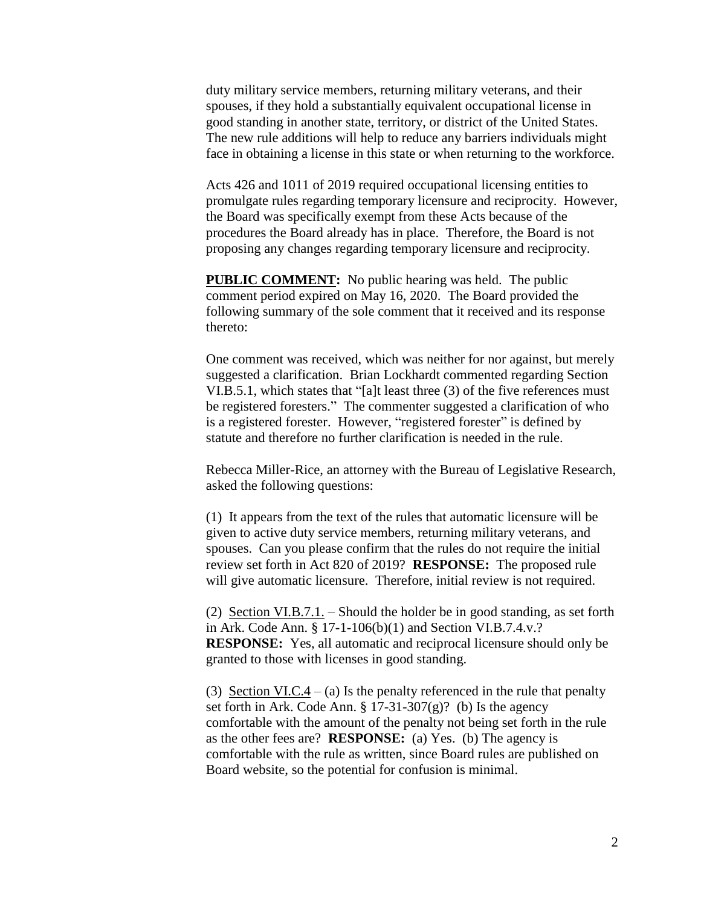duty military service members, returning military veterans, and their spouses, if they hold a substantially equivalent occupational license in good standing in another state, territory, or district of the United States. The new rule additions will help to reduce any barriers individuals might face in obtaining a license in this state or when returning to the workforce.

Acts 426 and 1011 of 2019 required occupational licensing entities to promulgate rules regarding temporary licensure and reciprocity. However, the Board was specifically exempt from these Acts because of the procedures the Board already has in place. Therefore, the Board is not proposing any changes regarding temporary licensure and reciprocity.

**PUBLIC COMMENT:** No public hearing was held. The public comment period expired on May 16, 2020. The Board provided the following summary of the sole comment that it received and its response thereto:

One comment was received, which was neither for nor against, but merely suggested a clarification. Brian Lockhardt commented regarding Section VI.B.5.1, which states that "[a]t least three (3) of the five references must be registered foresters." The commenter suggested a clarification of who is a registered forester. However, "registered forester" is defined by statute and therefore no further clarification is needed in the rule.

Rebecca Miller-Rice, an attorney with the Bureau of Legislative Research, asked the following questions:

(1) It appears from the text of the rules that automatic licensure will be given to active duty service members, returning military veterans, and spouses. Can you please confirm that the rules do not require the initial review set forth in Act 820 of 2019? **RESPONSE:** The proposed rule will give automatic licensure. Therefore, initial review is not required.

(2) Section VI.B.7.1. – Should the holder be in good standing, as set forth in Ark. Code Ann. § 17-1-106(b)(1) and Section VI.B.7.4.v.? **RESPONSE:** Yes, all automatic and reciprocal licensure should only be granted to those with licenses in good standing.

(3) Section VI.C.4 – (a) Is the penalty referenced in the rule that penalty set forth in Ark. Code Ann.  $\S 17-31-307(g)$ ? (b) Is the agency comfortable with the amount of the penalty not being set forth in the rule as the other fees are? **RESPONSE:** (a) Yes. (b) The agency is comfortable with the rule as written, since Board rules are published on Board website, so the potential for confusion is minimal.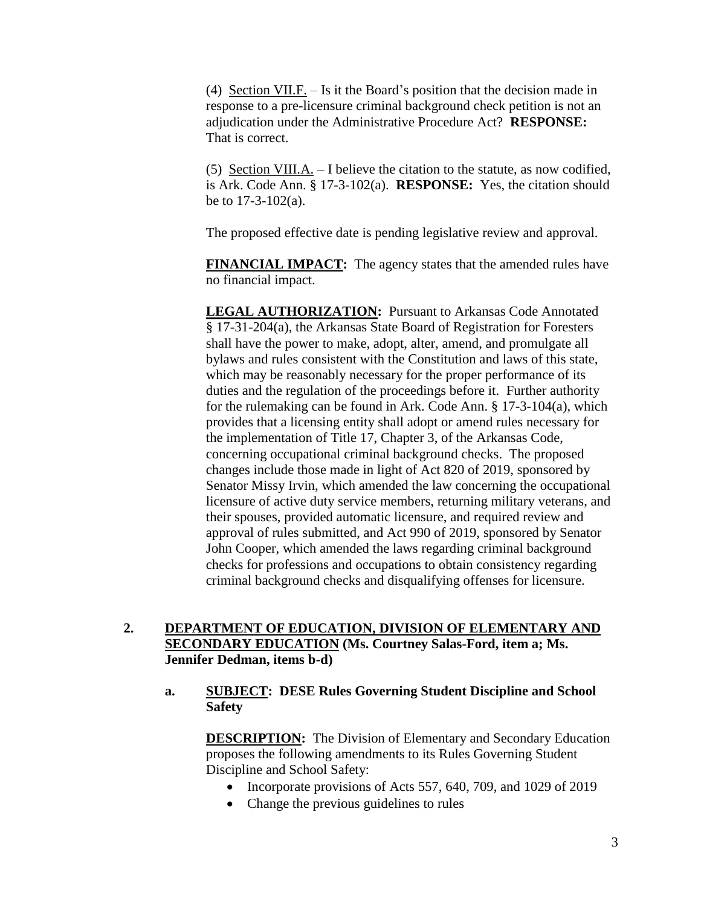(4) Section VII.F. – Is it the Board's position that the decision made in response to a pre-licensure criminal background check petition is not an adjudication under the Administrative Procedure Act? **RESPONSE:** That is correct.

(5) Section VIII.A. – I believe the citation to the statute, as now codified, is Ark. Code Ann. § 17-3-102(a). **RESPONSE:** Yes, the citation should be to 17-3-102(a).

The proposed effective date is pending legislative review and approval.

**FINANCIAL IMPACT:** The agency states that the amended rules have no financial impact.

**LEGAL AUTHORIZATION:** Pursuant to Arkansas Code Annotated § 17-31-204(a), the Arkansas State Board of Registration for Foresters shall have the power to make, adopt, alter, amend, and promulgate all bylaws and rules consistent with the Constitution and laws of this state, which may be reasonably necessary for the proper performance of its duties and the regulation of the proceedings before it. Further authority for the rulemaking can be found in Ark. Code Ann. § 17-3-104(a), which provides that a licensing entity shall adopt or amend rules necessary for the implementation of Title 17, Chapter 3, of the Arkansas Code, concerning occupational criminal background checks. The proposed changes include those made in light of Act 820 of 2019, sponsored by Senator Missy Irvin, which amended the law concerning the occupational licensure of active duty service members, returning military veterans, and their spouses, provided automatic licensure, and required review and approval of rules submitted, and Act 990 of 2019, sponsored by Senator John Cooper, which amended the laws regarding criminal background checks for professions and occupations to obtain consistency regarding criminal background checks and disqualifying offenses for licensure.

# **2. DEPARTMENT OF EDUCATION, DIVISION OF ELEMENTARY AND SECONDARY EDUCATION (Ms. Courtney Salas-Ford, item a; Ms. Jennifer Dedman, items b-d)**

### **a. SUBJECT: DESE Rules Governing Student Discipline and School Safety**

**DESCRIPTION:** The Division of Elementary and Secondary Education proposes the following amendments to its Rules Governing Student Discipline and School Safety:

- Incorporate provisions of Acts 557, 640, 709, and 1029 of 2019
- Change the previous guidelines to rules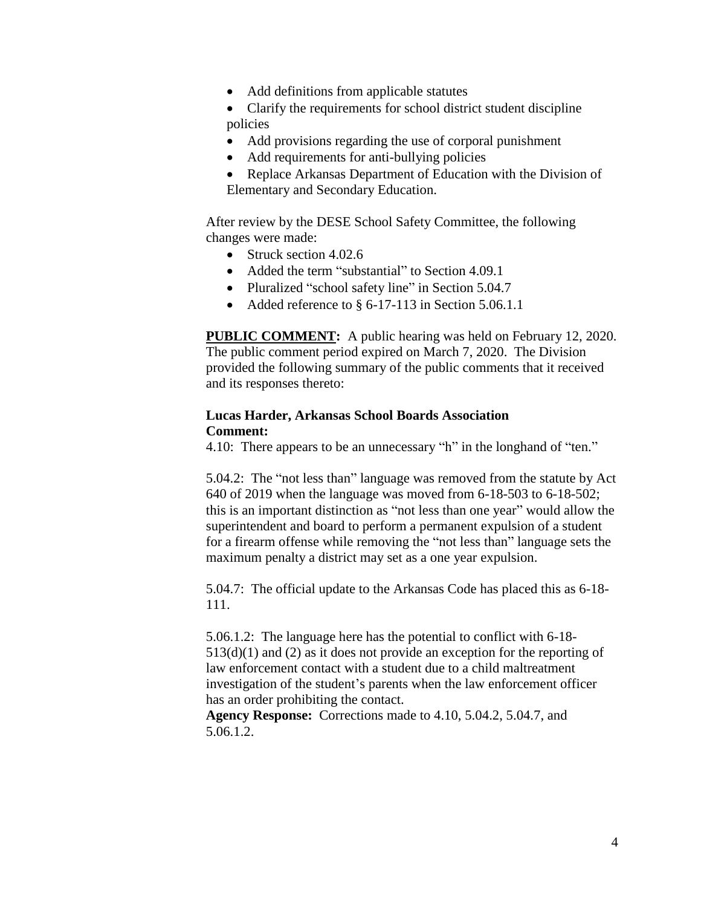• Add definitions from applicable statutes

• Clarify the requirements for school district student discipline policies

- Add provisions regarding the use of corporal punishment
- Add requirements for anti-bullying policies
- Replace Arkansas Department of Education with the Division of Elementary and Secondary Education.

After review by the DESE School Safety Committee, the following changes were made:

- Struck section 4.02.6
- Added the term "substantial" to Section 4.09.1
- Pluralized "school safety line" in Section 5.04.7
- Added reference to  $\S$  6-17-113 in Section 5.06.1.1

**PUBLIC COMMENT:** A public hearing was held on February 12, 2020. The public comment period expired on March 7, 2020. The Division provided the following summary of the public comments that it received and its responses thereto:

#### **Lucas Harder, Arkansas School Boards Association Comment:**

4.10: There appears to be an unnecessary "h" in the longhand of "ten."

5.04.2: The "not less than" language was removed from the statute by Act 640 of 2019 when the language was moved from 6-18-503 to 6-18-502; this is an important distinction as "not less than one year" would allow the superintendent and board to perform a permanent expulsion of a student for a firearm offense while removing the "not less than" language sets the maximum penalty a district may set as a one year expulsion.

5.04.7: The official update to the Arkansas Code has placed this as 6-18- 111.

5.06.1.2: The language here has the potential to conflict with 6-18- 513(d)(1) and (2) as it does not provide an exception for the reporting of law enforcement contact with a student due to a child maltreatment investigation of the student's parents when the law enforcement officer has an order prohibiting the contact.

**Agency Response:** Corrections made to 4.10, 5.04.2, 5.04.7, and 5.06.1.2.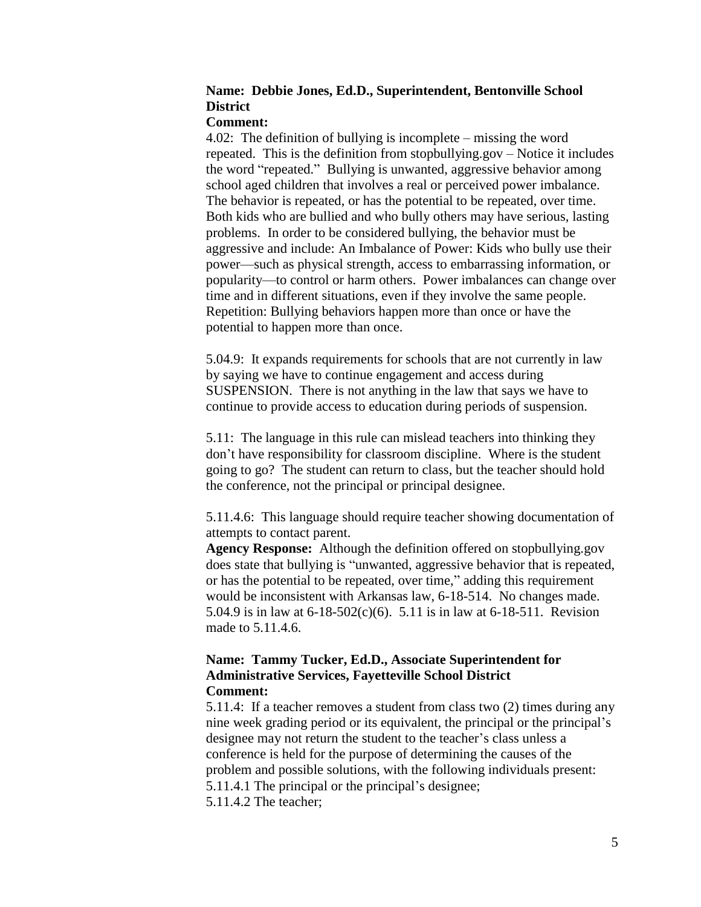# **Name: Debbie Jones, Ed.D., Superintendent, Bentonville School District**

#### **Comment:**

4.02: The definition of bullying is incomplete – missing the word repeated. This is the definition from stopbullying.gov – Notice it includes the word "repeated." Bullying is unwanted, aggressive behavior among school aged children that involves a real or perceived power imbalance. The behavior is repeated, or has the potential to be repeated, over time. Both kids who are bullied and who bully others may have serious, lasting problems. In order to be considered bullying, the behavior must be aggressive and include: An Imbalance of Power: Kids who bully use their power—such as physical strength, access to embarrassing information, or popularity—to control or harm others. Power imbalances can change over time and in different situations, even if they involve the same people. Repetition: Bullying behaviors happen more than once or have the potential to happen more than once.

5.04.9: It expands requirements for schools that are not currently in law by saying we have to continue engagement and access during SUSPENSION. There is not anything in the law that says we have to continue to provide access to education during periods of suspension.

5.11: The language in this rule can mislead teachers into thinking they don't have responsibility for classroom discipline. Where is the student going to go? The student can return to class, but the teacher should hold the conference, not the principal or principal designee.

5.11.4.6: This language should require teacher showing documentation of attempts to contact parent.

**Agency Response:** Although the definition offered on stopbullying.gov does state that bullying is "unwanted, aggressive behavior that is repeated, or has the potential to be repeated, over time," adding this requirement would be inconsistent with Arkansas law, 6-18-514. No changes made. 5.04.9 is in law at 6-18-502(c)(6). 5.11 is in law at 6-18-511. Revision made to 5.11.4.6.

### **Name: Tammy Tucker, Ed.D., Associate Superintendent for Administrative Services, Fayetteville School District Comment:**

5.11.4: If a teacher removes a student from class two (2) times during any nine week grading period or its equivalent, the principal or the principal's designee may not return the student to the teacher's class unless a conference is held for the purpose of determining the causes of the problem and possible solutions, with the following individuals present: 5.11.4.1 The principal or the principal's designee; 5.11.4.2 The teacher;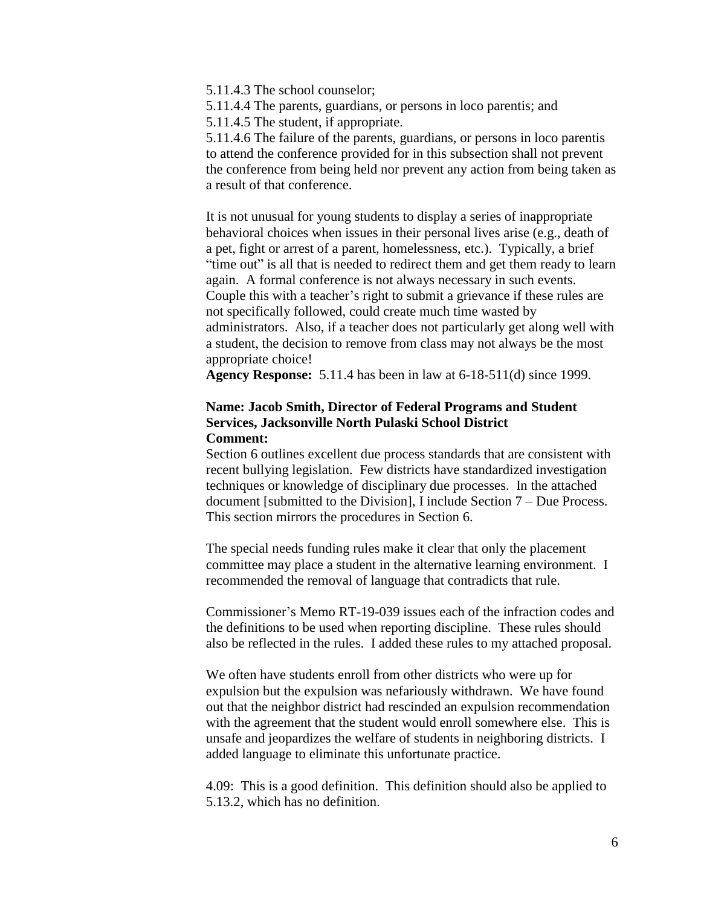5.11.4.3 The school counselor;

5.11.4.4 The parents, guardians, or persons in loco parentis; and

5.11.4.5 The student, if appropriate.

5.11.4.6 The failure of the parents, guardians, or persons in loco parentis to attend the conference provided for in this subsection shall not prevent the conference from being held nor prevent any action from being taken as a result of that conference.

It is not unusual for young students to display a series of inappropriate behavioral choices when issues in their personal lives arise (e.g., death of a pet, fight or arrest of a parent, homelessness, etc.). Typically, a brief "time out" is all that is needed to redirect them and get them ready to learn again. A formal conference is not always necessary in such events. Couple this with a teacher's right to submit a grievance if these rules are not specifically followed, could create much time wasted by administrators. Also, if a teacher does not particularly get along well with a student, the decision to remove from class may not always be the most appropriate choice!

**Agency Response:** 5.11.4 has been in law at 6-18-511(d) since 1999.

### **Name: Jacob Smith, Director of Federal Programs and Student Services, Jacksonville North Pulaski School District Comment:**

Section 6 outlines excellent due process standards that are consistent with recent bullying legislation. Few districts have standardized investigation techniques or knowledge of disciplinary due processes. In the attached document [submitted to the Division], I include Section 7 – Due Process. This section mirrors the procedures in Section 6.

The special needs funding rules make it clear that only the placement committee may place a student in the alternative learning environment. I recommended the removal of language that contradicts that rule.

Commissioner's Memo RT-19-039 issues each of the infraction codes and the definitions to be used when reporting discipline. These rules should also be reflected in the rules. I added these rules to my attached proposal.

We often have students enroll from other districts who were up for expulsion but the expulsion was nefariously withdrawn. We have found out that the neighbor district had rescinded an expulsion recommendation with the agreement that the student would enroll somewhere else. This is unsafe and jeopardizes the welfare of students in neighboring districts. I added language to eliminate this unfortunate practice.

4.09: This is a good definition. This definition should also be applied to 5.13.2, which has no definition.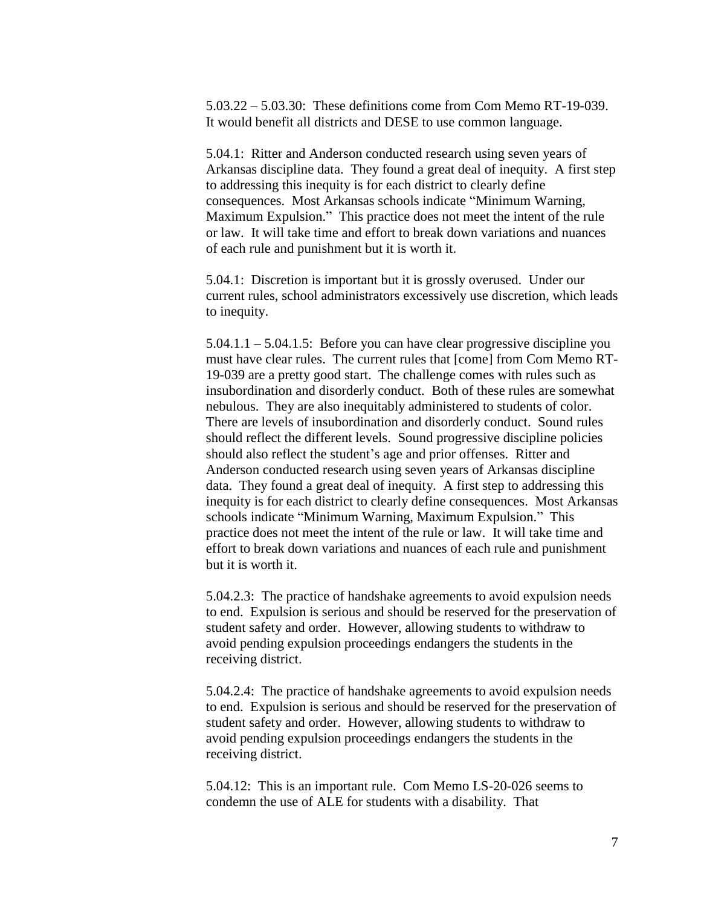5.03.22 – 5.03.30: These definitions come from Com Memo RT-19-039. It would benefit all districts and DESE to use common language.

5.04.1: Ritter and Anderson conducted research using seven years of Arkansas discipline data. They found a great deal of inequity. A first step to addressing this inequity is for each district to clearly define consequences. Most Arkansas schools indicate "Minimum Warning, Maximum Expulsion." This practice does not meet the intent of the rule or law. It will take time and effort to break down variations and nuances of each rule and punishment but it is worth it.

5.04.1: Discretion is important but it is grossly overused. Under our current rules, school administrators excessively use discretion, which leads to inequity.

5.04.1.1 – 5.04.1.5: Before you can have clear progressive discipline you must have clear rules. The current rules that [come] from Com Memo RT-19-039 are a pretty good start. The challenge comes with rules such as insubordination and disorderly conduct. Both of these rules are somewhat nebulous. They are also inequitably administered to students of color. There are levels of insubordination and disorderly conduct. Sound rules should reflect the different levels. Sound progressive discipline policies should also reflect the student's age and prior offenses. Ritter and Anderson conducted research using seven years of Arkansas discipline data. They found a great deal of inequity. A first step to addressing this inequity is for each district to clearly define consequences. Most Arkansas schools indicate "Minimum Warning, Maximum Expulsion." This practice does not meet the intent of the rule or law. It will take time and effort to break down variations and nuances of each rule and punishment but it is worth it.

5.04.2.3: The practice of handshake agreements to avoid expulsion needs to end. Expulsion is serious and should be reserved for the preservation of student safety and order. However, allowing students to withdraw to avoid pending expulsion proceedings endangers the students in the receiving district.

5.04.2.4: The practice of handshake agreements to avoid expulsion needs to end. Expulsion is serious and should be reserved for the preservation of student safety and order. However, allowing students to withdraw to avoid pending expulsion proceedings endangers the students in the receiving district.

5.04.12: This is an important rule. Com Memo LS-20-026 seems to condemn the use of ALE for students with a disability. That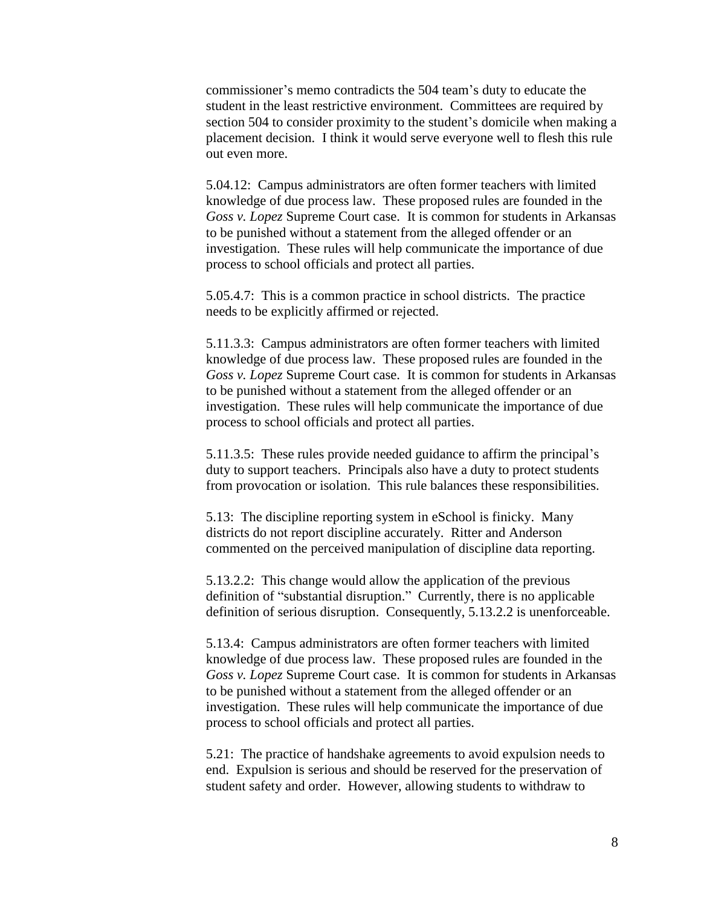commissioner's memo contradicts the 504 team's duty to educate the student in the least restrictive environment. Committees are required by section 504 to consider proximity to the student's domicile when making a placement decision. I think it would serve everyone well to flesh this rule out even more.

5.04.12: Campus administrators are often former teachers with limited knowledge of due process law. These proposed rules are founded in the *Goss v. Lopez* Supreme Court case. It is common for students in Arkansas to be punished without a statement from the alleged offender or an investigation. These rules will help communicate the importance of due process to school officials and protect all parties.

5.05.4.7: This is a common practice in school districts. The practice needs to be explicitly affirmed or rejected.

5.11.3.3: Campus administrators are often former teachers with limited knowledge of due process law. These proposed rules are founded in the *Goss v. Lopez* Supreme Court case. It is common for students in Arkansas to be punished without a statement from the alleged offender or an investigation. These rules will help communicate the importance of due process to school officials and protect all parties.

5.11.3.5: These rules provide needed guidance to affirm the principal's duty to support teachers. Principals also have a duty to protect students from provocation or isolation. This rule balances these responsibilities.

5.13: The discipline reporting system in eSchool is finicky. Many districts do not report discipline accurately. Ritter and Anderson commented on the perceived manipulation of discipline data reporting.

5.13.2.2: This change would allow the application of the previous definition of "substantial disruption." Currently, there is no applicable definition of serious disruption. Consequently, 5.13.2.2 is unenforceable.

5.13.4: Campus administrators are often former teachers with limited knowledge of due process law. These proposed rules are founded in the *Goss v. Lopez* Supreme Court case. It is common for students in Arkansas to be punished without a statement from the alleged offender or an investigation. These rules will help communicate the importance of due process to school officials and protect all parties.

5.21: The practice of handshake agreements to avoid expulsion needs to end. Expulsion is serious and should be reserved for the preservation of student safety and order. However, allowing students to withdraw to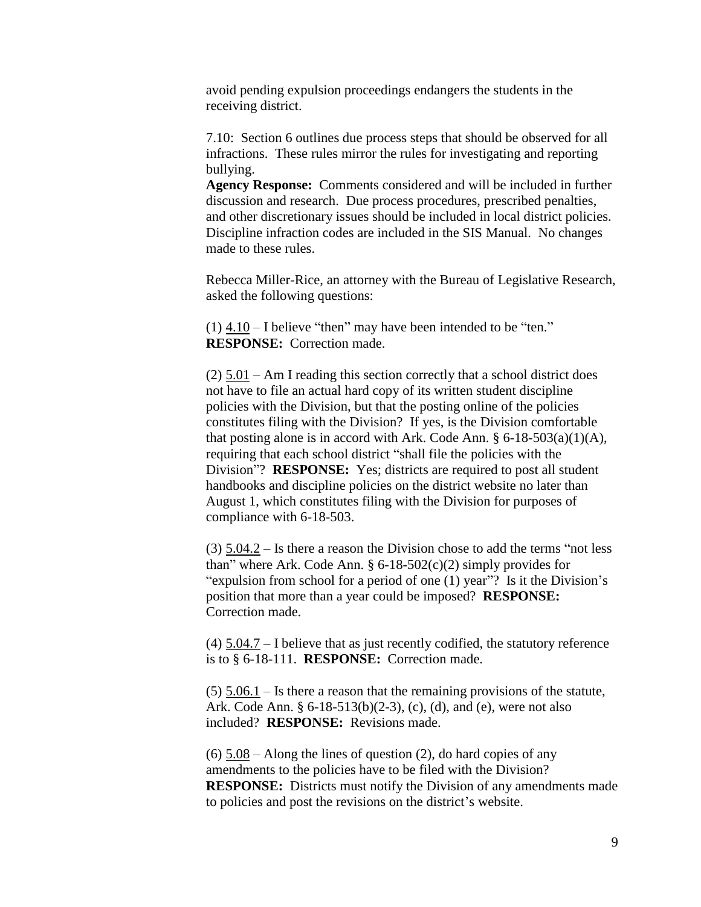avoid pending expulsion proceedings endangers the students in the receiving district.

7.10: Section 6 outlines due process steps that should be observed for all infractions. These rules mirror the rules for investigating and reporting bullying.

**Agency Response:** Comments considered and will be included in further discussion and research. Due process procedures, prescribed penalties, and other discretionary issues should be included in local district policies. Discipline infraction codes are included in the SIS Manual. No changes made to these rules.

Rebecca Miller-Rice, an attorney with the Bureau of Legislative Research, asked the following questions:

 $(1)$  4.10 – I believe "then" may have been intended to be "ten." **RESPONSE:** Correction made.

(2) 5.01 – Am I reading this section correctly that a school district does not have to file an actual hard copy of its written student discipline policies with the Division, but that the posting online of the policies constitutes filing with the Division? If yes, is the Division comfortable that posting alone is in accord with Ark. Code Ann.  $\S 6$ -18-503(a)(1)(A), requiring that each school district "shall file the policies with the Division"? **RESPONSE:** Yes; districts are required to post all student handbooks and discipline policies on the district website no later than August 1, which constitutes filing with the Division for purposes of compliance with 6-18-503.

(3) 5.04.2 – Is there a reason the Division chose to add the terms "not less than" where Ark. Code Ann.  $\S 6$ -18-502(c)(2) simply provides for "expulsion from school for a period of one (1) year"? Is it the Division's position that more than a year could be imposed? **RESPONSE:** Correction made.

(4) 5.04.7 – I believe that as just recently codified, the statutory reference is to § 6-18-111. **RESPONSE:** Correction made.

 $(5)$   $\overline{5.06.1}$  – Is there a reason that the remaining provisions of the statute, Ark. Code Ann. § 6-18-513(b)(2-3), (c), (d), and (e), were not also included? **RESPONSE:** Revisions made.

 $(6)$  5.08 – Along the lines of question (2), do hard copies of any amendments to the policies have to be filed with the Division? **RESPONSE:** Districts must notify the Division of any amendments made to policies and post the revisions on the district's website.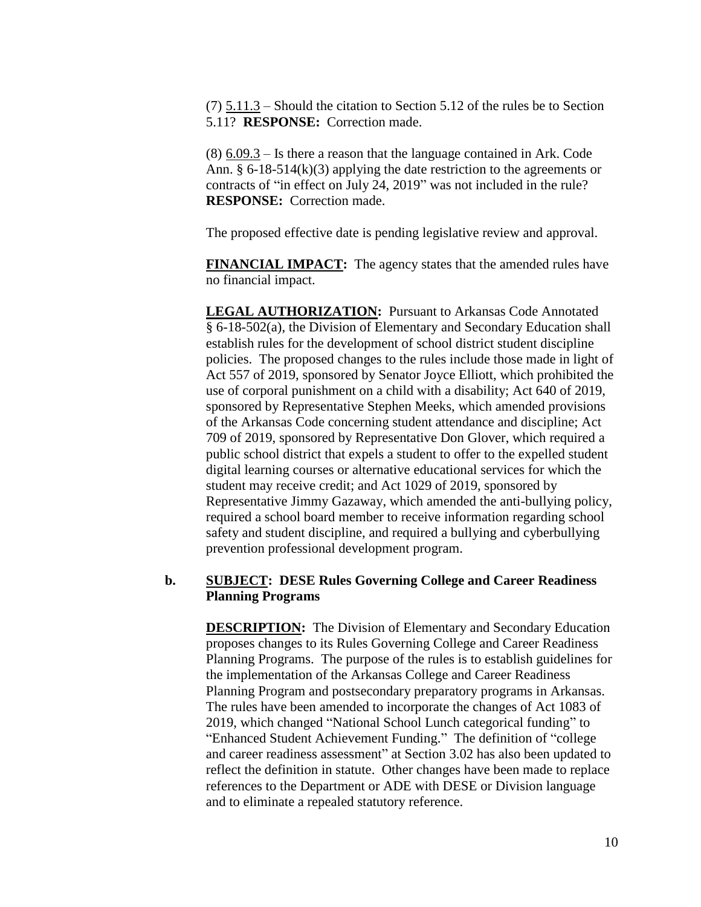(7) 5.11.3 – Should the citation to Section 5.12 of the rules be to Section 5.11? **RESPONSE:** Correction made.

(8) 6.09.3 – Is there a reason that the language contained in Ark. Code Ann.  $\S 6$ -18-514(k)(3) applying the date restriction to the agreements or contracts of "in effect on July 24, 2019" was not included in the rule? **RESPONSE:** Correction made.

The proposed effective date is pending legislative review and approval.

**FINANCIAL IMPACT:** The agency states that the amended rules have no financial impact.

**LEGAL AUTHORIZATION:** Pursuant to Arkansas Code Annotated § 6-18-502(a), the Division of Elementary and Secondary Education shall establish rules for the development of school district student discipline policies. The proposed changes to the rules include those made in light of Act 557 of 2019, sponsored by Senator Joyce Elliott, which prohibited the use of corporal punishment on a child with a disability; Act 640 of 2019, sponsored by Representative Stephen Meeks, which amended provisions of the Arkansas Code concerning student attendance and discipline; Act 709 of 2019, sponsored by Representative Don Glover, which required a public school district that expels a student to offer to the expelled student digital learning courses or alternative educational services for which the student may receive credit; and Act 1029 of 2019, sponsored by Representative Jimmy Gazaway, which amended the anti-bullying policy, required a school board member to receive information regarding school safety and student discipline, and required a bullying and cyberbullying prevention professional development program.

## **b. SUBJECT: DESE Rules Governing College and Career Readiness Planning Programs**

**DESCRIPTION:** The Division of Elementary and Secondary Education proposes changes to its Rules Governing College and Career Readiness Planning Programs. The purpose of the rules is to establish guidelines for the implementation of the Arkansas College and Career Readiness Planning Program and postsecondary preparatory programs in Arkansas. The rules have been amended to incorporate the changes of Act 1083 of 2019, which changed "National School Lunch categorical funding" to "Enhanced Student Achievement Funding." The definition of "college and career readiness assessment" at Section 3.02 has also been updated to reflect the definition in statute. Other changes have been made to replace references to the Department or ADE with DESE or Division language and to eliminate a repealed statutory reference.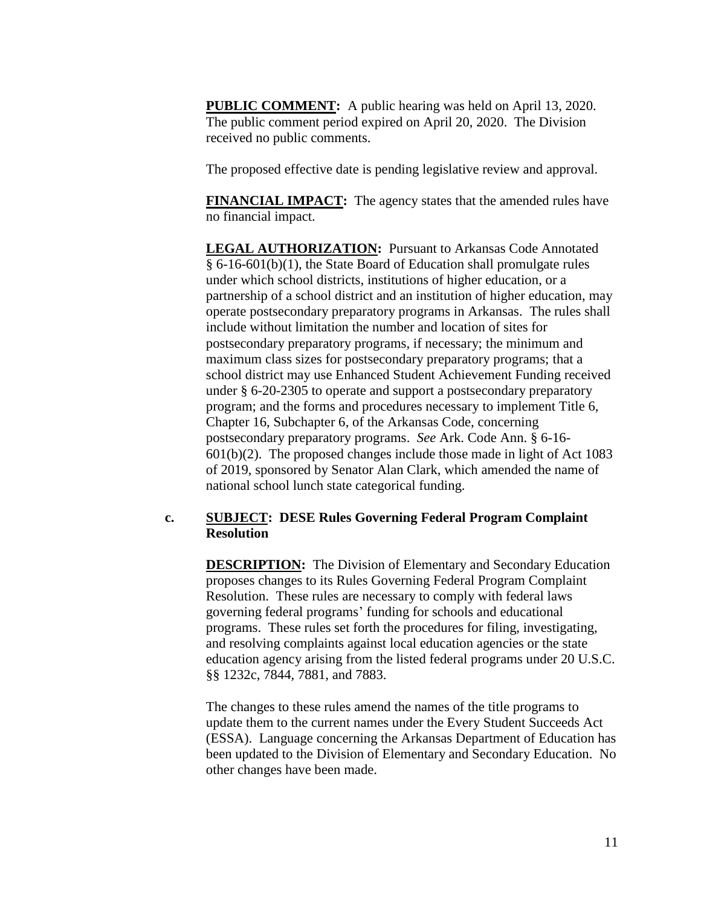**PUBLIC COMMENT:** A public hearing was held on April 13, 2020. The public comment period expired on April 20, 2020. The Division received no public comments.

The proposed effective date is pending legislative review and approval.

**FINANCIAL IMPACT:** The agency states that the amended rules have no financial impact.

**LEGAL AUTHORIZATION:** Pursuant to Arkansas Code Annotated § 6-16-601(b)(1), the State Board of Education shall promulgate rules under which school districts, institutions of higher education, or a partnership of a school district and an institution of higher education, may operate postsecondary preparatory programs in Arkansas. The rules shall include without limitation the number and location of sites for postsecondary preparatory programs, if necessary; the minimum and maximum class sizes for postsecondary preparatory programs; that a school district may use Enhanced Student Achievement Funding received under § 6-20-2305 to operate and support a postsecondary preparatory program; and the forms and procedures necessary to implement Title 6, Chapter 16, Subchapter 6, of the Arkansas Code, concerning postsecondary preparatory programs. *See* Ark. Code Ann. § 6-16-  $601(b)(2)$ . The proposed changes include those made in light of Act 1083 of 2019, sponsored by Senator Alan Clark, which amended the name of national school lunch state categorical funding.

## **c. SUBJECT: DESE Rules Governing Federal Program Complaint Resolution**

**DESCRIPTION:** The Division of Elementary and Secondary Education proposes changes to its Rules Governing Federal Program Complaint Resolution. These rules are necessary to comply with federal laws governing federal programs' funding for schools and educational programs. These rules set forth the procedures for filing, investigating, and resolving complaints against local education agencies or the state education agency arising from the listed federal programs under 20 U.S.C. §§ 1232c, 7844, 7881, and 7883.

The changes to these rules amend the names of the title programs to update them to the current names under the Every Student Succeeds Act (ESSA). Language concerning the Arkansas Department of Education has been updated to the Division of Elementary and Secondary Education. No other changes have been made.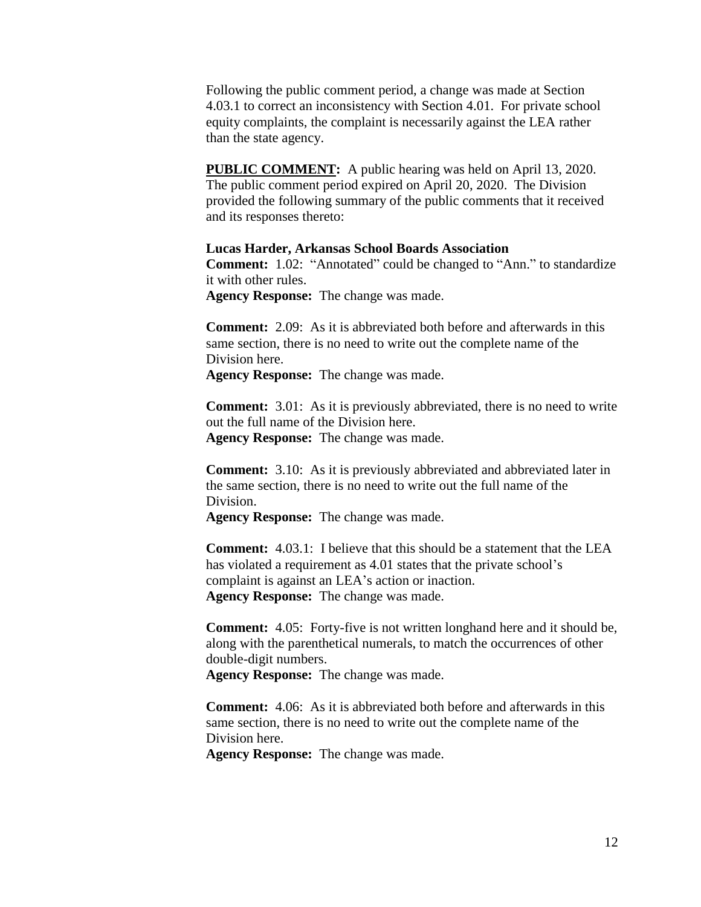Following the public comment period, a change was made at Section 4.03.1 to correct an inconsistency with Section 4.01. For private school equity complaints, the complaint is necessarily against the LEA rather than the state agency.

**PUBLIC COMMENT:** A public hearing was held on April 13, 2020. The public comment period expired on April 20, 2020. The Division provided the following summary of the public comments that it received and its responses thereto:

**Lucas Harder, Arkansas School Boards Association Comment:** 1.02: "Annotated" could be changed to "Ann." to standardize

it with other rules.

**Agency Response:** The change was made.

**Comment:** 2.09: As it is abbreviated both before and afterwards in this same section, there is no need to write out the complete name of the Division here.

**Agency Response:** The change was made.

**Comment:** 3.01: As it is previously abbreviated, there is no need to write out the full name of the Division here. **Agency Response:** The change was made.

**Comment:** 3.10: As it is previously abbreviated and abbreviated later in the same section, there is no need to write out the full name of the Division.

**Agency Response:** The change was made.

**Comment:** 4.03.1: I believe that this should be a statement that the LEA has violated a requirement as 4.01 states that the private school's complaint is against an LEA's action or inaction. **Agency Response:** The change was made.

**Comment:** 4.05: Forty-five is not written longhand here and it should be, along with the parenthetical numerals, to match the occurrences of other double-digit numbers.

**Agency Response:** The change was made.

**Comment:** 4.06: As it is abbreviated both before and afterwards in this same section, there is no need to write out the complete name of the Division here.

**Agency Response:** The change was made.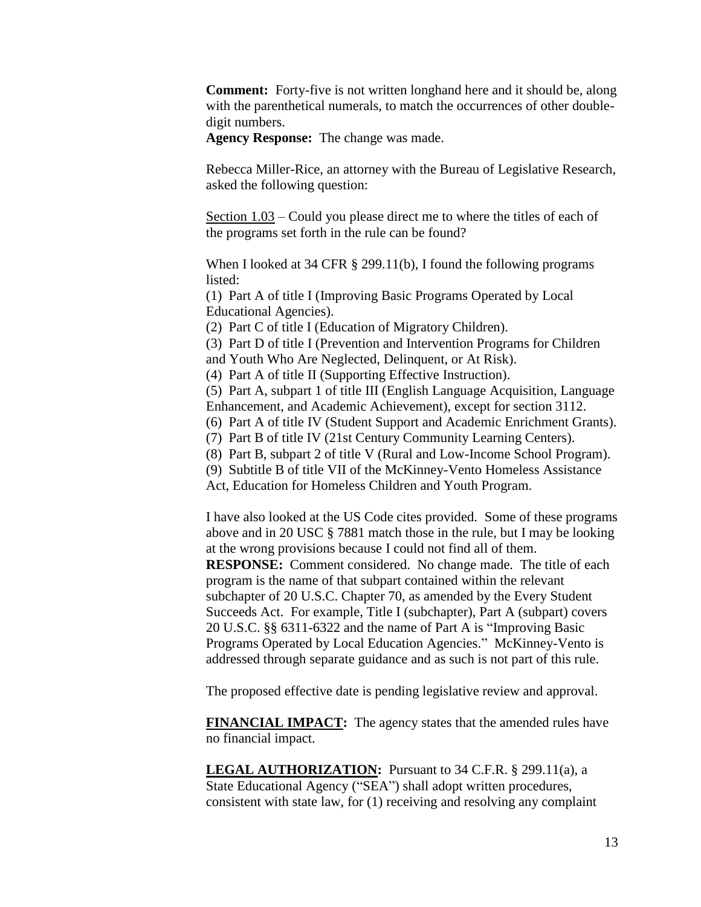**Comment:** Forty-five is not written longhand here and it should be, along with the parenthetical numerals, to match the occurrences of other doubledigit numbers.

**Agency Response:** The change was made.

Rebecca Miller-Rice, an attorney with the Bureau of Legislative Research, asked the following question:

Section 1.03 – Could you please direct me to where the titles of each of the programs set forth in the rule can be found?

When I looked at 34 CFR § 299.11(b), I found the following programs listed:

(1) Part A of title I (Improving Basic Programs Operated by Local Educational Agencies).

(2) Part C of title I (Education of Migratory Children).

(3) Part D of title I (Prevention and Intervention Programs for Children and Youth Who Are Neglected, Delinquent, or At Risk).

(4) Part A of title II (Supporting Effective Instruction).

(5) Part A, subpart 1 of title III (English Language Acquisition, Language Enhancement, and Academic Achievement), except for section 3112.

(6) Part A of title IV (Student Support and Academic Enrichment Grants).

(7) Part B of title IV (21st Century Community Learning Centers).

(8) Part B, subpart 2 of title V (Rural and Low-Income School Program).

(9) Subtitle B of title VII of the McKinney-Vento Homeless Assistance

Act, Education for Homeless Children and Youth Program.

I have also looked at the US Code cites provided. Some of these programs above and in 20 USC § 7881 match those in the rule, but I may be looking at the wrong provisions because I could not find all of them. **RESPONSE:** Comment considered. No change made. The title of each program is the name of that subpart contained within the relevant subchapter of 20 U.S.C. Chapter 70, as amended by the Every Student Succeeds Act. For example, Title I (subchapter), Part A (subpart) covers 20 U.S.C. §§ 6311-6322 and the name of Part A is "Improving Basic Programs Operated by Local Education Agencies." McKinney-Vento is addressed through separate guidance and as such is not part of this rule.

The proposed effective date is pending legislative review and approval.

**FINANCIAL IMPACT:** The agency states that the amended rules have no financial impact.

**LEGAL AUTHORIZATION:** Pursuant to 34 C.F.R. § 299.11(a), a State Educational Agency ("SEA") shall adopt written procedures, consistent with state law, for (1) receiving and resolving any complaint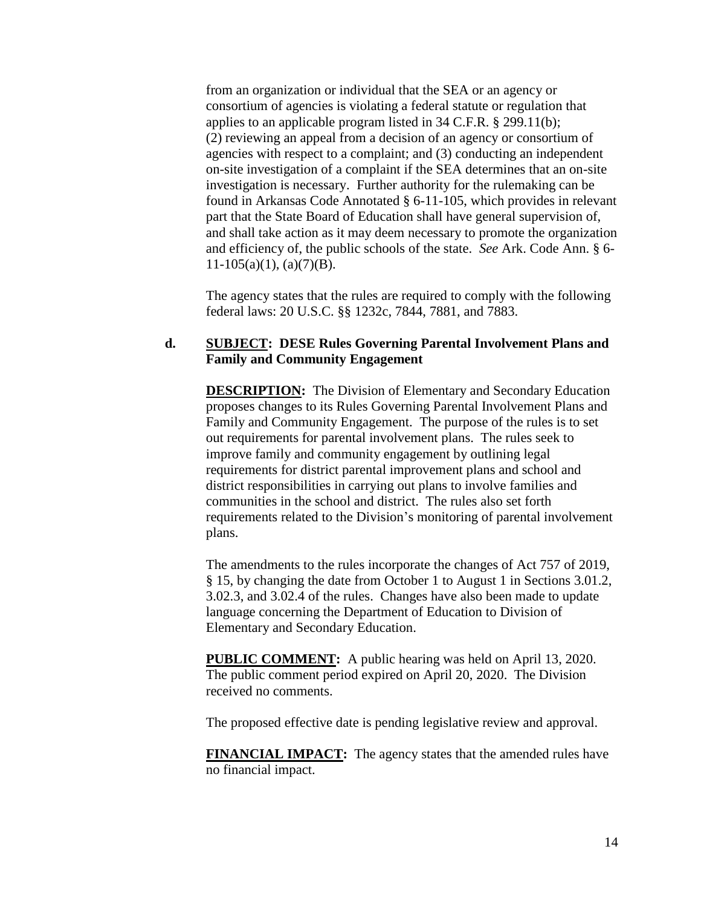from an organization or individual that the SEA or an agency or consortium of agencies is violating a federal statute or regulation that applies to an applicable program listed in 34 C.F.R. § 299.11(b); (2) reviewing an appeal from a decision of an agency or consortium of agencies with respect to a complaint; and (3) conducting an independent on-site investigation of a complaint if the SEA determines that an on-site investigation is necessary. Further authority for the rulemaking can be found in Arkansas Code Annotated § 6-11-105, which provides in relevant part that the State Board of Education shall have general supervision of, and shall take action as it may deem necessary to promote the organization and efficiency of, the public schools of the state. *See* Ark. Code Ann. § 6-  $11-105(a)(1)$ , (a)(7)(B).

The agency states that the rules are required to comply with the following federal laws: 20 U.S.C. §§ 1232c, 7844, 7881, and 7883.

# **d. SUBJECT: DESE Rules Governing Parental Involvement Plans and Family and Community Engagement**

**DESCRIPTION:** The Division of Elementary and Secondary Education proposes changes to its Rules Governing Parental Involvement Plans and Family and Community Engagement. The purpose of the rules is to set out requirements for parental involvement plans. The rules seek to improve family and community engagement by outlining legal requirements for district parental improvement plans and school and district responsibilities in carrying out plans to involve families and communities in the school and district. The rules also set forth requirements related to the Division's monitoring of parental involvement plans.

The amendments to the rules incorporate the changes of Act 757 of 2019, § 15, by changing the date from October 1 to August 1 in Sections 3.01.2, 3.02.3, and 3.02.4 of the rules. Changes have also been made to update language concerning the Department of Education to Division of Elementary and Secondary Education.

**PUBLIC COMMENT:** A public hearing was held on April 13, 2020. The public comment period expired on April 20, 2020. The Division received no comments.

The proposed effective date is pending legislative review and approval.

**FINANCIAL IMPACT:** The agency states that the amended rules have no financial impact.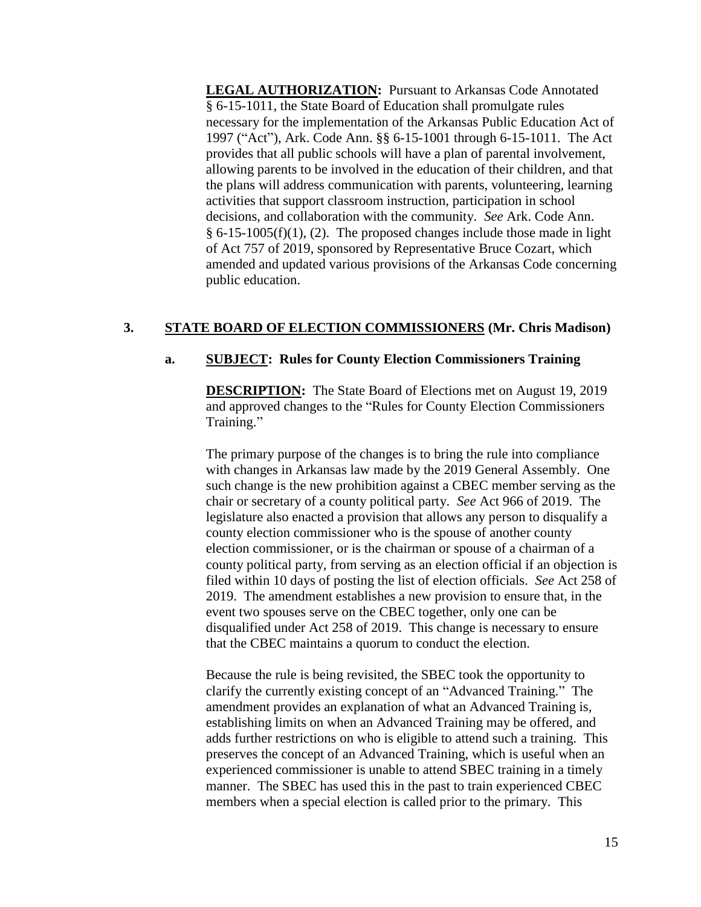**LEGAL AUTHORIZATION:** Pursuant to Arkansas Code Annotated § 6-15-1011, the State Board of Education shall promulgate rules necessary for the implementation of the Arkansas Public Education Act of 1997 ("Act"), Ark. Code Ann. §§ 6-15-1001 through 6-15-1011. The Act provides that all public schools will have a plan of parental involvement, allowing parents to be involved in the education of their children, and that the plans will address communication with parents, volunteering, learning activities that support classroom instruction, participation in school decisions, and collaboration with the community. *See* Ark. Code Ann.  $§ 6-15-1005(f)(1), (2).$  The proposed changes include those made in light of Act 757 of 2019, sponsored by Representative Bruce Cozart, which amended and updated various provisions of the Arkansas Code concerning public education.

# **3. STATE BOARD OF ELECTION COMMISSIONERS (Mr. Chris Madison)**

## **a. SUBJECT: Rules for County Election Commissioners Training**

**DESCRIPTION:** The State Board of Elections met on August 19, 2019 and approved changes to the "Rules for County Election Commissioners Training."

The primary purpose of the changes is to bring the rule into compliance with changes in Arkansas law made by the 2019 General Assembly. One such change is the new prohibition against a CBEC member serving as the chair or secretary of a county political party. *See* Act 966 of 2019. The legislature also enacted a provision that allows any person to disqualify a county election commissioner who is the spouse of another county election commissioner, or is the chairman or spouse of a chairman of a county political party, from serving as an election official if an objection is filed within 10 days of posting the list of election officials. *See* Act 258 of 2019. The amendment establishes a new provision to ensure that, in the event two spouses serve on the CBEC together, only one can be disqualified under Act 258 of 2019. This change is necessary to ensure that the CBEC maintains a quorum to conduct the election.

Because the rule is being revisited, the SBEC took the opportunity to clarify the currently existing concept of an "Advanced Training." The amendment provides an explanation of what an Advanced Training is, establishing limits on when an Advanced Training may be offered, and adds further restrictions on who is eligible to attend such a training. This preserves the concept of an Advanced Training, which is useful when an experienced commissioner is unable to attend SBEC training in a timely manner. The SBEC has used this in the past to train experienced CBEC members when a special election is called prior to the primary. This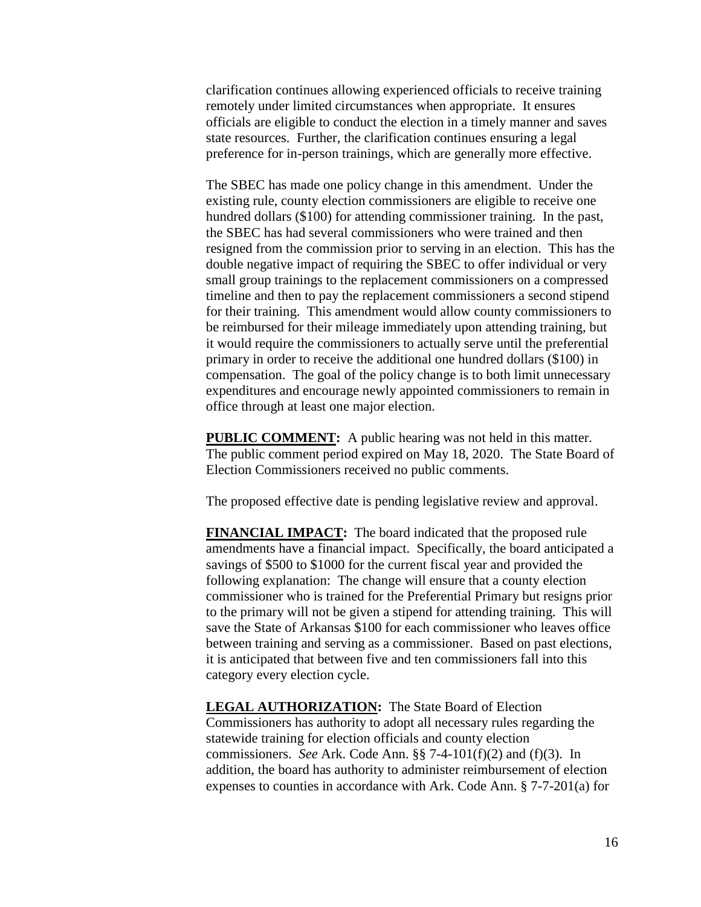clarification continues allowing experienced officials to receive training remotely under limited circumstances when appropriate. It ensures officials are eligible to conduct the election in a timely manner and saves state resources. Further, the clarification continues ensuring a legal preference for in-person trainings, which are generally more effective.

The SBEC has made one policy change in this amendment. Under the existing rule, county election commissioners are eligible to receive one hundred dollars (\$100) for attending commissioner training. In the past, the SBEC has had several commissioners who were trained and then resigned from the commission prior to serving in an election. This has the double negative impact of requiring the SBEC to offer individual or very small group trainings to the replacement commissioners on a compressed timeline and then to pay the replacement commissioners a second stipend for their training. This amendment would allow county commissioners to be reimbursed for their mileage immediately upon attending training, but it would require the commissioners to actually serve until the preferential primary in order to receive the additional one hundred dollars (\$100) in compensation. The goal of the policy change is to both limit unnecessary expenditures and encourage newly appointed commissioners to remain in office through at least one major election.

**PUBLIC COMMENT:** A public hearing was not held in this matter. The public comment period expired on May 18, 2020. The State Board of Election Commissioners received no public comments.

The proposed effective date is pending legislative review and approval.

**FINANCIAL IMPACT:** The board indicated that the proposed rule amendments have a financial impact. Specifically, the board anticipated a savings of \$500 to \$1000 for the current fiscal year and provided the following explanation: The change will ensure that a county election commissioner who is trained for the Preferential Primary but resigns prior to the primary will not be given a stipend for attending training. This will save the State of Arkansas \$100 for each commissioner who leaves office between training and serving as a commissioner. Based on past elections, it is anticipated that between five and ten commissioners fall into this category every election cycle.

**LEGAL AUTHORIZATION:** The State Board of Election Commissioners has authority to adopt all necessary rules regarding the statewide training for election officials and county election commissioners. *See* Ark. Code Ann. §§ 7-4-101(f)(2) and (f)(3). In addition, the board has authority to administer reimbursement of election expenses to counties in accordance with Ark. Code Ann. § 7-7-201(a) for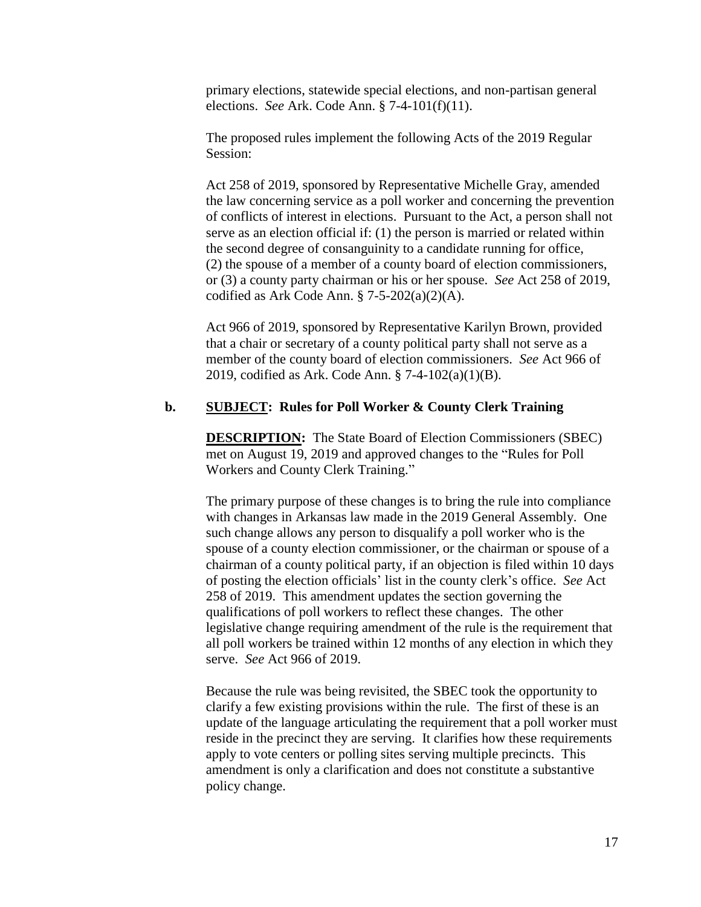primary elections, statewide special elections, and non-partisan general elections. *See* Ark. Code Ann. § 7-4-101(f)(11).

The proposed rules implement the following Acts of the 2019 Regular Session:

Act 258 of 2019, sponsored by Representative Michelle Gray, amended the law concerning service as a poll worker and concerning the prevention of conflicts of interest in elections. Pursuant to the Act, a person shall not serve as an election official if: (1) the person is married or related within the second degree of consanguinity to a candidate running for office, (2) the spouse of a member of a county board of election commissioners, or (3) a county party chairman or his or her spouse. *See* Act 258 of 2019, codified as Ark Code Ann.  $$ 7-5-202(a)(2)(A)$ .

Act 966 of 2019, sponsored by Representative Karilyn Brown, provided that a chair or secretary of a county political party shall not serve as a member of the county board of election commissioners. *See* Act 966 of 2019, codified as Ark. Code Ann. § 7-4-102(a)(1)(B).

## **b. SUBJECT: Rules for Poll Worker & County Clerk Training**

**DESCRIPTION:** The State Board of Election Commissioners (SBEC) met on August 19, 2019 and approved changes to the "Rules for Poll Workers and County Clerk Training."

The primary purpose of these changes is to bring the rule into compliance with changes in Arkansas law made in the 2019 General Assembly. One such change allows any person to disqualify a poll worker who is the spouse of a county election commissioner, or the chairman or spouse of a chairman of a county political party, if an objection is filed within 10 days of posting the election officials' list in the county clerk's office. *See* Act 258 of 2019. This amendment updates the section governing the qualifications of poll workers to reflect these changes. The other legislative change requiring amendment of the rule is the requirement that all poll workers be trained within 12 months of any election in which they serve. *See* Act 966 of 2019.

Because the rule was being revisited, the SBEC took the opportunity to clarify a few existing provisions within the rule. The first of these is an update of the language articulating the requirement that a poll worker must reside in the precinct they are serving. It clarifies how these requirements apply to vote centers or polling sites serving multiple precincts. This amendment is only a clarification and does not constitute a substantive policy change.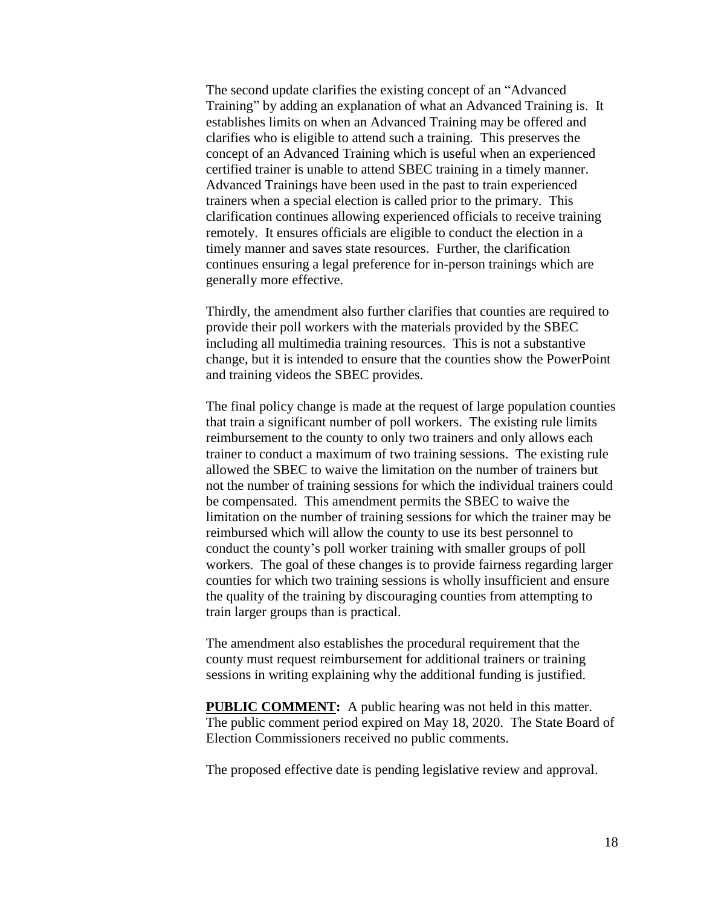The second update clarifies the existing concept of an "Advanced Training" by adding an explanation of what an Advanced Training is. It establishes limits on when an Advanced Training may be offered and clarifies who is eligible to attend such a training. This preserves the concept of an Advanced Training which is useful when an experienced certified trainer is unable to attend SBEC training in a timely manner. Advanced Trainings have been used in the past to train experienced trainers when a special election is called prior to the primary. This clarification continues allowing experienced officials to receive training remotely. It ensures officials are eligible to conduct the election in a timely manner and saves state resources. Further, the clarification continues ensuring a legal preference for in-person trainings which are generally more effective.

Thirdly, the amendment also further clarifies that counties are required to provide their poll workers with the materials provided by the SBEC including all multimedia training resources. This is not a substantive change, but it is intended to ensure that the counties show the PowerPoint and training videos the SBEC provides.

The final policy change is made at the request of large population counties that train a significant number of poll workers. The existing rule limits reimbursement to the county to only two trainers and only allows each trainer to conduct a maximum of two training sessions. The existing rule allowed the SBEC to waive the limitation on the number of trainers but not the number of training sessions for which the individual trainers could be compensated. This amendment permits the SBEC to waive the limitation on the number of training sessions for which the trainer may be reimbursed which will allow the county to use its best personnel to conduct the county's poll worker training with smaller groups of poll workers. The goal of these changes is to provide fairness regarding larger counties for which two training sessions is wholly insufficient and ensure the quality of the training by discouraging counties from attempting to train larger groups than is practical.

The amendment also establishes the procedural requirement that the county must request reimbursement for additional trainers or training sessions in writing explaining why the additional funding is justified.

**PUBLIC COMMENT:** A public hearing was not held in this matter. The public comment period expired on May 18, 2020. The State Board of Election Commissioners received no public comments.

The proposed effective date is pending legislative review and approval.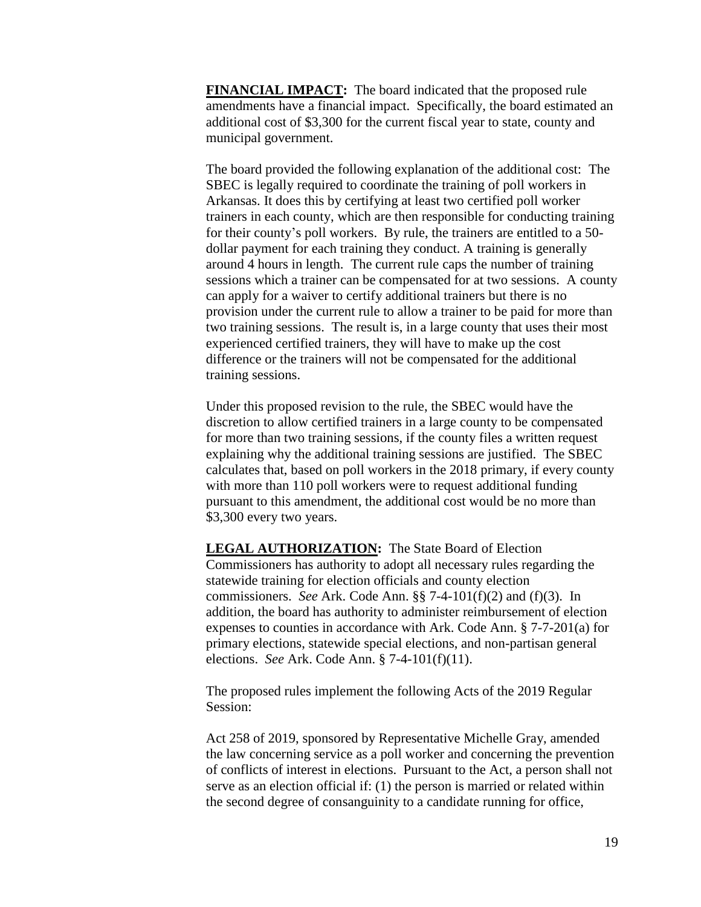**FINANCIAL IMPACT:** The board indicated that the proposed rule amendments have a financial impact. Specifically, the board estimated an additional cost of \$3,300 for the current fiscal year to state, county and municipal government.

The board provided the following explanation of the additional cost: The SBEC is legally required to coordinate the training of poll workers in Arkansas. It does this by certifying at least two certified poll worker trainers in each county, which are then responsible for conducting training for their county's poll workers. By rule, the trainers are entitled to a 50 dollar payment for each training they conduct. A training is generally around 4 hours in length. The current rule caps the number of training sessions which a trainer can be compensated for at two sessions. A county can apply for a waiver to certify additional trainers but there is no provision under the current rule to allow a trainer to be paid for more than two training sessions. The result is, in a large county that uses their most experienced certified trainers, they will have to make up the cost difference or the trainers will not be compensated for the additional training sessions.

Under this proposed revision to the rule, the SBEC would have the discretion to allow certified trainers in a large county to be compensated for more than two training sessions, if the county files a written request explaining why the additional training sessions are justified. The SBEC calculates that, based on poll workers in the 2018 primary, if every county with more than 110 poll workers were to request additional funding pursuant to this amendment, the additional cost would be no more than \$3,300 every two years.

**LEGAL AUTHORIZATION:** The State Board of Election Commissioners has authority to adopt all necessary rules regarding the statewide training for election officials and county election commissioners. *See* Ark. Code Ann. §§ 7-4-101(f)(2) and (f)(3). In addition, the board has authority to administer reimbursement of election expenses to counties in accordance with Ark. Code Ann. § 7-7-201(a) for primary elections, statewide special elections, and non-partisan general elections. *See* Ark. Code Ann. § 7-4-101(f)(11).

The proposed rules implement the following Acts of the 2019 Regular Session:

Act 258 of 2019, sponsored by Representative Michelle Gray, amended the law concerning service as a poll worker and concerning the prevention of conflicts of interest in elections. Pursuant to the Act, a person shall not serve as an election official if: (1) the person is married or related within the second degree of consanguinity to a candidate running for office,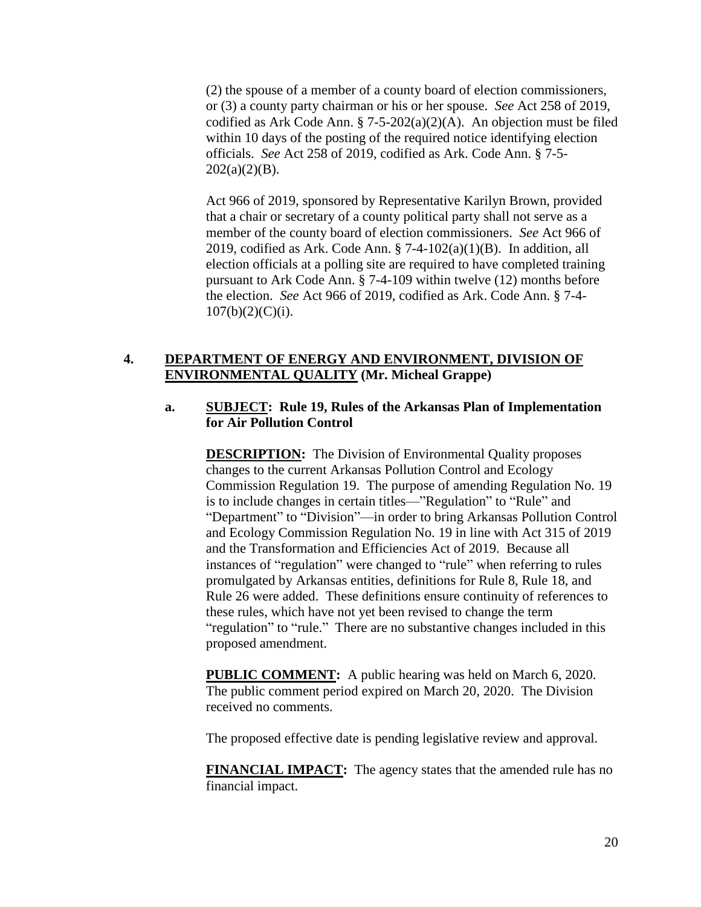(2) the spouse of a member of a county board of election commissioners, or (3) a county party chairman or his or her spouse. *See* Act 258 of 2019, codified as Ark Code Ann. § 7-5-202(a)(2)(A). An objection must be filed within 10 days of the posting of the required notice identifying election officials. *See* Act 258 of 2019, codified as Ark. Code Ann. § 7-5-  $202(a)(2)(B)$ .

Act 966 of 2019, sponsored by Representative Karilyn Brown, provided that a chair or secretary of a county political party shall not serve as a member of the county board of election commissioners. *See* Act 966 of 2019, codified as Ark. Code Ann.  $\S$  7-4-102(a)(1)(B). In addition, all election officials at a polling site are required to have completed training pursuant to Ark Code Ann. § 7-4-109 within twelve (12) months before the election. *See* Act 966 of 2019, codified as Ark. Code Ann. § 7-4-  $107(b)(2)(C)(i)$ .

# **4. DEPARTMENT OF ENERGY AND ENVIRONMENT, DIVISION OF ENVIRONMENTAL QUALITY (Mr. Micheal Grappe)**

# **a. SUBJECT: Rule 19, Rules of the Arkansas Plan of Implementation for Air Pollution Control**

**DESCRIPTION:** The Division of Environmental Quality proposes changes to the current Arkansas Pollution Control and Ecology Commission Regulation 19. The purpose of amending Regulation No. 19 is to include changes in certain titles—"Regulation" to "Rule" and "Department" to "Division"—in order to bring Arkansas Pollution Control and Ecology Commission Regulation No. 19 in line with Act 315 of 2019 and the Transformation and Efficiencies Act of 2019. Because all instances of "regulation" were changed to "rule" when referring to rules promulgated by Arkansas entities, definitions for Rule 8, Rule 18, and Rule 26 were added. These definitions ensure continuity of references to these rules, which have not yet been revised to change the term "regulation" to "rule." There are no substantive changes included in this proposed amendment.

**PUBLIC COMMENT:** A public hearing was held on March 6, 2020. The public comment period expired on March 20, 2020. The Division received no comments.

The proposed effective date is pending legislative review and approval.

**FINANCIAL IMPACT:** The agency states that the amended rule has no financial impact.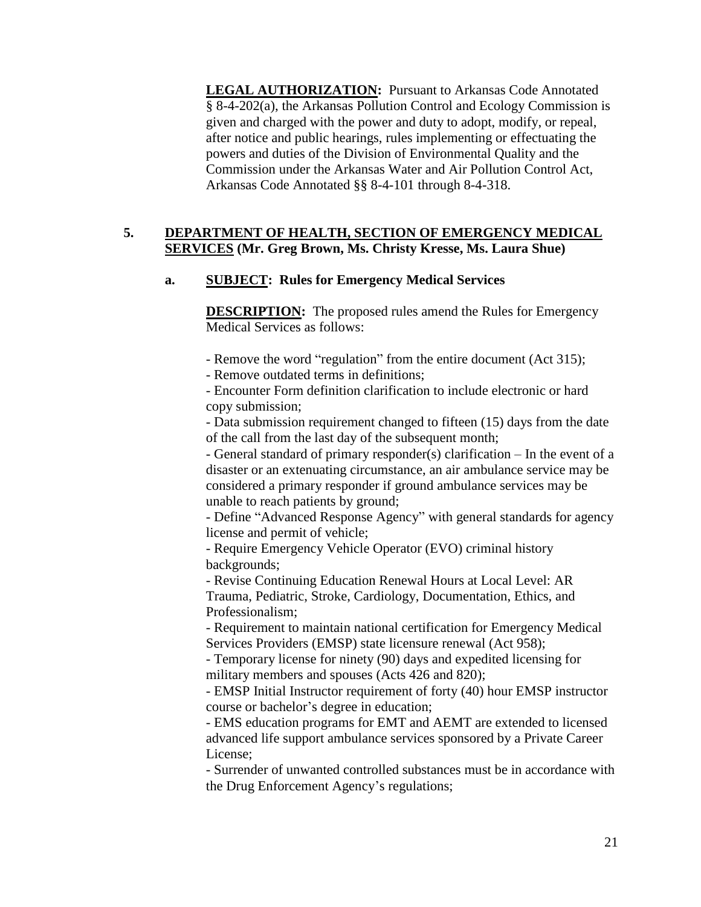**LEGAL AUTHORIZATION:** Pursuant to Arkansas Code Annotated § 8-4-202(a), the Arkansas Pollution Control and Ecology Commission is given and charged with the power and duty to adopt, modify, or repeal, after notice and public hearings, rules implementing or effectuating the powers and duties of the Division of Environmental Quality and the Commission under the Arkansas Water and Air Pollution Control Act, Arkansas Code Annotated §§ 8-4-101 through 8-4-318.

# **5. DEPARTMENT OF HEALTH, SECTION OF EMERGENCY MEDICAL SERVICES (Mr. Greg Brown, Ms. Christy Kresse, Ms. Laura Shue)**

# **a. SUBJECT: Rules for Emergency Medical Services**

**DESCRIPTION:** The proposed rules amend the Rules for Emergency Medical Services as follows:

- Remove the word "regulation" from the entire document (Act 315);

- Remove outdated terms in definitions;

- Encounter Form definition clarification to include electronic or hard copy submission;

- Data submission requirement changed to fifteen (15) days from the date of the call from the last day of the subsequent month;

- General standard of primary responder(s) clarification – In the event of a disaster or an extenuating circumstance, an air ambulance service may be considered a primary responder if ground ambulance services may be unable to reach patients by ground;

- Define "Advanced Response Agency" with general standards for agency license and permit of vehicle;

- Require Emergency Vehicle Operator (EVO) criminal history backgrounds;

- Revise Continuing Education Renewal Hours at Local Level: AR Trauma, Pediatric, Stroke, Cardiology, Documentation, Ethics, and Professionalism;

- Requirement to maintain national certification for Emergency Medical Services Providers (EMSP) state licensure renewal (Act 958);

- Temporary license for ninety (90) days and expedited licensing for military members and spouses (Acts 426 and 820);

- EMSP Initial Instructor requirement of forty (40) hour EMSP instructor course or bachelor's degree in education;

- EMS education programs for EMT and AEMT are extended to licensed advanced life support ambulance services sponsored by a Private Career License;

- Surrender of unwanted controlled substances must be in accordance with the Drug Enforcement Agency's regulations;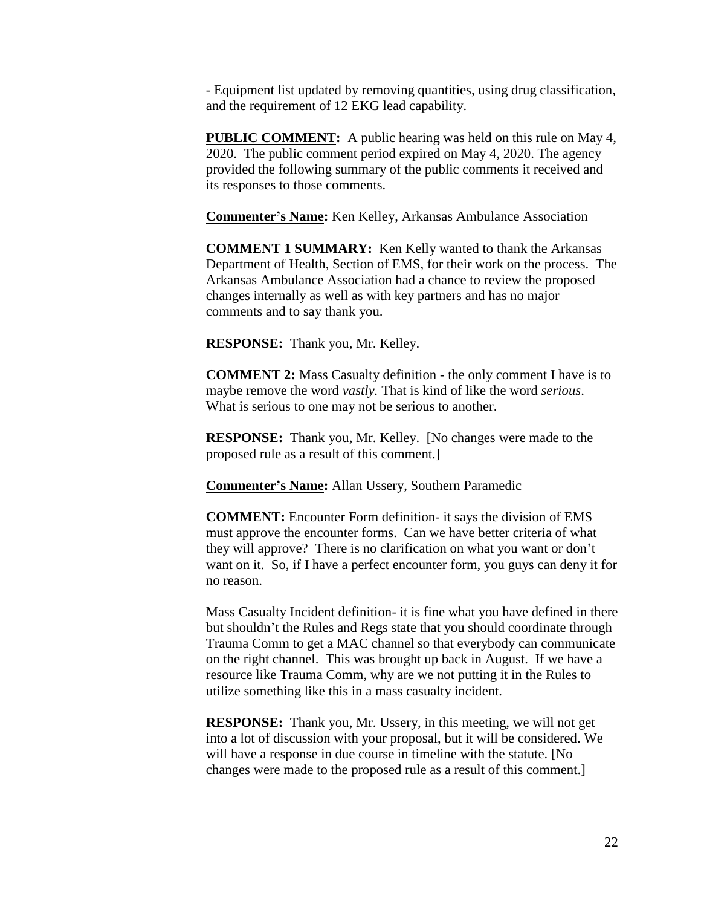- Equipment list updated by removing quantities, using drug classification, and the requirement of 12 EKG lead capability.

**PUBLIC COMMENT:** A public hearing was held on this rule on May 4, 2020. The public comment period expired on May 4, 2020. The agency provided the following summary of the public comments it received and its responses to those comments.

**Commenter's Name:** Ken Kelley, Arkansas Ambulance Association

**COMMENT 1 SUMMARY:** Ken Kelly wanted to thank the Arkansas Department of Health, Section of EMS, for their work on the process. The Arkansas Ambulance Association had a chance to review the proposed changes internally as well as with key partners and has no major comments and to say thank you.

**RESPONSE:** Thank you, Mr. Kelley.

**COMMENT 2:** Mass Casualty definition - the only comment I have is to maybe remove the word *vastly.* That is kind of like the word *serious*. What is serious to one may not be serious to another.

**RESPONSE:** Thank you, Mr. Kelley. [No changes were made to the proposed rule as a result of this comment.]

**Commenter's Name:** Allan Ussery, Southern Paramedic

**COMMENT:** Encounter Form definition- it says the division of EMS must approve the encounter forms. Can we have better criteria of what they will approve? There is no clarification on what you want or don't want on it. So, if I have a perfect encounter form, you guys can deny it for no reason.

Mass Casualty Incident definition- it is fine what you have defined in there but shouldn't the Rules and Regs state that you should coordinate through Trauma Comm to get a MAC channel so that everybody can communicate on the right channel. This was brought up back in August. If we have a resource like Trauma Comm, why are we not putting it in the Rules to utilize something like this in a mass casualty incident.

**RESPONSE:** Thank you, Mr. Ussery, in this meeting, we will not get into a lot of discussion with your proposal, but it will be considered. We will have a response in due course in timeline with the statute. [No changes were made to the proposed rule as a result of this comment.]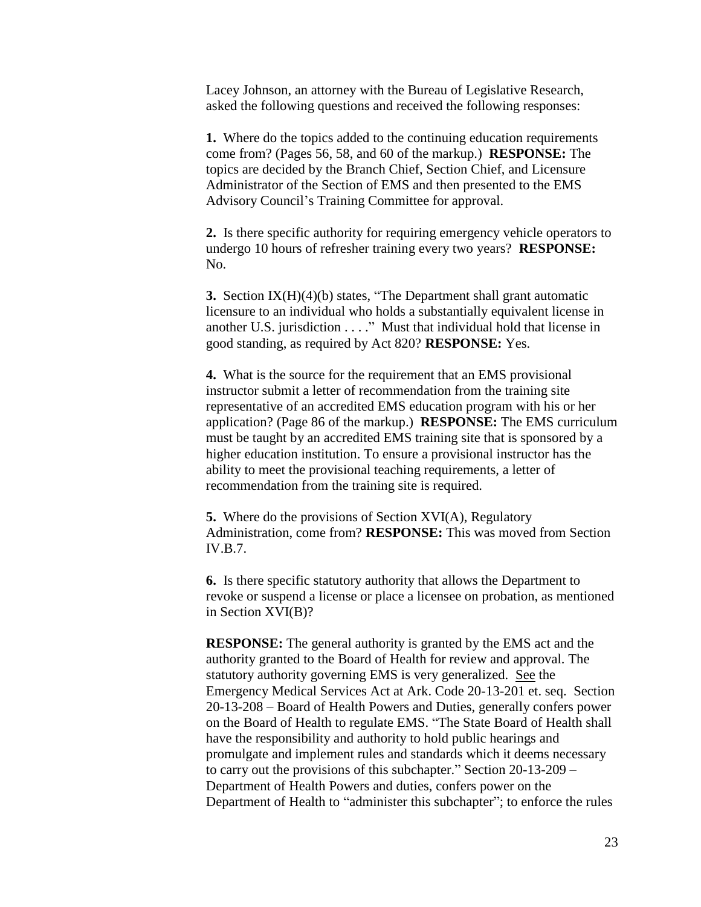Lacey Johnson, an attorney with the Bureau of Legislative Research, asked the following questions and received the following responses:

**1.** Where do the topics added to the continuing education requirements come from? (Pages 56, 58, and 60 of the markup.) **RESPONSE:** The topics are decided by the Branch Chief, Section Chief, and Licensure Administrator of the Section of EMS and then presented to the EMS Advisory Council's Training Committee for approval.

**2.** Is there specific authority for requiring emergency vehicle operators to undergo 10 hours of refresher training every two years? **RESPONSE:** No.

**3.** Section IX(H)(4)(b) states, "The Department shall grant automatic licensure to an individual who holds a substantially equivalent license in another U.S. jurisdiction . . . ." Must that individual hold that license in good standing, as required by Act 820? **RESPONSE:** Yes.

**4.** What is the source for the requirement that an EMS provisional instructor submit a letter of recommendation from the training site representative of an accredited EMS education program with his or her application? (Page 86 of the markup.) **RESPONSE:** The EMS curriculum must be taught by an accredited EMS training site that is sponsored by a higher education institution. To ensure a provisional instructor has the ability to meet the provisional teaching requirements, a letter of recommendation from the training site is required.

**5.** Where do the provisions of Section XVI(A), Regulatory Administration, come from? **RESPONSE:** This was moved from Section IV.B.7.

**6.** Is there specific statutory authority that allows the Department to revoke or suspend a license or place a licensee on probation, as mentioned in Section XVI(B)?

**RESPONSE:** The general authority is granted by the EMS act and the authority granted to the Board of Health for review and approval. The statutory authority governing EMS is very generalized. See the Emergency Medical Services Act at Ark. Code 20-13-201 et. seq. Section 20-13-208 – Board of Health Powers and Duties, generally confers power on the Board of Health to regulate EMS. "The State Board of Health shall have the responsibility and authority to hold public hearings and promulgate and implement rules and standards which it deems necessary to carry out the provisions of this subchapter." Section 20-13-209 – Department of Health Powers and duties, confers power on the Department of Health to "administer this subchapter"; to enforce the rules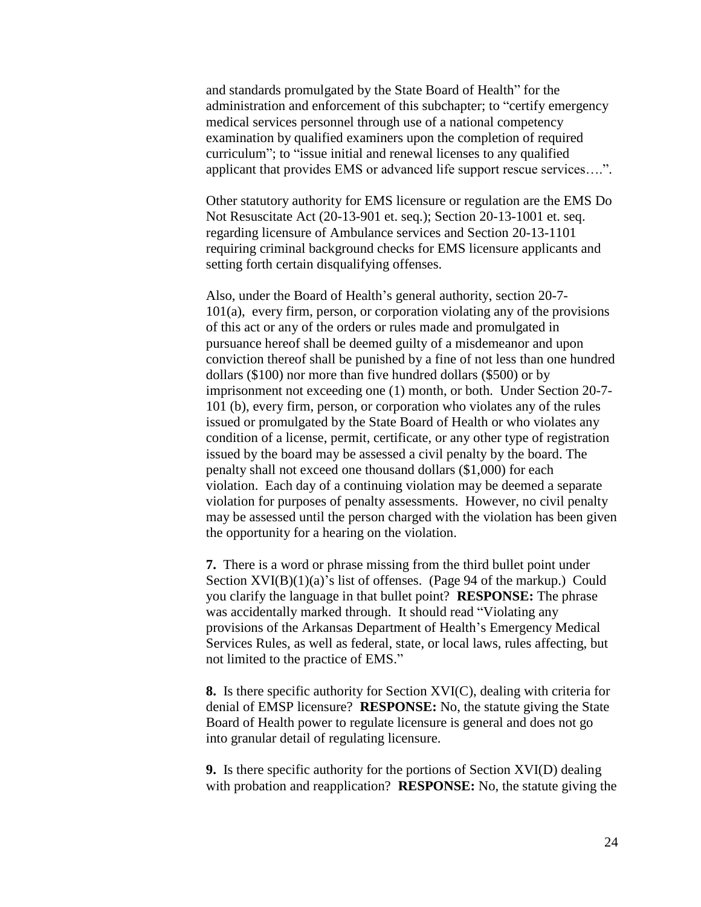and standards promulgated by the State Board of Health" for the administration and enforcement of this subchapter; to "certify emergency medical services personnel through use of a national competency examination by qualified examiners upon the completion of required curriculum"; to "issue initial and renewal licenses to any qualified applicant that provides EMS or advanced life support rescue services….".

Other statutory authority for EMS licensure or regulation are the EMS Do Not Resuscitate Act (20-13-901 et. seq.); Section 20-13-1001 et. seq. regarding licensure of Ambulance services and Section 20-13-1101 requiring criminal background checks for EMS licensure applicants and setting forth certain disqualifying offenses.

Also, under the Board of Health's general authority, section 20-7- 101(a), every firm, person, or corporation violating any of the provisions of this act or any of the orders or rules made and promulgated in pursuance hereof shall be deemed guilty of a misdemeanor and upon conviction thereof shall be punished by a fine of not less than one hundred dollars (\$100) nor more than five hundred dollars (\$500) or by imprisonment not exceeding one (1) month, or both. Under Section 20-7- 101 (b), every firm, person, or corporation who violates any of the rules issued or promulgated by the State Board of Health or who violates any condition of a license, permit, certificate, or any other type of registration issued by the board may be assessed a civil penalty by the board. The penalty shall not exceed one thousand dollars (\$1,000) for each violation. Each day of a continuing violation may be deemed a separate violation for purposes of penalty assessments. However, no civil penalty may be assessed until the person charged with the violation has been given the opportunity for a hearing on the violation.

**7.** There is a word or phrase missing from the third bullet point under Section  $XVI(B)(1)(a)$ 's list of offenses. (Page 94 of the markup.) Could you clarify the language in that bullet point? **RESPONSE:** The phrase was accidentally marked through. It should read "Violating any provisions of the Arkansas Department of Health's Emergency Medical Services Rules, as well as federal, state, or local laws, rules affecting, but not limited to the practice of EMS."

**8.** Is there specific authority for Section XVI(C), dealing with criteria for denial of EMSP licensure? **RESPONSE:** No, the statute giving the State Board of Health power to regulate licensure is general and does not go into granular detail of regulating licensure.

**9.** Is there specific authority for the portions of Section XVI(D) dealing with probation and reapplication? **RESPONSE:** No, the statute giving the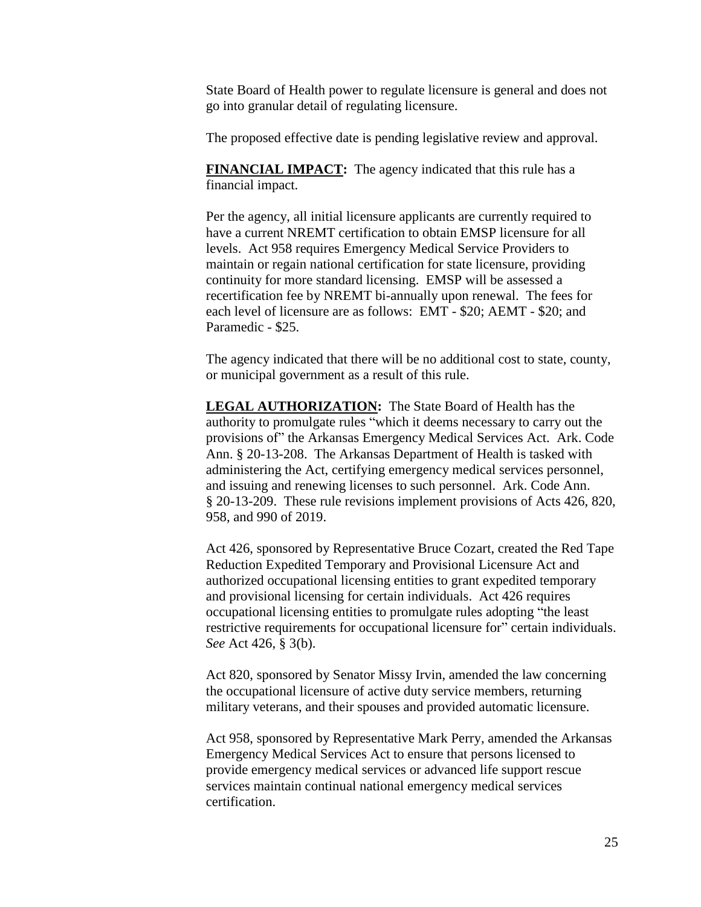State Board of Health power to regulate licensure is general and does not go into granular detail of regulating licensure.

The proposed effective date is pending legislative review and approval.

**FINANCIAL IMPACT:** The agency indicated that this rule has a financial impact.

Per the agency, all initial licensure applicants are currently required to have a current NREMT certification to obtain EMSP licensure for all levels. Act 958 requires Emergency Medical Service Providers to maintain or regain national certification for state licensure, providing continuity for more standard licensing. EMSP will be assessed a recertification fee by NREMT bi-annually upon renewal. The fees for each level of licensure are as follows: EMT - \$20; AEMT - \$20; and Paramedic - \$25.

The agency indicated that there will be no additional cost to state, county, or municipal government as a result of this rule.

**LEGAL AUTHORIZATION:** The State Board of Health has the authority to promulgate rules "which it deems necessary to carry out the provisions of" the Arkansas Emergency Medical Services Act. Ark. Code Ann. § 20-13-208. The Arkansas Department of Health is tasked with administering the Act, certifying emergency medical services personnel, and issuing and renewing licenses to such personnel. Ark. Code Ann. § 20-13-209. These rule revisions implement provisions of Acts 426, 820, 958, and 990 of 2019.

Act 426, sponsored by Representative Bruce Cozart, created the Red Tape Reduction Expedited Temporary and Provisional Licensure Act and authorized occupational licensing entities to grant expedited temporary and provisional licensing for certain individuals. Act 426 requires occupational licensing entities to promulgate rules adopting "the least restrictive requirements for occupational licensure for" certain individuals. *See* Act 426, § 3(b).

Act 820, sponsored by Senator Missy Irvin, amended the law concerning the occupational licensure of active duty service members, returning military veterans, and their spouses and provided automatic licensure.

Act 958, sponsored by Representative Mark Perry, amended the Arkansas Emergency Medical Services Act to ensure that persons licensed to provide emergency medical services or advanced life support rescue services maintain continual national emergency medical services certification.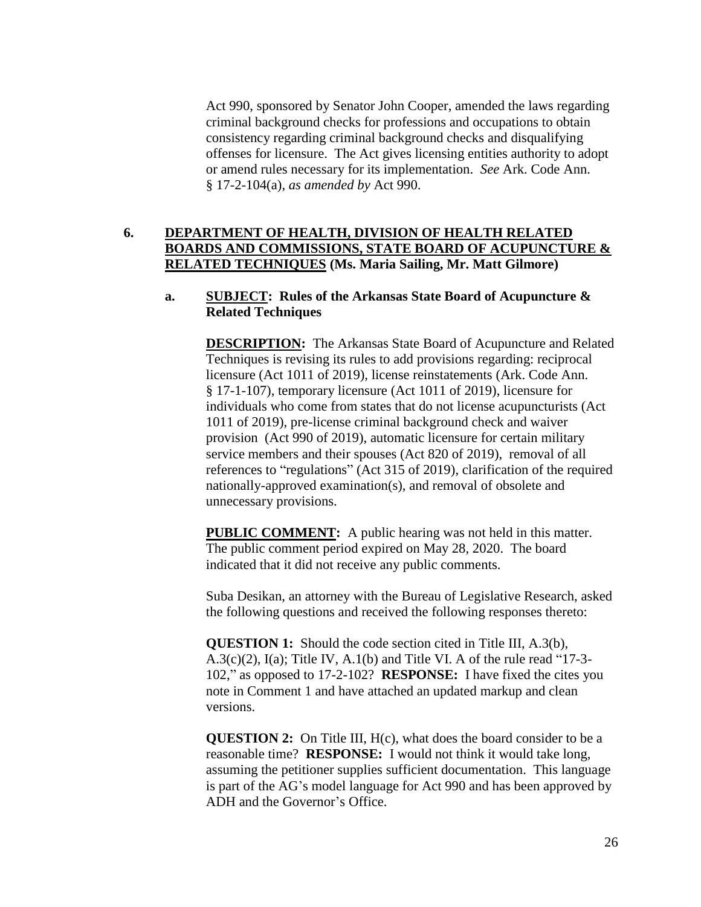Act 990, sponsored by Senator John Cooper, amended the laws regarding criminal background checks for professions and occupations to obtain consistency regarding criminal background checks and disqualifying offenses for licensure. The Act gives licensing entities authority to adopt or amend rules necessary for its implementation. *See* Ark. Code Ann. § 17-2-104(a), *as amended by* Act 990.

# **6. DEPARTMENT OF HEALTH, DIVISION OF HEALTH RELATED BOARDS AND COMMISSIONS, STATE BOARD OF ACUPUNCTURE & RELATED TECHNIQUES (Ms. Maria Sailing, Mr. Matt Gilmore)**

### **a. SUBJECT: Rules of the Arkansas State Board of Acupuncture & Related Techniques**

**DESCRIPTION:** The Arkansas State Board of Acupuncture and Related Techniques is revising its rules to add provisions regarding: reciprocal licensure (Act 1011 of 2019), license reinstatements (Ark. Code Ann. § 17-1-107), temporary licensure (Act 1011 of 2019), licensure for individuals who come from states that do not license acupuncturists (Act 1011 of 2019), pre-license criminal background check and waiver provision (Act 990 of 2019), automatic licensure for certain military service members and their spouses (Act 820 of 2019), removal of all references to "regulations" (Act 315 of 2019), clarification of the required nationally-approved examination(s), and removal of obsolete and unnecessary provisions.

**PUBLIC COMMENT:** A public hearing was not held in this matter. The public comment period expired on May 28, 2020. The board indicated that it did not receive any public comments.

Suba Desikan, an attorney with the Bureau of Legislative Research, asked the following questions and received the following responses thereto:

**QUESTION 1:** Should the code section cited in Title III, A.3(b), A.3(c)(2), I(a); Title IV, A.1(b) and Title VI. A of the rule read "17-3- 102," as opposed to 17-2-102? **RESPONSE:** I have fixed the cites you note in Comment 1 and have attached an updated markup and clean versions.

**QUESTION 2:** On Title III, H(c), what does the board consider to be a reasonable time? **RESPONSE:** I would not think it would take long, assuming the petitioner supplies sufficient documentation. This language is part of the AG's model language for Act 990 and has been approved by ADH and the Governor's Office.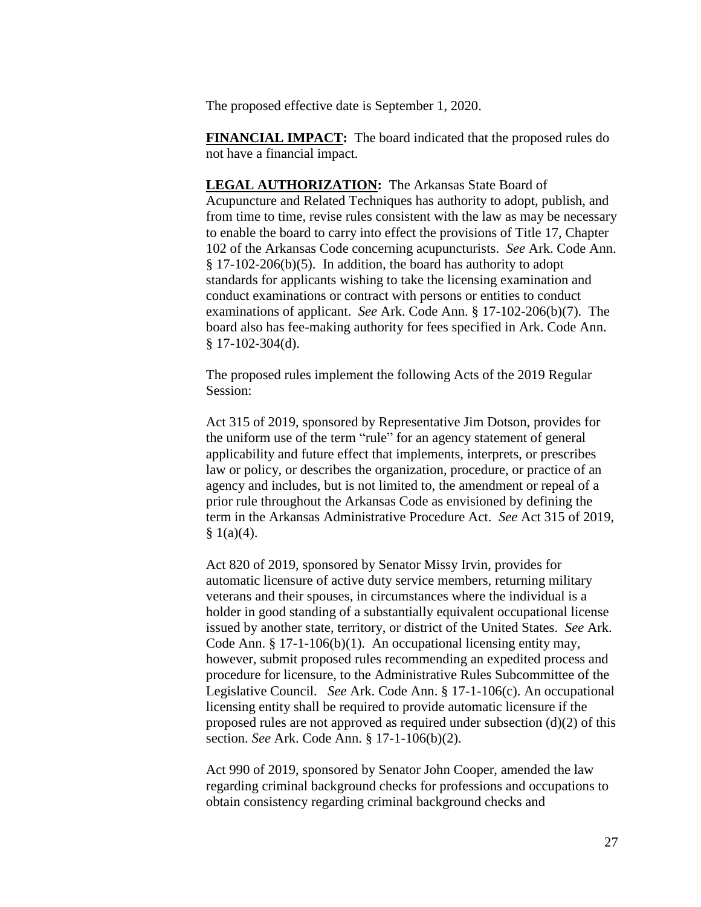The proposed effective date is September 1, 2020.

**FINANCIAL IMPACT:** The board indicated that the proposed rules do not have a financial impact.

**LEGAL AUTHORIZATION:** The Arkansas State Board of Acupuncture and Related Techniques has authority to adopt, publish, and from time to time, revise rules consistent with the law as may be necessary to enable the board to carry into effect the provisions of Title 17, Chapter 102 of the Arkansas Code concerning acupuncturists. *See* Ark. Code Ann. § 17-102-206(b)(5). In addition, the board has authority to adopt standards for applicants wishing to take the licensing examination and conduct examinations or contract with persons or entities to conduct examinations of applicant. *See* Ark. Code Ann. § 17-102-206(b)(7). The board also has fee-making authority for fees specified in Ark. Code Ann.  $$17-102-304(d).$ 

The proposed rules implement the following Acts of the 2019 Regular Session:

Act 315 of 2019, sponsored by Representative Jim Dotson, provides for the uniform use of the term "rule" for an agency statement of general applicability and future effect that implements, interprets, or prescribes law or policy, or describes the organization, procedure, or practice of an agency and includes, but is not limited to, the amendment or repeal of a prior rule throughout the Arkansas Code as envisioned by defining the term in the Arkansas Administrative Procedure Act. *See* Act 315 of 2019,  $§ 1(a)(4).$ 

Act 820 of 2019, sponsored by Senator Missy Irvin, provides for automatic licensure of active duty service members, returning military veterans and their spouses, in circumstances where the individual is a holder in good standing of a substantially equivalent occupational license issued by another state, territory, or district of the United States. *See* Ark. Code Ann. § 17-1-106(b)(1). An occupational licensing entity may, however, submit proposed rules recommending an expedited process and procedure for licensure, to the Administrative Rules Subcommittee of the Legislative Council. *See* Ark. Code Ann. § 17-1-106(c). An occupational licensing entity shall be required to provide automatic licensure if the proposed rules are not approved as required under subsection  $(d)(2)$  of this section. *See* Ark. Code Ann. § 17-1-106(b)(2).

Act 990 of 2019, sponsored by Senator John Cooper, amended the law regarding criminal background checks for professions and occupations to obtain consistency regarding criminal background checks and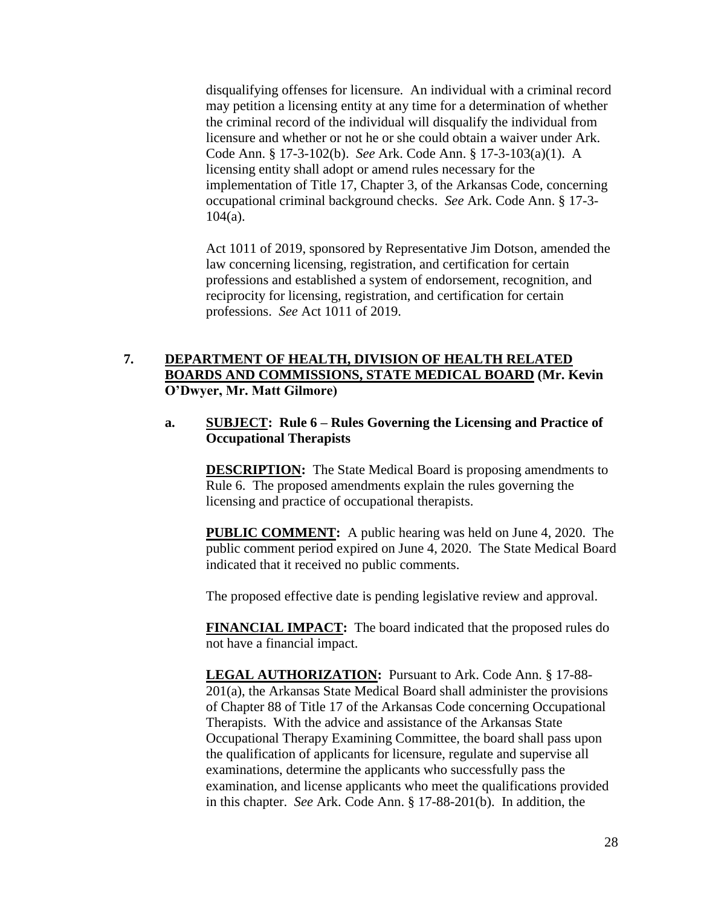disqualifying offenses for licensure. An individual with a criminal record may petition a licensing entity at any time for a determination of whether the criminal record of the individual will disqualify the individual from licensure and whether or not he or she could obtain a waiver under Ark. Code Ann. § 17-3-102(b). *See* Ark. Code Ann. § 17-3-103(a)(1). A licensing entity shall adopt or amend rules necessary for the implementation of Title 17, Chapter 3, of the Arkansas Code, concerning occupational criminal background checks. *See* Ark. Code Ann. § 17-3-  $104(a)$ .

Act 1011 of 2019, sponsored by Representative Jim Dotson, amended the law concerning licensing, registration, and certification for certain professions and established a system of endorsement, recognition, and reciprocity for licensing, registration, and certification for certain professions. *See* Act 1011 of 2019.

# **7. DEPARTMENT OF HEALTH, DIVISION OF HEALTH RELATED BOARDS AND COMMISSIONS, STATE MEDICAL BOARD (Mr. Kevin O'Dwyer, Mr. Matt Gilmore)**

## **a. SUBJECT: Rule 6 – Rules Governing the Licensing and Practice of Occupational Therapists**

**DESCRIPTION:** The State Medical Board is proposing amendments to Rule 6. The proposed amendments explain the rules governing the licensing and practice of occupational therapists.

**PUBLIC COMMENT:** A public hearing was held on June 4, 2020. The public comment period expired on June 4, 2020. The State Medical Board indicated that it received no public comments.

The proposed effective date is pending legislative review and approval.

**FINANCIAL IMPACT:** The board indicated that the proposed rules do not have a financial impact.

**LEGAL AUTHORIZATION:** Pursuant to Ark. Code Ann. § 17-88- 201(a), the Arkansas State Medical Board shall administer the provisions of Chapter 88 of Title 17 of the Arkansas Code concerning Occupational Therapists. With the advice and assistance of the Arkansas State Occupational Therapy Examining Committee, the board shall pass upon the qualification of applicants for licensure, regulate and supervise all examinations, determine the applicants who successfully pass the examination, and license applicants who meet the qualifications provided in this chapter. *See* Ark. Code Ann. § 17-88-201(b). In addition, the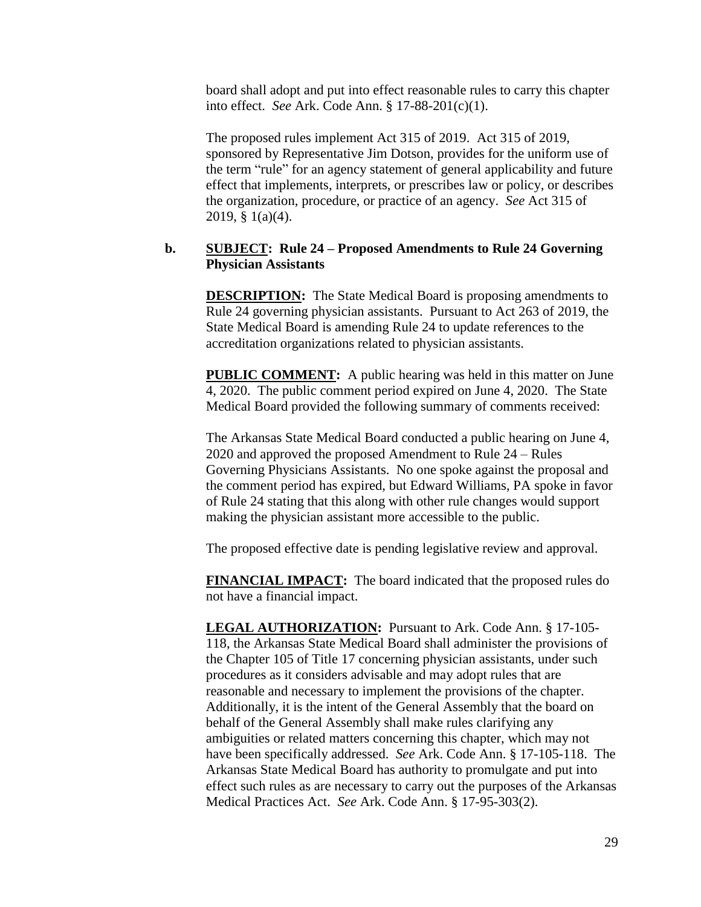board shall adopt and put into effect reasonable rules to carry this chapter into effect. *See* Ark. Code Ann. § 17-88-201(c)(1).

The proposed rules implement Act 315 of 2019. Act 315 of 2019, sponsored by Representative Jim Dotson, provides for the uniform use of the term "rule" for an agency statement of general applicability and future effect that implements, interprets, or prescribes law or policy, or describes the organization, procedure, or practice of an agency. *See* Act 315 of 2019, § 1(a)(4).

## **b. SUBJECT: Rule 24 – Proposed Amendments to Rule 24 Governing Physician Assistants**

**DESCRIPTION:** The State Medical Board is proposing amendments to Rule 24 governing physician assistants. Pursuant to Act 263 of 2019, the State Medical Board is amending Rule 24 to update references to the accreditation organizations related to physician assistants.

**PUBLIC COMMENT:** A public hearing was held in this matter on June 4, 2020. The public comment period expired on June 4, 2020. The State Medical Board provided the following summary of comments received:

The Arkansas State Medical Board conducted a public hearing on June 4, 2020 and approved the proposed Amendment to Rule 24 – Rules Governing Physicians Assistants. No one spoke against the proposal and the comment period has expired, but Edward Williams, PA spoke in favor of Rule 24 stating that this along with other rule changes would support making the physician assistant more accessible to the public.

The proposed effective date is pending legislative review and approval.

**FINANCIAL IMPACT:** The board indicated that the proposed rules do not have a financial impact.

**LEGAL AUTHORIZATION:** Pursuant to Ark. Code Ann. § 17-105- 118, the Arkansas State Medical Board shall administer the provisions of the Chapter 105 of Title 17 concerning physician assistants, under such procedures as it considers advisable and may adopt rules that are reasonable and necessary to implement the provisions of the chapter. Additionally, it is the intent of the General Assembly that the board on behalf of the General Assembly shall make rules clarifying any ambiguities or related matters concerning this chapter, which may not have been specifically addressed. *See* Ark. Code Ann. § 17-105-118. The Arkansas State Medical Board has authority to promulgate and put into effect such rules as are necessary to carry out the purposes of the Arkansas Medical Practices Act. *See* Ark. Code Ann. § 17-95-303(2).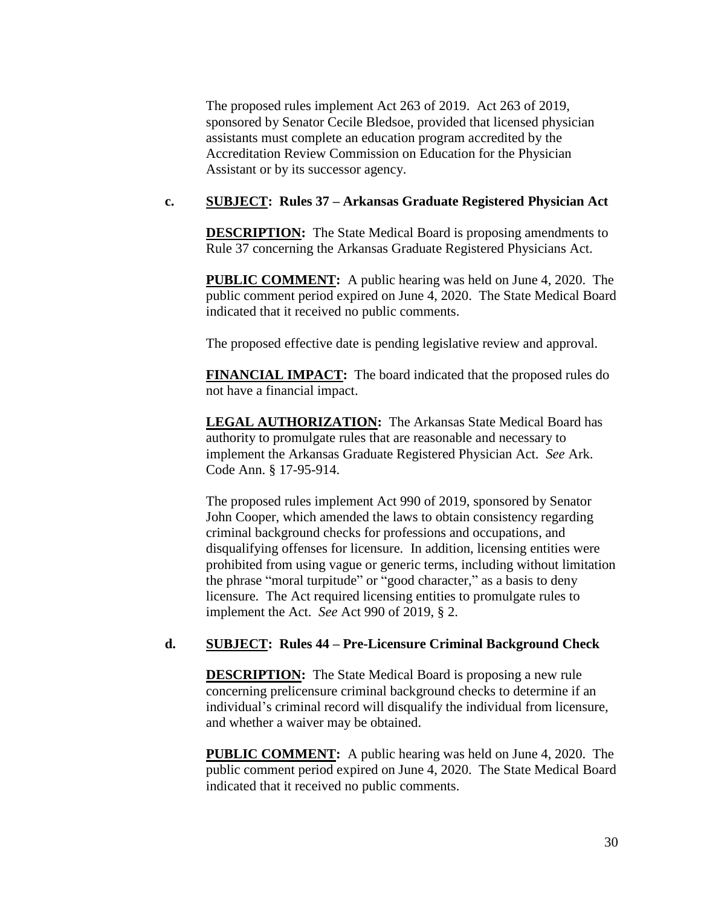The proposed rules implement Act 263 of 2019. Act 263 of 2019, sponsored by Senator Cecile Bledsoe, provided that licensed physician assistants must complete an education program accredited by the Accreditation Review Commission on Education for the Physician Assistant or by its successor agency.

## **c. SUBJECT: Rules 37 – Arkansas Graduate Registered Physician Act**

**DESCRIPTION:** The State Medical Board is proposing amendments to Rule 37 concerning the Arkansas Graduate Registered Physicians Act.

**PUBLIC COMMENT:** A public hearing was held on June 4, 2020. The public comment period expired on June 4, 2020. The State Medical Board indicated that it received no public comments.

The proposed effective date is pending legislative review and approval.

**FINANCIAL IMPACT:** The board indicated that the proposed rules do not have a financial impact.

**LEGAL AUTHORIZATION:** The Arkansas State Medical Board has authority to promulgate rules that are reasonable and necessary to implement the Arkansas Graduate Registered Physician Act. *See* Ark. Code Ann. § 17-95-914.

The proposed rules implement Act 990 of 2019, sponsored by Senator John Cooper, which amended the laws to obtain consistency regarding criminal background checks for professions and occupations, and disqualifying offenses for licensure. In addition, licensing entities were prohibited from using vague or generic terms, including without limitation the phrase "moral turpitude" or "good character," as a basis to deny licensure. The Act required licensing entities to promulgate rules to implement the Act. *See* Act 990 of 2019, § 2.

#### **d. SUBJECT: Rules 44 – Pre-Licensure Criminal Background Check**

**DESCRIPTION:** The State Medical Board is proposing a new rule concerning prelicensure criminal background checks to determine if an individual's criminal record will disqualify the individual from licensure, and whether a waiver may be obtained.

**PUBLIC COMMENT:** A public hearing was held on June 4, 2020. The public comment period expired on June 4, 2020. The State Medical Board indicated that it received no public comments.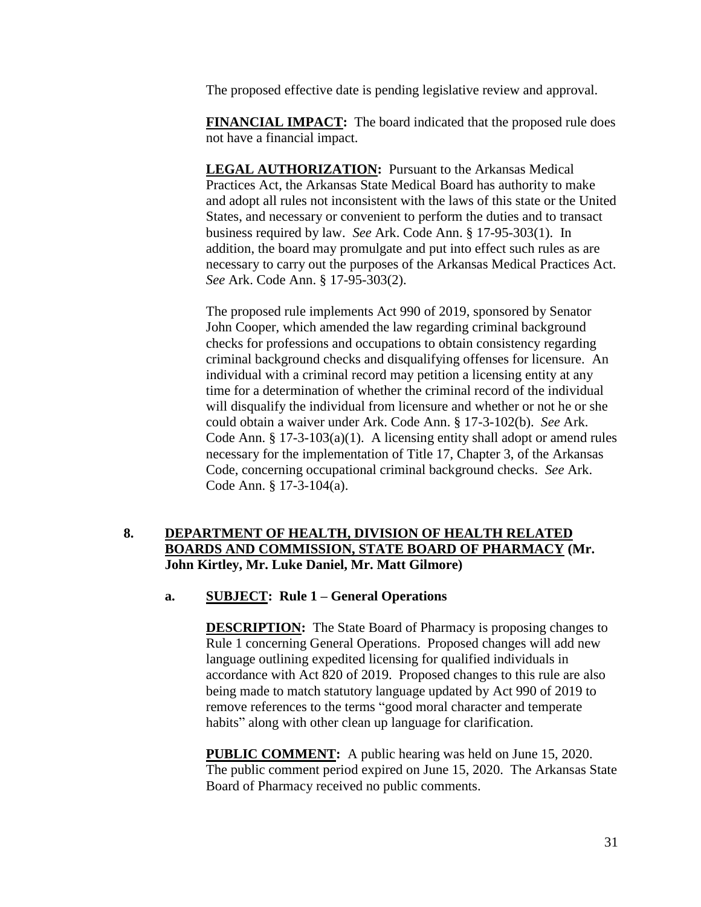The proposed effective date is pending legislative review and approval.

**FINANCIAL IMPACT:** The board indicated that the proposed rule does not have a financial impact.

**LEGAL AUTHORIZATION:** Pursuant to the Arkansas Medical Practices Act, the Arkansas State Medical Board has authority to make and adopt all rules not inconsistent with the laws of this state or the United States, and necessary or convenient to perform the duties and to transact business required by law. *See* Ark. Code Ann. § 17-95-303(1). In addition, the board may promulgate and put into effect such rules as are necessary to carry out the purposes of the Arkansas Medical Practices Act. *See* Ark. Code Ann. § 17-95-303(2).

The proposed rule implements Act 990 of 2019, sponsored by Senator John Cooper, which amended the law regarding criminal background checks for professions and occupations to obtain consistency regarding criminal background checks and disqualifying offenses for licensure. An individual with a criminal record may petition a licensing entity at any time for a determination of whether the criminal record of the individual will disqualify the individual from licensure and whether or not he or she could obtain a waiver under Ark. Code Ann. § 17-3-102(b). *See* Ark. Code Ann. § 17-3-103(a)(1). A licensing entity shall adopt or amend rules necessary for the implementation of Title 17, Chapter 3, of the Arkansas Code, concerning occupational criminal background checks. *See* Ark. Code Ann. § 17-3-104(a).

# **8. DEPARTMENT OF HEALTH, DIVISION OF HEALTH RELATED BOARDS AND COMMISSION, STATE BOARD OF PHARMACY (Mr. John Kirtley, Mr. Luke Daniel, Mr. Matt Gilmore)**

## **a. SUBJECT: Rule 1 – General Operations**

**DESCRIPTION:** The State Board of Pharmacy is proposing changes to Rule 1 concerning General Operations. Proposed changes will add new language outlining expedited licensing for qualified individuals in accordance with Act 820 of 2019. Proposed changes to this rule are also being made to match statutory language updated by Act 990 of 2019 to remove references to the terms "good moral character and temperate habits" along with other clean up language for clarification.

**PUBLIC COMMENT:** A public hearing was held on June 15, 2020. The public comment period expired on June 15, 2020. The Arkansas State Board of Pharmacy received no public comments.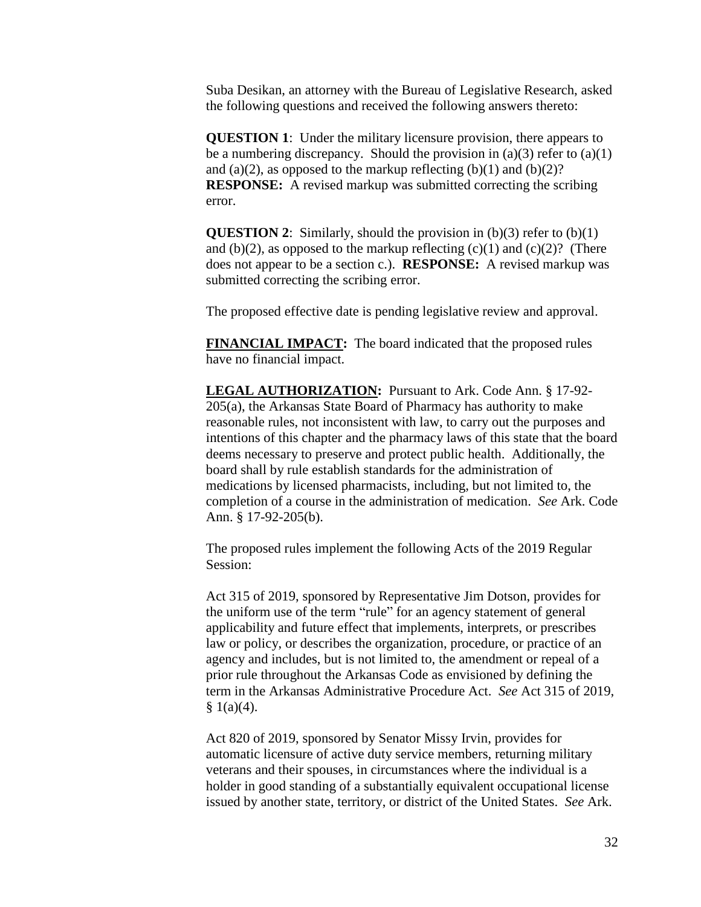Suba Desikan, an attorney with the Bureau of Legislative Research, asked the following questions and received the following answers thereto:

**QUESTION 1:** Under the military licensure provision, there appears to be a numbering discrepancy. Should the provision in (a)(3) refer to (a)(1) and (a)(2), as opposed to the markup reflecting (b)(1) and (b)(2)? **RESPONSE:** A revised markup was submitted correcting the scribing error.

**QUESTION 2:** Similarly, should the provision in (b)(3) refer to (b)(1) and (b)(2), as opposed to the markup reflecting  $(c)(1)$  and  $(c)(2)$ ? (There does not appear to be a section c.). **RESPONSE:** A revised markup was submitted correcting the scribing error.

The proposed effective date is pending legislative review and approval.

**FINANCIAL IMPACT:** The board indicated that the proposed rules have no financial impact.

**LEGAL AUTHORIZATION:** Pursuant to Ark. Code Ann. § 17-92- 205(a), the Arkansas State Board of Pharmacy has authority to make reasonable rules, not inconsistent with law, to carry out the purposes and intentions of this chapter and the pharmacy laws of this state that the board deems necessary to preserve and protect public health. Additionally, the board shall by rule establish standards for the administration of medications by licensed pharmacists, including, but not limited to, the completion of a course in the administration of medication. *See* Ark. Code Ann. § 17-92-205(b).

The proposed rules implement the following Acts of the 2019 Regular Session:

Act 315 of 2019, sponsored by Representative Jim Dotson, provides for the uniform use of the term "rule" for an agency statement of general applicability and future effect that implements, interprets, or prescribes law or policy, or describes the organization, procedure, or practice of an agency and includes, but is not limited to, the amendment or repeal of a prior rule throughout the Arkansas Code as envisioned by defining the term in the Arkansas Administrative Procedure Act. *See* Act 315 of 2019,  $$1(a)(4).$ 

Act 820 of 2019, sponsored by Senator Missy Irvin, provides for automatic licensure of active duty service members, returning military veterans and their spouses, in circumstances where the individual is a holder in good standing of a substantially equivalent occupational license issued by another state, territory, or district of the United States. *See* Ark.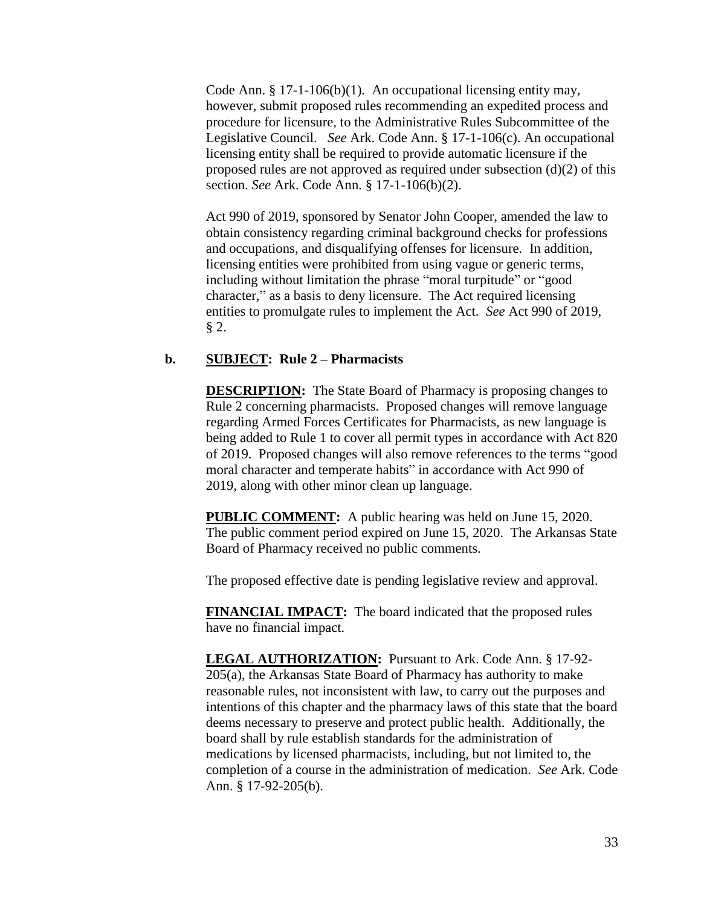Code Ann. § 17-1-106(b)(1). An occupational licensing entity may, however, submit proposed rules recommending an expedited process and procedure for licensure, to the Administrative Rules Subcommittee of the Legislative Council. *See* Ark. Code Ann. § 17-1-106(c). An occupational licensing entity shall be required to provide automatic licensure if the proposed rules are not approved as required under subsection (d)(2) of this section. *See* Ark. Code Ann. § 17-1-106(b)(2).

Act 990 of 2019, sponsored by Senator John Cooper, amended the law to obtain consistency regarding criminal background checks for professions and occupations, and disqualifying offenses for licensure. In addition, licensing entities were prohibited from using vague or generic terms, including without limitation the phrase "moral turpitude" or "good character," as a basis to deny licensure. The Act required licensing entities to promulgate rules to implement the Act. *See* Act 990 of 2019, § 2.

### **b. SUBJECT: Rule 2 – Pharmacists**

**DESCRIPTION:** The State Board of Pharmacy is proposing changes to Rule 2 concerning pharmacists. Proposed changes will remove language regarding Armed Forces Certificates for Pharmacists, as new language is being added to Rule 1 to cover all permit types in accordance with Act 820 of 2019. Proposed changes will also remove references to the terms "good moral character and temperate habits" in accordance with Act 990 of 2019, along with other minor clean up language.

**PUBLIC COMMENT:** A public hearing was held on June 15, 2020. The public comment period expired on June 15, 2020. The Arkansas State Board of Pharmacy received no public comments.

The proposed effective date is pending legislative review and approval.

**FINANCIAL IMPACT:** The board indicated that the proposed rules have no financial impact.

**LEGAL AUTHORIZATION:** Pursuant to Ark. Code Ann. § 17-92- 205(a), the Arkansas State Board of Pharmacy has authority to make reasonable rules, not inconsistent with law, to carry out the purposes and intentions of this chapter and the pharmacy laws of this state that the board deems necessary to preserve and protect public health. Additionally, the board shall by rule establish standards for the administration of medications by licensed pharmacists, including, but not limited to, the completion of a course in the administration of medication. *See* Ark. Code Ann. § 17-92-205(b).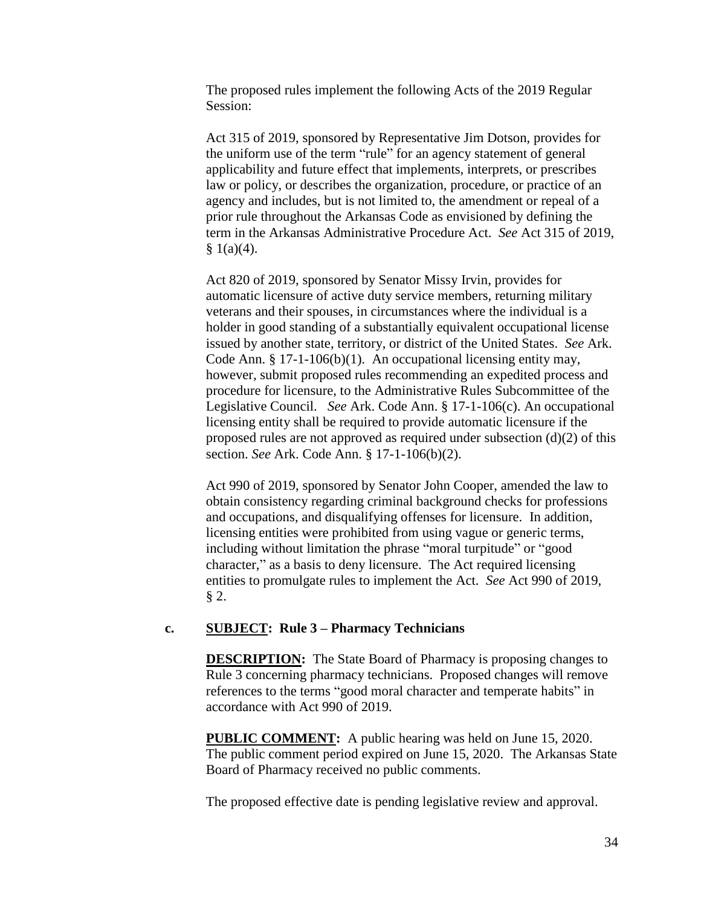The proposed rules implement the following Acts of the 2019 Regular Session:

Act 315 of 2019, sponsored by Representative Jim Dotson, provides for the uniform use of the term "rule" for an agency statement of general applicability and future effect that implements, interprets, or prescribes law or policy, or describes the organization, procedure, or practice of an agency and includes, but is not limited to, the amendment or repeal of a prior rule throughout the Arkansas Code as envisioned by defining the term in the Arkansas Administrative Procedure Act. *See* Act 315 of 2019,  $$1(a)(4).$ 

Act 820 of 2019, sponsored by Senator Missy Irvin, provides for automatic licensure of active duty service members, returning military veterans and their spouses, in circumstances where the individual is a holder in good standing of a substantially equivalent occupational license issued by another state, territory, or district of the United States. *See* Ark. Code Ann. § 17-1-106(b)(1). An occupational licensing entity may, however, submit proposed rules recommending an expedited process and procedure for licensure, to the Administrative Rules Subcommittee of the Legislative Council. *See* Ark. Code Ann. § 17-1-106(c). An occupational licensing entity shall be required to provide automatic licensure if the proposed rules are not approved as required under subsection (d)(2) of this section. *See* Ark. Code Ann. § 17-1-106(b)(2).

Act 990 of 2019, sponsored by Senator John Cooper, amended the law to obtain consistency regarding criminal background checks for professions and occupations, and disqualifying offenses for licensure. In addition, licensing entities were prohibited from using vague or generic terms, including without limitation the phrase "moral turpitude" or "good character," as a basis to deny licensure. The Act required licensing entities to promulgate rules to implement the Act. *See* Act 990 of 2019, § 2.

## **c. SUBJECT: Rule 3 – Pharmacy Technicians**

**DESCRIPTION:** The State Board of Pharmacy is proposing changes to Rule 3 concerning pharmacy technicians. Proposed changes will remove references to the terms "good moral character and temperate habits" in accordance with Act 990 of 2019.

**PUBLIC COMMENT:** A public hearing was held on June 15, 2020. The public comment period expired on June 15, 2020. The Arkansas State Board of Pharmacy received no public comments.

The proposed effective date is pending legislative review and approval.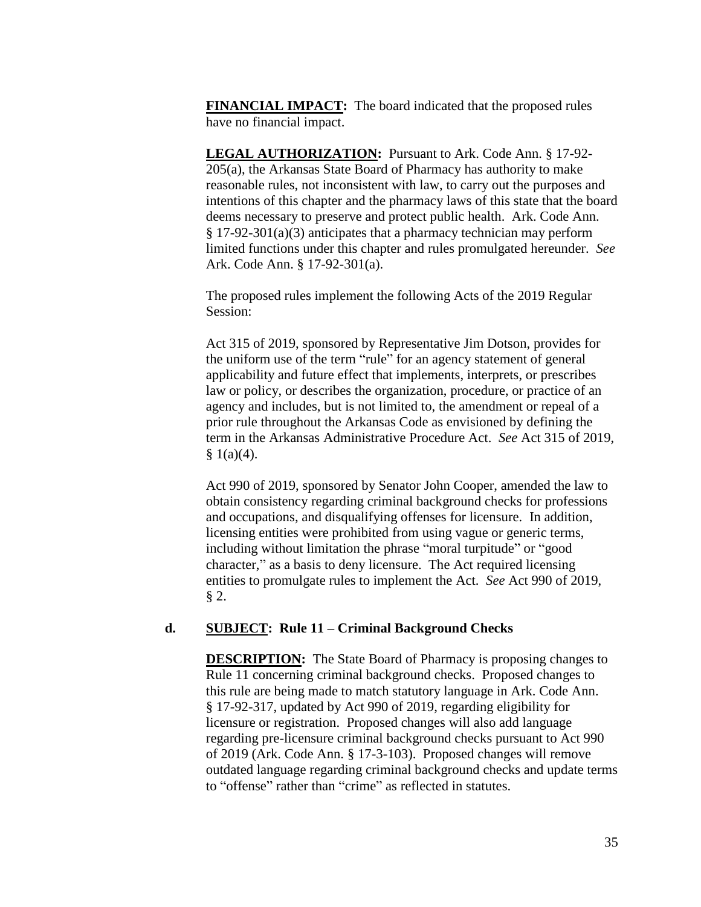**FINANCIAL IMPACT:** The board indicated that the proposed rules have no financial impact.

**LEGAL AUTHORIZATION:** Pursuant to Ark. Code Ann. § 17-92- 205(a), the Arkansas State Board of Pharmacy has authority to make reasonable rules, not inconsistent with law, to carry out the purposes and intentions of this chapter and the pharmacy laws of this state that the board deems necessary to preserve and protect public health. Ark. Code Ann. § 17-92-301(a)(3) anticipates that a pharmacy technician may perform limited functions under this chapter and rules promulgated hereunder. *See* Ark. Code Ann. § 17-92-301(a).

The proposed rules implement the following Acts of the 2019 Regular Session:

Act 315 of 2019, sponsored by Representative Jim Dotson, provides for the uniform use of the term "rule" for an agency statement of general applicability and future effect that implements, interprets, or prescribes law or policy, or describes the organization, procedure, or practice of an agency and includes, but is not limited to, the amendment or repeal of a prior rule throughout the Arkansas Code as envisioned by defining the term in the Arkansas Administrative Procedure Act. *See* Act 315 of 2019,  $§ 1(a)(4).$ 

Act 990 of 2019, sponsored by Senator John Cooper, amended the law to obtain consistency regarding criminal background checks for professions and occupations, and disqualifying offenses for licensure. In addition, licensing entities were prohibited from using vague or generic terms, including without limitation the phrase "moral turpitude" or "good character," as a basis to deny licensure. The Act required licensing entities to promulgate rules to implement the Act. *See* Act 990 of 2019, § 2.

## **d. SUBJECT: Rule 11 – Criminal Background Checks**

**DESCRIPTION:** The State Board of Pharmacy is proposing changes to Rule 11 concerning criminal background checks. Proposed changes to this rule are being made to match statutory language in Ark. Code Ann. § 17-92-317, updated by Act 990 of 2019, regarding eligibility for licensure or registration. Proposed changes will also add language regarding pre-licensure criminal background checks pursuant to Act 990 of 2019 (Ark. Code Ann. § 17-3-103). Proposed changes will remove outdated language regarding criminal background checks and update terms to "offense" rather than "crime" as reflected in statutes.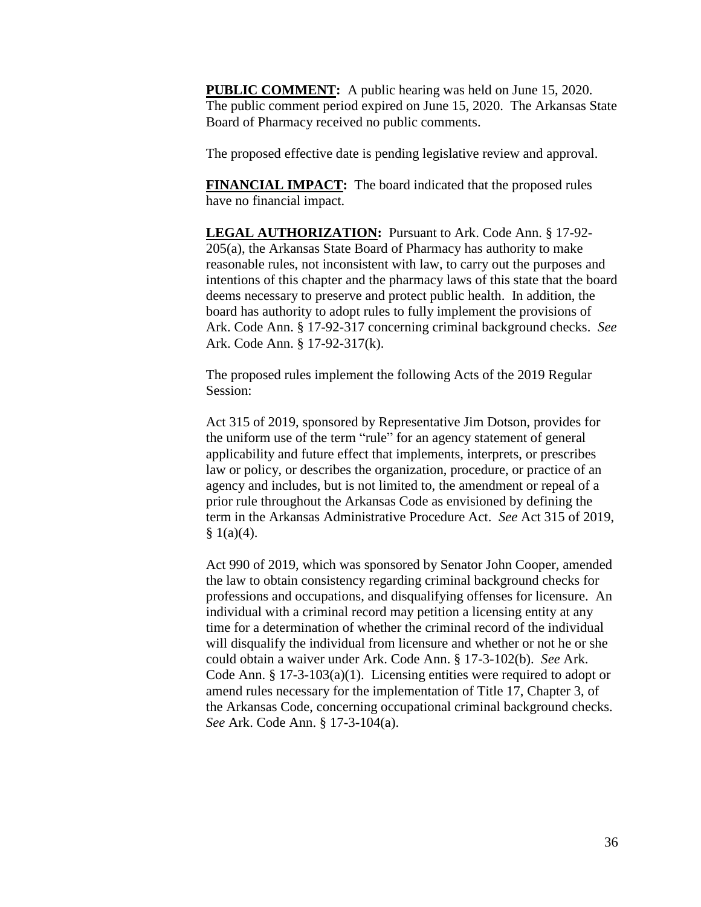**PUBLIC COMMENT:** A public hearing was held on June 15, 2020. The public comment period expired on June 15, 2020. The Arkansas State Board of Pharmacy received no public comments.

The proposed effective date is pending legislative review and approval.

**FINANCIAL IMPACT:** The board indicated that the proposed rules have no financial impact.

**LEGAL AUTHORIZATION:** Pursuant to Ark. Code Ann. § 17-92- 205(a), the Arkansas State Board of Pharmacy has authority to make reasonable rules, not inconsistent with law, to carry out the purposes and intentions of this chapter and the pharmacy laws of this state that the board deems necessary to preserve and protect public health. In addition, the board has authority to adopt rules to fully implement the provisions of Ark. Code Ann. § 17-92-317 concerning criminal background checks. *See* Ark. Code Ann. § 17-92-317(k).

The proposed rules implement the following Acts of the 2019 Regular Session:

Act 315 of 2019, sponsored by Representative Jim Dotson, provides for the uniform use of the term "rule" for an agency statement of general applicability and future effect that implements, interprets, or prescribes law or policy, or describes the organization, procedure, or practice of an agency and includes, but is not limited to, the amendment or repeal of a prior rule throughout the Arkansas Code as envisioned by defining the term in the Arkansas Administrative Procedure Act. *See* Act 315 of 2019,  $§ 1(a)(4).$ 

Act 990 of 2019, which was sponsored by Senator John Cooper, amended the law to obtain consistency regarding criminal background checks for professions and occupations, and disqualifying offenses for licensure. An individual with a criminal record may petition a licensing entity at any time for a determination of whether the criminal record of the individual will disqualify the individual from licensure and whether or not he or she could obtain a waiver under Ark. Code Ann. § 17-3-102(b). *See* Ark. Code Ann. § 17-3-103(a)(1). Licensing entities were required to adopt or amend rules necessary for the implementation of Title 17, Chapter 3, of the Arkansas Code, concerning occupational criminal background checks. *See* Ark. Code Ann. § 17-3-104(a).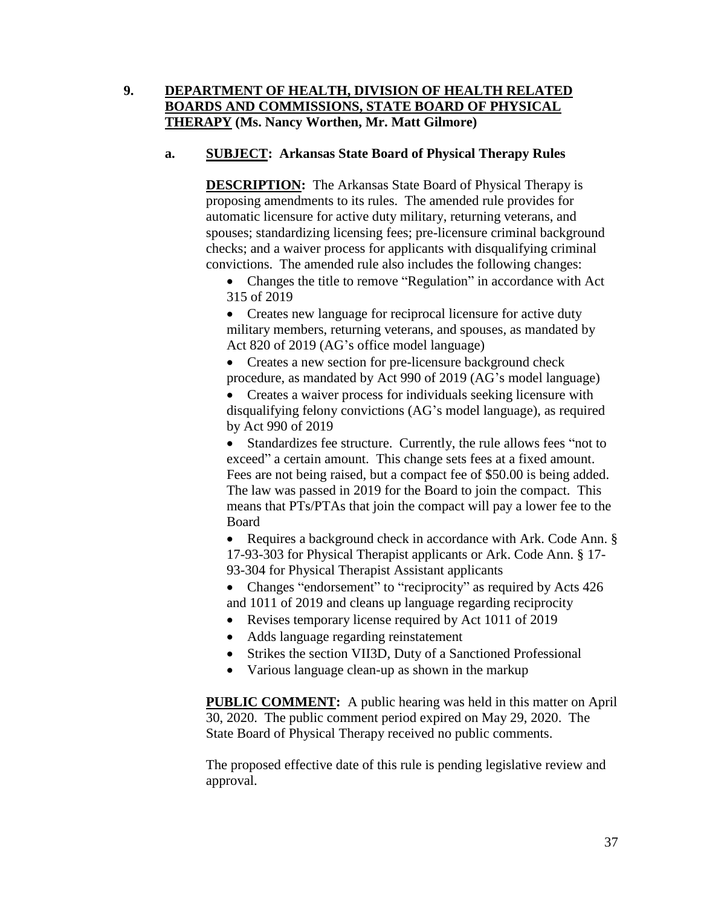# **9. DEPARTMENT OF HEALTH, DIVISION OF HEALTH RELATED BOARDS AND COMMISSIONS, STATE BOARD OF PHYSICAL THERAPY (Ms. Nancy Worthen, Mr. Matt Gilmore)**

# **a. SUBJECT: Arkansas State Board of Physical Therapy Rules**

**DESCRIPTION:** The Arkansas State Board of Physical Therapy is proposing amendments to its rules. The amended rule provides for automatic licensure for active duty military, returning veterans, and spouses; standardizing licensing fees; pre-licensure criminal background checks; and a waiver process for applicants with disqualifying criminal convictions. The amended rule also includes the following changes:

• Changes the title to remove "Regulation" in accordance with Act 315 of 2019

• Creates new language for reciprocal licensure for active duty military members, returning veterans, and spouses, as mandated by Act 820 of 2019 (AG's office model language)

• Creates a new section for pre-licensure background check procedure, as mandated by Act 990 of 2019 (AG's model language)

• Creates a waiver process for individuals seeking licensure with disqualifying felony convictions (AG's model language), as required by Act 990 of 2019

• Standardizes fee structure. Currently, the rule allows fees "not to exceed" a certain amount. This change sets fees at a fixed amount. Fees are not being raised, but a compact fee of \$50.00 is being added. The law was passed in 2019 for the Board to join the compact. This means that PTs/PTAs that join the compact will pay a lower fee to the Board

• Requires a background check in accordance with Ark. Code Ann. § 17-93-303 for Physical Therapist applicants or Ark. Code Ann. § 17- 93-304 for Physical Therapist Assistant applicants

• Changes "endorsement" to "reciprocity" as required by Acts 426 and 1011 of 2019 and cleans up language regarding reciprocity

- Revises temporary license required by Act 1011 of 2019
- Adds language regarding reinstatement
- Strikes the section VII3D, Duty of a Sanctioned Professional
- Various language clean-up as shown in the markup

**PUBLIC COMMENT:** A public hearing was held in this matter on April 30, 2020. The public comment period expired on May 29, 2020. The State Board of Physical Therapy received no public comments.

The proposed effective date of this rule is pending legislative review and approval.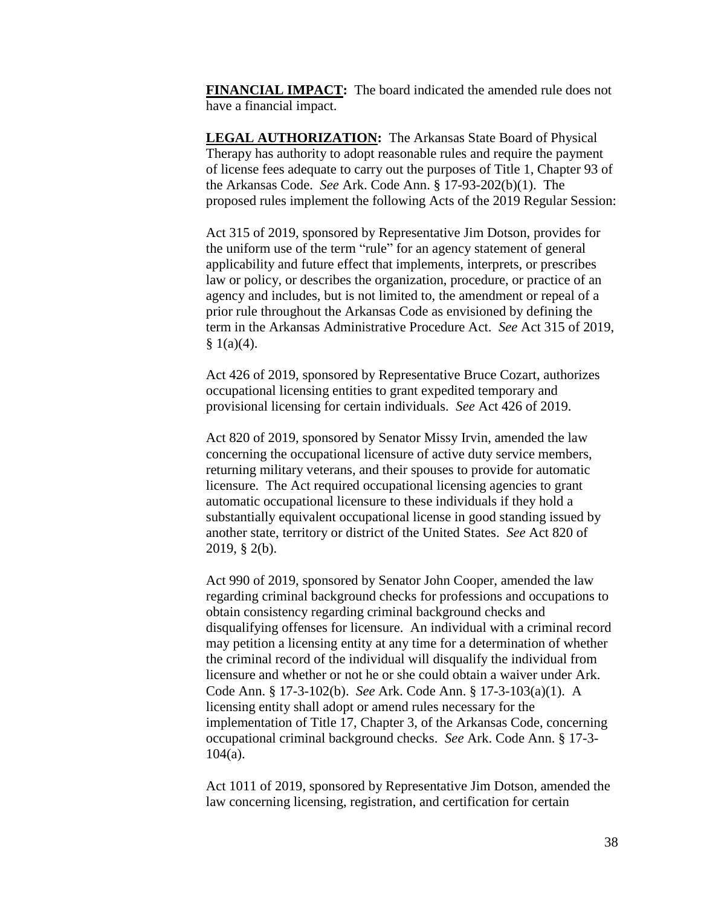**FINANCIAL IMPACT:** The board indicated the amended rule does not have a financial impact.

**LEGAL AUTHORIZATION:** The Arkansas State Board of Physical Therapy has authority to adopt reasonable rules and require the payment of license fees adequate to carry out the purposes of Title 1, Chapter 93 of the Arkansas Code. *See* Ark. Code Ann. § 17-93-202(b)(1). The proposed rules implement the following Acts of the 2019 Regular Session:

Act 315 of 2019, sponsored by Representative Jim Dotson, provides for the uniform use of the term "rule" for an agency statement of general applicability and future effect that implements, interprets, or prescribes law or policy, or describes the organization, procedure, or practice of an agency and includes, but is not limited to, the amendment or repeal of a prior rule throughout the Arkansas Code as envisioned by defining the term in the Arkansas Administrative Procedure Act. *See* Act 315 of 2019,  $§ 1(a)(4).$ 

Act 426 of 2019, sponsored by Representative Bruce Cozart, authorizes occupational licensing entities to grant expedited temporary and provisional licensing for certain individuals. *See* Act 426 of 2019.

Act 820 of 2019, sponsored by Senator Missy Irvin, amended the law concerning the occupational licensure of active duty service members, returning military veterans, and their spouses to provide for automatic licensure. The Act required occupational licensing agencies to grant automatic occupational licensure to these individuals if they hold a substantially equivalent occupational license in good standing issued by another state, territory or district of the United States. *See* Act 820 of 2019, § 2(b).

Act 990 of 2019, sponsored by Senator John Cooper, amended the law regarding criminal background checks for professions and occupations to obtain consistency regarding criminal background checks and disqualifying offenses for licensure. An individual with a criminal record may petition a licensing entity at any time for a determination of whether the criminal record of the individual will disqualify the individual from licensure and whether or not he or she could obtain a waiver under Ark. Code Ann. § 17-3-102(b). *See* Ark. Code Ann. § 17-3-103(a)(1). A licensing entity shall adopt or amend rules necessary for the implementation of Title 17, Chapter 3, of the Arkansas Code, concerning occupational criminal background checks. *See* Ark. Code Ann. § 17-3- 104(a).

Act 1011 of 2019, sponsored by Representative Jim Dotson, amended the law concerning licensing, registration, and certification for certain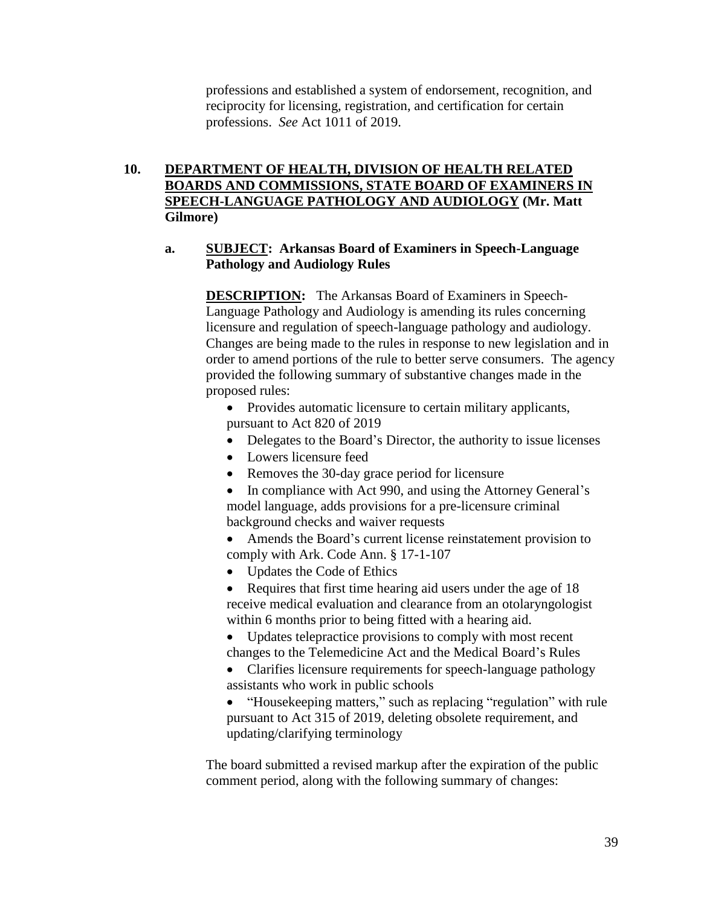professions and established a system of endorsement, recognition, and reciprocity for licensing, registration, and certification for certain professions. *See* Act 1011 of 2019.

# **10. DEPARTMENT OF HEALTH, DIVISION OF HEALTH RELATED BOARDS AND COMMISSIONS, STATE BOARD OF EXAMINERS IN SPEECH-LANGUAGE PATHOLOGY AND AUDIOLOGY (Mr. Matt Gilmore)**

## **a. SUBJECT: Arkansas Board of Examiners in Speech-Language Pathology and Audiology Rules**

**DESCRIPTION:** The Arkansas Board of Examiners in Speech-Language Pathology and Audiology is amending its rules concerning licensure and regulation of speech-language pathology and audiology. Changes are being made to the rules in response to new legislation and in order to amend portions of the rule to better serve consumers. The agency provided the following summary of substantive changes made in the proposed rules:

• Provides automatic licensure to certain military applicants, pursuant to Act 820 of 2019

- Delegates to the Board's Director, the authority to issue licenses
- Lowers licensure feed
- Removes the 30-day grace period for licensure
- In compliance with Act 990, and using the Attorney General's model language, adds provisions for a pre-licensure criminal background checks and waiver requests
- Amends the Board's current license reinstatement provision to comply with Ark. Code Ann. § 17-1-107
- Updates the Code of Ethics
- Requires that first time hearing aid users under the age of 18 receive medical evaluation and clearance from an otolaryngologist within 6 months prior to being fitted with a hearing aid.
- Updates telepractice provisions to comply with most recent changes to the Telemedicine Act and the Medical Board's Rules
- Clarifies licensure requirements for speech-language pathology assistants who work in public schools
- "Housekeeping matters," such as replacing "regulation" with rule pursuant to Act 315 of 2019, deleting obsolete requirement, and updating/clarifying terminology

The board submitted a revised markup after the expiration of the public comment period, along with the following summary of changes: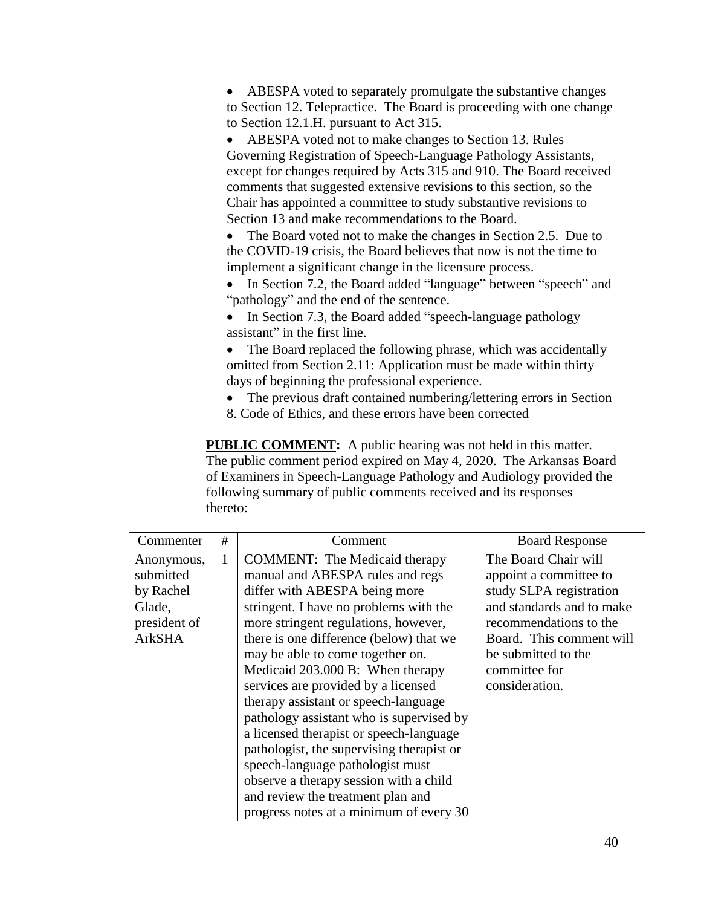• ABESPA voted to separately promulgate the substantive changes to Section 12. Telepractice. The Board is proceeding with one change to Section 12.1.H. pursuant to Act 315.

• ABESPA voted not to make changes to Section 13. Rules Governing Registration of Speech-Language Pathology Assistants, except for changes required by Acts 315 and 910. The Board received comments that suggested extensive revisions to this section, so the Chair has appointed a committee to study substantive revisions to Section 13 and make recommendations to the Board.

• The Board voted not to make the changes in Section 2.5. Due to the COVID-19 crisis, the Board believes that now is not the time to implement a significant change in the licensure process.

• In Section 7.2, the Board added "language" between "speech" and "pathology" and the end of the sentence.

• In Section 7.3, the Board added "speech-language pathology assistant" in the first line.

• The Board replaced the following phrase, which was accidentally omitted from Section 2.11: Application must be made within thirty days of beginning the professional experience.

• The previous draft contained numbering/lettering errors in Section 8. Code of Ethics, and these errors have been corrected

**PUBLIC COMMENT:** A public hearing was not held in this matter. The public comment period expired on May 4, 2020. The Arkansas Board of Examiners in Speech-Language Pathology and Audiology provided the following summary of public comments received and its responses thereto:

| Commenter     | # | Comment                                   | <b>Board Response</b>     |
|---------------|---|-------------------------------------------|---------------------------|
| Anonymous,    | 1 | <b>COMMENT:</b> The Medicaid therapy      | The Board Chair will      |
| submitted     |   | manual and ABESPA rules and regs          | appoint a committee to    |
| by Rachel     |   | differ with ABESPA being more             | study SLPA registration   |
| Glade,        |   | stringent. I have no problems with the    | and standards and to make |
| president of  |   | more stringent regulations, however,      | recommendations to the    |
| <b>ArkSHA</b> |   | there is one difference (below) that we   | Board. This comment will  |
|               |   | may be able to come together on.          | be submitted to the       |
|               |   | Medicaid 203.000 B: When therapy          | committee for             |
|               |   | services are provided by a licensed       | consideration.            |
|               |   | therapy assistant or speech-language      |                           |
|               |   | pathology assistant who is supervised by  |                           |
|               |   | a licensed therapist or speech-language   |                           |
|               |   | pathologist, the supervising therapist or |                           |
|               |   | speech-language pathologist must          |                           |
|               |   | observe a therapy session with a child    |                           |
|               |   | and review the treatment plan and         |                           |
|               |   | progress notes at a minimum of every 30   |                           |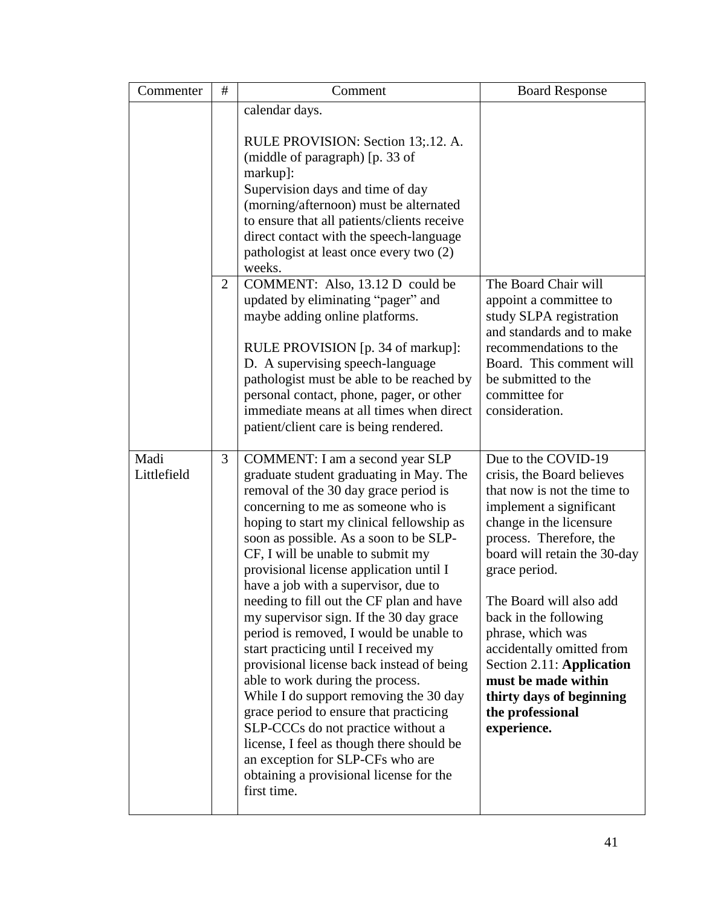| Commenter           | $\#$           | Comment                                                                                                                                                                                                                                                                                                                                                                                                                                                                                                                                                                                                                                                                                                                                                                                                                                                                                                  | <b>Board Response</b>                                                                                                                                                                                                                                                                                                                                                                                                                       |
|---------------------|----------------|----------------------------------------------------------------------------------------------------------------------------------------------------------------------------------------------------------------------------------------------------------------------------------------------------------------------------------------------------------------------------------------------------------------------------------------------------------------------------------------------------------------------------------------------------------------------------------------------------------------------------------------------------------------------------------------------------------------------------------------------------------------------------------------------------------------------------------------------------------------------------------------------------------|---------------------------------------------------------------------------------------------------------------------------------------------------------------------------------------------------------------------------------------------------------------------------------------------------------------------------------------------------------------------------------------------------------------------------------------------|
|                     |                | calendar days.                                                                                                                                                                                                                                                                                                                                                                                                                                                                                                                                                                                                                                                                                                                                                                                                                                                                                           |                                                                                                                                                                                                                                                                                                                                                                                                                                             |
|                     |                | RULE PROVISION: Section 13;.12. A.<br>(middle of paragraph) [p. 33 of<br>markup]:<br>Supervision days and time of day<br>(morning/afternoon) must be alternated<br>to ensure that all patients/clients receive<br>direct contact with the speech-language<br>pathologist at least once every two (2)<br>weeks.                                                                                                                                                                                                                                                                                                                                                                                                                                                                                                                                                                                           |                                                                                                                                                                                                                                                                                                                                                                                                                                             |
|                     | $\overline{2}$ | COMMENT: Also, 13.12 D could be<br>updated by eliminating "pager" and<br>maybe adding online platforms.<br>RULE PROVISION [p. 34 of markup]:<br>D. A supervising speech-language<br>pathologist must be able to be reached by<br>personal contact, phone, pager, or other<br>immediate means at all times when direct<br>patient/client care is being rendered.                                                                                                                                                                                                                                                                                                                                                                                                                                                                                                                                          | The Board Chair will<br>appoint a committee to<br>study SLPA registration<br>and standards and to make<br>recommendations to the<br>Board. This comment will<br>be submitted to the<br>committee for<br>consideration.                                                                                                                                                                                                                      |
| Madi<br>Littlefield | 3              | COMMENT: I am a second year SLP<br>graduate student graduating in May. The<br>removal of the 30 day grace period is<br>concerning to me as someone who is<br>hoping to start my clinical fellowship as<br>soon as possible. As a soon to be SLP-<br>CF, I will be unable to submit my<br>provisional license application until I<br>have a job with a supervisor, due to<br>needing to fill out the CF plan and have<br>my supervisor sign. If the 30 day grace<br>period is removed, I would be unable to<br>start practicing until I received my<br>provisional license back instead of being<br>able to work during the process.<br>While I do support removing the 30 day<br>grace period to ensure that practicing<br>SLP-CCCs do not practice without a<br>license, I feel as though there should be<br>an exception for SLP-CFs who are<br>obtaining a provisional license for the<br>first time. | Due to the COVID-19<br>crisis, the Board believes<br>that now is not the time to<br>implement a significant<br>change in the licensure<br>process. Therefore, the<br>board will retain the 30-day<br>grace period.<br>The Board will also add<br>back in the following<br>phrase, which was<br>accidentally omitted from<br>Section 2.11: Application<br>must be made within<br>thirty days of beginning<br>the professional<br>experience. |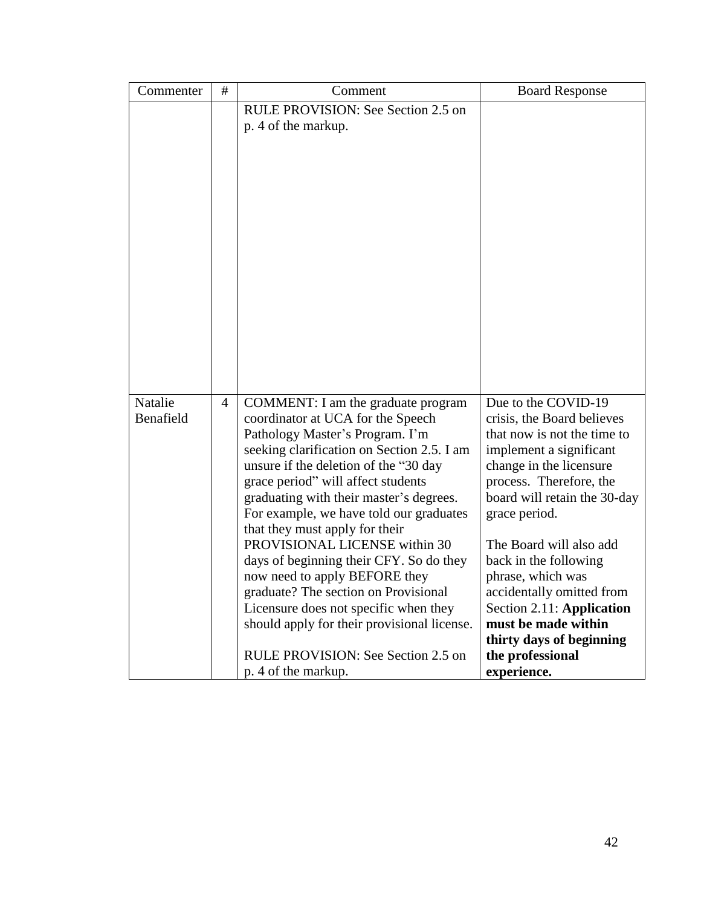| Commenter            | $\#$           | Comment                                                                                                                                                                                                                                                                                                                                                                                                                                                                                                                                                                                                                                                                    | <b>Board Response</b>                                                                                                                                                                                                                                                                                                                                                                                                                       |
|----------------------|----------------|----------------------------------------------------------------------------------------------------------------------------------------------------------------------------------------------------------------------------------------------------------------------------------------------------------------------------------------------------------------------------------------------------------------------------------------------------------------------------------------------------------------------------------------------------------------------------------------------------------------------------------------------------------------------------|---------------------------------------------------------------------------------------------------------------------------------------------------------------------------------------------------------------------------------------------------------------------------------------------------------------------------------------------------------------------------------------------------------------------------------------------|
|                      |                | RULE PROVISION: See Section 2.5 on<br>p. 4 of the markup.                                                                                                                                                                                                                                                                                                                                                                                                                                                                                                                                                                                                                  |                                                                                                                                                                                                                                                                                                                                                                                                                                             |
| Natalie<br>Benafield | $\overline{4}$ | COMMENT: I am the graduate program<br>coordinator at UCA for the Speech<br>Pathology Master's Program. I'm<br>seeking clarification on Section 2.5. I am<br>unsure if the deletion of the "30 day"<br>grace period" will affect students<br>graduating with their master's degrees.<br>For example, we have told our graduates<br>that they must apply for their<br>PROVISIONAL LICENSE within 30<br>days of beginning their CFY. So do they<br>now need to apply BEFORE they<br>graduate? The section on Provisional<br>Licensure does not specific when they<br>should apply for their provisional license.<br>RULE PROVISION: See Section 2.5 on<br>p. 4 of the markup. | Due to the COVID-19<br>crisis, the Board believes<br>that now is not the time to<br>implement a significant<br>change in the licensure<br>process. Therefore, the<br>board will retain the 30-day<br>grace period.<br>The Board will also add<br>back in the following<br>phrase, which was<br>accidentally omitted from<br>Section 2.11: Application<br>must be made within<br>thirty days of beginning<br>the professional<br>experience. |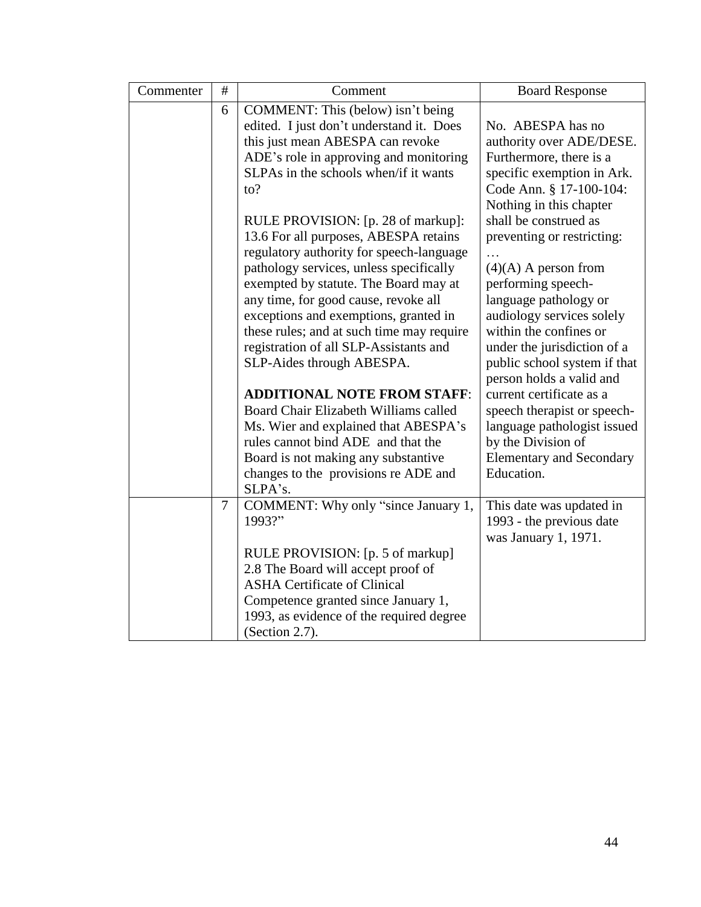| Commenter | $\#$ | Comment                                                                                                                                                                                                                                                                                                                                                                                                                                                                                                                                                                       | <b>Board Response</b>                                                                                                                                                                                                                                                                                                                                                                                                      |
|-----------|------|-------------------------------------------------------------------------------------------------------------------------------------------------------------------------------------------------------------------------------------------------------------------------------------------------------------------------------------------------------------------------------------------------------------------------------------------------------------------------------------------------------------------------------------------------------------------------------|----------------------------------------------------------------------------------------------------------------------------------------------------------------------------------------------------------------------------------------------------------------------------------------------------------------------------------------------------------------------------------------------------------------------------|
|           | 6    | COMMENT: This (below) isn't being<br>edited. I just don't understand it. Does<br>this just mean ABESPA can revoke<br>ADE's role in approving and monitoring<br>SLPAs in the schools when/if it wants<br>to?                                                                                                                                                                                                                                                                                                                                                                   | No. ABESPA has no<br>authority over ADE/DESE.<br>Furthermore, there is a<br>specific exemption in Ark.<br>Code Ann. § 17-100-104:                                                                                                                                                                                                                                                                                          |
|           |      | RULE PROVISION: [p. 28 of markup]:<br>13.6 For all purposes, ABESPA retains<br>regulatory authority for speech-language<br>pathology services, unless specifically<br>exempted by statute. The Board may at<br>any time, for good cause, revoke all<br>exceptions and exemptions, granted in<br>these rules; and at such time may require<br>registration of all SLP-Assistants and<br>SLP-Aides through ABESPA.<br><b>ADDITIONAL NOTE FROM STAFF:</b><br>Board Chair Elizabeth Williams called<br>Ms. Wier and explained that ABESPA's<br>rules cannot bind ADE and that the | Nothing in this chapter<br>shall be construed as<br>preventing or restricting:<br>$(4)$ (A) A person from<br>performing speech-<br>language pathology or<br>audiology services solely<br>within the confines or<br>under the jurisdiction of a<br>public school system if that<br>person holds a valid and<br>current certificate as a<br>speech therapist or speech-<br>language pathologist issued<br>by the Division of |
|           |      | Board is not making any substantive<br>changes to the provisions re ADE and<br>SLPA's.                                                                                                                                                                                                                                                                                                                                                                                                                                                                                        | <b>Elementary and Secondary</b><br>Education.                                                                                                                                                                                                                                                                                                                                                                              |
|           | 7    | COMMENT: Why only "since January 1,<br>1993?"<br>RULE PROVISION: [p. 5 of markup]<br>2.8 The Board will accept proof of<br><b>ASHA Certificate of Clinical</b><br>Competence granted since January 1,<br>1993, as evidence of the required degree<br>(Section 2.7).                                                                                                                                                                                                                                                                                                           | This date was updated in<br>1993 - the previous date<br>was January 1, 1971.                                                                                                                                                                                                                                                                                                                                               |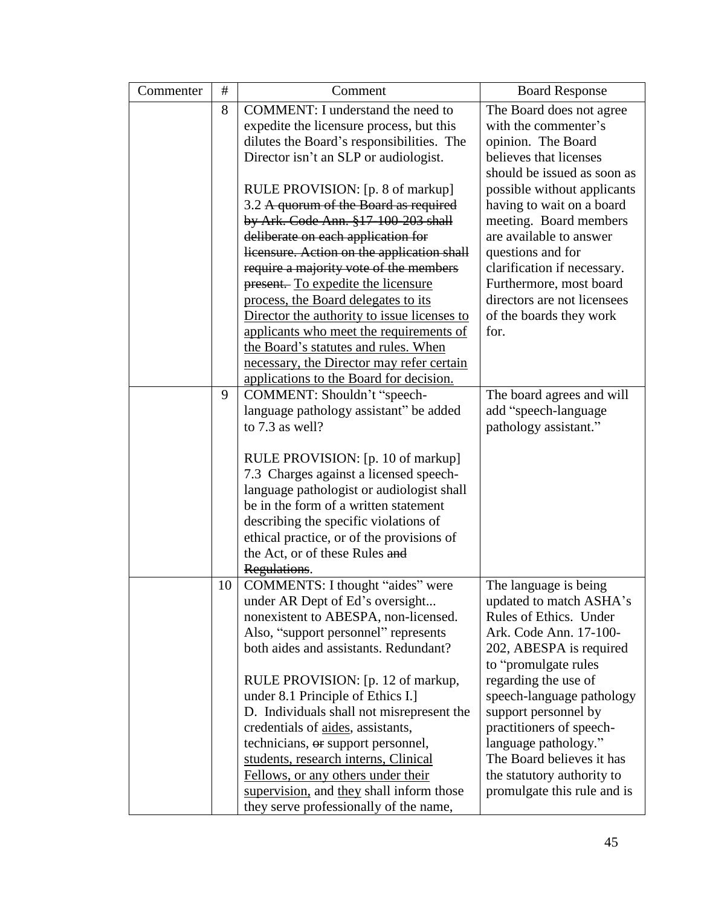| Commenter | #  | Comment                                                                            | <b>Board Response</b>       |
|-----------|----|------------------------------------------------------------------------------------|-----------------------------|
|           | 8  | <b>COMMENT:</b> I understand the need to                                           | The Board does not agree    |
|           |    | expedite the licensure process, but this                                           | with the commenter's        |
|           |    | dilutes the Board's responsibilities. The                                          | opinion. The Board          |
|           |    | Director isn't an SLP or audiologist.                                              | believes that licenses      |
|           |    |                                                                                    | should be issued as soon as |
|           |    | RULE PROVISION: [p. 8 of markup]                                                   | possible without applicants |
|           |    | 3.2 A quorum of the Board as required                                              | having to wait on a board   |
|           |    | by Ark. Code Ann. §17-100-203 shall                                                | meeting. Board members      |
|           |    | deliberate on each application for                                                 | are available to answer     |
|           |    | licensure. Action on the application shall                                         | questions and for           |
|           |    | require a majority vote of the members                                             | clarification if necessary. |
|           |    | present. To expedite the licensure                                                 | Furthermore, most board     |
|           |    | process, the Board delegates to its                                                | directors are not licensees |
|           |    | Director the authority to issue licenses to                                        | of the boards they work     |
|           |    | applicants who meet the requirements of                                            | for.                        |
|           |    | the Board's statutes and rules. When                                               |                             |
|           |    | necessary, the Director may refer certain                                          |                             |
|           |    | applications to the Board for decision.                                            |                             |
|           | 9  | COMMENT: Shouldn't "speech-                                                        | The board agrees and will   |
|           |    | language pathology assistant" be added                                             | add "speech-language        |
|           |    | to 7.3 as well?                                                                    | pathology assistant."       |
|           |    |                                                                                    |                             |
|           |    | RULE PROVISION: [p. 10 of markup]                                                  |                             |
|           |    | 7.3 Charges against a licensed speech-                                             |                             |
|           |    | language pathologist or audiologist shall<br>be in the form of a written statement |                             |
|           |    | describing the specific violations of                                              |                             |
|           |    | ethical practice, or of the provisions of                                          |                             |
|           |    | the Act, or of these Rules and                                                     |                             |
|           |    | Regulations.                                                                       |                             |
|           | 10 | COMMENTS: I thought "aides" were                                                   | The language is being       |
|           |    | under AR Dept of Ed's oversight                                                    | updated to match ASHA's     |
|           |    | nonexistent to ABESPA, non-licensed.                                               | Rules of Ethics. Under      |
|           |    | Also, "support personnel" represents                                               | Ark. Code Ann. 17-100-      |
|           |    | both aides and assistants. Redundant?                                              | 202, ABESPA is required     |
|           |    |                                                                                    | to "promulgate rules        |
|           |    | RULE PROVISION: [p. 12 of markup,                                                  | regarding the use of        |
|           |    | under 8.1 Principle of Ethics I.]                                                  | speech-language pathology   |
|           |    | D. Individuals shall not misrepresent the                                          | support personnel by        |
|           |    | credentials of aides, assistants,                                                  | practitioners of speech-    |
|           |    | technicians, or support personnel,                                                 | language pathology."        |
|           |    | students, research interns, Clinical                                               | The Board believes it has   |
|           |    | Fellows, or any others under their                                                 | the statutory authority to  |
|           |    | supervision, and they shall inform those                                           | promulgate this rule and is |
|           |    | they serve professionally of the name,                                             |                             |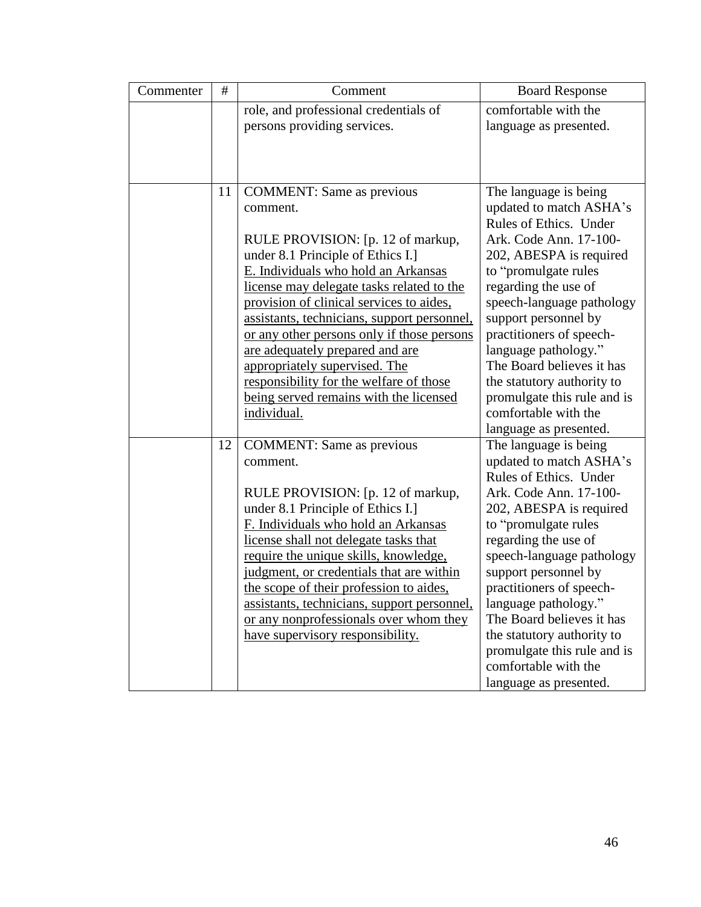| Commenter | $\#$ | Comment                                                                                                                                                                                                                                                                                                                                                                                                                                                                                                                     | <b>Board Response</b>                                                                                                                                                                                                                                                                                                                                                                                                                 |
|-----------|------|-----------------------------------------------------------------------------------------------------------------------------------------------------------------------------------------------------------------------------------------------------------------------------------------------------------------------------------------------------------------------------------------------------------------------------------------------------------------------------------------------------------------------------|---------------------------------------------------------------------------------------------------------------------------------------------------------------------------------------------------------------------------------------------------------------------------------------------------------------------------------------------------------------------------------------------------------------------------------------|
|           |      | role, and professional credentials of<br>persons providing services.                                                                                                                                                                                                                                                                                                                                                                                                                                                        | comfortable with the<br>language as presented.                                                                                                                                                                                                                                                                                                                                                                                        |
|           |      |                                                                                                                                                                                                                                                                                                                                                                                                                                                                                                                             |                                                                                                                                                                                                                                                                                                                                                                                                                                       |
|           | 11   | <b>COMMENT:</b> Same as previous<br>comment.<br>RULE PROVISION: [p. 12 of markup,<br>under 8.1 Principle of Ethics I.]<br>E. Individuals who hold an Arkansas<br>license may delegate tasks related to the<br>provision of clinical services to aides,<br>assistants, technicians, support personnel,<br>or any other persons only if those persons<br>are adequately prepared and are<br>appropriately supervised. The<br>responsibility for the welfare of those<br>being served remains with the licensed<br>individual. | The language is being<br>updated to match ASHA's<br>Rules of Ethics. Under<br>Ark. Code Ann. 17-100-<br>202, ABESPA is required<br>to "promulgate rules"<br>regarding the use of<br>speech-language pathology<br>support personnel by<br>practitioners of speech-<br>language pathology."<br>The Board believes it has<br>the statutory authority to<br>promulgate this rule and is<br>comfortable with the<br>language as presented. |
|           | 12   | <b>COMMENT:</b> Same as previous<br>comment.<br>RULE PROVISION: [p. 12 of markup,<br>under 8.1 Principle of Ethics I.]<br>F. Individuals who hold an Arkansas<br>license shall not delegate tasks that<br>require the unique skills, knowledge,<br>judgment, or credentials that are within<br>the scope of their profession to aides,<br>assistants, technicians, support personnel,<br>or any nonprofessionals over whom they<br>have supervisory responsibility.                                                         | The language is being<br>updated to match ASHA's<br>Rules of Ethics. Under<br>Ark. Code Ann. 17-100-<br>202, ABESPA is required<br>to "promulgate rules<br>regarding the use of<br>speech-language pathology<br>support personnel by<br>practitioners of speech-<br>language pathology."<br>The Board believes it has<br>the statutory authority to<br>promulgate this rule and is<br>comfortable with the<br>language as presented.  |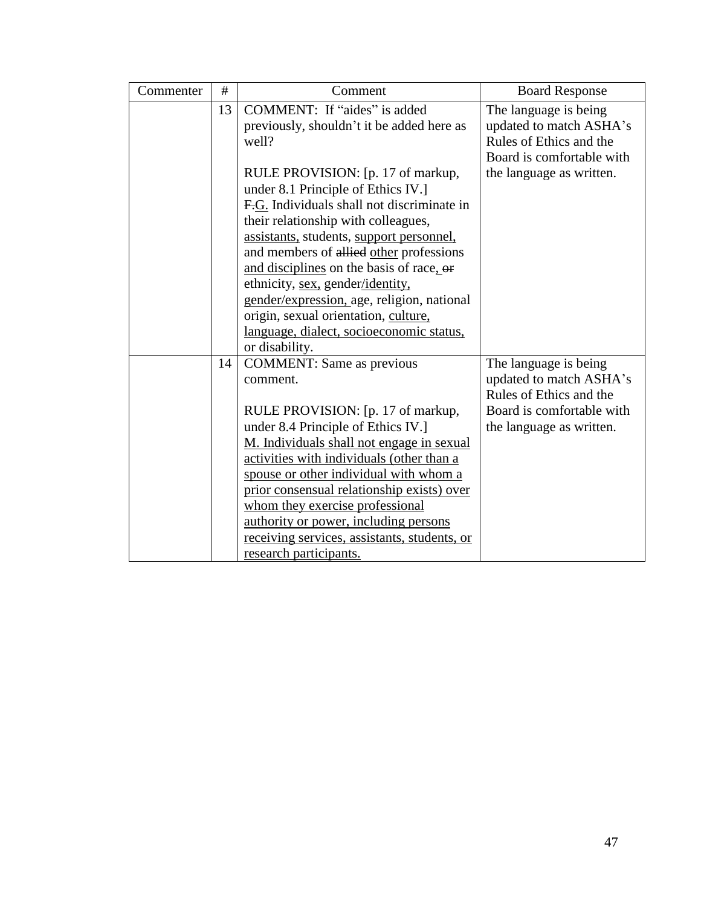| Commenter | #  | Comment                                      | <b>Board Response</b>     |
|-----------|----|----------------------------------------------|---------------------------|
|           | 13 | COMMENT: If "aides" is added                 | The language is being     |
|           |    | previously, shouldn't it be added here as    | updated to match ASHA's   |
|           |    | well?                                        | Rules of Ethics and the   |
|           |    |                                              | Board is comfortable with |
|           |    | RULE PROVISION: [p. 17 of markup,            | the language as written.  |
|           |    | under 8.1 Principle of Ethics IV.]           |                           |
|           |    | F.G. Individuals shall not discriminate in   |                           |
|           |    | their relationship with colleagues,          |                           |
|           |    | assistants, students, support personnel,     |                           |
|           |    | and members of allied other professions      |                           |
|           |    | and disciplines on the basis of race, or     |                           |
|           |    | ethnicity, sex, gender/identity,             |                           |
|           |    | gender/expression, age, religion, national   |                           |
|           |    | origin, sexual orientation, culture,         |                           |
|           |    | language, dialect, socioeconomic status,     |                           |
|           |    | or disability.                               |                           |
|           | 14 | <b>COMMENT:</b> Same as previous             | The language is being     |
|           |    | comment.                                     | updated to match ASHA's   |
|           |    |                                              | Rules of Ethics and the   |
|           |    | RULE PROVISION: [p. 17 of markup,            | Board is comfortable with |
|           |    | under 8.4 Principle of Ethics IV.]           | the language as written.  |
|           |    | M. Individuals shall not engage in sexual    |                           |
|           |    | activities with individuals (other than a    |                           |
|           |    | spouse or other individual with whom a       |                           |
|           |    | prior consensual relationship exists) over   |                           |
|           |    | whom they exercise professional              |                           |
|           |    | authority or power, including persons        |                           |
|           |    | receiving services, assistants, students, or |                           |
|           |    | research participants.                       |                           |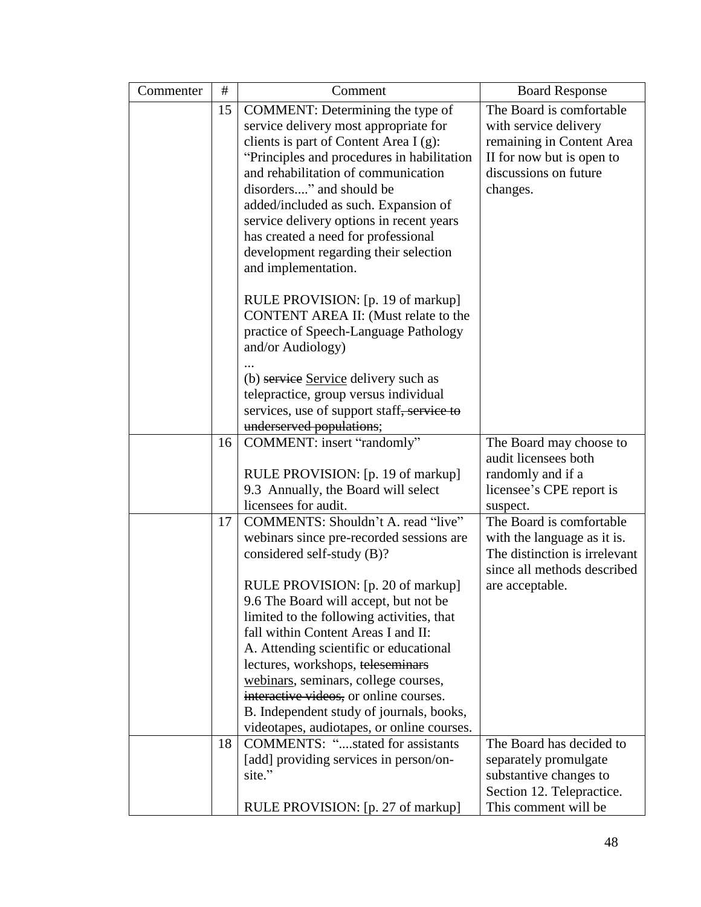| Commenter | $\#$ | Comment                                                     | <b>Board Response</b>                             |
|-----------|------|-------------------------------------------------------------|---------------------------------------------------|
|           | 15   | COMMENT: Determining the type of                            | The Board is comfortable                          |
|           |      | service delivery most appropriate for                       | with service delivery                             |
|           |      | clients is part of Content Area I $(g)$ :                   | remaining in Content Area                         |
|           |      | "Principles and procedures in habilitation                  | II for now but is open to                         |
|           |      | and rehabilitation of communication                         | discussions on future                             |
|           |      | disorders" and should be                                    | changes.                                          |
|           |      | added/included as such. Expansion of                        |                                                   |
|           |      | service delivery options in recent years                    |                                                   |
|           |      | has created a need for professional                         |                                                   |
|           |      | development regarding their selection                       |                                                   |
|           |      | and implementation.                                         |                                                   |
|           |      | RULE PROVISION: [p. 19 of markup]                           |                                                   |
|           |      | CONTENT AREA II: (Must relate to the                        |                                                   |
|           |      | practice of Speech-Language Pathology                       |                                                   |
|           |      | and/or Audiology)                                           |                                                   |
|           |      |                                                             |                                                   |
|           |      | (b) service Service delivery such as                        |                                                   |
|           |      | telepractice, group versus individual                       |                                                   |
|           |      | services, use of support staff, service to                  |                                                   |
|           |      | underserved populations;                                    |                                                   |
|           | 16   | COMMENT: insert "randomly"                                  | The Board may choose to                           |
|           |      |                                                             | audit licensees both                              |
|           |      | RULE PROVISION: [p. 19 of markup]                           | randomly and if a                                 |
|           |      | 9.3 Annually, the Board will select<br>licensees for audit. | licensee's CPE report is                          |
|           | 17   | COMMENTS: Shouldn't A. read "live"                          | suspect.<br>The Board is comfortable              |
|           |      | webinars since pre-recorded sessions are                    | with the language as it is.                       |
|           |      | considered self-study (B)?                                  | The distinction is irrelevant                     |
|           |      |                                                             | since all methods described                       |
|           |      | RULE PROVISION: [p. 20 of markup]                           | are acceptable.                                   |
|           |      | 9.6 The Board will accept, but not be                       |                                                   |
|           |      | limited to the following activities, that                   |                                                   |
|           |      | fall within Content Areas I and II:                         |                                                   |
|           |      | A. Attending scientific or educational                      |                                                   |
|           |      | lectures, workshops, teleseminars                           |                                                   |
|           |      | webinars, seminars, college courses,                        |                                                   |
|           |      | interactive videos, or online courses.                      |                                                   |
|           |      | B. Independent study of journals, books,                    |                                                   |
|           |      | videotapes, audiotapes, or online courses.                  |                                                   |
|           | 18   | <b>COMMENTS: "stated for assistants</b>                     | The Board has decided to                          |
|           |      | [add] providing services in person/on-                      | separately promulgate                             |
|           |      | site."                                                      | substantive changes to                            |
|           |      |                                                             |                                                   |
|           |      | RULE PROVISION: [p. 27 of markup]                           | Section 12. Telepractice.<br>This comment will be |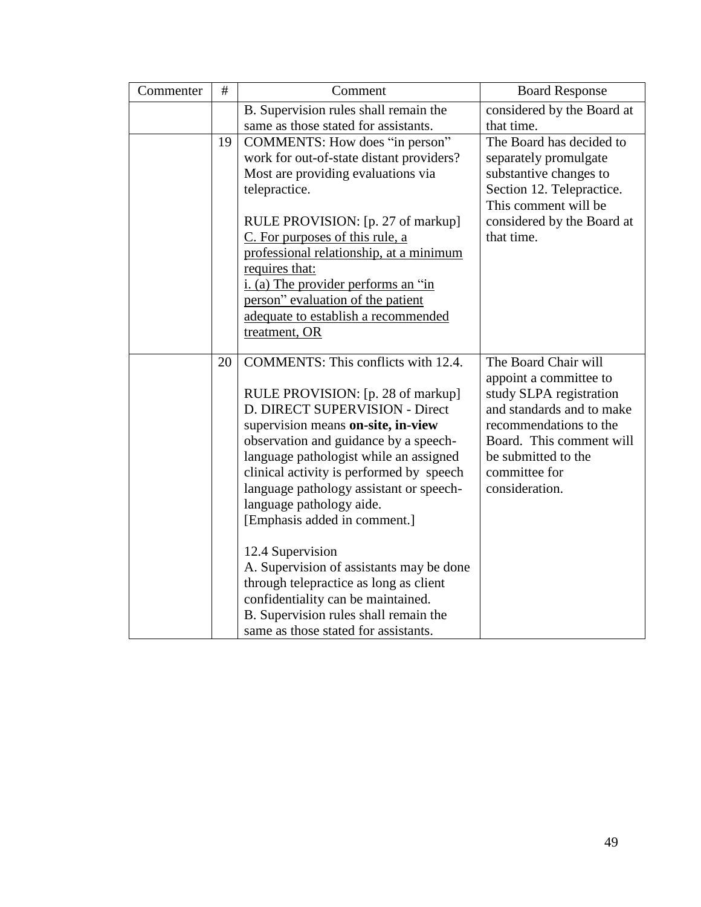| Commenter | #  | Comment                                  | <b>Board Response</b>      |
|-----------|----|------------------------------------------|----------------------------|
|           |    | B. Supervision rules shall remain the    | considered by the Board at |
|           |    | same as those stated for assistants.     | that time.                 |
|           | 19 | COMMENTS: How does "in person"           | The Board has decided to   |
|           |    | work for out-of-state distant providers? | separately promulgate      |
|           |    | Most are providing evaluations via       | substantive changes to     |
|           |    | telepractice.                            | Section 12. Telepractice.  |
|           |    |                                          | This comment will be       |
|           |    | RULE PROVISION: [p. 27 of markup]        | considered by the Board at |
|           |    | C. For purposes of this rule, a          | that time.                 |
|           |    | professional relationship, at a minimum  |                            |
|           |    | requires that:                           |                            |
|           |    | i. (a) The provider performs an "in      |                            |
|           |    | person" evaluation of the patient        |                            |
|           |    | adequate to establish a recommended      |                            |
|           |    | treatment, OR                            |                            |
|           | 20 | COMMENTS: This conflicts with 12.4.      | The Board Chair will       |
|           |    |                                          | appoint a committee to     |
|           |    | RULE PROVISION: [p. 28 of markup]        | study SLPA registration    |
|           |    | D. DIRECT SUPERVISION - Direct           | and standards and to make  |
|           |    | supervision means on-site, in-view       | recommendations to the     |
|           |    | observation and guidance by a speech-    | Board. This comment will   |
|           |    | language pathologist while an assigned   | be submitted to the        |
|           |    | clinical activity is performed by speech | committee for              |
|           |    | language pathology assistant or speech-  | consideration.             |
|           |    | language pathology aide.                 |                            |
|           |    | [Emphasis added in comment.]             |                            |
|           |    |                                          |                            |
|           |    | 12.4 Supervision                         |                            |
|           |    | A. Supervision of assistants may be done |                            |
|           |    | through telepractice as long as client   |                            |
|           |    | confidentiality can be maintained.       |                            |
|           |    | B. Supervision rules shall remain the    |                            |
|           |    | same as those stated for assistants.     |                            |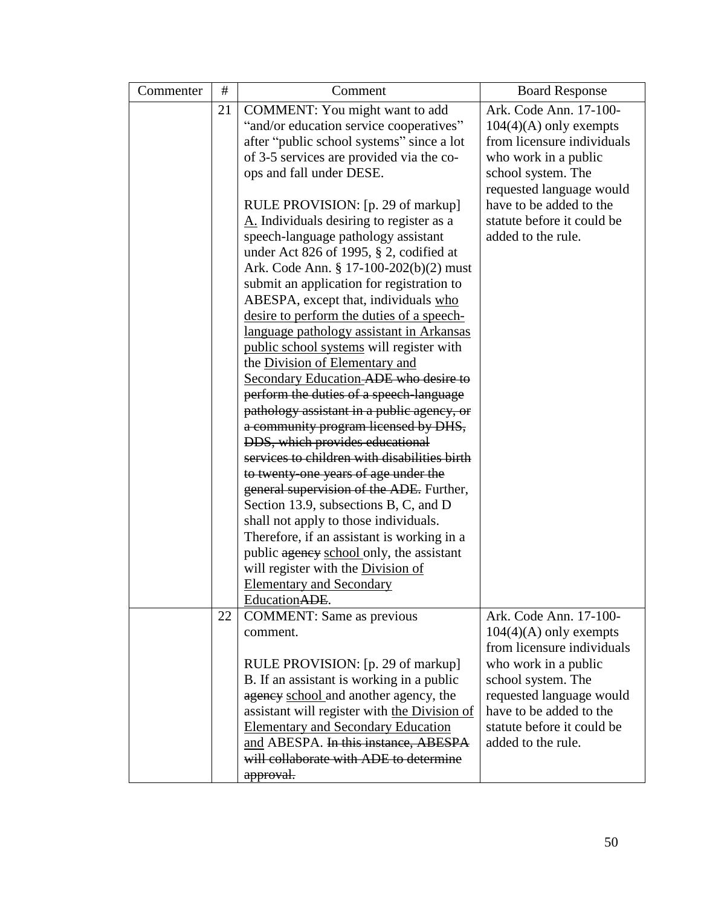| Commenter | #  | Comment                                      | <b>Board Response</b>                               |
|-----------|----|----------------------------------------------|-----------------------------------------------------|
|           | 21 | COMMENT: You might want to add               | Ark. Code Ann. 17-100-                              |
|           |    | "and/or education service cooperatives"      | $104(4)(A)$ only exempts                            |
|           |    | after "public school systems" since a lot    | from licensure individuals                          |
|           |    | of 3-5 services are provided via the co-     | who work in a public                                |
|           |    | ops and fall under DESE.                     | school system. The                                  |
|           |    |                                              | requested language would                            |
|           |    | RULE PROVISION: [p. 29 of markup]            | have to be added to the                             |
|           |    | A. Individuals desiring to register as a     | statute before it could be                          |
|           |    | speech-language pathology assistant          | added to the rule.                                  |
|           |    | under Act 826 of 1995, $\S$ 2, codified at   |                                                     |
|           |    | Ark. Code Ann. § 17-100-202(b)(2) must       |                                                     |
|           |    | submit an application for registration to    |                                                     |
|           |    | ABESPA, except that, individuals who         |                                                     |
|           |    | desire to perform the duties of a speech-    |                                                     |
|           |    | language pathology assistant in Arkansas     |                                                     |
|           |    | public school systems will register with     |                                                     |
|           |    | the Division of Elementary and               |                                                     |
|           |    | Secondary Education-ADE who desire to        |                                                     |
|           |    | perform the duties of a speech language      |                                                     |
|           |    | pathology assistant in a public agency, or   |                                                     |
|           |    | a community program licensed by DHS,         |                                                     |
|           |    | DDS, which provides educational              |                                                     |
|           |    | services to children with disabilities birth |                                                     |
|           |    | to twenty one years of age under the         |                                                     |
|           |    | general supervision of the ADE. Further,     |                                                     |
|           |    | Section 13.9, subsections B, C, and D        |                                                     |
|           |    | shall not apply to those individuals.        |                                                     |
|           |    | Therefore, if an assistant is working in a   |                                                     |
|           |    | public agency school only, the assistant     |                                                     |
|           |    | will register with the Division of           |                                                     |
|           |    | <b>Elementary and Secondary</b>              |                                                     |
|           |    | Education ADE.                               |                                                     |
|           | 22 | <b>COMMENT:</b> Same as previous             | Ark. Code Ann. 17-100-                              |
|           |    | comment.                                     | $104(4)(A)$ only exempts                            |
|           |    |                                              | from licensure individuals                          |
|           |    | RULE PROVISION: [p. 29 of markup]            | who work in a public                                |
|           |    | B. If an assistant is working in a public    | school system. The                                  |
|           |    | agency school and another agency, the        | requested language would<br>have to be added to the |
|           |    | assistant will register with the Division of | statute before it could be                          |
|           |    | <b>Elementary and Secondary Education</b>    |                                                     |
|           |    | and ABESPA. In this instance, ABESPA         | added to the rule.                                  |
|           |    | will collaborate with ADE to determine       |                                                     |
|           |    | approval.                                    |                                                     |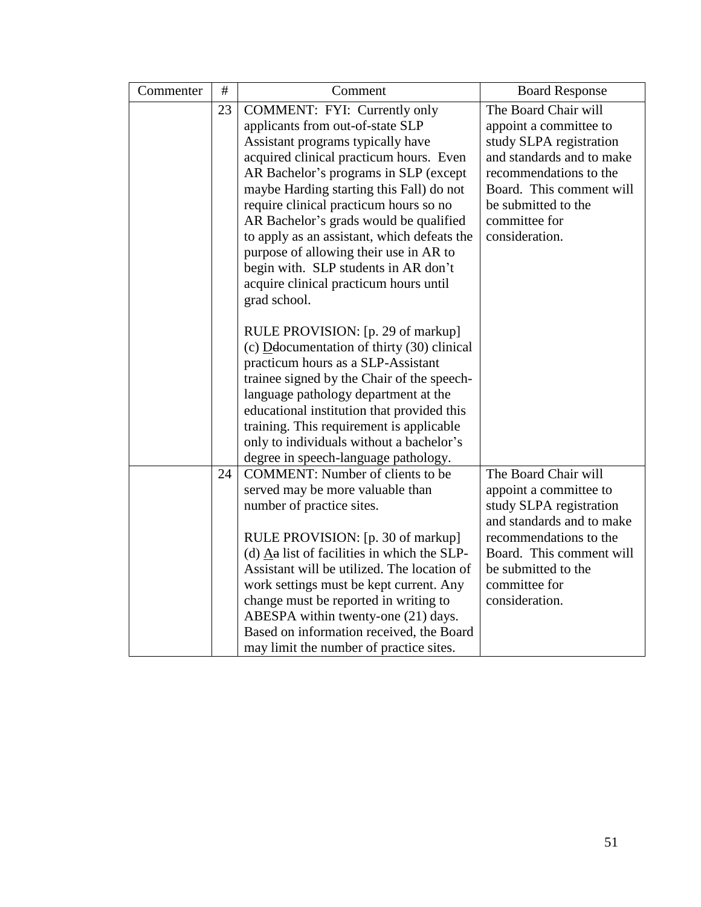| Commenter | $\#$ | Comment                                                                                      | <b>Board Response</b>     |
|-----------|------|----------------------------------------------------------------------------------------------|---------------------------|
|           | 23   | COMMENT: FYI: Currently only                                                                 | The Board Chair will      |
|           |      | applicants from out-of-state SLP                                                             | appoint a committee to    |
|           |      | Assistant programs typically have                                                            | study SLPA registration   |
|           |      | acquired clinical practicum hours. Even                                                      | and standards and to make |
|           |      | AR Bachelor's programs in SLP (except                                                        | recommendations to the    |
|           |      | maybe Harding starting this Fall) do not                                                     | Board. This comment will  |
|           |      | require clinical practicum hours so no                                                       | be submitted to the       |
|           |      | AR Bachelor's grads would be qualified                                                       | committee for             |
|           |      | to apply as an assistant, which defeats the                                                  | consideration.            |
|           |      | purpose of allowing their use in AR to                                                       |                           |
|           |      | begin with. SLP students in AR don't                                                         |                           |
|           |      | acquire clinical practicum hours until                                                       |                           |
|           |      | grad school.                                                                                 |                           |
|           |      |                                                                                              |                           |
|           |      | RULE PROVISION: [p. 29 of markup]                                                            |                           |
|           |      | (c) $D$ <b>d</b> documentation of thirty (30) clinical<br>practicum hours as a SLP-Assistant |                           |
|           |      | trainee signed by the Chair of the speech-                                                   |                           |
|           |      | language pathology department at the                                                         |                           |
|           |      | educational institution that provided this                                                   |                           |
|           |      | training. This requirement is applicable                                                     |                           |
|           |      | only to individuals without a bachelor's                                                     |                           |
|           |      | degree in speech-language pathology.                                                         |                           |
|           | 24   | <b>COMMENT:</b> Number of clients to be                                                      | The Board Chair will      |
|           |      | served may be more valuable than                                                             | appoint a committee to    |
|           |      | number of practice sites.                                                                    | study SLPA registration   |
|           |      |                                                                                              | and standards and to make |
|           |      | RULE PROVISION: [p. 30 of markup]                                                            | recommendations to the    |
|           |      | (d) $\overline{A}a$ list of facilities in which the SLP-                                     | Board. This comment will  |
|           |      | Assistant will be utilized. The location of                                                  | be submitted to the       |
|           |      | work settings must be kept current. Any                                                      | committee for             |
|           |      | change must be reported in writing to                                                        | consideration.            |
|           |      | ABESPA within twenty-one (21) days.                                                          |                           |
|           |      | Based on information received, the Board                                                     |                           |
|           |      | may limit the number of practice sites.                                                      |                           |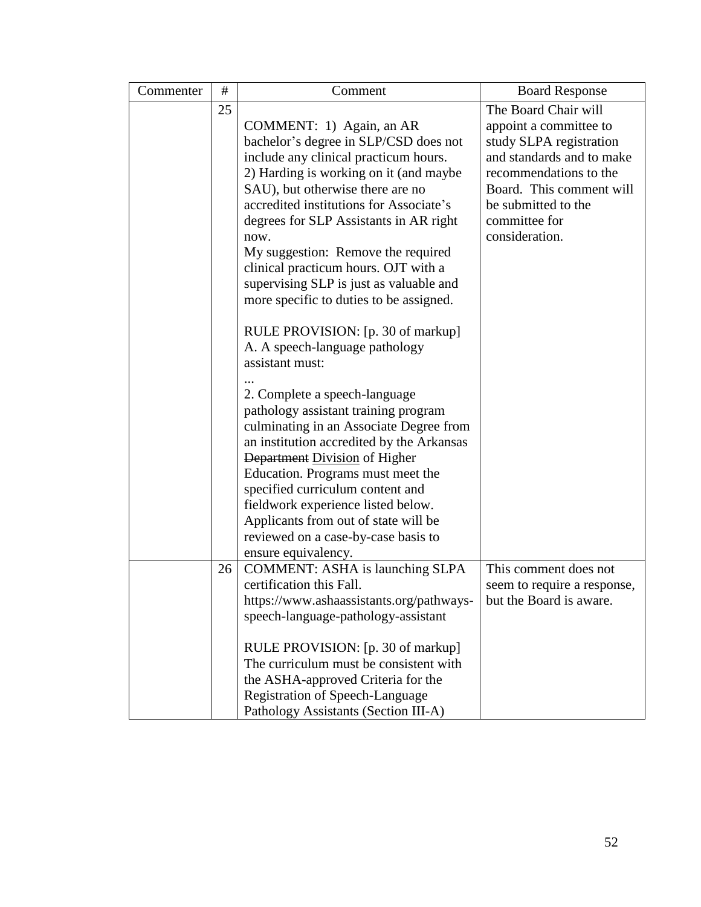| Commenter | #  | Comment                                                                         | <b>Board Response</b>       |
|-----------|----|---------------------------------------------------------------------------------|-----------------------------|
| 25        |    |                                                                                 | The Board Chair will        |
|           |    | COMMENT: 1) Again, an AR                                                        | appoint a committee to      |
|           |    | bachelor's degree in SLP/CSD does not                                           | study SLPA registration     |
|           |    | include any clinical practicum hours.                                           | and standards and to make   |
|           |    | 2) Harding is working on it (and maybe                                          | recommendations to the      |
|           |    | SAU), but otherwise there are no                                                | Board. This comment will    |
|           |    | accredited institutions for Associate's                                         | be submitted to the         |
|           |    | degrees for SLP Assistants in AR right                                          | committee for               |
|           |    | now.                                                                            | consideration.              |
|           |    | My suggestion: Remove the required                                              |                             |
|           |    | clinical practicum hours. OJT with a<br>supervising SLP is just as valuable and |                             |
|           |    | more specific to duties to be assigned.                                         |                             |
|           |    |                                                                                 |                             |
|           |    | RULE PROVISION: [p. 30 of markup]                                               |                             |
|           |    | A. A speech-language pathology                                                  |                             |
|           |    | assistant must:                                                                 |                             |
|           |    |                                                                                 |                             |
|           |    | 2. Complete a speech-language                                                   |                             |
|           |    | pathology assistant training program                                            |                             |
|           |    | culminating in an Associate Degree from                                         |                             |
|           |    | an institution accredited by the Arkansas                                       |                             |
|           |    | Department Division of Higher                                                   |                             |
|           |    | Education. Programs must meet the                                               |                             |
|           |    | specified curriculum content and                                                |                             |
|           |    | fieldwork experience listed below.                                              |                             |
|           |    | Applicants from out of state will be                                            |                             |
|           |    | reviewed on a case-by-case basis to                                             |                             |
|           | 26 | ensure equivalency.<br><b>COMMENT: ASHA is launching SLPA</b>                   | This comment does not       |
|           |    | certification this Fall.                                                        | seem to require a response, |
|           |    | https://www.ashaassistants.org/pathways-                                        | but the Board is aware.     |
|           |    | speech-language-pathology-assistant                                             |                             |
|           |    |                                                                                 |                             |
|           |    | RULE PROVISION: [p. 30 of markup]                                               |                             |
|           |    | The curriculum must be consistent with                                          |                             |
|           |    | the ASHA-approved Criteria for the                                              |                             |
|           |    | Registration of Speech-Language                                                 |                             |
|           |    | Pathology Assistants (Section III-A)                                            |                             |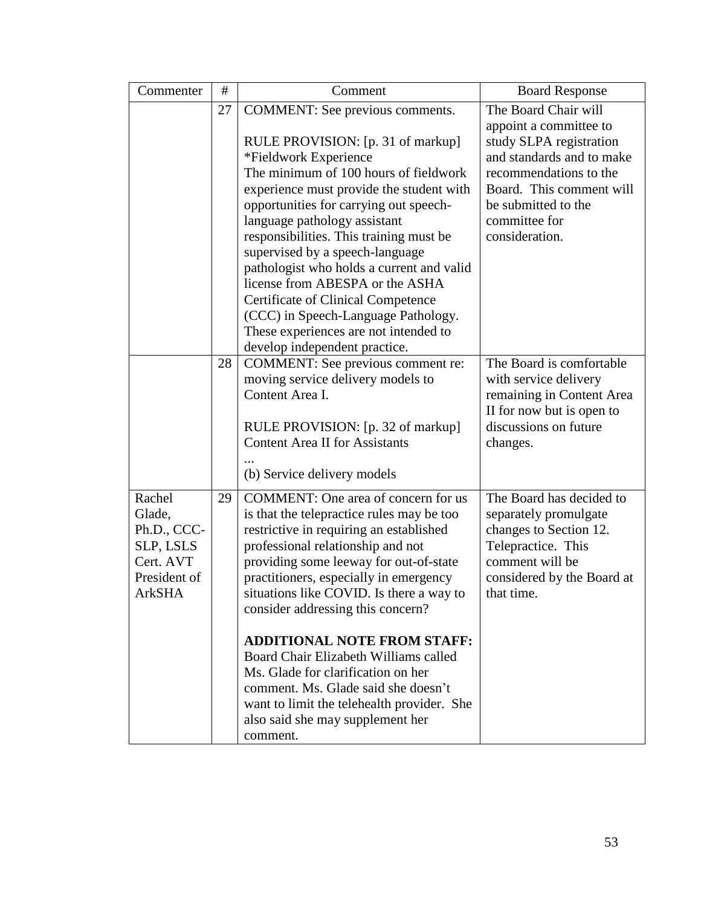| Commenter                                                                                  | #<br>27 | Comment<br>COMMENT: See previous comments.<br>RULE PROVISION: [p. 31 of markup]<br>*Fieldwork Experience<br>The minimum of 100 hours of fieldwork<br>experience must provide the student with<br>opportunities for carrying out speech-<br>language pathology assistant<br>responsibilities. This training must be<br>supervised by a speech-language<br>pathologist who holds a current and valid<br>license from ABESPA or the ASHA<br><b>Certificate of Clinical Competence</b><br>(CCC) in Speech-Language Pathology.                                                                       | <b>Board Response</b><br>The Board Chair will<br>appoint a committee to<br>study SLPA registration<br>and standards and to make<br>recommendations to the<br>Board. This comment will<br>be submitted to the<br>committee for<br>consideration. |
|--------------------------------------------------------------------------------------------|---------|-------------------------------------------------------------------------------------------------------------------------------------------------------------------------------------------------------------------------------------------------------------------------------------------------------------------------------------------------------------------------------------------------------------------------------------------------------------------------------------------------------------------------------------------------------------------------------------------------|-------------------------------------------------------------------------------------------------------------------------------------------------------------------------------------------------------------------------------------------------|
|                                                                                            |         | These experiences are not intended to<br>develop independent practice.                                                                                                                                                                                                                                                                                                                                                                                                                                                                                                                          |                                                                                                                                                                                                                                                 |
|                                                                                            | 28      | COMMENT: See previous comment re:<br>moving service delivery models to<br>Content Area I.<br>RULE PROVISION: [p. 32 of markup]<br><b>Content Area II for Assistants</b><br>(b) Service delivery models                                                                                                                                                                                                                                                                                                                                                                                          | The Board is comfortable<br>with service delivery<br>remaining in Content Area<br>II for now but is open to<br>discussions on future<br>changes.                                                                                                |
| Rachel<br>Glade,<br>Ph.D., CCC-<br>SLP, LSLS<br>Cert. AVT<br>President of<br><b>ArkSHA</b> | 29      | COMMENT: One area of concern for us<br>is that the telepractice rules may be too<br>restrictive in requiring an established<br>professional relationship and not<br>providing some leeway for out-of-state<br>practitioners, especially in emergency<br>situations like COVID. Is there a way to<br>consider addressing this concern?<br><b>ADDITIONAL NOTE FROM STAFF:</b><br>Board Chair Elizabeth Williams called<br>Ms. Glade for clarification on her<br>comment. Ms. Glade said she doesn't<br>want to limit the telehealth provider. She<br>also said she may supplement her<br>comment. | The Board has decided to<br>separately promulgate<br>changes to Section 12.<br>Telepractice. This<br>comment will be<br>considered by the Board at<br>that time.                                                                                |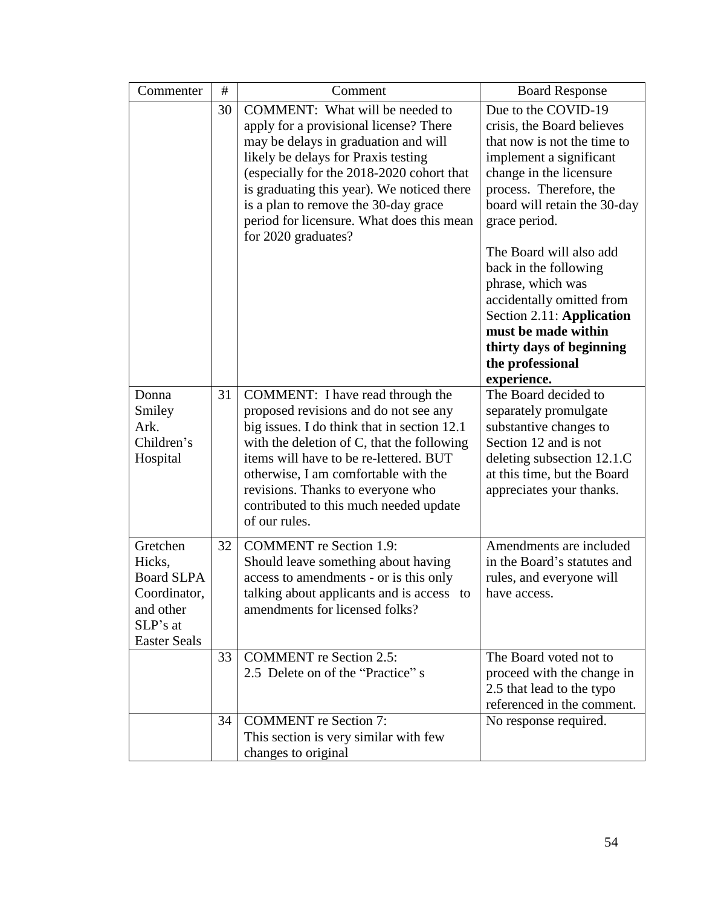| Commenter                                                                                               | #  | Comment                                                                                                                                                                                                                                                                                                                                                         | <b>Board Response</b>                                                                                                                                                                                                                                                                                                                                                                                                                       |
|---------------------------------------------------------------------------------------------------------|----|-----------------------------------------------------------------------------------------------------------------------------------------------------------------------------------------------------------------------------------------------------------------------------------------------------------------------------------------------------------------|---------------------------------------------------------------------------------------------------------------------------------------------------------------------------------------------------------------------------------------------------------------------------------------------------------------------------------------------------------------------------------------------------------------------------------------------|
|                                                                                                         | 30 | COMMENT: What will be needed to<br>apply for a provisional license? There<br>may be delays in graduation and will<br>likely be delays for Praxis testing<br>(especially for the 2018-2020 cohort that<br>is graduating this year). We noticed there<br>is a plan to remove the 30-day grace<br>period for licensure. What does this mean<br>for 2020 graduates? | Due to the COVID-19<br>crisis, the Board believes<br>that now is not the time to<br>implement a significant<br>change in the licensure<br>process. Therefore, the<br>board will retain the 30-day<br>grace period.<br>The Board will also add<br>back in the following<br>phrase, which was<br>accidentally omitted from<br>Section 2.11: Application<br>must be made within<br>thirty days of beginning<br>the professional<br>experience. |
| Donna<br>Smiley<br>Ark.<br>Children's<br>Hospital                                                       | 31 | COMMENT: I have read through the<br>proposed revisions and do not see any<br>big issues. I do think that in section 12.1<br>with the deletion of C, that the following<br>items will have to be re-lettered. BUT<br>otherwise, I am comfortable with the<br>revisions. Thanks to everyone who<br>contributed to this much needed update<br>of our rules.        | The Board decided to<br>separately promulgate<br>substantive changes to<br>Section 12 and is not<br>deleting subsection 12.1.C<br>at this time, but the Board<br>appreciates your thanks.                                                                                                                                                                                                                                                   |
| Gretchen<br>Hicks,<br><b>Board SLPA</b><br>Coordinator,<br>and other<br>SLP's at<br><b>Easter Seals</b> | 32 | <b>COMMENT</b> re Section 1.9:<br>Should leave something about having<br>access to amendments - or is this only<br>talking about applicants and is access to<br>amendments for licensed folks?                                                                                                                                                                  | Amendments are included<br>in the Board's statutes and<br>rules, and everyone will<br>have access.                                                                                                                                                                                                                                                                                                                                          |
|                                                                                                         | 33 | <b>COMMENT</b> re Section 2.5:<br>2.5 Delete on of the "Practice" s                                                                                                                                                                                                                                                                                             | The Board voted not to<br>proceed with the change in<br>2.5 that lead to the typo<br>referenced in the comment.                                                                                                                                                                                                                                                                                                                             |
|                                                                                                         | 34 | <b>COMMENT</b> re Section 7:<br>This section is very similar with few<br>changes to original                                                                                                                                                                                                                                                                    | No response required.                                                                                                                                                                                                                                                                                                                                                                                                                       |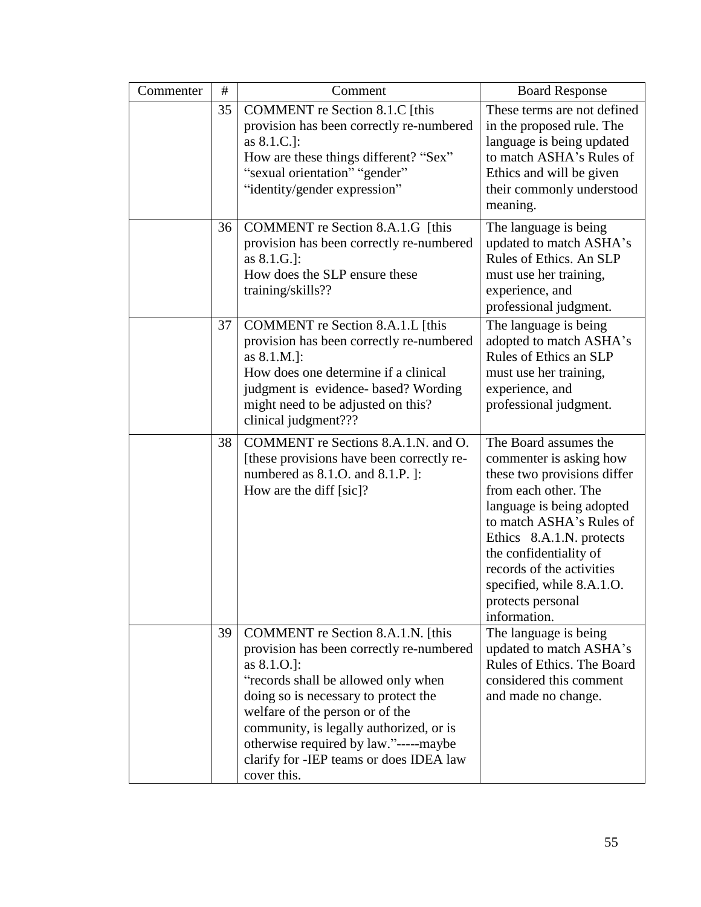| Commenter | $\#$ | Comment                                                                                                                                                                                                                                                                                                                                                         | <b>Board Response</b>                                                                                                                                                                                                                                                                                                 |
|-----------|------|-----------------------------------------------------------------------------------------------------------------------------------------------------------------------------------------------------------------------------------------------------------------------------------------------------------------------------------------------------------------|-----------------------------------------------------------------------------------------------------------------------------------------------------------------------------------------------------------------------------------------------------------------------------------------------------------------------|
|           | 35   | COMMENT re Section 8.1.C [this<br>provision has been correctly re-numbered<br>as 8.1.C.]:<br>How are these things different? "Sex"<br>"sexual orientation" "gender"<br>"identity/gender expression"                                                                                                                                                             | These terms are not defined<br>in the proposed rule. The<br>language is being updated<br>to match ASHA's Rules of<br>Ethics and will be given<br>their commonly understood<br>meaning.                                                                                                                                |
|           | 36   | COMMENT re Section 8.A.1.G [this<br>provision has been correctly re-numbered<br>as 8.1.G.]:<br>How does the SLP ensure these<br>training/skills??                                                                                                                                                                                                               | The language is being<br>updated to match ASHA's<br>Rules of Ethics. An SLP<br>must use her training,<br>experience, and<br>professional judgment.                                                                                                                                                                    |
|           | 37   | COMMENT re Section 8.A.1.L [this<br>provision has been correctly re-numbered<br>as 8.1.M.]:<br>How does one determine if a clinical<br>judgment is evidence- based? Wording<br>might need to be adjusted on this?<br>clinical judgment???                                                                                                                       | The language is being<br>adopted to match ASHA's<br>Rules of Ethics an SLP<br>must use her training,<br>experience, and<br>professional judgment.                                                                                                                                                                     |
|           | 38   | COMMENT re Sections 8.A.1.N. and O.<br>[these provisions have been correctly re-<br>numbered as 8.1.O. and 8.1.P. ]:<br>How are the diff [sic]?                                                                                                                                                                                                                 | The Board assumes the<br>commenter is asking how<br>these two provisions differ<br>from each other. The<br>language is being adopted<br>to match ASHA's Rules of<br>Ethics 8.A.1.N. protects<br>the confidentiality of<br>records of the activities<br>specified, while 8.A.1.O.<br>protects personal<br>information. |
|           | 39   | COMMENT re Section 8.A.1.N. [this<br>provision has been correctly re-numbered<br>as $8.1.0$ .]:<br>"records shall be allowed only when<br>doing so is necessary to protect the<br>welfare of the person or of the<br>community, is legally authorized, or is<br>otherwise required by law."-----maybe<br>clarify for -IEP teams or does IDEA law<br>cover this. | The language is being<br>updated to match ASHA's<br>Rules of Ethics. The Board<br>considered this comment<br>and made no change.                                                                                                                                                                                      |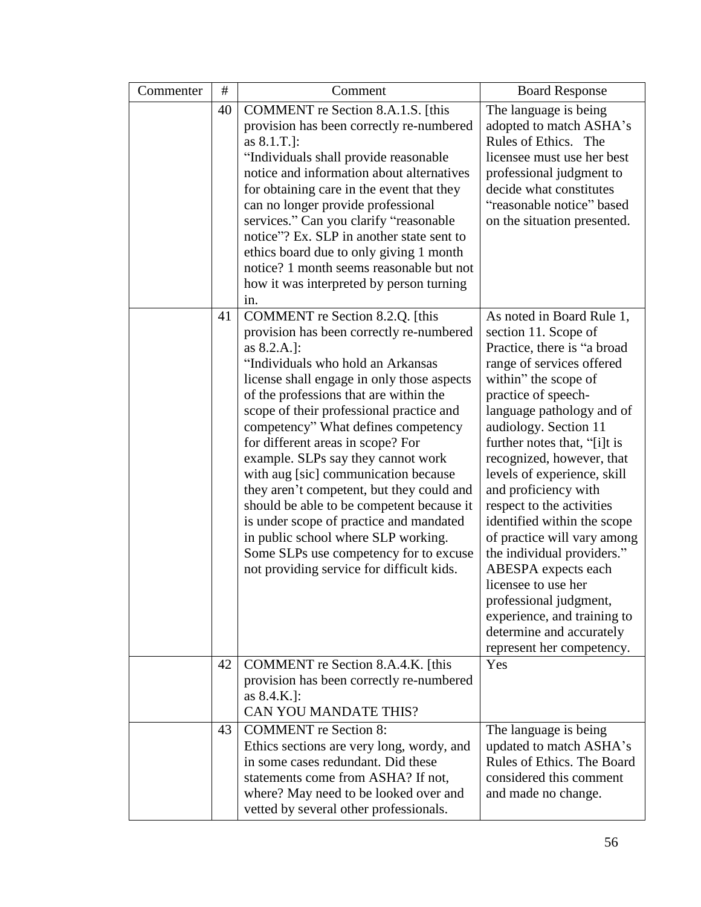| Commenter | #  | Comment                                                                                                                                                                                                                                                                                                                                                                                                                                                                                                                                                                                                                                                                                          | <b>Board Response</b>                                                                                                                                                                                                                                                                                                                                                                                                                                                                                                                                                                                                           |  |
|-----------|----|--------------------------------------------------------------------------------------------------------------------------------------------------------------------------------------------------------------------------------------------------------------------------------------------------------------------------------------------------------------------------------------------------------------------------------------------------------------------------------------------------------------------------------------------------------------------------------------------------------------------------------------------------------------------------------------------------|---------------------------------------------------------------------------------------------------------------------------------------------------------------------------------------------------------------------------------------------------------------------------------------------------------------------------------------------------------------------------------------------------------------------------------------------------------------------------------------------------------------------------------------------------------------------------------------------------------------------------------|--|
|           | 40 | COMMENT re Section 8.A.1.S. [this<br>provision has been correctly re-numbered<br>as 8.1.T.]:<br>"Individuals shall provide reasonable<br>notice and information about alternatives<br>for obtaining care in the event that they<br>can no longer provide professional<br>services." Can you clarify "reasonable<br>notice"? Ex. SLP in another state sent to<br>ethics board due to only giving 1 month<br>notice? 1 month seems reasonable but not<br>how it was interpreted by person turning<br>in.                                                                                                                                                                                           | The language is being<br>adopted to match ASHA's<br>Rules of Ethics. The<br>licensee must use her best<br>professional judgment to<br>decide what constitutes<br>"reasonable notice" based<br>on the situation presented.                                                                                                                                                                                                                                                                                                                                                                                                       |  |
|           | 41 | COMMENT re Section 8.2.Q. [this<br>provision has been correctly re-numbered<br>as 8.2.A.]:<br>"Individuals who hold an Arkansas<br>license shall engage in only those aspects<br>of the professions that are within the<br>scope of their professional practice and<br>competency" What defines competency<br>for different areas in scope? For<br>example. SLPs say they cannot work<br>with aug [sic] communication because<br>they aren't competent, but they could and<br>should be able to be competent because it<br>is under scope of practice and mandated<br>in public school where SLP working.<br>Some SLPs use competency for to excuse<br>not providing service for difficult kids. | As noted in Board Rule 1,<br>section 11. Scope of<br>Practice, there is "a broad<br>range of services offered<br>within" the scope of<br>practice of speech-<br>language pathology and of<br>audiology. Section 11<br>further notes that, "[i]t is<br>recognized, however, that<br>levels of experience, skill<br>and proficiency with<br>respect to the activities<br>identified within the scope<br>of practice will vary among<br>the individual providers."<br>ABESPA expects each<br>licensee to use her<br>professional judgment,<br>experience, and training to<br>determine and accurately<br>represent her competency. |  |
|           | 42 | COMMENT re Section 8.A.4.K. [this<br>provision has been correctly re-numbered<br>as 8.4.K.]:<br><b>CAN YOU MANDATE THIS?</b>                                                                                                                                                                                                                                                                                                                                                                                                                                                                                                                                                                     | Yes                                                                                                                                                                                                                                                                                                                                                                                                                                                                                                                                                                                                                             |  |
|           | 43 | <b>COMMENT</b> re Section 8:<br>Ethics sections are very long, wordy, and<br>in some cases redundant. Did these<br>statements come from ASHA? If not,<br>where? May need to be looked over and<br>vetted by several other professionals.                                                                                                                                                                                                                                                                                                                                                                                                                                                         | The language is being<br>updated to match ASHA's<br>Rules of Ethics. The Board<br>considered this comment<br>and made no change.                                                                                                                                                                                                                                                                                                                                                                                                                                                                                                |  |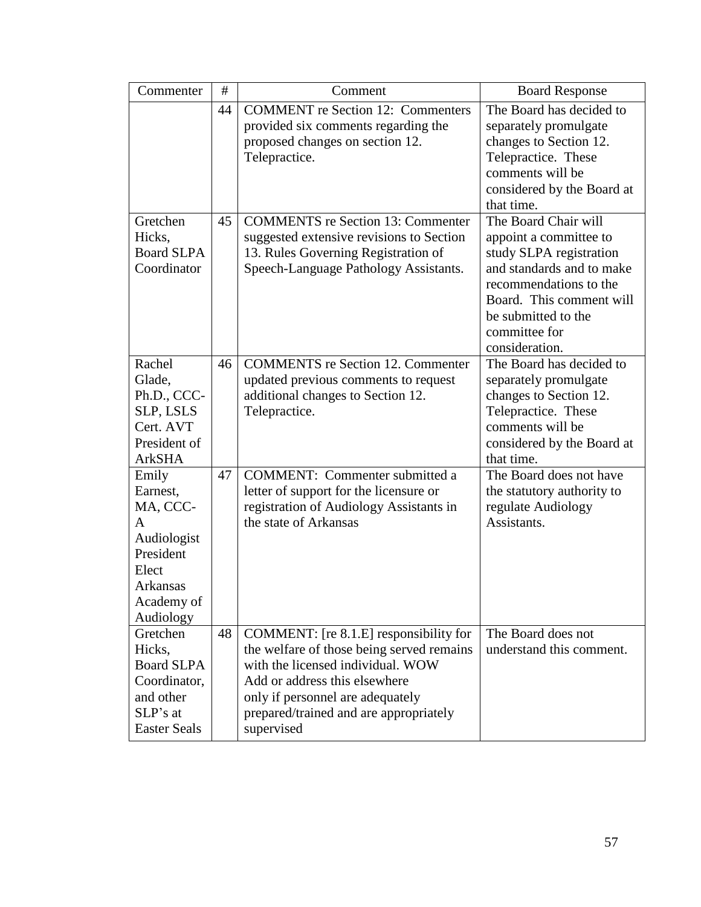| Commenter                                  | $\#$ | Comment                                                                                                                             | <b>Board Response</b>                                                                                                                                              |
|--------------------------------------------|------|-------------------------------------------------------------------------------------------------------------------------------------|--------------------------------------------------------------------------------------------------------------------------------------------------------------------|
|                                            | 44   | <b>COMMENT</b> re Section 12: Commenters<br>provided six comments regarding the<br>proposed changes on section 12.<br>Telepractice. | The Board has decided to<br>separately promulgate<br>changes to Section 12.<br>Telepractice. These<br>comments will be<br>considered by the Board at<br>that time. |
| Gretchen                                   | 45   | <b>COMMENTS</b> re Section 13: Commenter                                                                                            | The Board Chair will                                                                                                                                               |
| Hicks,<br><b>Board SLPA</b><br>Coordinator |      | suggested extensive revisions to Section<br>13. Rules Governing Registration of<br>Speech-Language Pathology Assistants.            | appoint a committee to<br>study SLPA registration<br>and standards and to make<br>recommendations to the<br>Board. This comment will<br>be submitted to the        |
|                                            |      |                                                                                                                                     | committee for<br>consideration.                                                                                                                                    |
| Rachel                                     | 46   | <b>COMMENTS</b> re Section 12. Commenter                                                                                            | The Board has decided to                                                                                                                                           |
| Glade,                                     |      | updated previous comments to request                                                                                                | separately promulgate                                                                                                                                              |
| Ph.D., CCC-                                |      | additional changes to Section 12.                                                                                                   | changes to Section 12.                                                                                                                                             |
| SLP, LSLS                                  |      | Telepractice.                                                                                                                       | Telepractice. These                                                                                                                                                |
| Cert. AVT                                  |      |                                                                                                                                     | comments will be                                                                                                                                                   |
| President of                               |      |                                                                                                                                     | considered by the Board at                                                                                                                                         |
| <b>ArkSHA</b>                              |      |                                                                                                                                     | that time.                                                                                                                                                         |
| Emily                                      | 47   | <b>COMMENT:</b> Commenter submitted a                                                                                               | The Board does not have                                                                                                                                            |
| Earnest,                                   |      | letter of support for the licensure or                                                                                              | the statutory authority to                                                                                                                                         |
| MA, CCC-<br>A                              |      | registration of Audiology Assistants in<br>the state of Arkansas                                                                    | regulate Audiology<br>Assistants.                                                                                                                                  |
| Audiologist                                |      |                                                                                                                                     |                                                                                                                                                                    |
| President                                  |      |                                                                                                                                     |                                                                                                                                                                    |
| Elect                                      |      |                                                                                                                                     |                                                                                                                                                                    |
| Arkansas                                   |      |                                                                                                                                     |                                                                                                                                                                    |
| Academy of                                 |      |                                                                                                                                     |                                                                                                                                                                    |
| Audiology                                  |      |                                                                                                                                     |                                                                                                                                                                    |
| Gretchen                                   | 48   | COMMENT: [re 8.1.E] responsibility for                                                                                              | The Board does not                                                                                                                                                 |
| Hicks,                                     |      | the welfare of those being served remains                                                                                           | understand this comment.                                                                                                                                           |
| <b>Board SLPA</b>                          |      | with the licensed individual. WOW                                                                                                   |                                                                                                                                                                    |
| Coordinator,                               |      | Add or address this elsewhere                                                                                                       |                                                                                                                                                                    |
| and other                                  |      | only if personnel are adequately                                                                                                    |                                                                                                                                                                    |
| SLP's at                                   |      | prepared/trained and are appropriately                                                                                              |                                                                                                                                                                    |
| <b>Easter Seals</b>                        |      | supervised                                                                                                                          |                                                                                                                                                                    |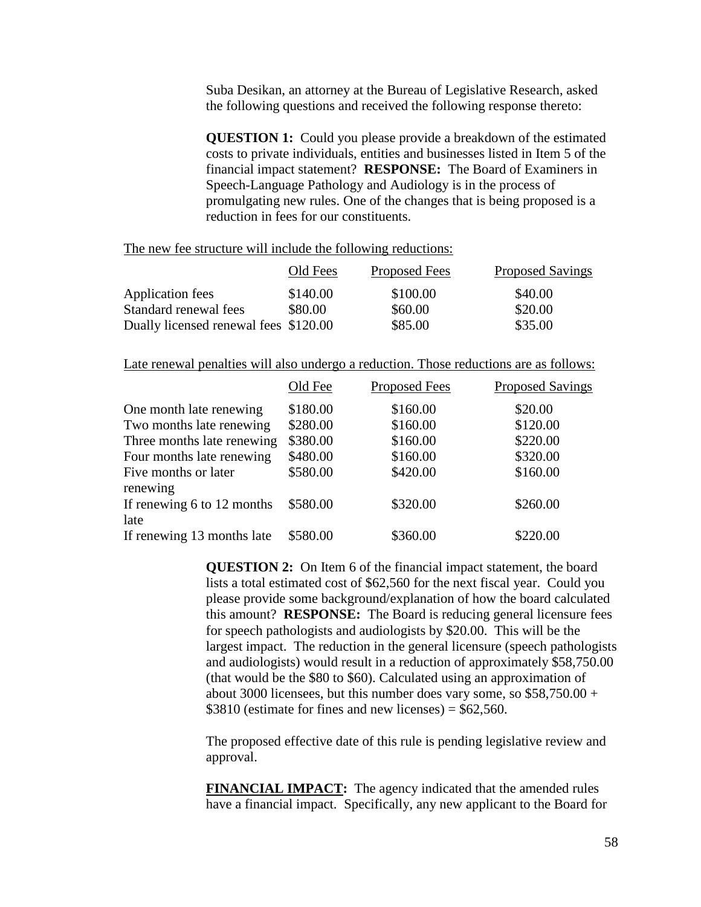Suba Desikan, an attorney at the Bureau of Legislative Research, asked the following questions and received the following response thereto:

**QUESTION 1:** Could you please provide a breakdown of the estimated costs to private individuals, entities and businesses listed in Item 5 of the financial impact statement? **RESPONSE:** The Board of Examiners in Speech-Language Pathology and Audiology is in the process of promulgating new rules. One of the changes that is being proposed is a reduction in fees for our constituents.

The new fee structure will include the following reductions:

|                                       | Old Fees | Proposed Fees | <b>Proposed Savings</b> |
|---------------------------------------|----------|---------------|-------------------------|
| Application fees                      | \$140.00 | \$100.00      | \$40.00                 |
| Standard renewal fees                 | \$80.00  | \$60.00       | \$20.00                 |
| Dually licensed renewal fees \$120.00 |          | \$85.00       | \$35.00                 |

Late renewal penalties will also undergo a reduction. Those reductions are as follows:

|                            | Old Fee  | <b>Proposed Fees</b> | <b>Proposed Savings</b> |
|----------------------------|----------|----------------------|-------------------------|
| One month late renewing    | \$180.00 | \$160.00             | \$20.00                 |
| Two months late renewing   | \$280.00 | \$160.00             | \$120.00                |
| Three months late renewing | \$380.00 | \$160.00             | \$220.00                |
| Four months late renewing  | \$480.00 | \$160.00             | \$320.00                |
| Five months or later       | \$580.00 | \$420.00             | \$160.00                |
| renewing                   |          |                      |                         |
| If renewing 6 to 12 months | \$580.00 | \$320.00             | \$260.00                |
| late                       |          |                      |                         |
| If renewing 13 months late | \$580.00 | \$360.00             | \$220.00                |

**QUESTION 2:** On Item 6 of the financial impact statement, the board lists a total estimated cost of \$62,560 for the next fiscal year. Could you please provide some background/explanation of how the board calculated this amount? **RESPONSE:** The Board is reducing general licensure fees for speech pathologists and audiologists by \$20.00. This will be the largest impact. The reduction in the general licensure (speech pathologists and audiologists) would result in a reduction of approximately \$58,750.00 (that would be the \$80 to \$60). Calculated using an approximation of about 3000 licensees, but this number does vary some, so  $$58,750.00 +$ \$3810 (estimate for fines and new licenses) =  $$62,560$ .

The proposed effective date of this rule is pending legislative review and approval.

**FINANCIAL IMPACT:** The agency indicated that the amended rules have a financial impact. Specifically, any new applicant to the Board for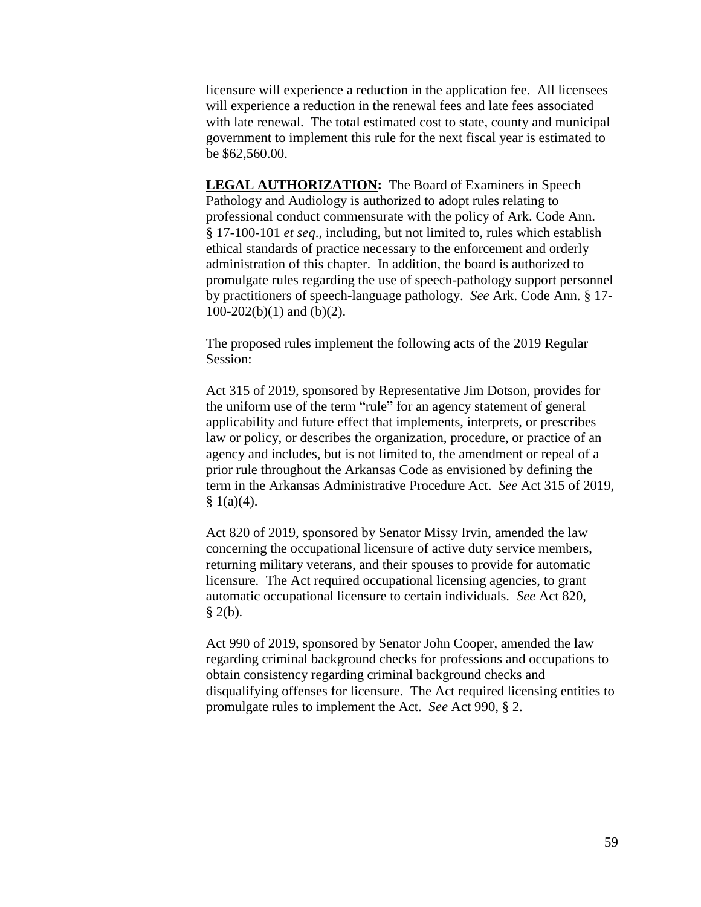licensure will experience a reduction in the application fee. All licensees will experience a reduction in the renewal fees and late fees associated with late renewal. The total estimated cost to state, county and municipal government to implement this rule for the next fiscal year is estimated to be \$62,560.00.

**LEGAL AUTHORIZATION:** The Board of Examiners in Speech Pathology and Audiology is authorized to adopt rules relating to professional conduct commensurate with the policy of Ark. Code Ann. § 17-100-101 *et seq*., including, but not limited to, rules which establish ethical standards of practice necessary to the enforcement and orderly administration of this chapter. In addition, the board is authorized to promulgate rules regarding the use of speech-pathology support personnel by practitioners of speech-language pathology. *See* Ark. Code Ann. § 17-  $100-202(b)(1)$  and  $(b)(2)$ .

The proposed rules implement the following acts of the 2019 Regular Session:

Act 315 of 2019, sponsored by Representative Jim Dotson, provides for the uniform use of the term "rule" for an agency statement of general applicability and future effect that implements, interprets, or prescribes law or policy, or describes the organization, procedure, or practice of an agency and includes, but is not limited to, the amendment or repeal of a prior rule throughout the Arkansas Code as envisioned by defining the term in the Arkansas Administrative Procedure Act. *See* Act 315 of 2019,  $§ 1(a)(4).$ 

Act 820 of 2019, sponsored by Senator Missy Irvin, amended the law concerning the occupational licensure of active duty service members, returning military veterans, and their spouses to provide for automatic licensure. The Act required occupational licensing agencies, to grant automatic occupational licensure to certain individuals. *See* Act 820,  $§$  2(b).

Act 990 of 2019, sponsored by Senator John Cooper, amended the law regarding criminal background checks for professions and occupations to obtain consistency regarding criminal background checks and disqualifying offenses for licensure. The Act required licensing entities to promulgate rules to implement the Act. *See* Act 990, § 2.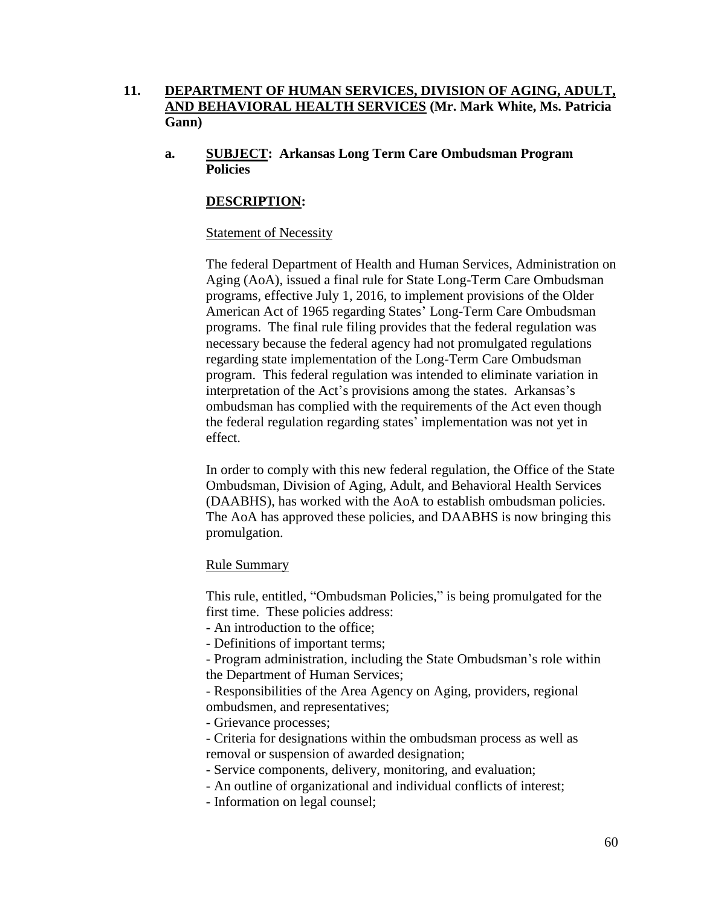# **11. DEPARTMENT OF HUMAN SERVICES, DIVISION OF AGING, ADULT, AND BEHAVIORAL HEALTH SERVICES (Mr. Mark White, Ms. Patricia Gann)**

**a. SUBJECT: Arkansas Long Term Care Ombudsman Program Policies**

# **DESCRIPTION:**

### Statement of Necessity

The federal Department of Health and Human Services, Administration on Aging (AoA), issued a final rule for State Long-Term Care Ombudsman programs, effective July 1, 2016, to implement provisions of the Older American Act of 1965 regarding States' Long-Term Care Ombudsman programs. The final rule filing provides that the federal regulation was necessary because the federal agency had not promulgated regulations regarding state implementation of the Long-Term Care Ombudsman program. This federal regulation was intended to eliminate variation in interpretation of the Act's provisions among the states. Arkansas's ombudsman has complied with the requirements of the Act even though the federal regulation regarding states' implementation was not yet in effect.

In order to comply with this new federal regulation, the Office of the State Ombudsman, Division of Aging, Adult, and Behavioral Health Services (DAABHS), has worked with the AoA to establish ombudsman policies. The AoA has approved these policies, and DAABHS is now bringing this promulgation.

### Rule Summary

This rule, entitled, "Ombudsman Policies," is being promulgated for the first time. These policies address:

- An introduction to the office;

- Definitions of important terms;

- Program administration, including the State Ombudsman's role within the Department of Human Services;

- Responsibilities of the Area Agency on Aging, providers, regional ombudsmen, and representatives;

- Grievance processes;

- Criteria for designations within the ombudsman process as well as removal or suspension of awarded designation;

- Service components, delivery, monitoring, and evaluation;

- An outline of organizational and individual conflicts of interest;

- Information on legal counsel;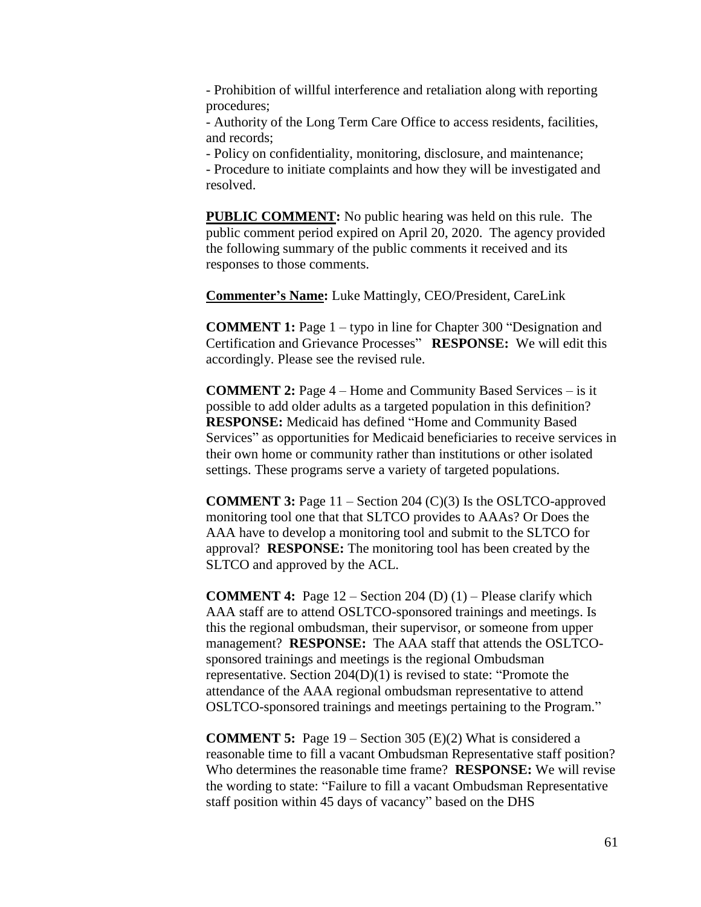- Prohibition of willful interference and retaliation along with reporting procedures;

- Authority of the Long Term Care Office to access residents, facilities, and records;

- Policy on confidentiality, monitoring, disclosure, and maintenance;

- Procedure to initiate complaints and how they will be investigated and resolved.

**PUBLIC COMMENT:** No public hearing was held on this rule. The public comment period expired on April 20, 2020. The agency provided the following summary of the public comments it received and its responses to those comments.

**Commenter's Name:** Luke Mattingly, CEO/President, CareLink

**COMMENT 1:** Page 1 – typo in line for Chapter 300 "Designation and Certification and Grievance Processes" **RESPONSE:** We will edit this accordingly. Please see the revised rule.

**COMMENT 2:** Page 4 – Home and Community Based Services – is it possible to add older adults as a targeted population in this definition? **RESPONSE:** Medicaid has defined "Home and Community Based Services" as opportunities for Medicaid beneficiaries to receive services in their own home or community rather than institutions or other isolated settings. These programs serve a variety of targeted populations.

**COMMENT 3:** Page 11 – Section 204 (C)(3) Is the OSLTCO-approved monitoring tool one that that SLTCO provides to AAAs? Or Does the AAA have to develop a monitoring tool and submit to the SLTCO for approval? **RESPONSE:** The monitoring tool has been created by the SLTCO and approved by the ACL.

**COMMENT 4:** Page 12 – Section 204 (D) (1) – Please clarify which AAA staff are to attend OSLTCO-sponsored trainings and meetings. Is this the regional ombudsman, their supervisor, or someone from upper management? **RESPONSE:** The AAA staff that attends the OSLTCOsponsored trainings and meetings is the regional Ombudsman representative. Section 204(D)(1) is revised to state: "Promote the attendance of the AAA regional ombudsman representative to attend OSLTCO-sponsored trainings and meetings pertaining to the Program."

**COMMENT 5:** Page 19 – Section 305 (E)(2) What is considered a reasonable time to fill a vacant Ombudsman Representative staff position? Who determines the reasonable time frame? **RESPONSE:** We will revise the wording to state: "Failure to fill a vacant Ombudsman Representative staff position within 45 days of vacancy" based on the DHS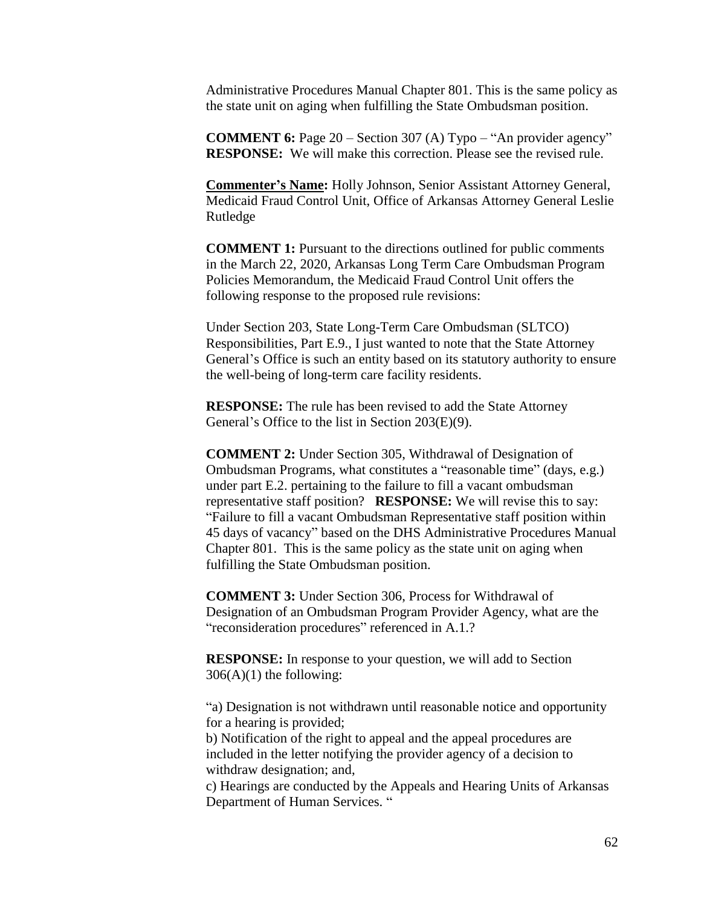Administrative Procedures Manual Chapter 801. This is the same policy as the state unit on aging when fulfilling the State Ombudsman position.

**COMMENT 6:** Page 20 – Section 307 (A) Typo – "An provider agency" **RESPONSE:** We will make this correction. Please see the revised rule.

**Commenter's Name:** Holly Johnson, Senior Assistant Attorney General, Medicaid Fraud Control Unit, Office of Arkansas Attorney General Leslie Rutledge

**COMMENT 1:** Pursuant to the directions outlined for public comments in the March 22, 2020, Arkansas Long Term Care Ombudsman Program Policies Memorandum, the Medicaid Fraud Control Unit offers the following response to the proposed rule revisions:

Under Section 203, State Long-Term Care Ombudsman (SLTCO) Responsibilities, Part E.9., I just wanted to note that the State Attorney General's Office is such an entity based on its statutory authority to ensure the well-being of long-term care facility residents.

**RESPONSE:** The rule has been revised to add the State Attorney General's Office to the list in Section 203(E)(9).

**COMMENT 2:** Under Section 305, Withdrawal of Designation of Ombudsman Programs, what constitutes a "reasonable time" (days, e.g.) under part E.2. pertaining to the failure to fill a vacant ombudsman representative staff position? **RESPONSE:** We will revise this to say: "Failure to fill a vacant Ombudsman Representative staff position within 45 days of vacancy" based on the DHS Administrative Procedures Manual Chapter 801. This is the same policy as the state unit on aging when fulfilling the State Ombudsman position.

**COMMENT 3:** Under Section 306, Process for Withdrawal of Designation of an Ombudsman Program Provider Agency, what are the "reconsideration procedures" referenced in A.1.?

**RESPONSE:** In response to your question, we will add to Section  $306(A)(1)$  the following:

"a) Designation is not withdrawn until reasonable notice and opportunity for a hearing is provided;

b) Notification of the right to appeal and the appeal procedures are included in the letter notifying the provider agency of a decision to withdraw designation; and,

c) Hearings are conducted by the Appeals and Hearing Units of Arkansas Department of Human Services. "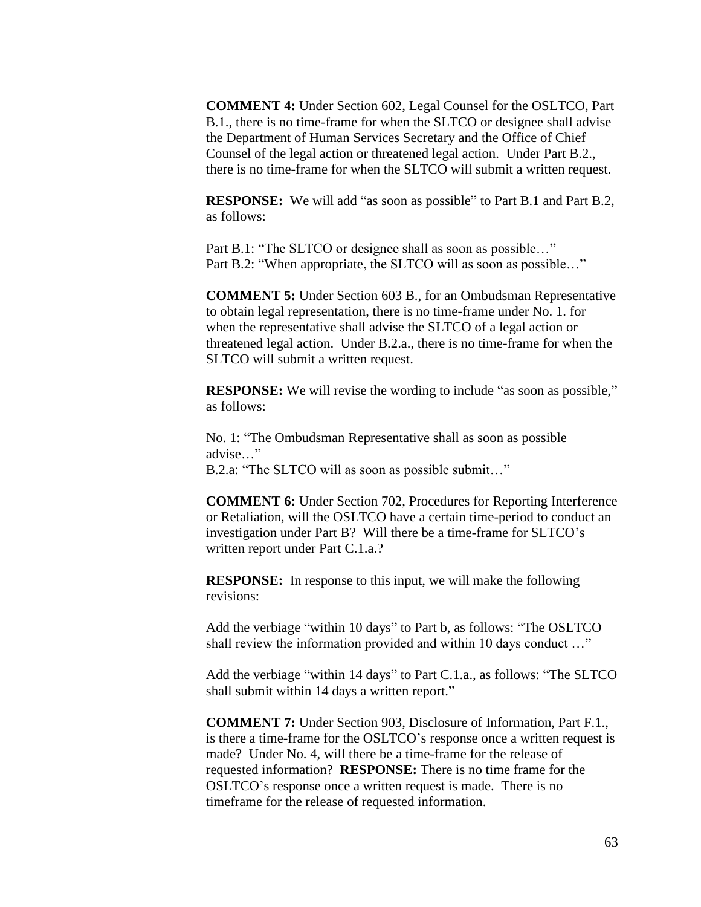**COMMENT 4:** Under Section 602, Legal Counsel for the OSLTCO, Part B.1., there is no time-frame for when the SLTCO or designee shall advise the Department of Human Services Secretary and the Office of Chief Counsel of the legal action or threatened legal action. Under Part B.2., there is no time-frame for when the SLTCO will submit a written request.

**RESPONSE:** We will add "as soon as possible" to Part B.1 and Part B.2, as follows:

Part B.1: "The SLTCO or designee shall as soon as possible…" Part B.2: "When appropriate, the SLTCO will as soon as possible…"

**COMMENT 5:** Under Section 603 B., for an Ombudsman Representative to obtain legal representation, there is no time-frame under No. 1. for when the representative shall advise the SLTCO of a legal action or threatened legal action. Under B.2.a., there is no time-frame for when the SLTCO will submit a written request.

**RESPONSE:** We will revise the wording to include "as soon as possible," as follows:

No. 1: "The Ombudsman Representative shall as soon as possible advise…" B.2.a: "The SLTCO will as soon as possible submit…"

**COMMENT 6:** Under Section 702, Procedures for Reporting Interference or Retaliation, will the OSLTCO have a certain time-period to conduct an investigation under Part B? Will there be a time-frame for SLTCO's written report under Part C.1.a.?

**RESPONSE:** In response to this input, we will make the following revisions:

Add the verbiage "within 10 days" to Part b, as follows: "The OSLTCO shall review the information provided and within 10 days conduct …"

Add the verbiage "within 14 days" to Part C.1.a., as follows: "The SLTCO shall submit within 14 days a written report."

**COMMENT 7:** Under Section 903, Disclosure of Information, Part F.1., is there a time-frame for the OSLTCO's response once a written request is made? Under No. 4, will there be a time-frame for the release of requested information? **RESPONSE:** There is no time frame for the OSLTCO's response once a written request is made. There is no timeframe for the release of requested information.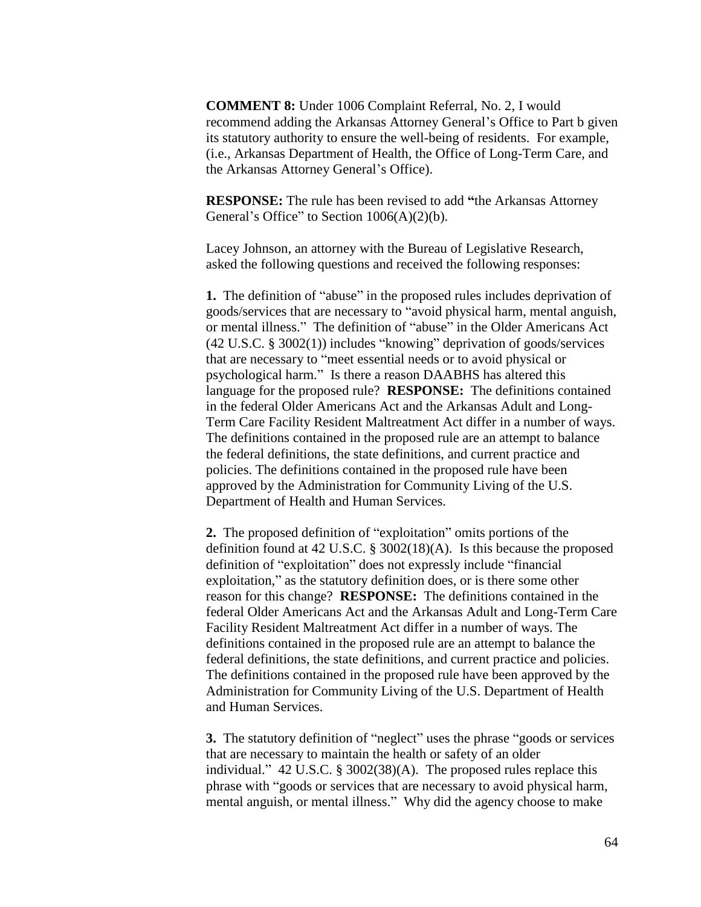**COMMENT 8:** Under 1006 Complaint Referral, No. 2, I would recommend adding the Arkansas Attorney General's Office to Part b given its statutory authority to ensure the well-being of residents. For example, (i.e., Arkansas Department of Health, the Office of Long-Term Care, and the Arkansas Attorney General's Office).

**RESPONSE:** The rule has been revised to add **"**the Arkansas Attorney General's Office" to Section  $1006(A)(2)(b)$ .

Lacey Johnson, an attorney with the Bureau of Legislative Research, asked the following questions and received the following responses:

**1.** The definition of "abuse" in the proposed rules includes deprivation of goods/services that are necessary to "avoid physical harm, mental anguish, or mental illness." The definition of "abuse" in the Older Americans Act (42 U.S.C. § 3002(1)) includes "knowing" deprivation of goods/services that are necessary to "meet essential needs or to avoid physical or psychological harm." Is there a reason DAABHS has altered this language for the proposed rule? **RESPONSE:** The definitions contained in the federal Older Americans Act and the Arkansas Adult and Long-Term Care Facility Resident Maltreatment Act differ in a number of ways. The definitions contained in the proposed rule are an attempt to balance the federal definitions, the state definitions, and current practice and policies. The definitions contained in the proposed rule have been approved by the Administration for Community Living of the U.S. Department of Health and Human Services.

**2.** The proposed definition of "exploitation" omits portions of the definition found at 42 U.S.C. § 3002(18)(A). Is this because the proposed definition of "exploitation" does not expressly include "financial exploitation," as the statutory definition does, or is there some other reason for this change? **RESPONSE:** The definitions contained in the federal Older Americans Act and the Arkansas Adult and Long-Term Care Facility Resident Maltreatment Act differ in a number of ways. The definitions contained in the proposed rule are an attempt to balance the federal definitions, the state definitions, and current practice and policies. The definitions contained in the proposed rule have been approved by the Administration for Community Living of the U.S. Department of Health and Human Services.

**3.** The statutory definition of "neglect" uses the phrase "goods or services that are necessary to maintain the health or safety of an older individual." 42 U.S.C. § 3002(38)(A). The proposed rules replace this phrase with "goods or services that are necessary to avoid physical harm, mental anguish, or mental illness." Why did the agency choose to make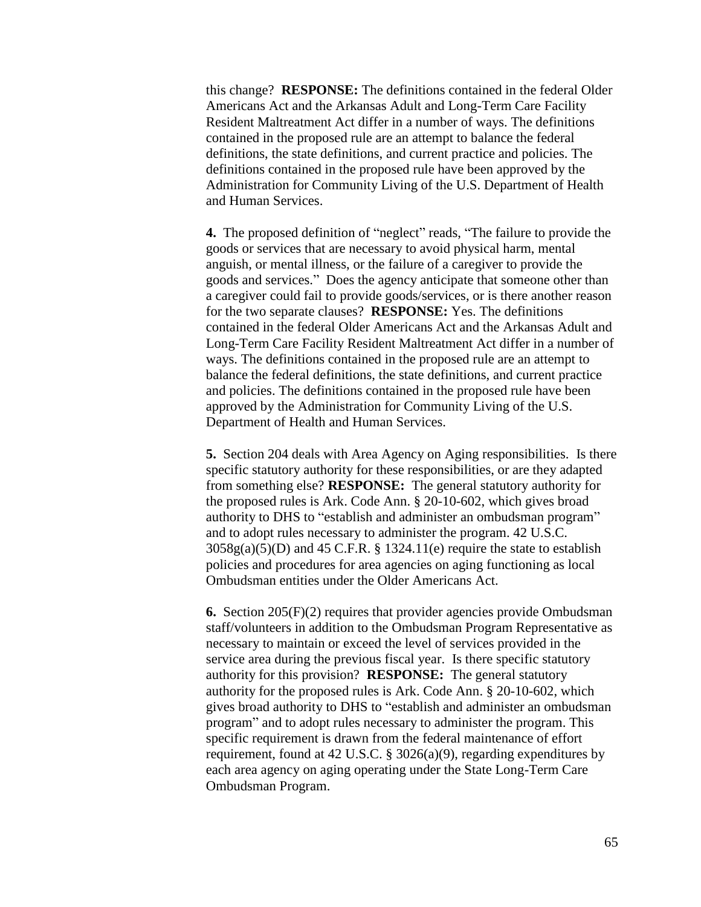this change? **RESPONSE:** The definitions contained in the federal Older Americans Act and the Arkansas Adult and Long-Term Care Facility Resident Maltreatment Act differ in a number of ways. The definitions contained in the proposed rule are an attempt to balance the federal definitions, the state definitions, and current practice and policies. The definitions contained in the proposed rule have been approved by the Administration for Community Living of the U.S. Department of Health and Human Services.

**4.** The proposed definition of "neglect" reads, "The failure to provide the goods or services that are necessary to avoid physical harm, mental anguish, or mental illness, or the failure of a caregiver to provide the goods and services." Does the agency anticipate that someone other than a caregiver could fail to provide goods/services, or is there another reason for the two separate clauses? **RESPONSE:** Yes. The definitions contained in the federal Older Americans Act and the Arkansas Adult and Long-Term Care Facility Resident Maltreatment Act differ in a number of ways. The definitions contained in the proposed rule are an attempt to balance the federal definitions, the state definitions, and current practice and policies. The definitions contained in the proposed rule have been approved by the Administration for Community Living of the U.S. Department of Health and Human Services.

**5.** Section 204 deals with Area Agency on Aging responsibilities. Is there specific statutory authority for these responsibilities, or are they adapted from something else? **RESPONSE:** The general statutory authority for the proposed rules is Ark. Code Ann. § 20-10-602, which gives broad authority to DHS to "establish and administer an ombudsman program" and to adopt rules necessary to administer the program. 42 U.S.C.  $3058g(a)(5)(D)$  and  $45$  C.F.R. § 1324.11(e) require the state to establish policies and procedures for area agencies on aging functioning as local Ombudsman entities under the Older Americans Act.

**6.** Section 205(F)(2) requires that provider agencies provide Ombudsman staff/volunteers in addition to the Ombudsman Program Representative as necessary to maintain or exceed the level of services provided in the service area during the previous fiscal year. Is there specific statutory authority for this provision? **RESPONSE:** The general statutory authority for the proposed rules is Ark. Code Ann. § 20-10-602, which gives broad authority to DHS to "establish and administer an ombudsman program" and to adopt rules necessary to administer the program. This specific requirement is drawn from the federal maintenance of effort requirement, found at 42 U.S.C. § 3026(a)(9), regarding expenditures by each area agency on aging operating under the State Long-Term Care Ombudsman Program.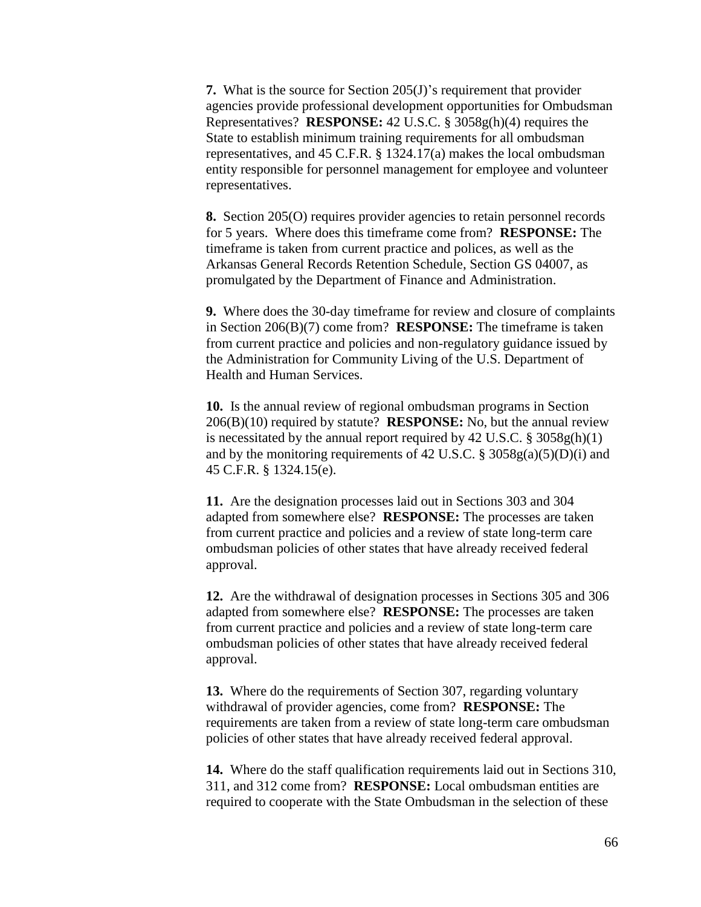**7.** What is the source for Section 205(J)'s requirement that provider agencies provide professional development opportunities for Ombudsman Representatives? **RESPONSE:** 42 U.S.C. § 3058g(h)(4) requires the State to establish minimum training requirements for all ombudsman representatives, and 45 C.F.R. § 1324.17(a) makes the local ombudsman entity responsible for personnel management for employee and volunteer representatives.

**8.** Section 205(O) requires provider agencies to retain personnel records for 5 years. Where does this timeframe come from? **RESPONSE:** The timeframe is taken from current practice and polices, as well as the Arkansas General Records Retention Schedule, Section GS 04007, as promulgated by the Department of Finance and Administration.

**9.** Where does the 30-day timeframe for review and closure of complaints in Section 206(B)(7) come from? **RESPONSE:** The timeframe is taken from current practice and policies and non-regulatory guidance issued by the Administration for Community Living of the U.S. Department of Health and Human Services.

**10.** Is the annual review of regional ombudsman programs in Section 206(B)(10) required by statute? **RESPONSE:** No, but the annual review is necessitated by the annual report required by  $42 \text{ U.S.C. }$  §  $3058 \text{ g(h)}(1)$ and by the monitoring requirements of 42 U.S.C. § 3058g(a)(5)(D)(i) and 45 C.F.R. § 1324.15(e).

**11.** Are the designation processes laid out in Sections 303 and 304 adapted from somewhere else? **RESPONSE:** The processes are taken from current practice and policies and a review of state long-term care ombudsman policies of other states that have already received federal approval.

**12.** Are the withdrawal of designation processes in Sections 305 and 306 adapted from somewhere else? **RESPONSE:** The processes are taken from current practice and policies and a review of state long-term care ombudsman policies of other states that have already received federal approval.

**13.** Where do the requirements of Section 307, regarding voluntary withdrawal of provider agencies, come from? **RESPONSE:** The requirements are taken from a review of state long-term care ombudsman policies of other states that have already received federal approval.

**14.** Where do the staff qualification requirements laid out in Sections 310, 311, and 312 come from? **RESPONSE:** Local ombudsman entities are required to cooperate with the State Ombudsman in the selection of these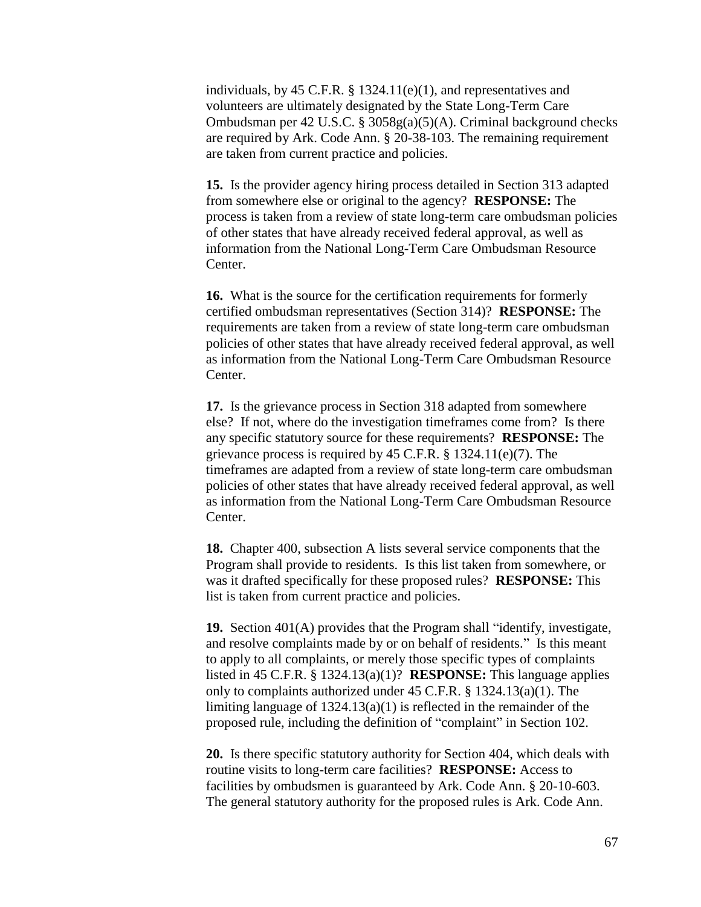individuals, by 45 C.F.R. § 1324.11(e)(1), and representatives and volunteers are ultimately designated by the State Long-Term Care Ombudsman per 42 U.S.C. § 3058g(a)(5)(A). Criminal background checks are required by Ark. Code Ann. § 20-38-103. The remaining requirement are taken from current practice and policies.

**15.** Is the provider agency hiring process detailed in Section 313 adapted from somewhere else or original to the agency? **RESPONSE:** The process is taken from a review of state long-term care ombudsman policies of other states that have already received federal approval, as well as information from the National Long-Term Care Ombudsman Resource Center.

**16.** What is the source for the certification requirements for formerly certified ombudsman representatives (Section 314)? **RESPONSE:** The requirements are taken from a review of state long-term care ombudsman policies of other states that have already received federal approval, as well as information from the National Long-Term Care Ombudsman Resource Center.

**17.** Is the grievance process in Section 318 adapted from somewhere else? If not, where do the investigation timeframes come from? Is there any specific statutory source for these requirements? **RESPONSE:** The grievance process is required by 45 C.F.R. § 1324.11(e)(7). The timeframes are adapted from a review of state long-term care ombudsman policies of other states that have already received federal approval, as well as information from the National Long-Term Care Ombudsman Resource Center.

**18.** Chapter 400, subsection A lists several service components that the Program shall provide to residents. Is this list taken from somewhere, or was it drafted specifically for these proposed rules? **RESPONSE:** This list is taken from current practice and policies.

**19.** Section 401(A) provides that the Program shall "identify, investigate, and resolve complaints made by or on behalf of residents." Is this meant to apply to all complaints, or merely those specific types of complaints listed in 45 C.F.R. § 1324.13(a)(1)? **RESPONSE:** This language applies only to complaints authorized under 45 C.F.R. § 1324.13(a)(1). The limiting language of 1324.13(a)(1) is reflected in the remainder of the proposed rule, including the definition of "complaint" in Section 102.

**20.** Is there specific statutory authority for Section 404, which deals with routine visits to long-term care facilities? **RESPONSE:** Access to facilities by ombudsmen is guaranteed by Ark. Code Ann. § 20-10-603. The general statutory authority for the proposed rules is Ark. Code Ann.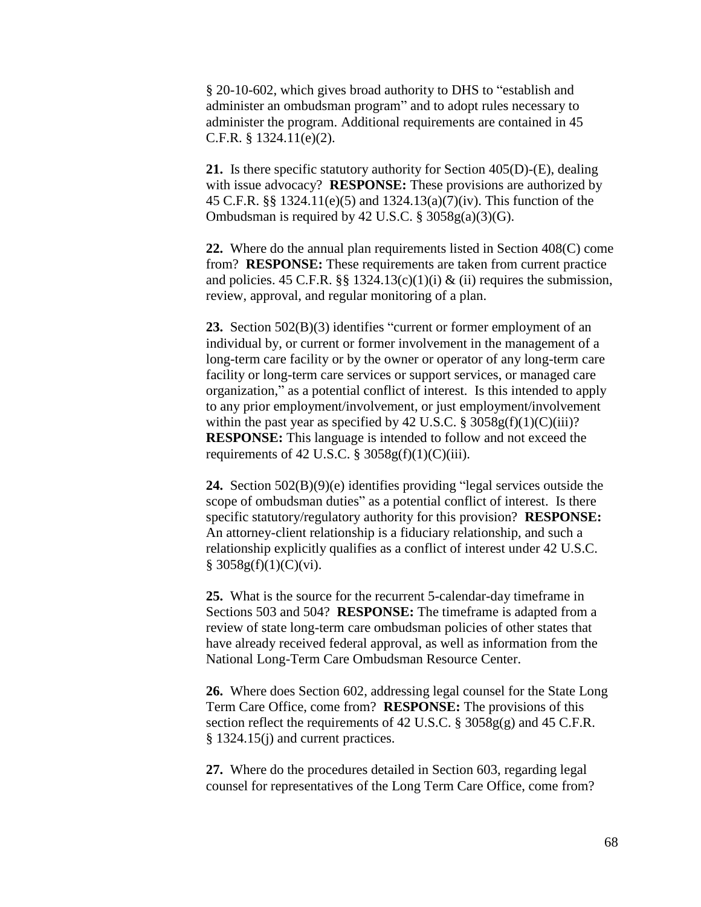§ 20-10-602, which gives broad authority to DHS to "establish and administer an ombudsman program" and to adopt rules necessary to administer the program. Additional requirements are contained in 45 C.F.R. § 1324.11(e)(2).

**21.** Is there specific statutory authority for Section 405(D)-(E), dealing with issue advocacy? **RESPONSE:** These provisions are authorized by 45 C.F.R. §§ 1324.11(e)(5) and 1324.13(a)(7)(iv). This function of the Ombudsman is required by 42 U.S.C.  $\S 3058g(a)(3)(G)$ .

**22.** Where do the annual plan requirements listed in Section 408(C) come from? **RESPONSE:** These requirements are taken from current practice and policies. 45 C.F.R. §§ 1324.13(c)(1)(i) & (ii) requires the submission, review, approval, and regular monitoring of a plan.

**23.** Section 502(B)(3) identifies "current or former employment of an individual by, or current or former involvement in the management of a long-term care facility or by the owner or operator of any long-term care facility or long-term care services or support services, or managed care organization," as a potential conflict of interest. Is this intended to apply to any prior employment/involvement, or just employment/involvement within the past year as specified by 42 U.S.C.  $\S 3058g(f)(1)(C)(iii)$ ? **RESPONSE:** This language is intended to follow and not exceed the requirements of 42 U.S.C.  $\S 3058g(f)(1)(C)(iii)$ .

**24.** Section 502(B)(9)(e) identifies providing "legal services outside the scope of ombudsman duties" as a potential conflict of interest. Is there specific statutory/regulatory authority for this provision? **RESPONSE:** An attorney-client relationship is a fiduciary relationship, and such a relationship explicitly qualifies as a conflict of interest under 42 U.S.C.  $§ 3058g(f)(1)(C)(vi).$ 

**25.** What is the source for the recurrent 5-calendar-day timeframe in Sections 503 and 504? **RESPONSE:** The timeframe is adapted from a review of state long-term care ombudsman policies of other states that have already received federal approval, as well as information from the National Long-Term Care Ombudsman Resource Center.

**26.** Where does Section 602, addressing legal counsel for the State Long Term Care Office, come from? **RESPONSE:** The provisions of this section reflect the requirements of 42 U.S.C. § 3058g(g) and 45 C.F.R. § 1324.15(j) and current practices.

**27.** Where do the procedures detailed in Section 603, regarding legal counsel for representatives of the Long Term Care Office, come from?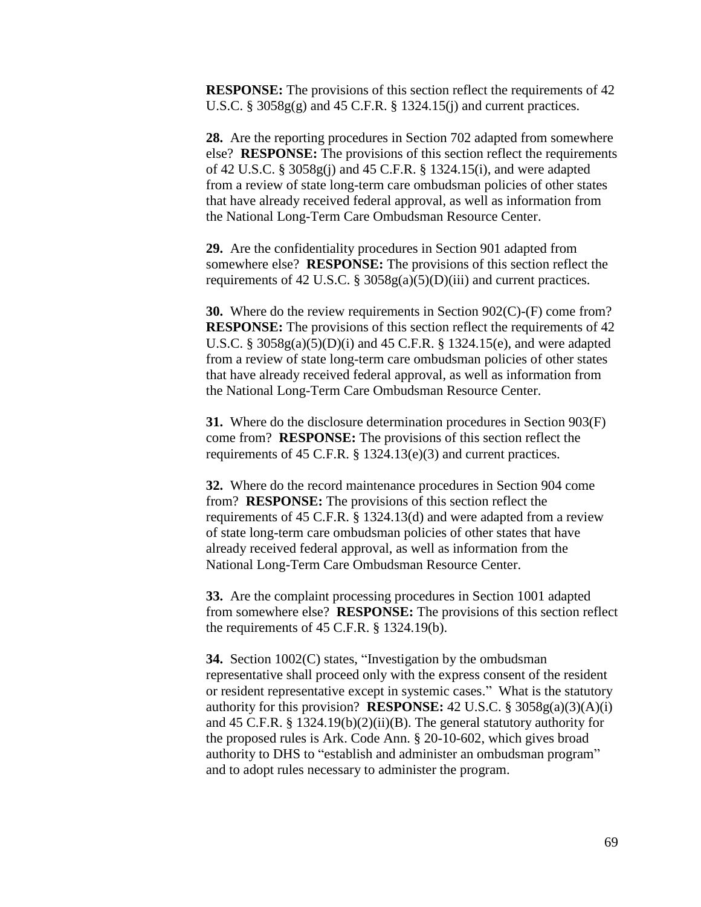**RESPONSE:** The provisions of this section reflect the requirements of 42 U.S.C.  $\S 3058g(g)$  and 45 C.F.R.  $\S 1324.15(i)$  and current practices.

**28.** Are the reporting procedures in Section 702 adapted from somewhere else? **RESPONSE:** The provisions of this section reflect the requirements of 42 U.S.C. § 3058g(j) and 45 C.F.R. § 1324.15(i), and were adapted from a review of state long-term care ombudsman policies of other states that have already received federal approval, as well as information from the National Long-Term Care Ombudsman Resource Center.

**29.** Are the confidentiality procedures in Section 901 adapted from somewhere else? **RESPONSE:** The provisions of this section reflect the requirements of 42 U.S.C. § 3058g(a)(5)(D)(iii) and current practices.

**30.** Where do the review requirements in Section 902(C)-(F) come from? **RESPONSE:** The provisions of this section reflect the requirements of 42 U.S.C. § 3058g(a)(5)(D)(i) and 45 C.F.R. § 1324.15(e), and were adapted from a review of state long-term care ombudsman policies of other states that have already received federal approval, as well as information from the National Long-Term Care Ombudsman Resource Center.

**31.** Where do the disclosure determination procedures in Section 903(F) come from? **RESPONSE:** The provisions of this section reflect the requirements of 45 C.F.R. § 1324.13(e)(3) and current practices.

**32.** Where do the record maintenance procedures in Section 904 come from? **RESPONSE:** The provisions of this section reflect the requirements of 45 C.F.R. § 1324.13(d) and were adapted from a review of state long-term care ombudsman policies of other states that have already received federal approval, as well as information from the National Long-Term Care Ombudsman Resource Center.

**33.** Are the complaint processing procedures in Section 1001 adapted from somewhere else? **RESPONSE:** The provisions of this section reflect the requirements of 45 C.F.R. § 1324.19(b).

**34.** Section 1002(C) states, "Investigation by the ombudsman representative shall proceed only with the express consent of the resident or resident representative except in systemic cases." What is the statutory authority for this provision? **RESPONSE:** 42 U.S.C. § 3058g(a)(3)(A)(i) and 45 C.F.R. § 1324.19(b)(2)(ii)(B). The general statutory authority for the proposed rules is Ark. Code Ann. § 20-10-602, which gives broad authority to DHS to "establish and administer an ombudsman program" and to adopt rules necessary to administer the program.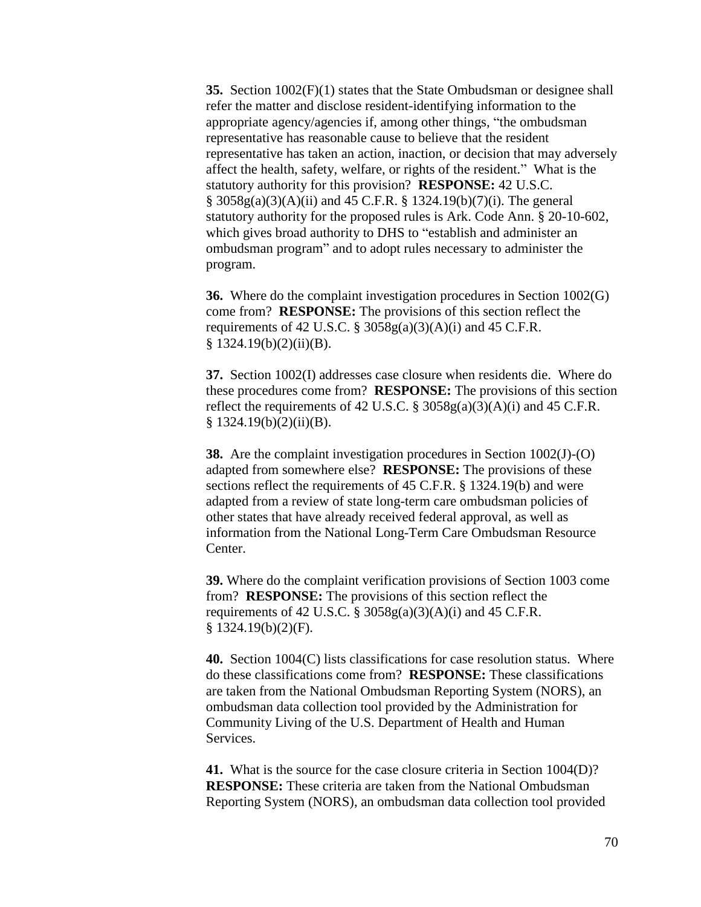**35.** Section 1002(F)(1) states that the State Ombudsman or designee shall refer the matter and disclose resident-identifying information to the appropriate agency/agencies if, among other things, "the ombudsman representative has reasonable cause to believe that the resident representative has taken an action, inaction, or decision that may adversely affect the health, safety, welfare, or rights of the resident." What is the statutory authority for this provision? **RESPONSE:** 42 U.S.C. § 3058g(a)(3)(A)(ii) and 45 C.F.R. § 1324.19(b)(7)(i). The general statutory authority for the proposed rules is Ark. Code Ann. § 20-10-602, which gives broad authority to DHS to "establish and administer an ombudsman program" and to adopt rules necessary to administer the program.

**36.** Where do the complaint investigation procedures in Section 1002(G) come from? **RESPONSE:** The provisions of this section reflect the requirements of 42 U.S.C.  $\S 3058g(a)(3)(A)(i)$  and 45 C.F.R.  $§ 1324.19(b)(2)(ii)(B).$ 

**37.** Section 1002(I) addresses case closure when residents die. Where do these procedures come from? **RESPONSE:** The provisions of this section reflect the requirements of 42 U.S.C.  $\S 3058g(a)(3)(A)(i)$  and 45 C.F.R.  $§ 1324.19(b)(2)(ii)(B).$ 

**38.** Are the complaint investigation procedures in Section 1002(J)-(O) adapted from somewhere else? **RESPONSE:** The provisions of these sections reflect the requirements of 45 C.F.R. § 1324.19(b) and were adapted from a review of state long-term care ombudsman policies of other states that have already received federal approval, as well as information from the National Long-Term Care Ombudsman Resource Center.

**39.** Where do the complaint verification provisions of Section 1003 come from? **RESPONSE:** The provisions of this section reflect the requirements of 42 U.S.C.  $\S 3058g(a)(3)(A)(i)$  and 45 C.F.R.  $§ 1324.19(b)(2)(F).$ 

**40.** Section 1004(C) lists classifications for case resolution status. Where do these classifications come from? **RESPONSE:** These classifications are taken from the National Ombudsman Reporting System (NORS), an ombudsman data collection tool provided by the Administration for Community Living of the U.S. Department of Health and Human Services.

**41.** What is the source for the case closure criteria in Section 1004(D)? **RESPONSE:** These criteria are taken from the National Ombudsman Reporting System (NORS), an ombudsman data collection tool provided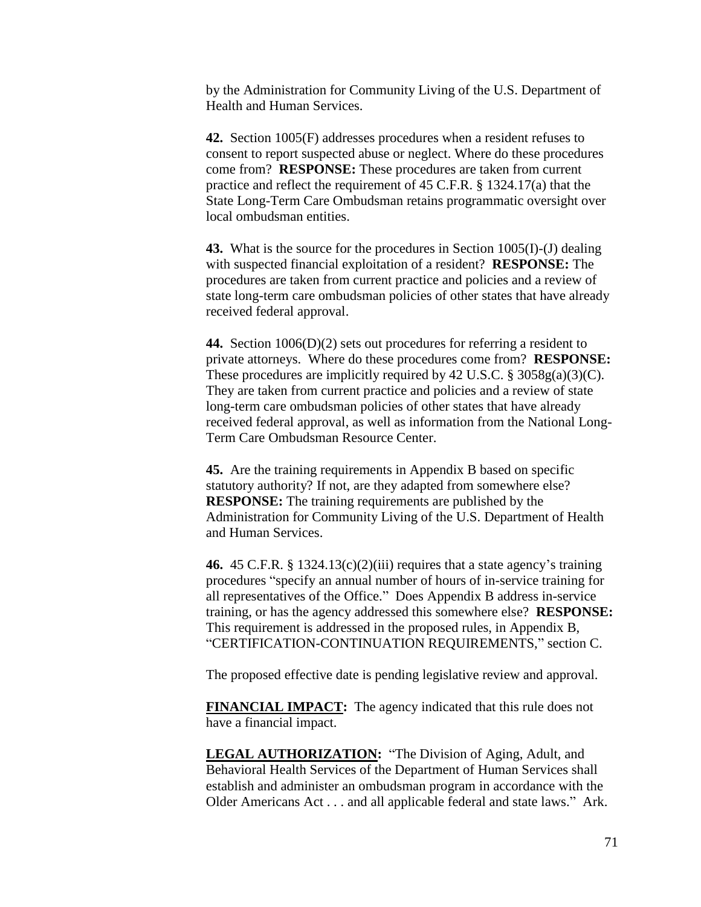by the Administration for Community Living of the U.S. Department of Health and Human Services.

**42.** Section 1005(F) addresses procedures when a resident refuses to consent to report suspected abuse or neglect. Where do these procedures come from? **RESPONSE:** These procedures are taken from current practice and reflect the requirement of 45 C.F.R. § 1324.17(a) that the State Long-Term Care Ombudsman retains programmatic oversight over local ombudsman entities.

**43.** What is the source for the procedures in Section 1005(I)-(J) dealing with suspected financial exploitation of a resident? **RESPONSE:** The procedures are taken from current practice and policies and a review of state long-term care ombudsman policies of other states that have already received federal approval.

**44.** Section 1006(D)(2) sets out procedures for referring a resident to private attorneys. Where do these procedures come from? **RESPONSE:** These procedures are implicitly required by 42 U.S.C.  $\S 3058g(a)(3)(C)$ . They are taken from current practice and policies and a review of state long-term care ombudsman policies of other states that have already received federal approval, as well as information from the National Long-Term Care Ombudsman Resource Center.

**45.** Are the training requirements in Appendix B based on specific statutory authority? If not, are they adapted from somewhere else? **RESPONSE:** The training requirements are published by the Administration for Community Living of the U.S. Department of Health and Human Services.

**46.** 45 C.F.R. § 1324.13(c)(2)(iii) requires that a state agency's training procedures "specify an annual number of hours of in-service training for all representatives of the Office." Does Appendix B address in-service training, or has the agency addressed this somewhere else? **RESPONSE:** This requirement is addressed in the proposed rules, in Appendix B, "CERTIFICATION-CONTINUATION REQUIREMENTS," section C.

The proposed effective date is pending legislative review and approval.

**FINANCIAL IMPACT:** The agency indicated that this rule does not have a financial impact.

**LEGAL AUTHORIZATION:** "The Division of Aging, Adult, and Behavioral Health Services of the Department of Human Services shall establish and administer an ombudsman program in accordance with the Older Americans Act . . . and all applicable federal and state laws." Ark.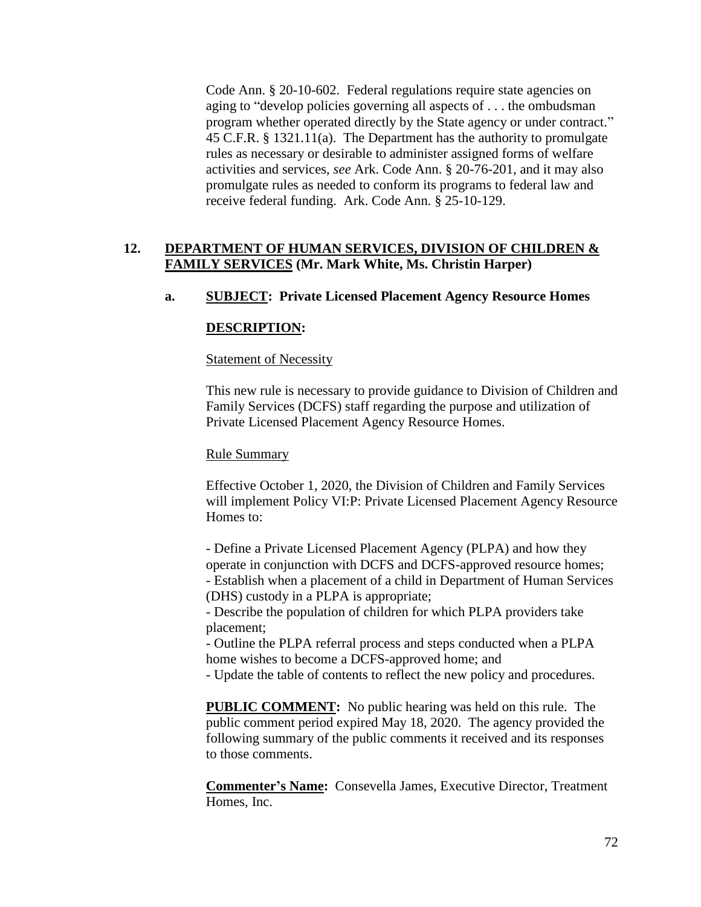Code Ann. § 20-10-602. Federal regulations require state agencies on aging to "develop policies governing all aspects of . . . the ombudsman program whether operated directly by the State agency or under contract." 45 C.F.R. § 1321.11(a). The Department has the authority to promulgate rules as necessary or desirable to administer assigned forms of welfare activities and services, *see* Ark. Code Ann. § 20-76-201, and it may also promulgate rules as needed to conform its programs to federal law and receive federal funding. Ark. Code Ann. § 25-10-129.

## **12. DEPARTMENT OF HUMAN SERVICES, DIVISION OF CHILDREN & FAMILY SERVICES (Mr. Mark White, Ms. Christin Harper)**

## **a. SUBJECT: Private Licensed Placement Agency Resource Homes**

### **DESCRIPTION:**

#### Statement of Necessity

This new rule is necessary to provide guidance to Division of Children and Family Services (DCFS) staff regarding the purpose and utilization of Private Licensed Placement Agency Resource Homes.

#### Rule Summary

Effective October 1, 2020, the Division of Children and Family Services will implement Policy VI:P: Private Licensed Placement Agency Resource Homes to:

- Define a Private Licensed Placement Agency (PLPA) and how they operate in conjunction with DCFS and DCFS-approved resource homes; - Establish when a placement of a child in Department of Human Services (DHS) custody in a PLPA is appropriate;

- Describe the population of children for which PLPA providers take placement;

- Outline the PLPA referral process and steps conducted when a PLPA home wishes to become a DCFS-approved home; and

- Update the table of contents to reflect the new policy and procedures.

**PUBLIC COMMENT:** No public hearing was held on this rule. The public comment period expired May 18, 2020. The agency provided the following summary of the public comments it received and its responses to those comments.

**Commenter's Name:** Consevella James, Executive Director, Treatment Homes, Inc.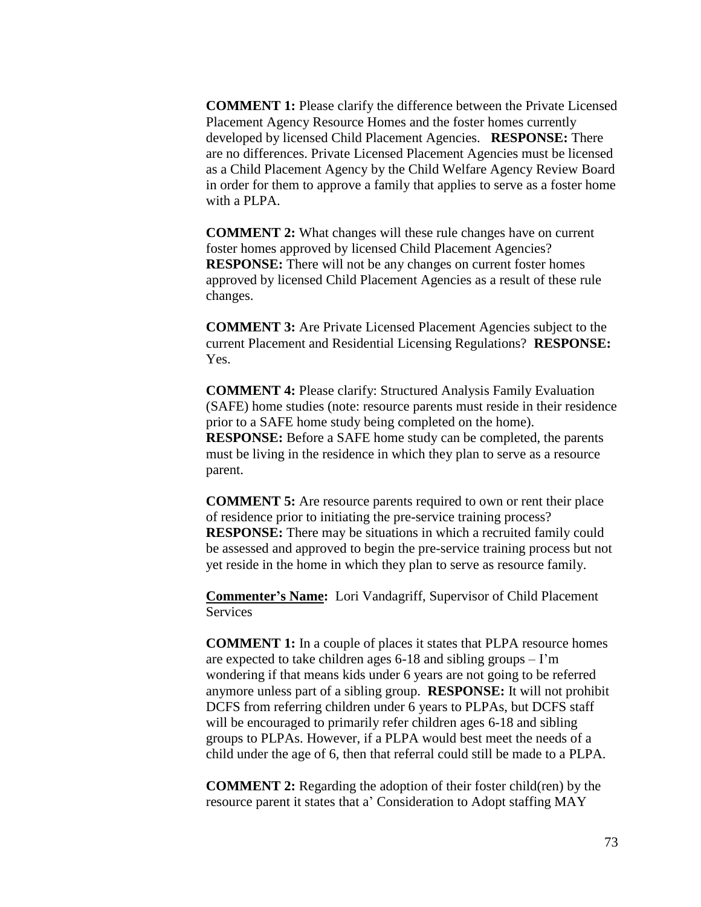**COMMENT 1:** Please clarify the difference between the Private Licensed Placement Agency Resource Homes and the foster homes currently developed by licensed Child Placement Agencies. **RESPONSE:** There are no differences. Private Licensed Placement Agencies must be licensed as a Child Placement Agency by the Child Welfare Agency Review Board in order for them to approve a family that applies to serve as a foster home with a PLPA.

**COMMENT 2:** What changes will these rule changes have on current foster homes approved by licensed Child Placement Agencies? **RESPONSE:** There will not be any changes on current foster homes approved by licensed Child Placement Agencies as a result of these rule changes.

**COMMENT 3:** Are Private Licensed Placement Agencies subject to the current Placement and Residential Licensing Regulations? **RESPONSE:**  Yes.

**COMMENT 4:** Please clarify: Structured Analysis Family Evaluation (SAFE) home studies (note: resource parents must reside in their residence prior to a SAFE home study being completed on the home). **RESPONSE:** Before a SAFE home study can be completed, the parents must be living in the residence in which they plan to serve as a resource parent.

**COMMENT 5:** Are resource parents required to own or rent their place of residence prior to initiating the pre-service training process? **RESPONSE:** There may be situations in which a recruited family could be assessed and approved to begin the pre-service training process but not yet reside in the home in which they plan to serve as resource family.

**Commenter's Name:** Lori Vandagriff, Supervisor of Child Placement Services

**COMMENT 1:** In a couple of places it states that PLPA resource homes are expected to take children ages  $6-18$  and sibling groups  $-1'm$ wondering if that means kids under 6 years are not going to be referred anymore unless part of a sibling group. **RESPONSE:** It will not prohibit DCFS from referring children under 6 years to PLPAs, but DCFS staff will be encouraged to primarily refer children ages 6-18 and sibling groups to PLPAs. However, if a PLPA would best meet the needs of a child under the age of 6, then that referral could still be made to a PLPA.

**COMMENT 2:** Regarding the adoption of their foster child(ren) by the resource parent it states that a' Consideration to Adopt staffing MAY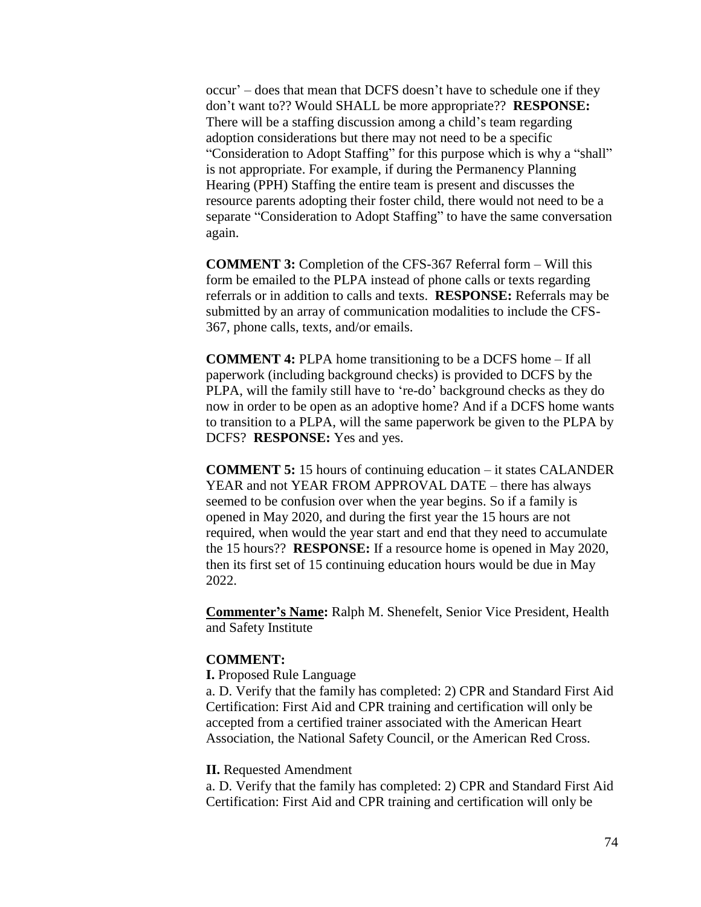occur' – does that mean that DCFS doesn't have to schedule one if they don't want to?? Would SHALL be more appropriate?? **RESPONSE:**  There will be a staffing discussion among a child's team regarding adoption considerations but there may not need to be a specific "Consideration to Adopt Staffing" for this purpose which is why a "shall" is not appropriate. For example, if during the Permanency Planning Hearing (PPH) Staffing the entire team is present and discusses the resource parents adopting their foster child, there would not need to be a separate "Consideration to Adopt Staffing" to have the same conversation again.

**COMMENT 3:** Completion of the CFS-367 Referral form – Will this form be emailed to the PLPA instead of phone calls or texts regarding referrals or in addition to calls and texts. **RESPONSE:** Referrals may be submitted by an array of communication modalities to include the CFS-367, phone calls, texts, and/or emails.

**COMMENT 4:** PLPA home transitioning to be a DCFS home – If all paperwork (including background checks) is provided to DCFS by the PLPA, will the family still have to 're-do' background checks as they do now in order to be open as an adoptive home? And if a DCFS home wants to transition to a PLPA, will the same paperwork be given to the PLPA by DCFS? **RESPONSE:** Yes and yes.

**COMMENT 5:** 15 hours of continuing education – it states CALANDER YEAR and not YEAR FROM APPROVAL DATE – there has always seemed to be confusion over when the year begins. So if a family is opened in May 2020, and during the first year the 15 hours are not required, when would the year start and end that they need to accumulate the 15 hours?? **RESPONSE:** If a resource home is opened in May 2020, then its first set of 15 continuing education hours would be due in May 2022.

**Commenter's Name:** Ralph M. Shenefelt, Senior Vice President, Health and Safety Institute

## **COMMENT:**

**I.** Proposed Rule Language

a. D. Verify that the family has completed: 2) CPR and Standard First Aid Certification: First Aid and CPR training and certification will only be accepted from a certified trainer associated with the American Heart Association, the National Safety Council, or the American Red Cross.

### **II.** Requested Amendment

a. D. Verify that the family has completed: 2) CPR and Standard First Aid Certification: First Aid and CPR training and certification will only be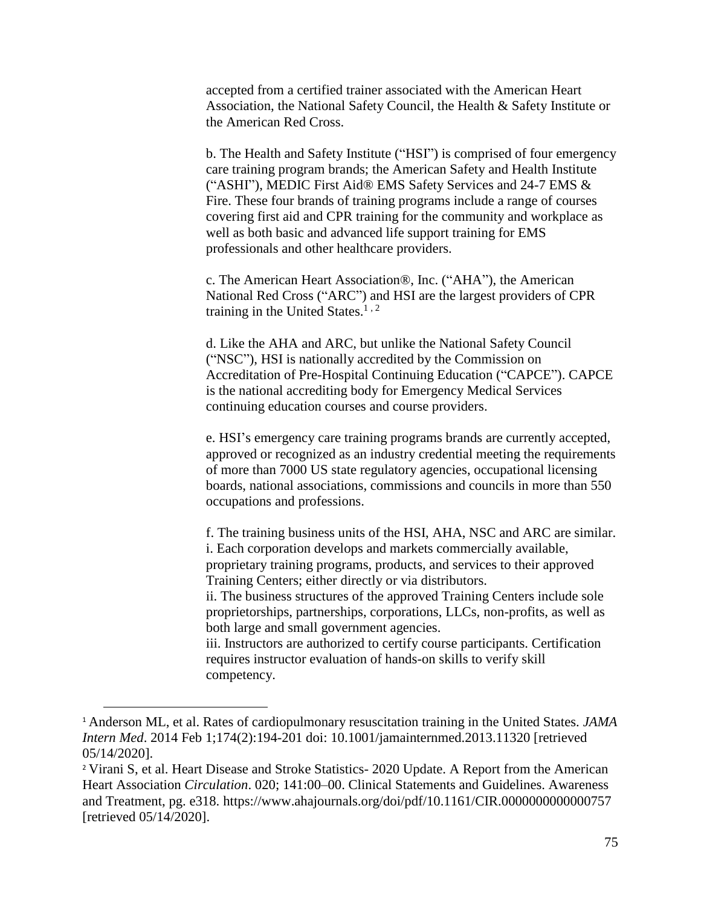accepted from a certified trainer associated with the American Heart Association, the National Safety Council, the Health & Safety Institute or the American Red Cross.

b. The Health and Safety Institute ("HSI") is comprised of four emergency care training program brands; the American Safety and Health Institute ("ASHI"), MEDIC First Aid® EMS Safety Services and 24-7 EMS & Fire. These four brands of training programs include a range of courses covering first aid and CPR training for the community and workplace as well as both basic and advanced life support training for EMS professionals and other healthcare providers.

c. The American Heart Association®, Inc. ("AHA"), the American National Red Cross ("ARC") and HSI are the largest providers of CPR training in the United States. $1, 2$ 

d. Like the AHA and ARC, but unlike the National Safety Council ("NSC"), HSI is nationally accredited by the Commission on Accreditation of Pre-Hospital Continuing Education ("CAPCE"). CAPCE is the national accrediting body for Emergency Medical Services continuing education courses and course providers.

e. HSI's emergency care training programs brands are currently accepted, approved or recognized as an industry credential meeting the requirements of more than 7000 US state regulatory agencies, occupational licensing boards, national associations, commissions and councils in more than 550 occupations and professions.

f. The training business units of the HSI, AHA, NSC and ARC are similar. i. Each corporation develops and markets commercially available, proprietary training programs, products, and services to their approved Training Centers; either directly or via distributors.

ii. The business structures of the approved Training Centers include sole proprietorships, partnerships, corporations, LLCs, non-profits, as well as both large and small government agencies.

iii. Instructors are authorized to certify course participants. Certification requires instructor evaluation of hands-on skills to verify skill competency.

 $\overline{a}$ 

<sup>1</sup> Anderson ML, et al. Rates of cardiopulmonary resuscitation training in the United States. *JAMA Intern Med*. 2014 Feb 1;174(2):194-201 doi: 10.1001/jamainternmed.2013.11320 [retrieved 05/14/2020].

<sup>&</sup>lt;sup>2</sup> Virani S, et al. Heart Disease and Stroke Statistics- 2020 Update. A Report from the American Heart Association *Circulation*. 020; 141:00–00. Clinical Statements and Guidelines. Awareness and Treatment, pg. e318. https://www.ahajournals.org/doi/pdf/10.1161/CIR.0000000000000757 [retrieved 05/14/2020].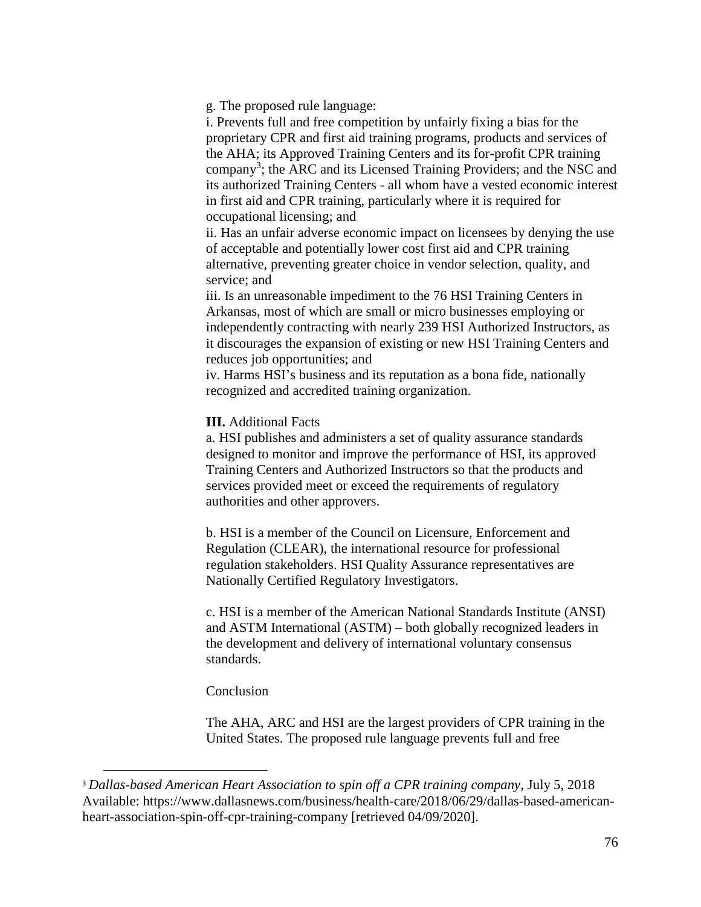g. The proposed rule language:

i. Prevents full and free competition by unfairly fixing a bias for the proprietary CPR and first aid training programs, products and services of the AHA; its Approved Training Centers and its for-profit CPR training company<sup>3</sup>; the ARC and its Licensed Training Providers; and the NSC and its authorized Training Centers - all whom have a vested economic interest in first aid and CPR training, particularly where it is required for occupational licensing; and

ii. Has an unfair adverse economic impact on licensees by denying the use of acceptable and potentially lower cost first aid and CPR training alternative, preventing greater choice in vendor selection, quality, and service; and

iii. Is an unreasonable impediment to the 76 HSI Training Centers in Arkansas, most of which are small or micro businesses employing or independently contracting with nearly 239 HSI Authorized Instructors, as it discourages the expansion of existing or new HSI Training Centers and reduces job opportunities; and

iv. Harms HSI's business and its reputation as a bona fide, nationally recognized and accredited training organization.

## **III.** Additional Facts

a. HSI publishes and administers a set of quality assurance standards designed to monitor and improve the performance of HSI, its approved Training Centers and Authorized Instructors so that the products and services provided meet or exceed the requirements of regulatory authorities and other approvers.

b. HSI is a member of the Council on Licensure, Enforcement and Regulation (CLEAR), the international resource for professional regulation stakeholders. HSI Quality Assurance representatives are Nationally Certified Regulatory Investigators.

c. HSI is a member of the American National Standards Institute (ANSI) and ASTM International (ASTM) – both globally recognized leaders in the development and delivery of international voluntary consensus standards.

#### Conclusion

 $\overline{a}$ 

The AHA, ARC and HSI are the largest providers of CPR training in the United States. The proposed rule language prevents full and free

<sup>3</sup> *Dallas-based American Heart Association to spin off a CPR training company*, July 5, 2018 Available: https://www.dallasnews.com/business/health-care/2018/06/29/dallas-based-americanheart-association-spin-off-cpr-training-company [retrieved 04/09/2020].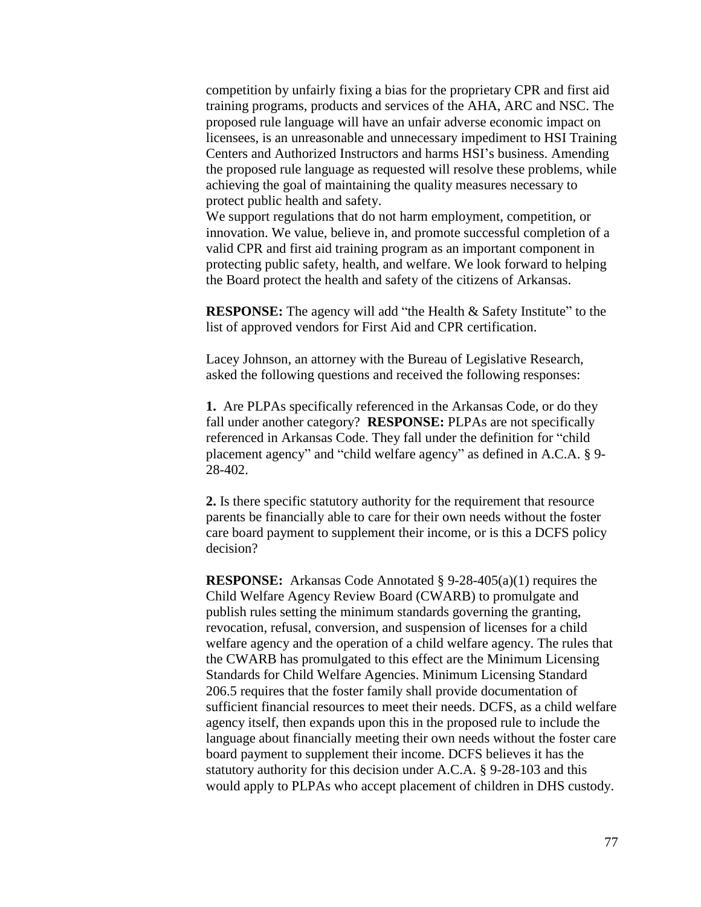competition by unfairly fixing a bias for the proprietary CPR and first aid training programs, products and services of the AHA, ARC and NSC. The proposed rule language will have an unfair adverse economic impact on licensees, is an unreasonable and unnecessary impediment to HSI Training Centers and Authorized Instructors and harms HSI's business. Amending the proposed rule language as requested will resolve these problems, while achieving the goal of maintaining the quality measures necessary to protect public health and safety.

We support regulations that do not harm employment, competition, or innovation. We value, believe in, and promote successful completion of a valid CPR and first aid training program as an important component in protecting public safety, health, and welfare. We look forward to helping the Board protect the health and safety of the citizens of Arkansas.

**RESPONSE:** The agency will add "the Health & Safety Institute" to the list of approved vendors for First Aid and CPR certification.

Lacey Johnson, an attorney with the Bureau of Legislative Research, asked the following questions and received the following responses:

**1.** Are PLPAs specifically referenced in the Arkansas Code, or do they fall under another category? **RESPONSE:** PLPAs are not specifically referenced in Arkansas Code. They fall under the definition for "child placement agency" and "child welfare agency" as defined in A.C.A. § 9- 28-402.

**2.** Is there specific statutory authority for the requirement that resource parents be financially able to care for their own needs without the foster care board payment to supplement their income, or is this a DCFS policy decision?

**RESPONSE:** Arkansas Code Annotated § 9-28-405(a)(1) requires the Child Welfare Agency Review Board (CWARB) to promulgate and publish rules setting the minimum standards governing the granting, revocation, refusal, conversion, and suspension of licenses for a child welfare agency and the operation of a child welfare agency. The rules that the CWARB has promulgated to this effect are the Minimum Licensing Standards for Child Welfare Agencies. Minimum Licensing Standard 206.5 requires that the foster family shall provide documentation of sufficient financial resources to meet their needs. DCFS, as a child welfare agency itself, then expands upon this in the proposed rule to include the language about financially meeting their own needs without the foster care board payment to supplement their income. DCFS believes it has the statutory authority for this decision under A.C.A. § 9-28-103 and this would apply to PLPAs who accept placement of children in DHS custody.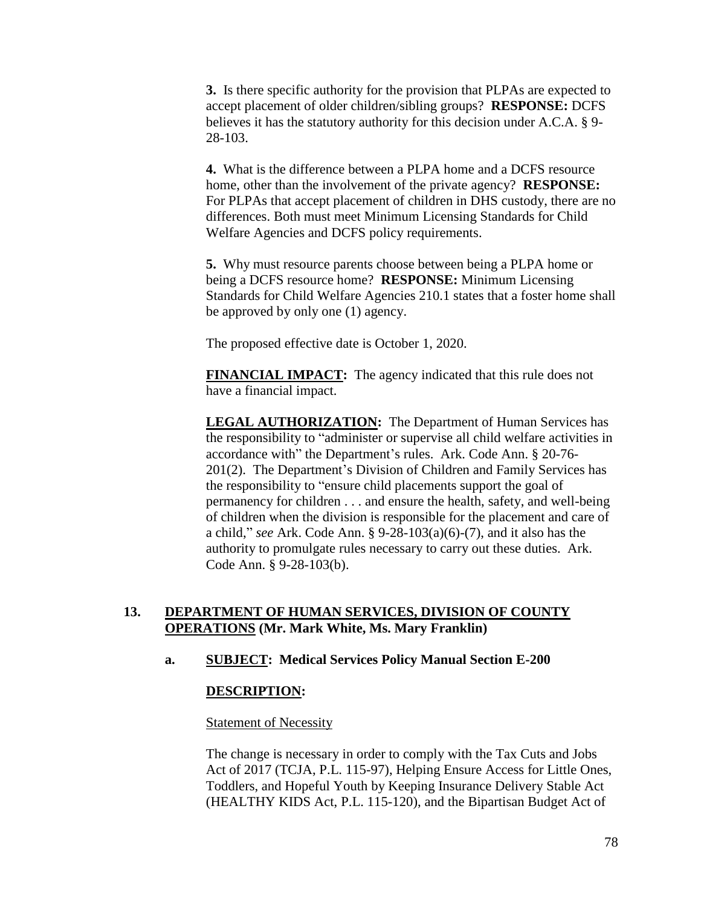**3.** Is there specific authority for the provision that PLPAs are expected to accept placement of older children/sibling groups? **RESPONSE:** DCFS believes it has the statutory authority for this decision under A.C.A. § 9- 28-103.

**4.** What is the difference between a PLPA home and a DCFS resource home, other than the involvement of the private agency? **RESPONSE:** For PLPAs that accept placement of children in DHS custody, there are no differences. Both must meet Minimum Licensing Standards for Child Welfare Agencies and DCFS policy requirements.

**5.** Why must resource parents choose between being a PLPA home or being a DCFS resource home? **RESPONSE:** Minimum Licensing Standards for Child Welfare Agencies 210.1 states that a foster home shall be approved by only one (1) agency.

The proposed effective date is October 1, 2020.

**FINANCIAL IMPACT:** The agency indicated that this rule does not have a financial impact.

**LEGAL AUTHORIZATION:** The Department of Human Services has the responsibility to "administer or supervise all child welfare activities in accordance with" the Department's rules. Ark. Code Ann. § 20-76- 201(2). The Department's Division of Children and Family Services has the responsibility to "ensure child placements support the goal of permanency for children . . . and ensure the health, safety, and well-being of children when the division is responsible for the placement and care of a child," *see* Ark. Code Ann. § 9-28-103(a)(6)-(7), and it also has the authority to promulgate rules necessary to carry out these duties. Ark. Code Ann. § 9-28-103(b).

# **13. DEPARTMENT OF HUMAN SERVICES, DIVISION OF COUNTY OPERATIONS (Mr. Mark White, Ms. Mary Franklin)**

## **a. SUBJECT: Medical Services Policy Manual Section E-200**

## **DESCRIPTION:**

#### **Statement of Necessity**

The change is necessary in order to comply with the Tax Cuts and Jobs Act of 2017 (TCJA, P.L. 115-97), Helping Ensure Access for Little Ones, Toddlers, and Hopeful Youth by Keeping Insurance Delivery Stable Act (HEALTHY KIDS Act, P.L. 115-120), and the Bipartisan Budget Act of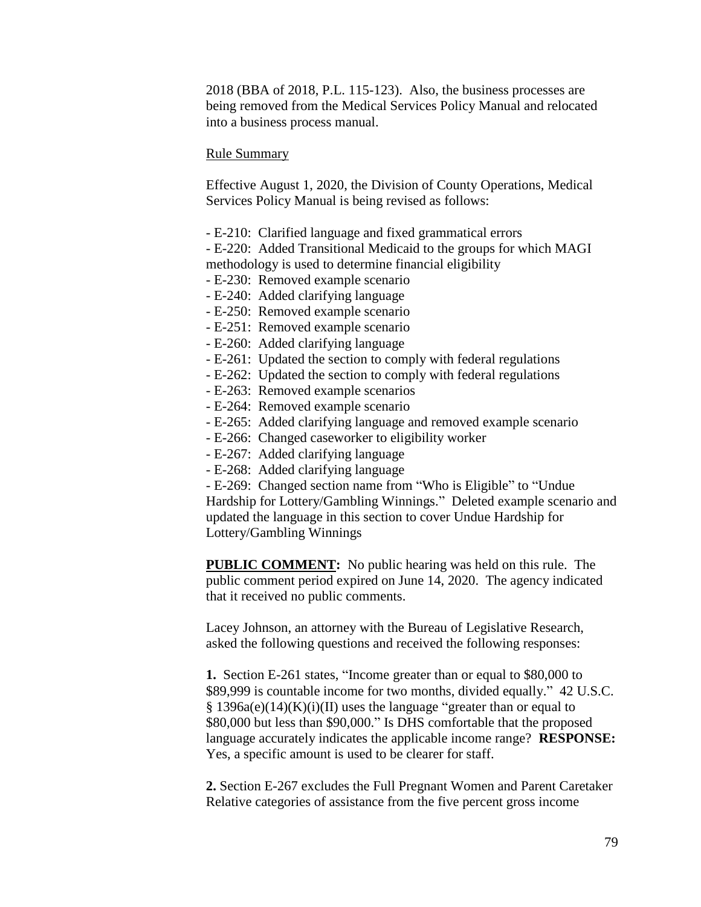2018 (BBA of 2018, P.L. 115-123). Also, the business processes are being removed from the Medical Services Policy Manual and relocated into a business process manual.

#### Rule Summary

Effective August 1, 2020, the Division of County Operations, Medical Services Policy Manual is being revised as follows:

- E-210: Clarified language and fixed grammatical errors

- E-220: Added Transitional Medicaid to the groups for which MAGI methodology is used to determine financial eligibility

- E-230: Removed example scenario
- E-240: Added clarifying language
- E-250: Removed example scenario
- E-251: Removed example scenario
- E-260: Added clarifying language
- E-261: Updated the section to comply with federal regulations
- E-262: Updated the section to comply with federal regulations
- E-263: Removed example scenarios
- E-264: Removed example scenario
- E-265: Added clarifying language and removed example scenario
- E-266: Changed caseworker to eligibility worker
- E-267: Added clarifying language
- E-268: Added clarifying language

- E-269: Changed section name from "Who is Eligible" to "Undue Hardship for Lottery/Gambling Winnings." Deleted example scenario and updated the language in this section to cover Undue Hardship for Lottery/Gambling Winnings

**PUBLIC COMMENT:** No public hearing was held on this rule. The public comment period expired on June 14, 2020. The agency indicated that it received no public comments.

Lacey Johnson, an attorney with the Bureau of Legislative Research, asked the following questions and received the following responses:

**1.** Section E-261 states, "Income greater than or equal to \$80,000 to \$89,999 is countable income for two months, divided equally." 42 U.S.C. § 1396a(e)(14)(K)(i)(II) uses the language "greater than or equal to \$80,000 but less than \$90,000." Is DHS comfortable that the proposed language accurately indicates the applicable income range? **RESPONSE:**  Yes, a specific amount is used to be clearer for staff.

**2.** Section E-267 excludes the Full Pregnant Women and Parent Caretaker Relative categories of assistance from the five percent gross income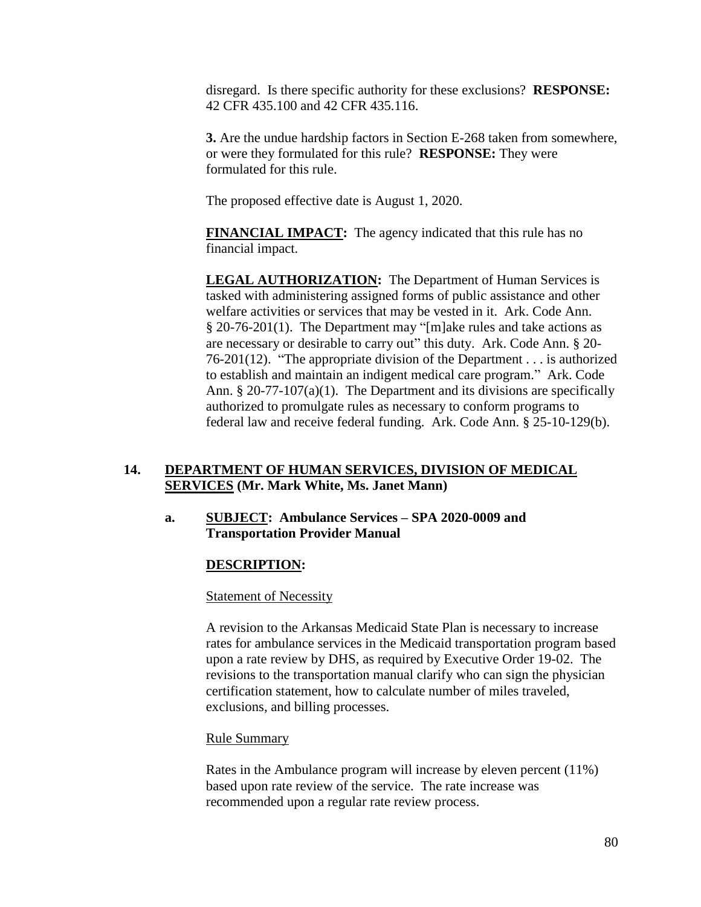disregard. Is there specific authority for these exclusions? **RESPONSE:** 42 CFR 435.100 and 42 CFR 435.116.

**3.** Are the undue hardship factors in Section E-268 taken from somewhere, or were they formulated for this rule? **RESPONSE:** They were formulated for this rule.

The proposed effective date is August 1, 2020.

**FINANCIAL IMPACT:** The agency indicated that this rule has no financial impact.

**LEGAL AUTHORIZATION:** The Department of Human Services is tasked with administering assigned forms of public assistance and other welfare activities or services that may be vested in it. Ark. Code Ann. § 20-76-201(1). The Department may "[m]ake rules and take actions as are necessary or desirable to carry out" this duty. Ark. Code Ann. § 20- 76-201(12). "The appropriate division of the Department . . . is authorized to establish and maintain an indigent medical care program." Ark. Code Ann. § 20-77-107(a)(1). The Department and its divisions are specifically authorized to promulgate rules as necessary to conform programs to federal law and receive federal funding. Ark. Code Ann. § 25-10-129(b).

# **14. DEPARTMENT OF HUMAN SERVICES, DIVISION OF MEDICAL SERVICES (Mr. Mark White, Ms. Janet Mann)**

## **a. SUBJECT: Ambulance Services – SPA 2020-0009 and Transportation Provider Manual**

# **DESCRIPTION:**

## **Statement of Necessity**

A revision to the Arkansas Medicaid State Plan is necessary to increase rates for ambulance services in the Medicaid transportation program based upon a rate review by DHS, as required by Executive Order 19-02. The revisions to the transportation manual clarify who can sign the physician certification statement, how to calculate number of miles traveled, exclusions, and billing processes.

## Rule Summary

Rates in the Ambulance program will increase by eleven percent (11%) based upon rate review of the service. The rate increase was recommended upon a regular rate review process.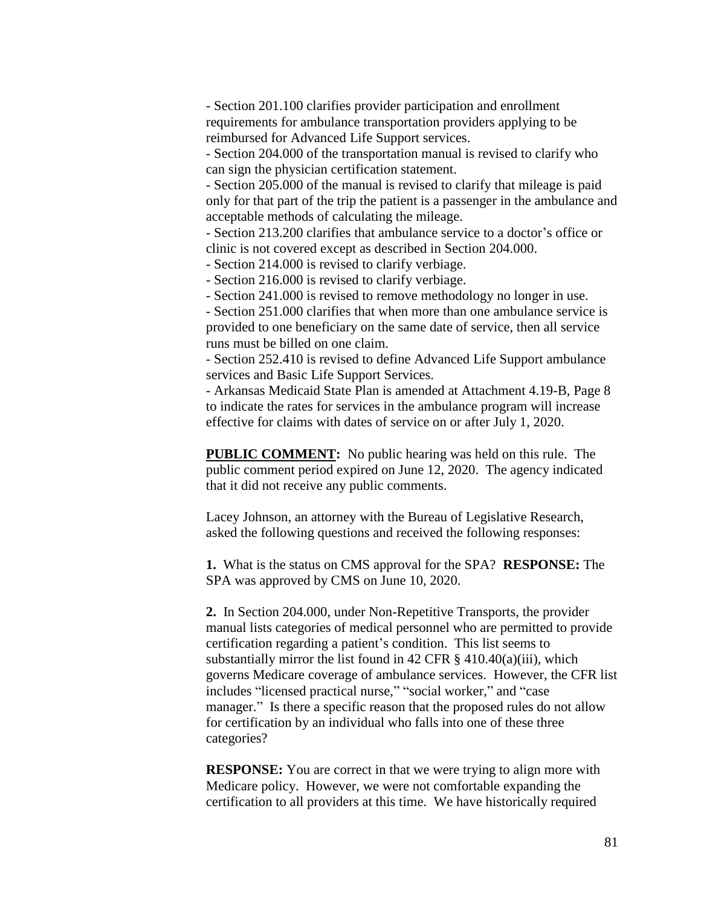- Section 201.100 clarifies provider participation and enrollment requirements for ambulance transportation providers applying to be reimbursed for Advanced Life Support services.

- Section 204.000 of the transportation manual is revised to clarify who can sign the physician certification statement.

- Section 205.000 of the manual is revised to clarify that mileage is paid only for that part of the trip the patient is a passenger in the ambulance and acceptable methods of calculating the mileage.

- Section 213.200 clarifies that ambulance service to a doctor's office or clinic is not covered except as described in Section 204.000.

- Section 214.000 is revised to clarify verbiage.

- Section 216.000 is revised to clarify verbiage.

- Section 241.000 is revised to remove methodology no longer in use.

- Section 251.000 clarifies that when more than one ambulance service is provided to one beneficiary on the same date of service, then all service runs must be billed on one claim.

- Section 252.410 is revised to define Advanced Life Support ambulance services and Basic Life Support Services.

- Arkansas Medicaid State Plan is amended at Attachment 4.19-B, Page 8 to indicate the rates for services in the ambulance program will increase effective for claims with dates of service on or after July 1, 2020.

**PUBLIC COMMENT:** No public hearing was held on this rule. The public comment period expired on June 12, 2020. The agency indicated that it did not receive any public comments.

Lacey Johnson, an attorney with the Bureau of Legislative Research, asked the following questions and received the following responses:

**1.** What is the status on CMS approval for the SPA? **RESPONSE:** The SPA was approved by CMS on June 10, 2020.

**2.** In Section 204.000, under Non-Repetitive Transports, the provider manual lists categories of medical personnel who are permitted to provide certification regarding a patient's condition. This list seems to substantially mirror the list found in 42 CFR  $\S$  410.40(a)(iii), which governs Medicare coverage of ambulance services. However, the CFR list includes "licensed practical nurse," "social worker," and "case manager." Is there a specific reason that the proposed rules do not allow for certification by an individual who falls into one of these three categories?

**RESPONSE:** You are correct in that we were trying to align more with Medicare policy. However, we were not comfortable expanding the certification to all providers at this time. We have historically required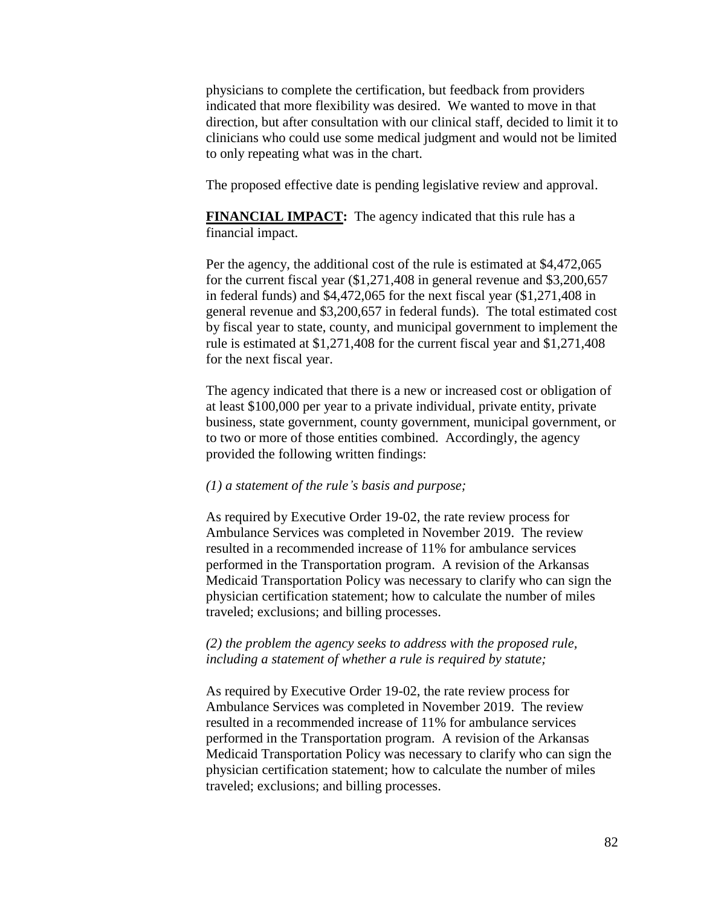physicians to complete the certification, but feedback from providers indicated that more flexibility was desired. We wanted to move in that direction, but after consultation with our clinical staff, decided to limit it to clinicians who could use some medical judgment and would not be limited to only repeating what was in the chart.

The proposed effective date is pending legislative review and approval.

**FINANCIAL IMPACT:** The agency indicated that this rule has a financial impact.

Per the agency, the additional cost of the rule is estimated at \$4,472,065 for the current fiscal year (\$1,271,408 in general revenue and \$3,200,657 in federal funds) and \$4,472,065 for the next fiscal year (\$1,271,408 in general revenue and \$3,200,657 in federal funds). The total estimated cost by fiscal year to state, county, and municipal government to implement the rule is estimated at \$1,271,408 for the current fiscal year and \$1,271,408 for the next fiscal year.

The agency indicated that there is a new or increased cost or obligation of at least \$100,000 per year to a private individual, private entity, private business, state government, county government, municipal government, or to two or more of those entities combined. Accordingly, the agency provided the following written findings:

### *(1) a statement of the rule's basis and purpose;*

As required by Executive Order 19-02, the rate review process for Ambulance Services was completed in November 2019. The review resulted in a recommended increase of 11% for ambulance services performed in the Transportation program. A revision of the Arkansas Medicaid Transportation Policy was necessary to clarify who can sign the physician certification statement; how to calculate the number of miles traveled; exclusions; and billing processes.

## *(2) the problem the agency seeks to address with the proposed rule, including a statement of whether a rule is required by statute;*

As required by Executive Order 19-02, the rate review process for Ambulance Services was completed in November 2019. The review resulted in a recommended increase of 11% for ambulance services performed in the Transportation program. A revision of the Arkansas Medicaid Transportation Policy was necessary to clarify who can sign the physician certification statement; how to calculate the number of miles traveled; exclusions; and billing processes.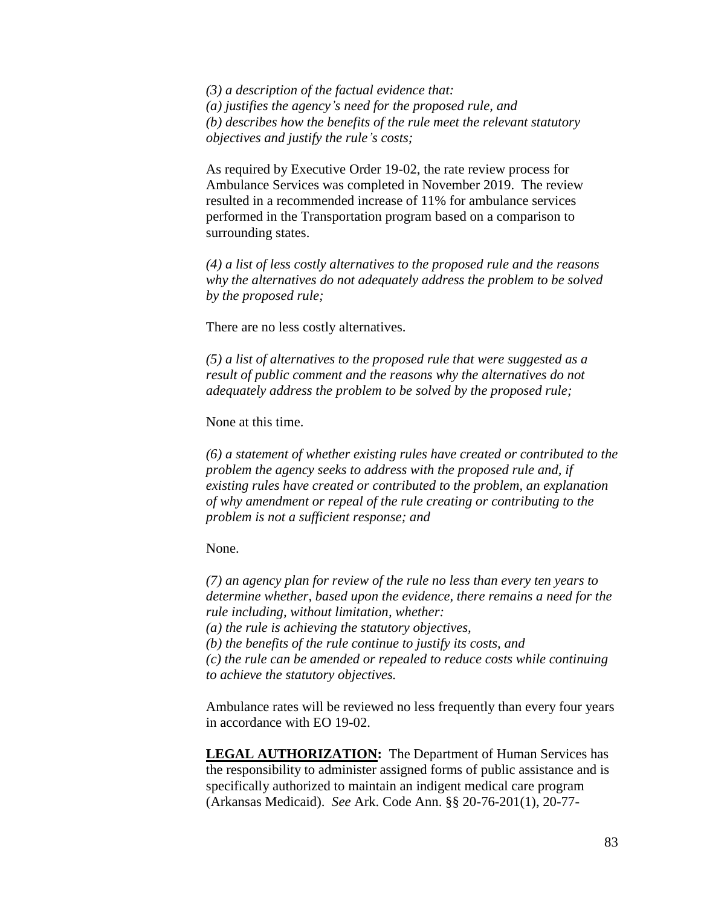*(3) a description of the factual evidence that: (a) justifies the agency's need for the proposed rule, and (b) describes how the benefits of the rule meet the relevant statutory objectives and justify the rule's costs;*

As required by Executive Order 19-02, the rate review process for Ambulance Services was completed in November 2019. The review resulted in a recommended increase of 11% for ambulance services performed in the Transportation program based on a comparison to surrounding states.

*(4) a list of less costly alternatives to the proposed rule and the reasons why the alternatives do not adequately address the problem to be solved by the proposed rule;*

There are no less costly alternatives.

*(5) a list of alternatives to the proposed rule that were suggested as a result of public comment and the reasons why the alternatives do not adequately address the problem to be solved by the proposed rule;*

None at this time.

*(6) a statement of whether existing rules have created or contributed to the problem the agency seeks to address with the proposed rule and, if existing rules have created or contributed to the problem, an explanation of why amendment or repeal of the rule creating or contributing to the problem is not a sufficient response; and*

None.

*(7) an agency plan for review of the rule no less than every ten years to determine whether, based upon the evidence, there remains a need for the rule including, without limitation, whether: (a) the rule is achieving the statutory objectives,*

*(b) the benefits of the rule continue to justify its costs, and (c) the rule can be amended or repealed to reduce costs while continuing to achieve the statutory objectives.*

Ambulance rates will be reviewed no less frequently than every four years in accordance with EO 19-02.

**LEGAL AUTHORIZATION:** The Department of Human Services has the responsibility to administer assigned forms of public assistance and is specifically authorized to maintain an indigent medical care program (Arkansas Medicaid). *See* Ark. Code Ann. §§ 20-76-201(1), 20-77-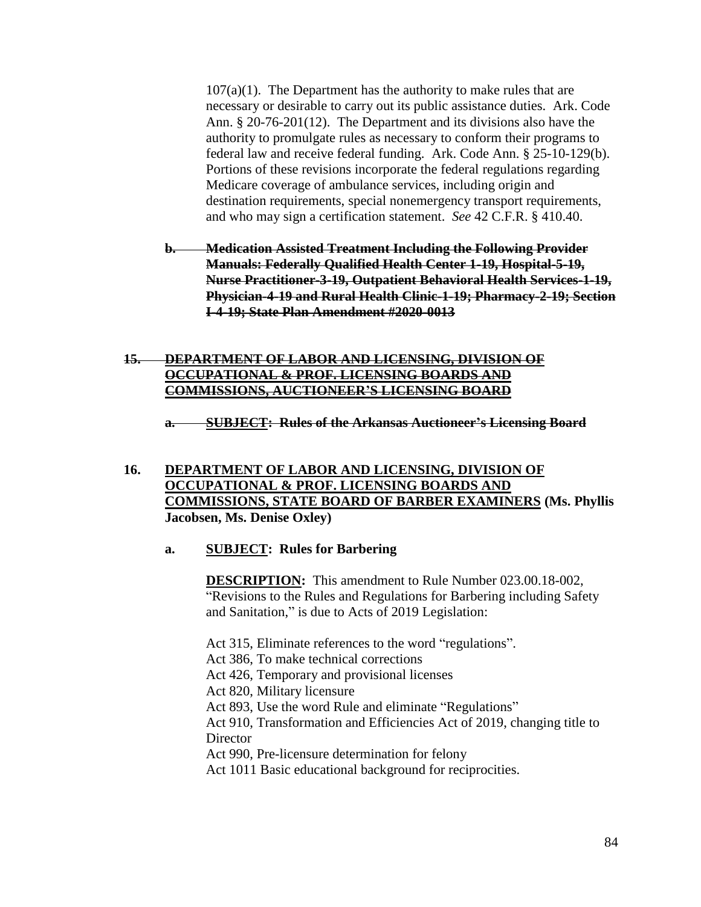$107(a)(1)$ . The Department has the authority to make rules that are necessary or desirable to carry out its public assistance duties. Ark. Code Ann. § 20-76-201(12). The Department and its divisions also have the authority to promulgate rules as necessary to conform their programs to federal law and receive federal funding. Ark. Code Ann. § 25-10-129(b). Portions of these revisions incorporate the federal regulations regarding Medicare coverage of ambulance services, including origin and destination requirements, special nonemergency transport requirements, and who may sign a certification statement. *See* 42 C.F.R. § 410.40.

- **b. Medication Assisted Treatment Including the Following Provider Manuals: Federally Qualified Health Center 1-19, Hospital-5-19, Nurse Practitioner-3-19, Outpatient Behavioral Health Services-1-19, Physician-4-19 and Rural Health Clinic-1-19; Pharmacy-2-19; Section I-4-19; State Plan Amendment #2020-0013**
- **15. DEPARTMENT OF LABOR AND LICENSING, DIVISION OF OCCUPATIONAL & PROF. LICENSING BOARDS AND COMMISSIONS, AUCTIONEER'S LICENSING BOARD**

**a. SUBJECT: Rules of the Arkansas Auctioneer's Licensing Board**

**16. DEPARTMENT OF LABOR AND LICENSING, DIVISION OF OCCUPATIONAL & PROF. LICENSING BOARDS AND COMMISSIONS, STATE BOARD OF BARBER EXAMINERS (Ms. Phyllis Jacobsen, Ms. Denise Oxley)**

## **a. SUBJECT: Rules for Barbering**

**DESCRIPTION:** This amendment to Rule Number 023.00.18-002, "Revisions to the Rules and Regulations for Barbering including Safety and Sanitation," is due to Acts of 2019 Legislation:

Act 315, Eliminate references to the word "regulations". Act 386, To make technical corrections

Act 426, Temporary and provisional licenses

Act 820, Military licensure

Act 893, Use the word Rule and eliminate "Regulations"

Act 910, Transformation and Efficiencies Act of 2019, changing title to **Director** 

Act 990, Pre-licensure determination for felony

Act 1011 Basic educational background for reciprocities.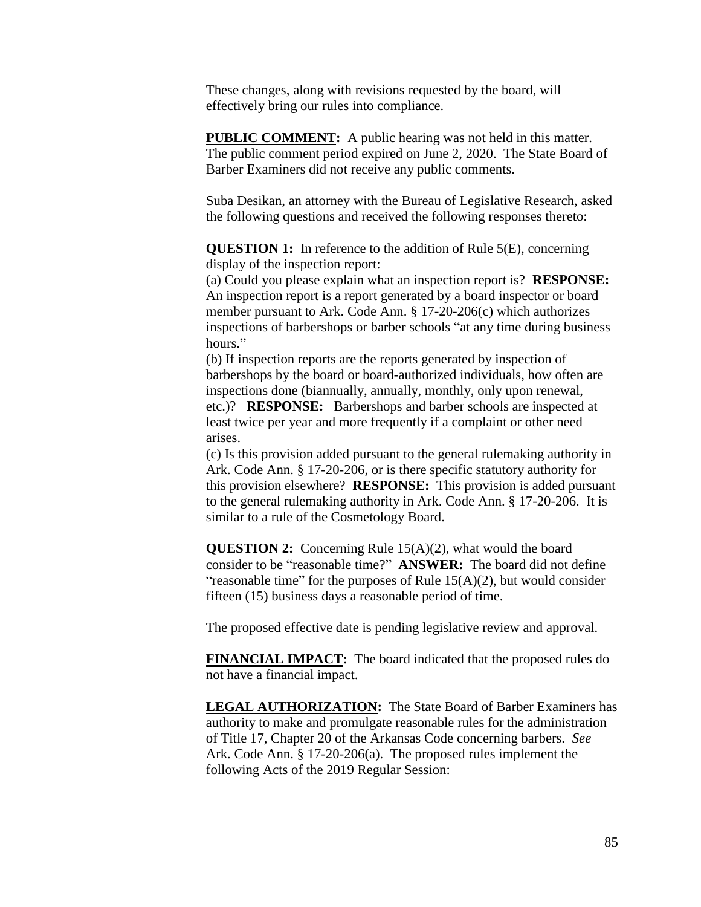These changes, along with revisions requested by the board, will effectively bring our rules into compliance.

**PUBLIC COMMENT:** A public hearing was not held in this matter. The public comment period expired on June 2, 2020. The State Board of Barber Examiners did not receive any public comments.

Suba Desikan, an attorney with the Bureau of Legislative Research, asked the following questions and received the following responses thereto:

**QUESTION 1:** In reference to the addition of Rule 5(E), concerning display of the inspection report:

(a) Could you please explain what an inspection report is? **RESPONSE:** An inspection report is a report generated by a board inspector or board member pursuant to Ark. Code Ann. § 17-20-206(c) which authorizes inspections of barbershops or barber schools "at any time during business hours."

(b) If inspection reports are the reports generated by inspection of barbershops by the board or board-authorized individuals, how often are inspections done (biannually, annually, monthly, only upon renewal, etc.)? **RESPONSE:** Barbershops and barber schools are inspected at least twice per year and more frequently if a complaint or other need arises.

(c) Is this provision added pursuant to the general rulemaking authority in Ark. Code Ann. § 17-20-206, or is there specific statutory authority for this provision elsewhere? **RESPONSE:** This provision is added pursuant to the general rulemaking authority in Ark. Code Ann. § 17-20-206. It is similar to a rule of the Cosmetology Board.

**QUESTION 2:** Concerning Rule 15(A)(2), what would the board consider to be "reasonable time?" **ANSWER:** The board did not define "reasonable time" for the purposes of Rule  $15(A)(2)$ , but would consider fifteen (15) business days a reasonable period of time.

The proposed effective date is pending legislative review and approval.

**FINANCIAL IMPACT:** The board indicated that the proposed rules do not have a financial impact.

**LEGAL AUTHORIZATION:** The State Board of Barber Examiners has authority to make and promulgate reasonable rules for the administration of Title 17, Chapter 20 of the Arkansas Code concerning barbers. *See* Ark. Code Ann. § 17-20-206(a). The proposed rules implement the following Acts of the 2019 Regular Session: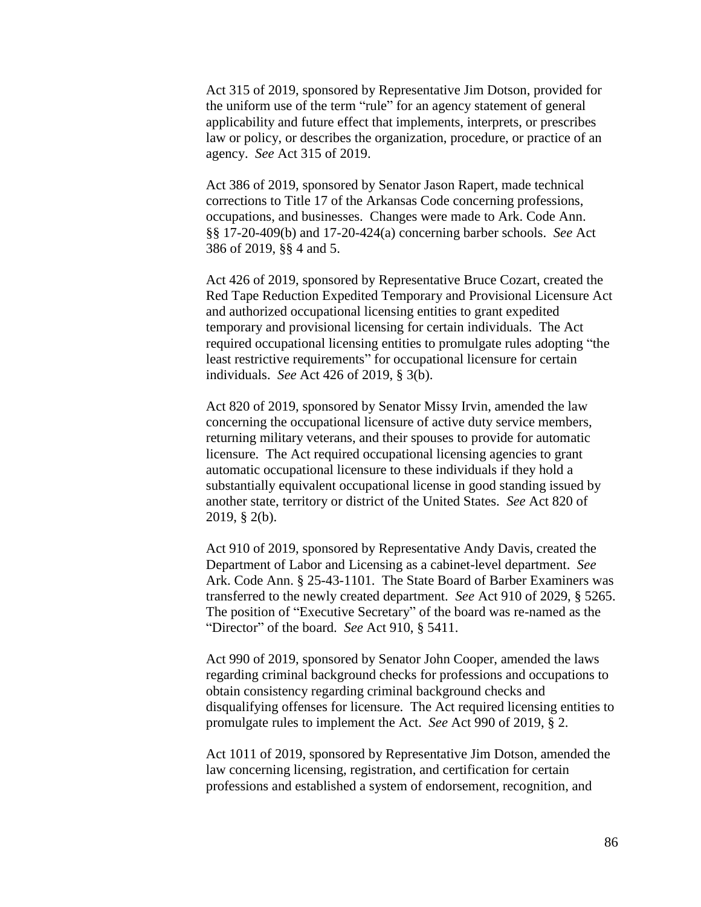Act 315 of 2019, sponsored by Representative Jim Dotson, provided for the uniform use of the term "rule" for an agency statement of general applicability and future effect that implements, interprets, or prescribes law or policy, or describes the organization, procedure, or practice of an agency. *See* Act 315 of 2019.

Act 386 of 2019, sponsored by Senator Jason Rapert, made technical corrections to Title 17 of the Arkansas Code concerning professions, occupations, and businesses. Changes were made to Ark. Code Ann. §§ 17-20-409(b) and 17-20-424(a) concerning barber schools. *See* Act 386 of 2019, §§ 4 and 5.

Act 426 of 2019, sponsored by Representative Bruce Cozart, created the Red Tape Reduction Expedited Temporary and Provisional Licensure Act and authorized occupational licensing entities to grant expedited temporary and provisional licensing for certain individuals. The Act required occupational licensing entities to promulgate rules adopting "the least restrictive requirements" for occupational licensure for certain individuals. *See* Act 426 of 2019, § 3(b).

Act 820 of 2019, sponsored by Senator Missy Irvin, amended the law concerning the occupational licensure of active duty service members, returning military veterans, and their spouses to provide for automatic licensure. The Act required occupational licensing agencies to grant automatic occupational licensure to these individuals if they hold a substantially equivalent occupational license in good standing issued by another state, territory or district of the United States. *See* Act 820 of 2019, § 2(b).

Act 910 of 2019, sponsored by Representative Andy Davis, created the Department of Labor and Licensing as a cabinet-level department. *See* Ark. Code Ann. § 25-43-1101. The State Board of Barber Examiners was transferred to the newly created department. *See* Act 910 of 2029, § 5265. The position of "Executive Secretary" of the board was re-named as the "Director" of the board. *See* Act 910, § 5411.

Act 990 of 2019, sponsored by Senator John Cooper, amended the laws regarding criminal background checks for professions and occupations to obtain consistency regarding criminal background checks and disqualifying offenses for licensure. The Act required licensing entities to promulgate rules to implement the Act. *See* Act 990 of 2019, § 2.

Act 1011 of 2019, sponsored by Representative Jim Dotson, amended the law concerning licensing, registration, and certification for certain professions and established a system of endorsement, recognition, and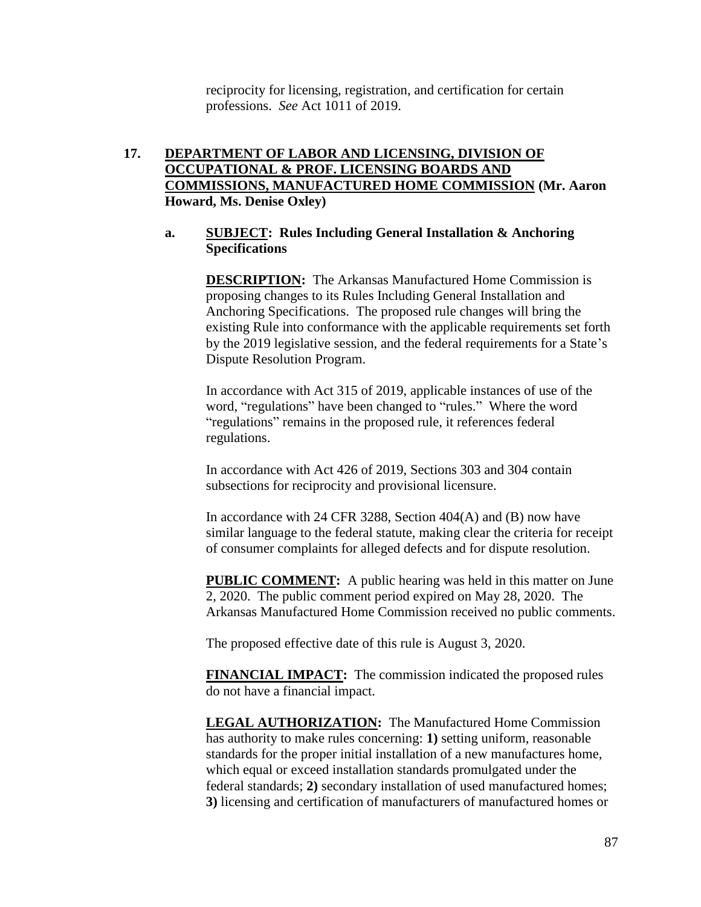reciprocity for licensing, registration, and certification for certain professions. *See* Act 1011 of 2019.

# **17. DEPARTMENT OF LABOR AND LICENSING, DIVISION OF OCCUPATIONAL & PROF. LICENSING BOARDS AND COMMISSIONS, MANUFACTURED HOME COMMISSION (Mr. Aaron Howard, Ms. Denise Oxley)**

# **a. SUBJECT: Rules Including General Installation & Anchoring Specifications**

**DESCRIPTION:** The Arkansas Manufactured Home Commission is proposing changes to its Rules Including General Installation and Anchoring Specifications. The proposed rule changes will bring the existing Rule into conformance with the applicable requirements set forth by the 2019 legislative session, and the federal requirements for a State's Dispute Resolution Program.

In accordance with Act 315 of 2019, applicable instances of use of the word, "regulations" have been changed to "rules." Where the word "regulations" remains in the proposed rule, it references federal regulations.

In accordance with Act 426 of 2019, Sections 303 and 304 contain subsections for reciprocity and provisional licensure.

In accordance with 24 CFR 3288, Section 404(A) and (B) now have similar language to the federal statute, making clear the criteria for receipt of consumer complaints for alleged defects and for dispute resolution.

**PUBLIC COMMENT:** A public hearing was held in this matter on June 2, 2020. The public comment period expired on May 28, 2020. The Arkansas Manufactured Home Commission received no public comments.

The proposed effective date of this rule is August 3, 2020.

**FINANCIAL IMPACT:** The commission indicated the proposed rules do not have a financial impact.

**LEGAL AUTHORIZATION:** The Manufactured Home Commission has authority to make rules concerning: **1)** setting uniform, reasonable standards for the proper initial installation of a new manufactures home, which equal or exceed installation standards promulgated under the federal standards; **2)** secondary installation of used manufactured homes; **3)** licensing and certification of manufacturers of manufactured homes or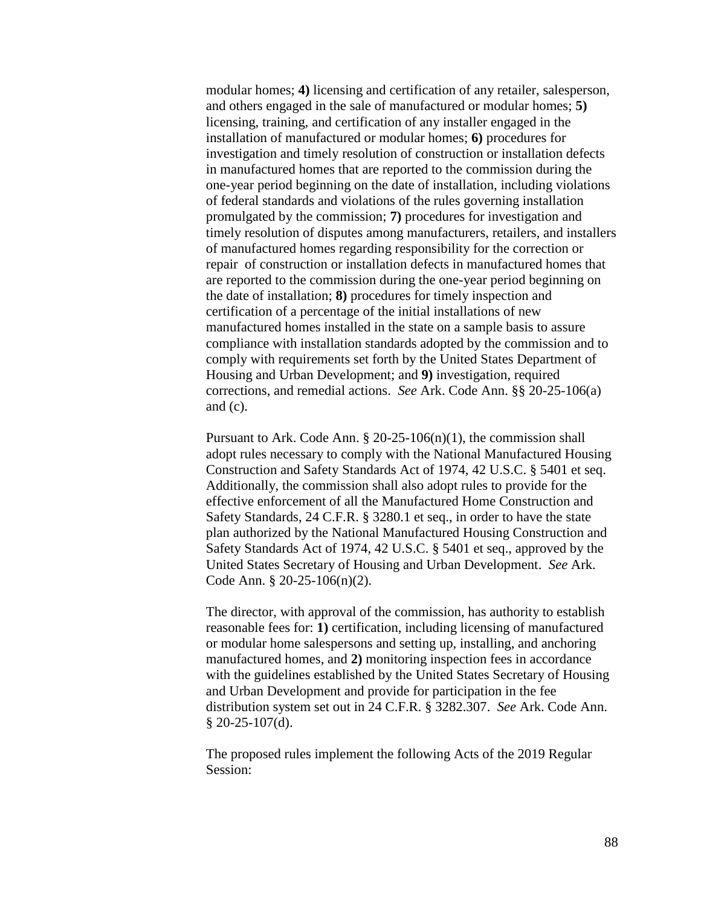modular homes; **4)** licensing and certification of any retailer, salesperson, and others engaged in the sale of manufactured or modular homes; **5)**  licensing, training, and certification of any installer engaged in the installation of manufactured or modular homes; **6)** procedures for investigation and timely resolution of construction or installation defects in manufactured homes that are reported to the commission during the one-year period beginning on the date of installation, including violations of federal standards and violations of the rules governing installation promulgated by the commission; **7)** procedures for investigation and timely resolution of disputes among manufacturers, retailers, and installers of manufactured homes regarding responsibility for the correction or repair of construction or installation defects in manufactured homes that are reported to the commission during the one-year period beginning on the date of installation; **8)** procedures for timely inspection and certification of a percentage of the initial installations of new manufactured homes installed in the state on a sample basis to assure compliance with installation standards adopted by the commission and to comply with requirements set forth by the United States Department of Housing and Urban Development; and **9)** investigation, required corrections, and remedial actions. *See* Ark. Code Ann. §§ 20-25-106(a) and (c).

Pursuant to Ark. Code Ann.  $\S 20-25-106(n)(1)$ , the commission shall adopt rules necessary to comply with the National Manufactured Housing Construction and Safety Standards Act of 1974, 42 U.S.C. § 5401 et seq. Additionally, the commission shall also adopt rules to provide for the effective enforcement of all the Manufactured Home Construction and Safety Standards, 24 C.F.R. § 3280.1 et seq., in order to have the state plan authorized by the National Manufactured Housing Construction and Safety Standards Act of 1974, 42 U.S.C. § 5401 et seq., approved by the United States Secretary of Housing and Urban Development. *See* Ark. Code Ann. § 20-25-106(n)(2).

The director, with approval of the commission, has authority to establish reasonable fees for: **1)** certification, including licensing of manufactured or modular home salespersons and setting up, installing, and anchoring manufactured homes, and **2)** monitoring inspection fees in accordance with the guidelines established by the United States Secretary of Housing and Urban Development and provide for participation in the fee distribution system set out in 24 C.F.R. § 3282.307. *See* Ark. Code Ann. § 20-25-107(d).

The proposed rules implement the following Acts of the 2019 Regular Session: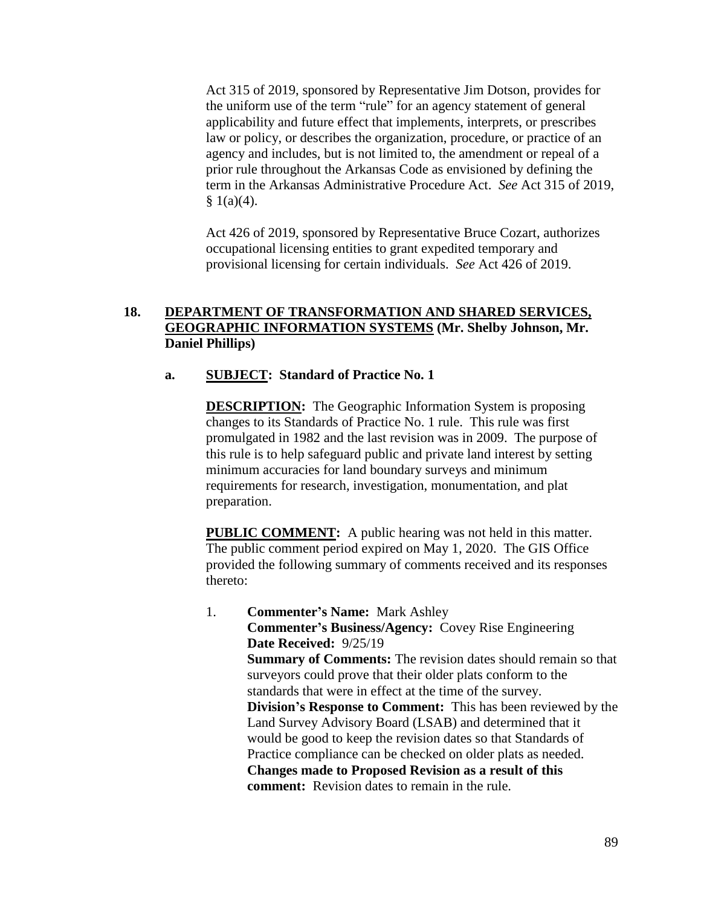Act 315 of 2019, sponsored by Representative Jim Dotson, provides for the uniform use of the term "rule" for an agency statement of general applicability and future effect that implements, interprets, or prescribes law or policy, or describes the organization, procedure, or practice of an agency and includes, but is not limited to, the amendment or repeal of a prior rule throughout the Arkansas Code as envisioned by defining the term in the Arkansas Administrative Procedure Act. *See* Act 315 of 2019,  $§ 1(a)(4).$ 

Act 426 of 2019, sponsored by Representative Bruce Cozart, authorizes occupational licensing entities to grant expedited temporary and provisional licensing for certain individuals. *See* Act 426 of 2019.

# **18. DEPARTMENT OF TRANSFORMATION AND SHARED SERVICES, GEOGRAPHIC INFORMATION SYSTEMS (Mr. Shelby Johnson, Mr. Daniel Phillips)**

## **a. SUBJECT: Standard of Practice No. 1**

**DESCRIPTION:** The Geographic Information System is proposing changes to its Standards of Practice No. 1 rule. This rule was first promulgated in 1982 and the last revision was in 2009. The purpose of this rule is to help safeguard public and private land interest by setting minimum accuracies for land boundary surveys and minimum requirements for research, investigation, monumentation, and plat preparation.

**PUBLIC COMMENT:** A public hearing was not held in this matter. The public comment period expired on May 1, 2020. The GIS Office provided the following summary of comments received and its responses thereto:

1. **Commenter's Name:** Mark Ashley **Commenter's Business/Agency:** Covey Rise Engineering **Date Received:** 9/25/19 **Summary of Comments:** The revision dates should remain so that surveyors could prove that their older plats conform to the standards that were in effect at the time of the survey. **Division's Response to Comment:** This has been reviewed by the Land Survey Advisory Board (LSAB) and determined that it would be good to keep the revision dates so that Standards of Practice compliance can be checked on older plats as needed. **Changes made to Proposed Revision as a result of this comment:** Revision dates to remain in the rule.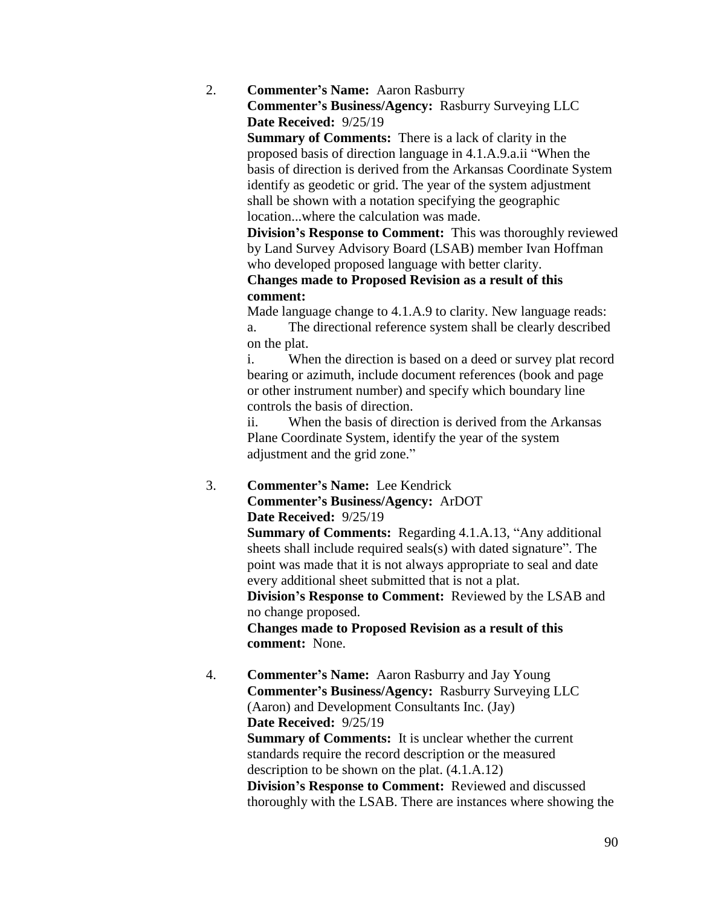2. **Commenter's Name:** Aaron Rasburry

**Commenter's Business/Agency:** Rasburry Surveying LLC **Date Received:** 9/25/19

**Summary of Comments:** There is a lack of clarity in the proposed basis of direction language in 4.1.A.9.a.ii "When the basis of direction is derived from the Arkansas Coordinate System identify as geodetic or grid. The year of the system adjustment shall be shown with a notation specifying the geographic location...where the calculation was made.

**Division's Response to Comment:** This was thoroughly reviewed by Land Survey Advisory Board (LSAB) member Ivan Hoffman who developed proposed language with better clarity.

**Changes made to Proposed Revision as a result of this comment:**

Made language change to 4.1.A.9 to clarity. New language reads: a. The directional reference system shall be clearly described on the plat.

i. When the direction is based on a deed or survey plat record bearing or azimuth, include document references (book and page or other instrument number) and specify which boundary line controls the basis of direction.

ii. When the basis of direction is derived from the Arkansas Plane Coordinate System, identify the year of the system adjustment and the grid zone."

3. **Commenter's Name:** Lee Kendrick **Commenter's Business/Agency:** ArDOT **Date Received:** 9/25/19

**Summary of Comments: Regarding 4.1.A.13, "Any additional**" sheets shall include required seals(s) with dated signature". The point was made that it is not always appropriate to seal and date every additional sheet submitted that is not a plat.

**Division's Response to Comment:** Reviewed by the LSAB and no change proposed.

**Changes made to Proposed Revision as a result of this comment:** None.

4. **Commenter's Name:** Aaron Rasburry and Jay Young **Commenter's Business/Agency:** Rasburry Surveying LLC (Aaron) and Development Consultants Inc. (Jay) **Date Received:** 9/25/19 **Summary of Comments:** It is unclear whether the current standards require the record description or the measured description to be shown on the plat. (4.1.A.12) **Division's Response to Comment:** Reviewed and discussed thoroughly with the LSAB. There are instances where showing the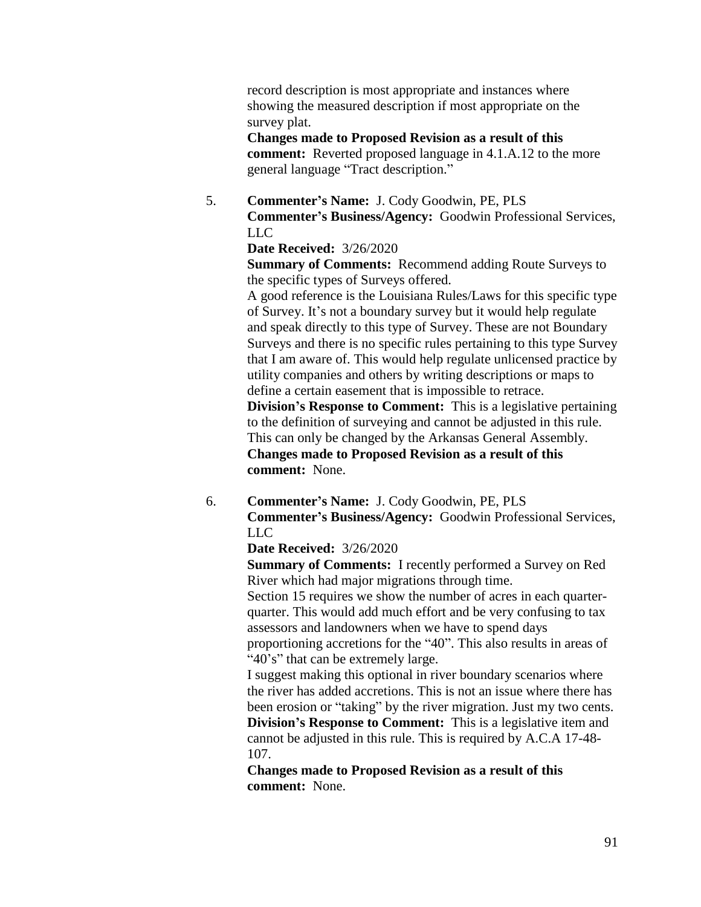record description is most appropriate and instances where showing the measured description if most appropriate on the survey plat.

**Changes made to Proposed Revision as a result of this comment:** Reverted proposed language in 4.1.A.12 to the more general language "Tract description."

5. **Commenter's Name:** J. Cody Goodwin, PE, PLS **Commenter's Business/Agency:** Goodwin Professional Services, LLC

## **Date Received:** 3/26/2020

**Summary of Comments:** Recommend adding Route Surveys to the specific types of Surveys offered.

A good reference is the Louisiana Rules/Laws for this specific type of Survey. It's not a boundary survey but it would help regulate and speak directly to this type of Survey. These are not Boundary Surveys and there is no specific rules pertaining to this type Survey that I am aware of. This would help regulate unlicensed practice by utility companies and others by writing descriptions or maps to define a certain easement that is impossible to retrace.

**Division's Response to Comment:** This is a legislative pertaining to the definition of surveying and cannot be adjusted in this rule. This can only be changed by the Arkansas General Assembly. **Changes made to Proposed Revision as a result of this comment:** None.

6. **Commenter's Name:** J. Cody Goodwin, PE, PLS **Commenter's Business/Agency:** Goodwin Professional Services, LLC

## **Date Received:** 3/26/2020

**Summary of Comments:** I recently performed a Survey on Red River which had major migrations through time.

Section 15 requires we show the number of acres in each quarterquarter. This would add much effort and be very confusing to tax assessors and landowners when we have to spend days

proportioning accretions for the "40". This also results in areas of "40's" that can be extremely large.

I suggest making this optional in river boundary scenarios where the river has added accretions. This is not an issue where there has been erosion or "taking" by the river migration. Just my two cents. **Division's Response to Comment:** This is a legislative item and cannot be adjusted in this rule. This is required by A.C.A 17-48- 107.

**Changes made to Proposed Revision as a result of this comment:** None.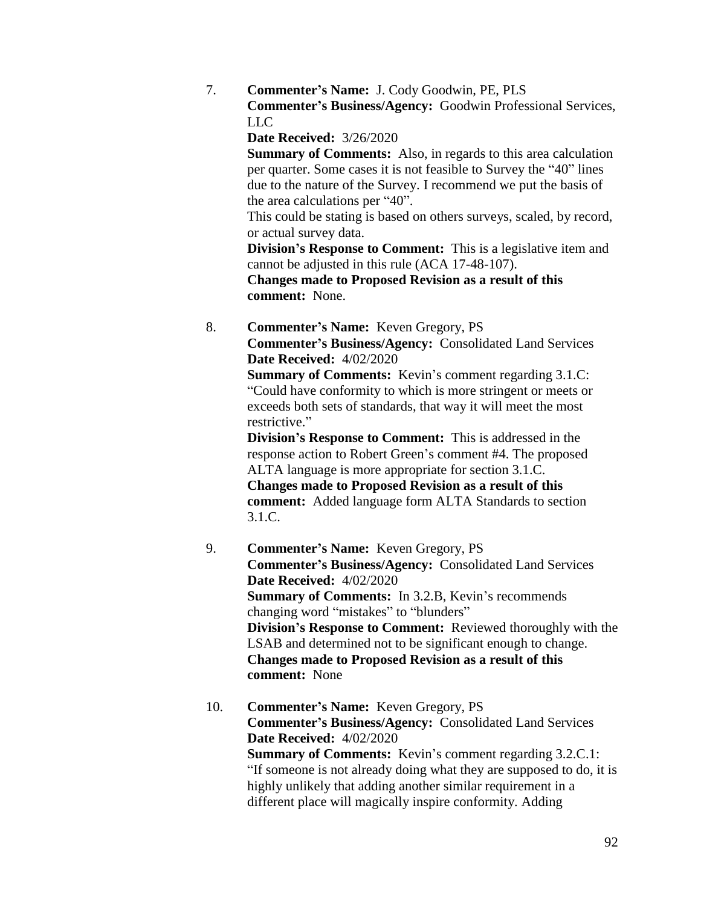7. **Commenter's Name:** J. Cody Goodwin, PE, PLS **Commenter's Business/Agency:** Goodwin Professional Services, LLC

**Date Received:** 3/26/2020

**Summary of Comments:** Also, in regards to this area calculation per quarter. Some cases it is not feasible to Survey the "40" lines due to the nature of the Survey. I recommend we put the basis of the area calculations per "40".

This could be stating is based on others surveys, scaled, by record, or actual survey data.

**Division's Response to Comment:** This is a legislative item and cannot be adjusted in this rule (ACA 17-48-107).

**Changes made to Proposed Revision as a result of this comment:** None.

8. **Commenter's Name:** Keven Gregory, PS **Commenter's Business/Agency:** Consolidated Land Services **Date Received:** 4/02/2020

> **Summary of Comments:** Kevin's comment regarding 3.1.C: "Could have conformity to which is more stringent or meets or exceeds both sets of standards, that way it will meet the most restrictive."

> **Division's Response to Comment:** This is addressed in the response action to Robert Green's comment #4. The proposed ALTA language is more appropriate for section 3.1.C. **Changes made to Proposed Revision as a result of this comment:** Added language form ALTA Standards to section 3.1.C.

- 9. **Commenter's Name:** Keven Gregory, PS **Commenter's Business/Agency:** Consolidated Land Services **Date Received:** 4/02/2020 **Summary of Comments:** In 3.2.B, Kevin's recommends changing word "mistakes" to "blunders" **Division's Response to Comment:** Reviewed thoroughly with the LSAB and determined not to be significant enough to change. **Changes made to Proposed Revision as a result of this comment:** None
- 10. **Commenter's Name:** Keven Gregory, PS **Commenter's Business/Agency:** Consolidated Land Services **Date Received:** 4/02/2020 **Summary of Comments:** Kevin's comment regarding 3.2.C.1: "If someone is not already doing what they are supposed to do, it is highly unlikely that adding another similar requirement in a different place will magically inspire conformity. Adding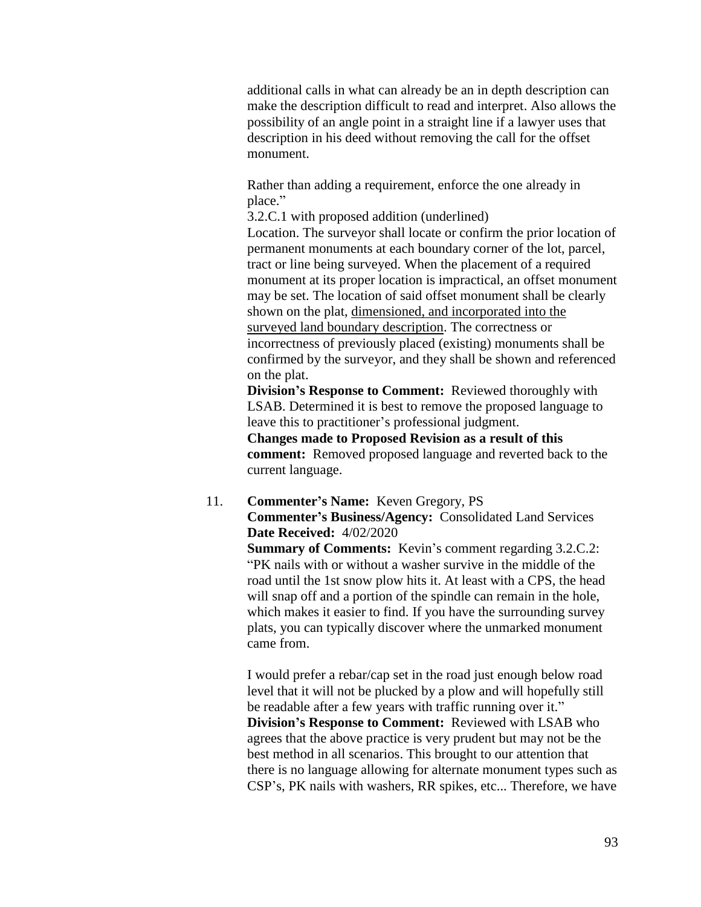additional calls in what can already be an in depth description can make the description difficult to read and interpret. Also allows the possibility of an angle point in a straight line if a lawyer uses that description in his deed without removing the call for the offset monument.

Rather than adding a requirement, enforce the one already in place."

3.2.C.1 with proposed addition (underlined)

Location. The surveyor shall locate or confirm the prior location of permanent monuments at each boundary corner of the lot, parcel, tract or line being surveyed. When the placement of a required monument at its proper location is impractical, an offset monument may be set. The location of said offset monument shall be clearly shown on the plat, dimensioned, and incorporated into the surveyed land boundary description. The correctness or incorrectness of previously placed (existing) monuments shall be confirmed by the surveyor, and they shall be shown and referenced on the plat.

**Division's Response to Comment:** Reviewed thoroughly with LSAB. Determined it is best to remove the proposed language to leave this to practitioner's professional judgment.

**Changes made to Proposed Revision as a result of this comment:** Removed proposed language and reverted back to the current language.

## 11. **Commenter's Name:** Keven Gregory, PS **Commenter's Business/Agency:** Consolidated Land Services **Date Received:** 4/02/2020

**Summary of Comments:** Kevin's comment regarding 3.2.C.2: "PK nails with or without a washer survive in the middle of the road until the 1st snow plow hits it. At least with a CPS, the head will snap off and a portion of the spindle can remain in the hole, which makes it easier to find. If you have the surrounding survey plats, you can typically discover where the unmarked monument came from.

I would prefer a rebar/cap set in the road just enough below road level that it will not be plucked by a plow and will hopefully still be readable after a few years with traffic running over it." **Division's Response to Comment:** Reviewed with LSAB who agrees that the above practice is very prudent but may not be the best method in all scenarios. This brought to our attention that there is no language allowing for alternate monument types such as CSP's, PK nails with washers, RR spikes, etc... Therefore, we have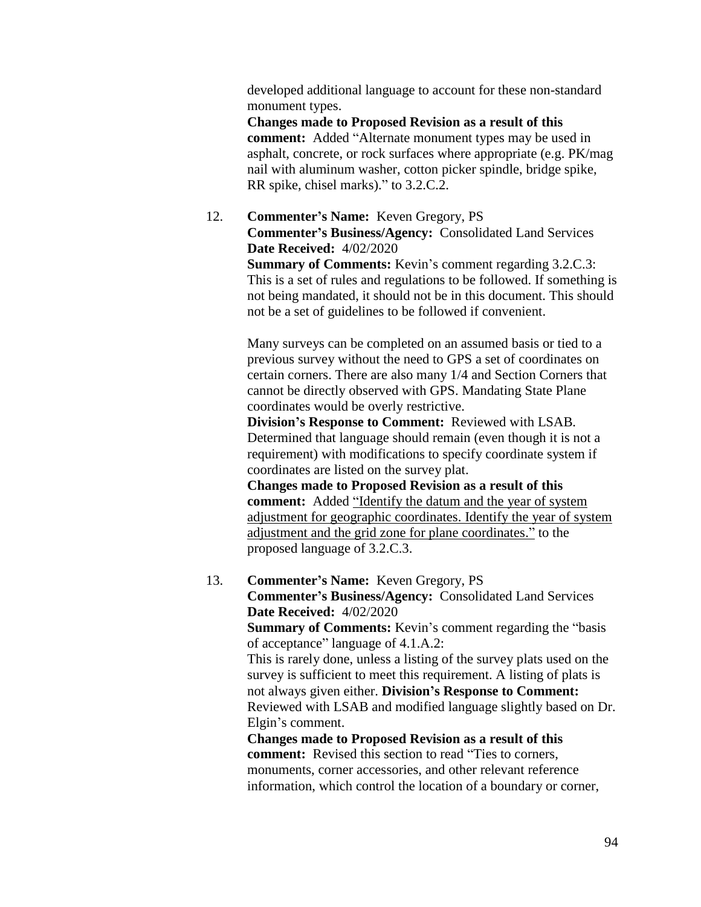developed additional language to account for these non-standard monument types.

**Changes made to Proposed Revision as a result of this comment:** Added "Alternate monument types may be used in asphalt, concrete, or rock surfaces where appropriate (e.g. PK/mag nail with aluminum washer, cotton picker spindle, bridge spike, RR spike, chisel marks)." to 3.2.C.2.

# 12. **Commenter's Name:** Keven Gregory, PS **Commenter's Business/Agency:** Consolidated Land Services **Date Received:** 4/02/2020

**Summary of Comments:** Kevin's comment regarding 3.2.C.3: This is a set of rules and regulations to be followed. If something is not being mandated, it should not be in this document. This should not be a set of guidelines to be followed if convenient.

Many surveys can be completed on an assumed basis or tied to a previous survey without the need to GPS a set of coordinates on certain corners. There are also many 1/4 and Section Corners that cannot be directly observed with GPS. Mandating State Plane coordinates would be overly restrictive.

**Division's Response to Comment:** Reviewed with LSAB. Determined that language should remain (even though it is not a requirement) with modifications to specify coordinate system if coordinates are listed on the survey plat.

**Changes made to Proposed Revision as a result of this comment:** Added "Identify the datum and the year of system adjustment for geographic coordinates. Identify the year of system adjustment and the grid zone for plane coordinates." to the proposed language of 3.2.C.3.

13. **Commenter's Name:** Keven Gregory, PS **Commenter's Business/Agency:** Consolidated Land Services **Date Received:** 4/02/2020 **Summary of Comments:** Kevin's comment regarding the "basis of acceptance" language of 4.1.A.2: This is rarely done, unless a listing of the survey plats used on the survey is sufficient to meet this requirement. A listing of plats is not always given either. **Division's Response to Comment:**  Reviewed with LSAB and modified language slightly based on Dr. Elgin's comment. **Changes made to Proposed Revision as a result of this comment:** Revised this section to read "Ties to corners,

monuments, corner accessories, and other relevant reference information, which control the location of a boundary or corner,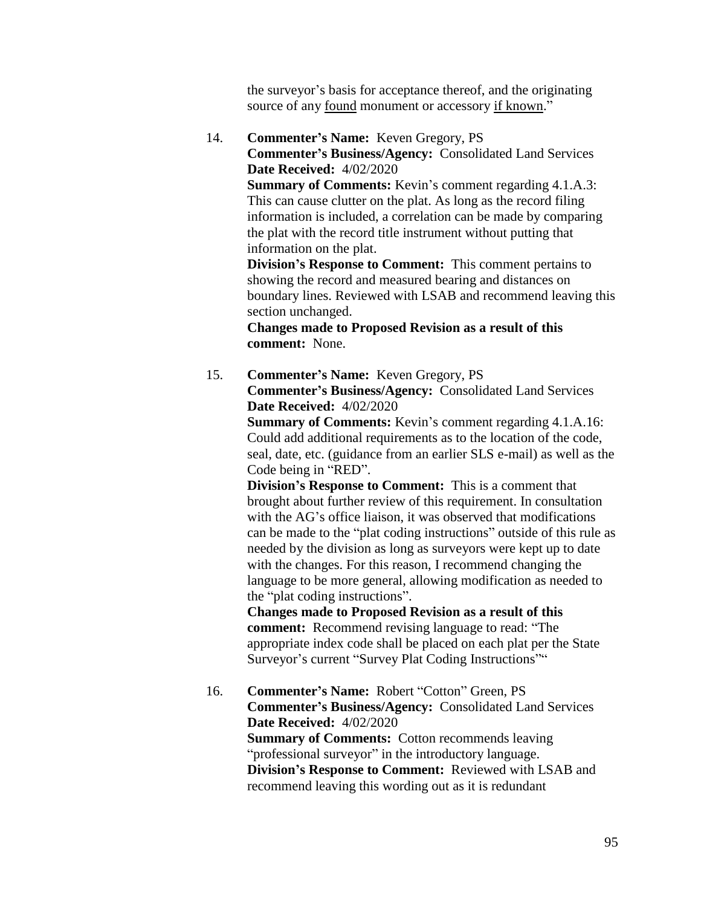the surveyor's basis for acceptance thereof, and the originating source of any found monument or accessory if known."

14. **Commenter's Name:** Keven Gregory, PS **Commenter's Business/Agency:** Consolidated Land Services **Date Received:** 4/02/2020

> **Summary of Comments:** Kevin's comment regarding 4.1.A.3: This can cause clutter on the plat. As long as the record filing information is included, a correlation can be made by comparing the plat with the record title instrument without putting that information on the plat.

**Division's Response to Comment:** This comment pertains to showing the record and measured bearing and distances on boundary lines. Reviewed with LSAB and recommend leaving this section unchanged.

**Changes made to Proposed Revision as a result of this comment:** None.

15. **Commenter's Name:** Keven Gregory, PS **Commenter's Business/Agency:** Consolidated Land Services **Date Received:** 4/02/2020

> **Summary of Comments:** Kevin's comment regarding 4.1.A.16: Could add additional requirements as to the location of the code, seal, date, etc. (guidance from an earlier SLS e-mail) as well as the Code being in "RED".

> **Division's Response to Comment:** This is a comment that brought about further review of this requirement. In consultation with the AG's office liaison, it was observed that modifications can be made to the "plat coding instructions" outside of this rule as needed by the division as long as surveyors were kept up to date with the changes. For this reason, I recommend changing the language to be more general, allowing modification as needed to the "plat coding instructions".

**Changes made to Proposed Revision as a result of this comment:** Recommend revising language to read: "The appropriate index code shall be placed on each plat per the State Surveyor's current "Survey Plat Coding Instructions""

16. **Commenter's Name:** Robert "Cotton" Green, PS **Commenter's Business/Agency:** Consolidated Land Services **Date Received:** 4/02/2020 **Summary of Comments:** Cotton recommends leaving "professional surveyor" in the introductory language. **Division's Response to Comment:** Reviewed with LSAB and recommend leaving this wording out as it is redundant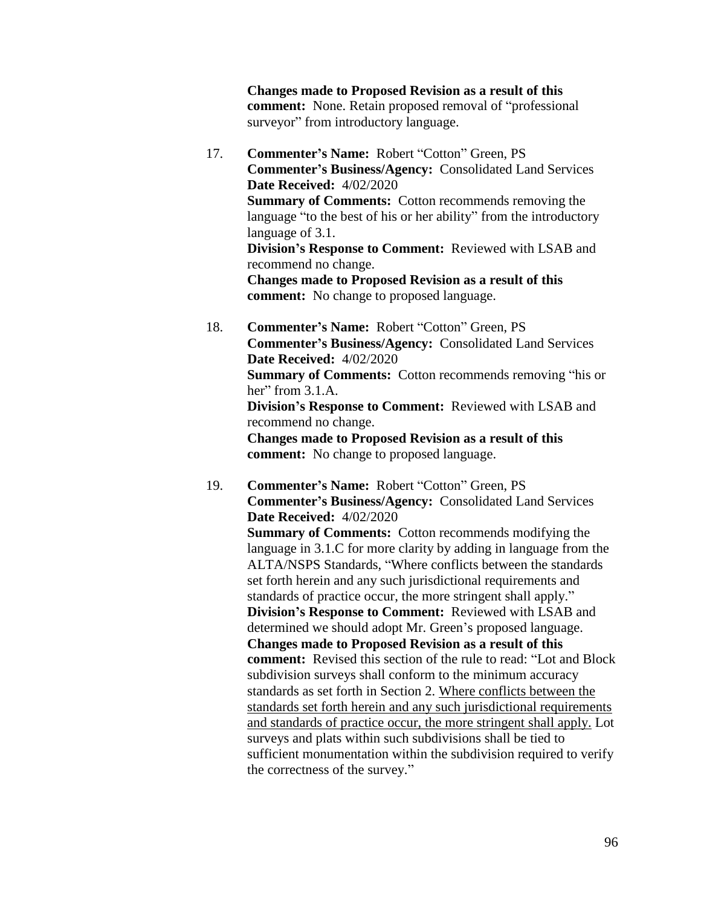**Changes made to Proposed Revision as a result of this comment:** None. Retain proposed removal of "professional surveyor" from introductory language.

17. **Commenter's Name:** Robert "Cotton" Green, PS **Commenter's Business/Agency:** Consolidated Land Services **Date Received:** 4/02/2020 **Summary of Comments:** Cotton recommends removing the language "to the best of his or her ability" from the introductory language of 3.1. **Division's Response to Comment:** Reviewed with LSAB and recommend no change.

**Changes made to Proposed Revision as a result of this comment:** No change to proposed language.

18. **Commenter's Name:** Robert "Cotton" Green, PS **Commenter's Business/Agency:** Consolidated Land Services **Date Received:** 4/02/2020 **Summary of Comments:** Cotton recommends removing "his or

her" from  $3.1.A$ . **Division's Response to Comment:** Reviewed with LSAB and

recommend no change.

**Changes made to Proposed Revision as a result of this comment:** No change to proposed language.

19. **Commenter's Name:** Robert "Cotton" Green, PS **Commenter's Business/Agency:** Consolidated Land Services **Date Received:** 4/02/2020

**Summary of Comments:** Cotton recommends modifying the language in 3.1.C for more clarity by adding in language from the ALTA/NSPS Standards, "Where conflicts between the standards set forth herein and any such jurisdictional requirements and standards of practice occur, the more stringent shall apply." **Division's Response to Comment:** Reviewed with LSAB and determined we should adopt Mr. Green's proposed language. **Changes made to Proposed Revision as a result of this comment:** Revised this section of the rule to read: "Lot and Block subdivision surveys shall conform to the minimum accuracy standards as set forth in Section 2. Where conflicts between the standards set forth herein and any such jurisdictional requirements and standards of practice occur, the more stringent shall apply. Lot surveys and plats within such subdivisions shall be tied to sufficient monumentation within the subdivision required to verify the correctness of the survey."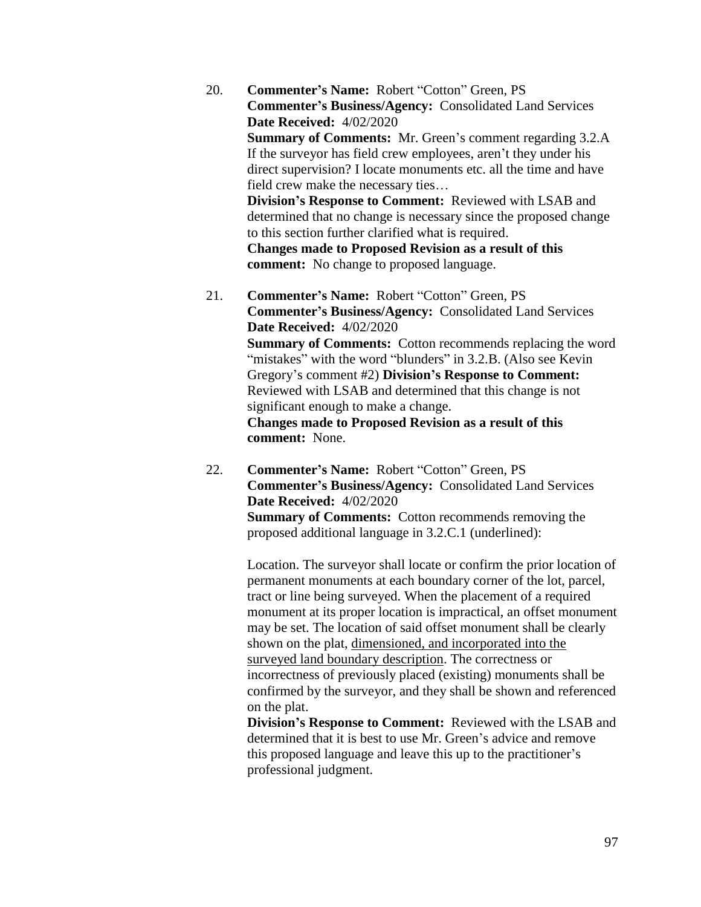- 20. **Commenter's Name:** Robert "Cotton" Green, PS **Commenter's Business/Agency:** Consolidated Land Services **Date Received:** 4/02/2020 **Summary of Comments:** Mr. Green's comment regarding 3.2.A If the surveyor has field crew employees, aren't they under his direct supervision? I locate monuments etc. all the time and have field crew make the necessary ties… **Division's Response to Comment:** Reviewed with LSAB and determined that no change is necessary since the proposed change to this section further clarified what is required. **Changes made to Proposed Revision as a result of this comment:** No change to proposed language.
- 21. **Commenter's Name:** Robert "Cotton" Green, PS **Commenter's Business/Agency:** Consolidated Land Services **Date Received:** 4/02/2020 **Summary of Comments:** Cotton recommends replacing the word "mistakes" with the word "blunders" in 3.2.B. (Also see Kevin Gregory's comment #2) **Division's Response to Comment:**  Reviewed with LSAB and determined that this change is not significant enough to make a change. **Changes made to Proposed Revision as a result of this comment:** None.
- 22. **Commenter's Name:** Robert "Cotton" Green, PS **Commenter's Business/Agency:** Consolidated Land Services **Date Received:** 4/02/2020 **Summary of Comments:** Cotton recommends removing the proposed additional language in 3.2.C.1 (underlined):

Location. The surveyor shall locate or confirm the prior location of permanent monuments at each boundary corner of the lot, parcel, tract or line being surveyed. When the placement of a required monument at its proper location is impractical, an offset monument may be set. The location of said offset monument shall be clearly shown on the plat, dimensioned, and incorporated into the surveyed land boundary description. The correctness or incorrectness of previously placed (existing) monuments shall be confirmed by the surveyor, and they shall be shown and referenced on the plat.

**Division's Response to Comment:** Reviewed with the LSAB and determined that it is best to use Mr. Green's advice and remove this proposed language and leave this up to the practitioner's professional judgment.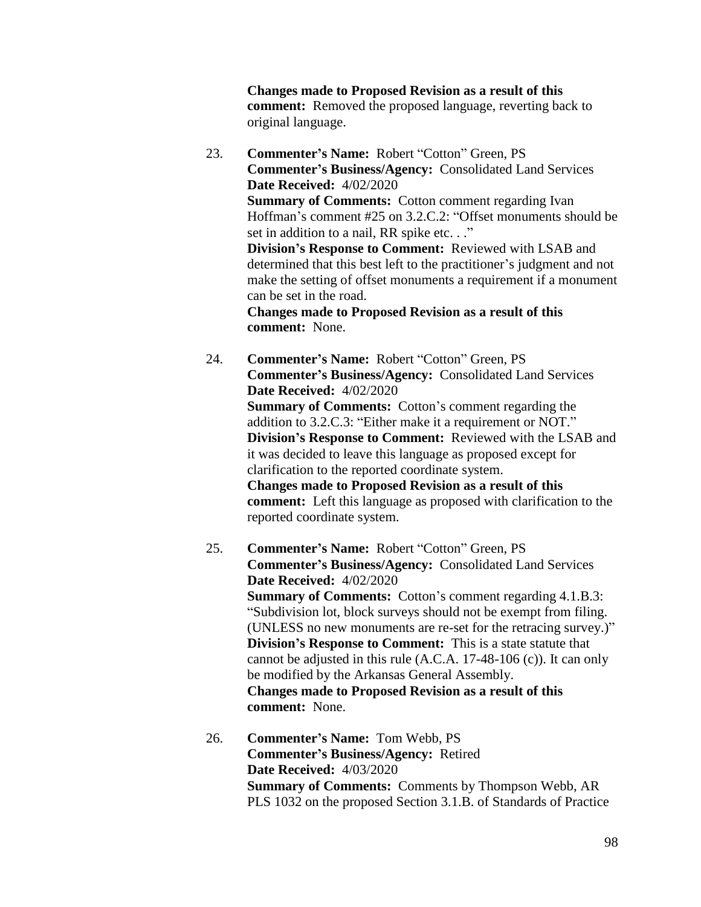**Changes made to Proposed Revision as a result of this comment:** Removed the proposed language, reverting back to original language.

23. **Commenter's Name:** Robert "Cotton" Green, PS **Commenter's Business/Agency:** Consolidated Land Services **Date Received:** 4/02/2020 **Summary of Comments:** Cotton comment regarding Ivan Hoffman's comment #25 on 3.2.C.2: "Offset monuments should be set in addition to a nail, RR spike etc. . ." **Division's Response to Comment:** Reviewed with LSAB and determined that this best left to the practitioner's judgment and not make the setting of offset monuments a requirement if a monument can be set in the road. **Changes made to Proposed Revision as a result of this** 

**comment:** None.

- 24. **Commenter's Name:** Robert "Cotton" Green, PS **Commenter's Business/Agency:** Consolidated Land Services **Date Received:** 4/02/2020 **Summary of Comments:** Cotton's comment regarding the addition to 3.2.C.3: "Either make it a requirement or NOT." **Division's Response to Comment:** Reviewed with the LSAB and it was decided to leave this language as proposed except for clarification to the reported coordinate system. **Changes made to Proposed Revision as a result of this comment:** Left this language as proposed with clarification to the reported coordinate system.
- 25. **Commenter's Name:** Robert "Cotton" Green, PS **Commenter's Business/Agency:** Consolidated Land Services **Date Received:** 4/02/2020 **Summary of Comments:** Cotton's comment regarding 4.1.B.3: "Subdivision lot, block surveys should not be exempt from filing. (UNLESS no new monuments are re-set for the retracing survey.)" **Division's Response to Comment:** This is a state statute that cannot be adjusted in this rule (A.C.A. 17-48-106 (c)). It can only be modified by the Arkansas General Assembly. **Changes made to Proposed Revision as a result of this comment:** None.
- 26. **Commenter's Name:** Tom Webb, PS **Commenter's Business/Agency:** Retired **Date Received:** 4/03/2020 **Summary of Comments:** Comments by Thompson Webb, AR PLS 1032 on the proposed Section 3.1.B. of Standards of Practice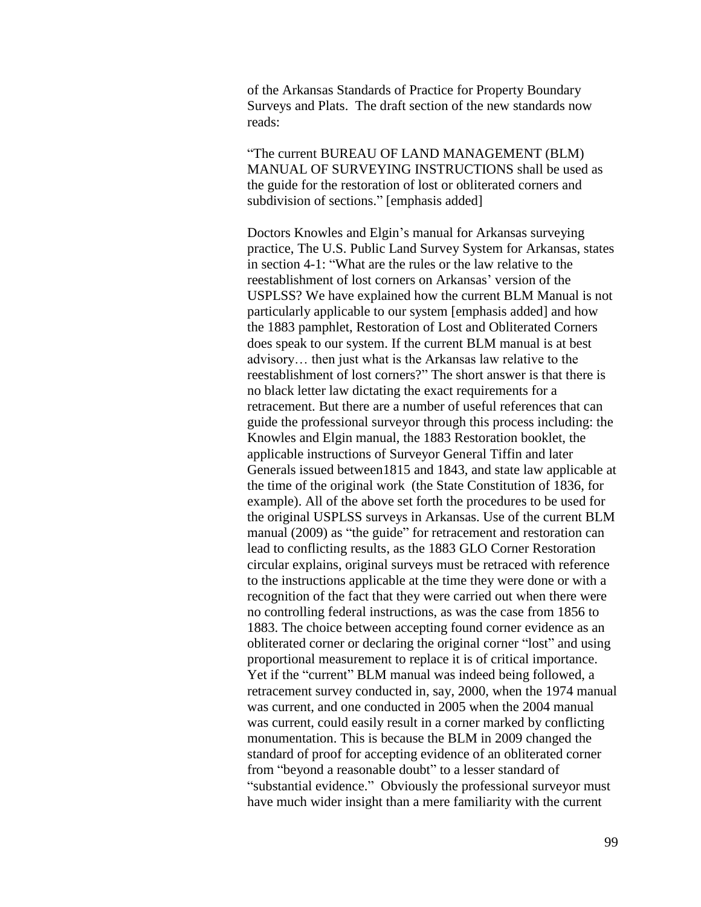of the Arkansas Standards of Practice for Property Boundary Surveys and Plats. The draft section of the new standards now reads:

"The current BUREAU OF LAND MANAGEMENT (BLM) MANUAL OF SURVEYING INSTRUCTIONS shall be used as the guide for the restoration of lost or obliterated corners and subdivision of sections." [emphasis added]

Doctors Knowles and Elgin's manual for Arkansas surveying practice, The U.S. Public Land Survey System for Arkansas, states in section 4-1: "What are the rules or the law relative to the reestablishment of lost corners on Arkansas' version of the USPLSS? We have explained how the current BLM Manual is not particularly applicable to our system [emphasis added] and how the 1883 pamphlet, Restoration of Lost and Obliterated Corners does speak to our system. If the current BLM manual is at best advisory… then just what is the Arkansas law relative to the reestablishment of lost corners?" The short answer is that there is no black letter law dictating the exact requirements for a retracement. But there are a number of useful references that can guide the professional surveyor through this process including: the Knowles and Elgin manual, the 1883 Restoration booklet, the applicable instructions of Surveyor General Tiffin and later Generals issued between1815 and 1843, and state law applicable at the time of the original work (the State Constitution of 1836, for example). All of the above set forth the procedures to be used for the original USPLSS surveys in Arkansas. Use of the current BLM manual (2009) as "the guide" for retracement and restoration can lead to conflicting results, as the 1883 GLO Corner Restoration circular explains, original surveys must be retraced with reference to the instructions applicable at the time they were done or with a recognition of the fact that they were carried out when there were no controlling federal instructions, as was the case from 1856 to 1883. The choice between accepting found corner evidence as an obliterated corner or declaring the original corner "lost" and using proportional measurement to replace it is of critical importance. Yet if the "current" BLM manual was indeed being followed, a retracement survey conducted in, say, 2000, when the 1974 manual was current, and one conducted in 2005 when the 2004 manual was current, could easily result in a corner marked by conflicting monumentation. This is because the BLM in 2009 changed the standard of proof for accepting evidence of an obliterated corner from "beyond a reasonable doubt" to a lesser standard of "substantial evidence." Obviously the professional surveyor must have much wider insight than a mere familiarity with the current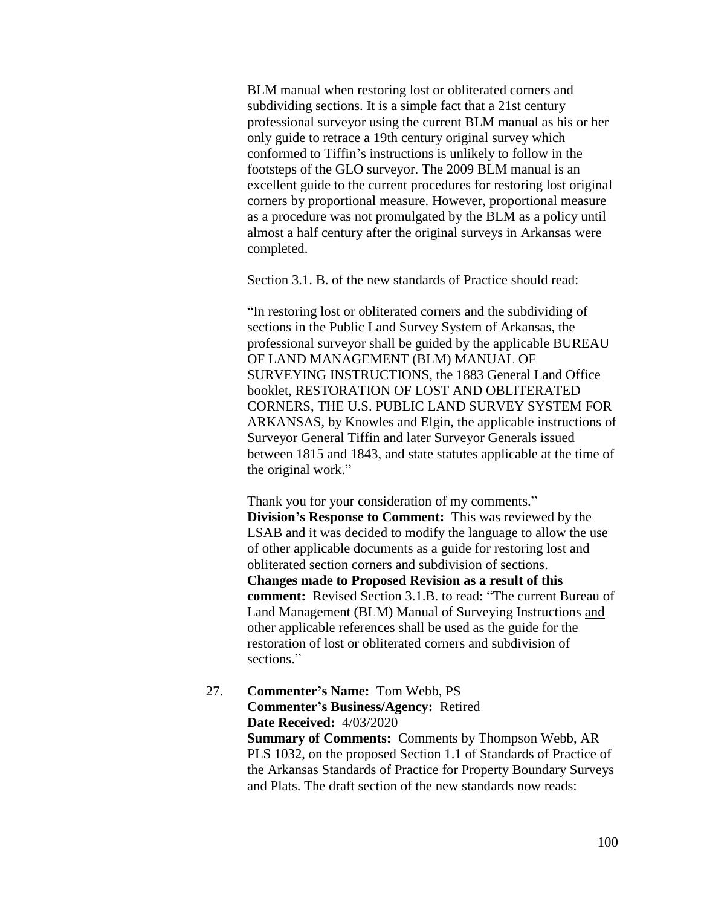BLM manual when restoring lost or obliterated corners and subdividing sections. It is a simple fact that a 21st century professional surveyor using the current BLM manual as his or her only guide to retrace a 19th century original survey which conformed to Tiffin's instructions is unlikely to follow in the footsteps of the GLO surveyor. The 2009 BLM manual is an excellent guide to the current procedures for restoring lost original corners by proportional measure. However, proportional measure as a procedure was not promulgated by the BLM as a policy until almost a half century after the original surveys in Arkansas were completed.

Section 3.1. B. of the new standards of Practice should read:

"In restoring lost or obliterated corners and the subdividing of sections in the Public Land Survey System of Arkansas, the professional surveyor shall be guided by the applicable BUREAU OF LAND MANAGEMENT (BLM) MANUAL OF SURVEYING INSTRUCTIONS, the 1883 General Land Office booklet, RESTORATION OF LOST AND OBLITERATED CORNERS, THE U.S. PUBLIC LAND SURVEY SYSTEM FOR ARKANSAS, by Knowles and Elgin, the applicable instructions of Surveyor General Tiffin and later Surveyor Generals issued between 1815 and 1843, and state statutes applicable at the time of the original work."

Thank you for your consideration of my comments." **Division's Response to Comment:** This was reviewed by the LSAB and it was decided to modify the language to allow the use of other applicable documents as a guide for restoring lost and obliterated section corners and subdivision of sections. **Changes made to Proposed Revision as a result of this comment:** Revised Section 3.1.B. to read: "The current Bureau of Land Management (BLM) Manual of Surveying Instructions and other applicable references shall be used as the guide for the restoration of lost or obliterated corners and subdivision of sections."

27. **Commenter's Name:** Tom Webb, PS **Commenter's Business/Agency:** Retired **Date Received:** 4/03/2020 **Summary of Comments:** Comments by Thompson Webb, AR PLS 1032, on the proposed Section 1.1 of Standards of Practice of the Arkansas Standards of Practice for Property Boundary Surveys and Plats. The draft section of the new standards now reads: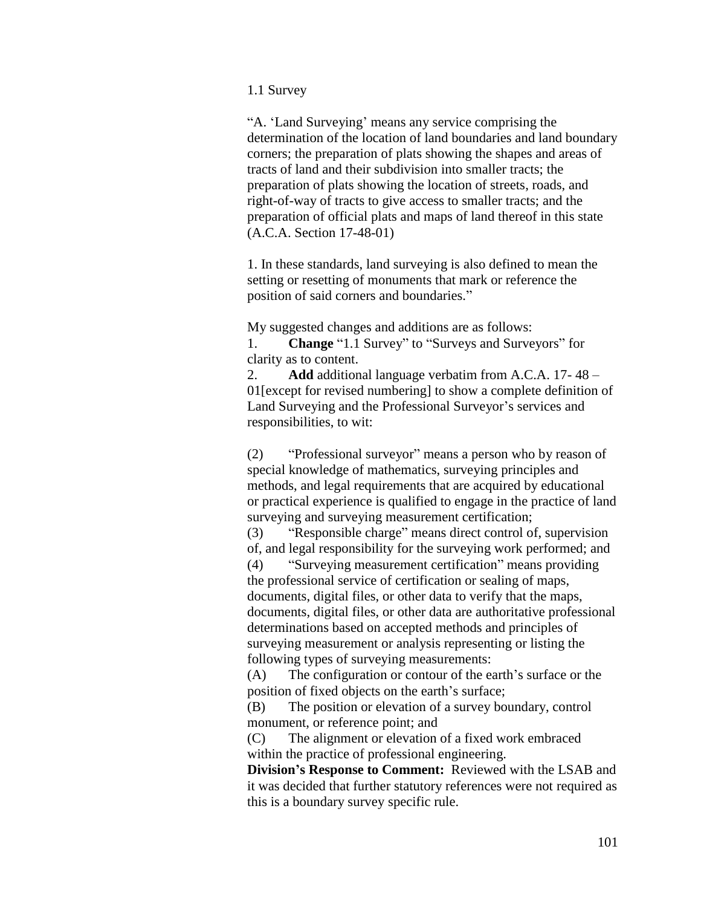## 1.1 Survey

"A. 'Land Surveying' means any service comprising the determination of the location of land boundaries and land boundary corners; the preparation of plats showing the shapes and areas of tracts of land and their subdivision into smaller tracts; the preparation of plats showing the location of streets, roads, and right-of-way of tracts to give access to smaller tracts; and the preparation of official plats and maps of land thereof in this state (A.C.A. Section 17-48-01)

1. In these standards, land surveying is also defined to mean the setting or resetting of monuments that mark or reference the position of said corners and boundaries."

My suggested changes and additions are as follows:

1. **Change** "1.1 Survey" to "Surveys and Surveyors" for clarity as to content.

2. **Add** additional language verbatim from A.C.A. 17- 48 – 01[except for revised numbering] to show a complete definition of Land Surveying and the Professional Surveyor's services and responsibilities, to wit:

(2) "Professional surveyor" means a person who by reason of special knowledge of mathematics, surveying principles and methods, and legal requirements that are acquired by educational or practical experience is qualified to engage in the practice of land surveying and surveying measurement certification;

(3) "Responsible charge" means direct control of, supervision of, and legal responsibility for the surveying work performed; and

(4) "Surveying measurement certification" means providing the professional service of certification or sealing of maps, documents, digital files, or other data to verify that the maps, documents, digital files, or other data are authoritative professional determinations based on accepted methods and principles of surveying measurement or analysis representing or listing the following types of surveying measurements:

(A) The configuration or contour of the earth's surface or the position of fixed objects on the earth's surface;

(B) The position or elevation of a survey boundary, control monument, or reference point; and

(C) The alignment or elevation of a fixed work embraced within the practice of professional engineering.

**Division's Response to Comment:** Reviewed with the LSAB and it was decided that further statutory references were not required as this is a boundary survey specific rule.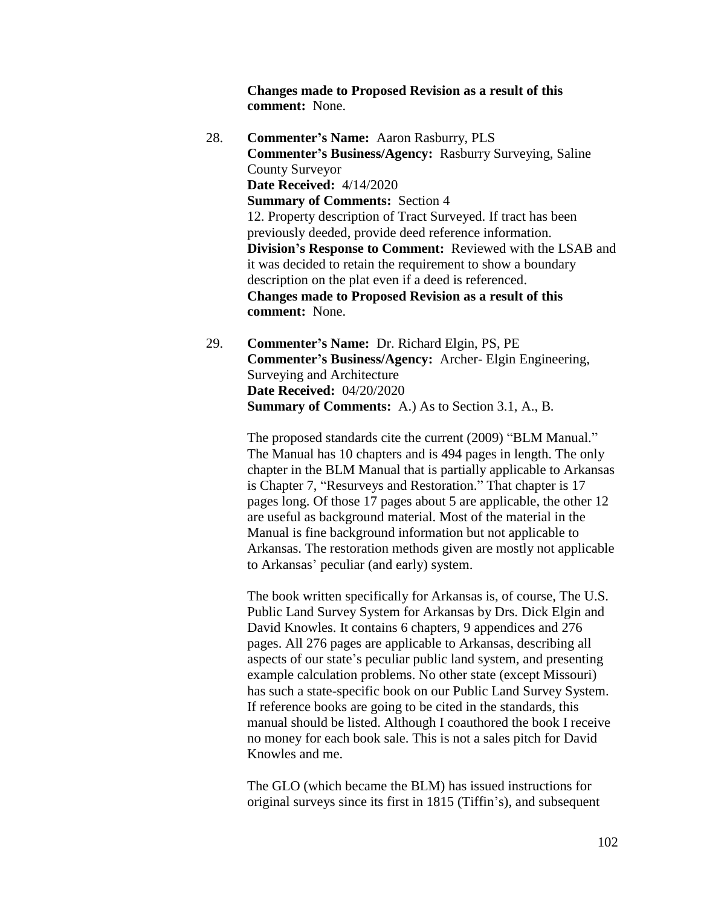**Changes made to Proposed Revision as a result of this comment:** None.

- 28. **Commenter's Name:** Aaron Rasburry, PLS **Commenter's Business/Agency:** Rasburry Surveying, Saline County Surveyor **Date Received:** 4/14/2020 **Summary of Comments:** Section 4 12. Property description of Tract Surveyed. If tract has been previously deeded, provide deed reference information. **Division's Response to Comment:** Reviewed with the LSAB and it was decided to retain the requirement to show a boundary description on the plat even if a deed is referenced. **Changes made to Proposed Revision as a result of this comment:** None.
- 29. **Commenter's Name:** Dr. Richard Elgin, PS, PE **Commenter's Business/Agency:** Archer- Elgin Engineering, Surveying and Architecture **Date Received:** 04/20/2020 **Summary of Comments:** A.) As to Section 3.1, A., B.

The proposed standards cite the current (2009) "BLM Manual." The Manual has 10 chapters and is 494 pages in length. The only chapter in the BLM Manual that is partially applicable to Arkansas is Chapter 7, "Resurveys and Restoration." That chapter is 17 pages long. Of those 17 pages about 5 are applicable, the other 12 are useful as background material. Most of the material in the Manual is fine background information but not applicable to Arkansas. The restoration methods given are mostly not applicable to Arkansas' peculiar (and early) system.

The book written specifically for Arkansas is, of course, The U.S. Public Land Survey System for Arkansas by Drs. Dick Elgin and David Knowles. It contains 6 chapters, 9 appendices and 276 pages. All 276 pages are applicable to Arkansas, describing all aspects of our state's peculiar public land system, and presenting example calculation problems. No other state (except Missouri) has such a state-specific book on our Public Land Survey System. If reference books are going to be cited in the standards, this manual should be listed. Although I coauthored the book I receive no money for each book sale. This is not a sales pitch for David Knowles and me.

The GLO (which became the BLM) has issued instructions for original surveys since its first in 1815 (Tiffin's), and subsequent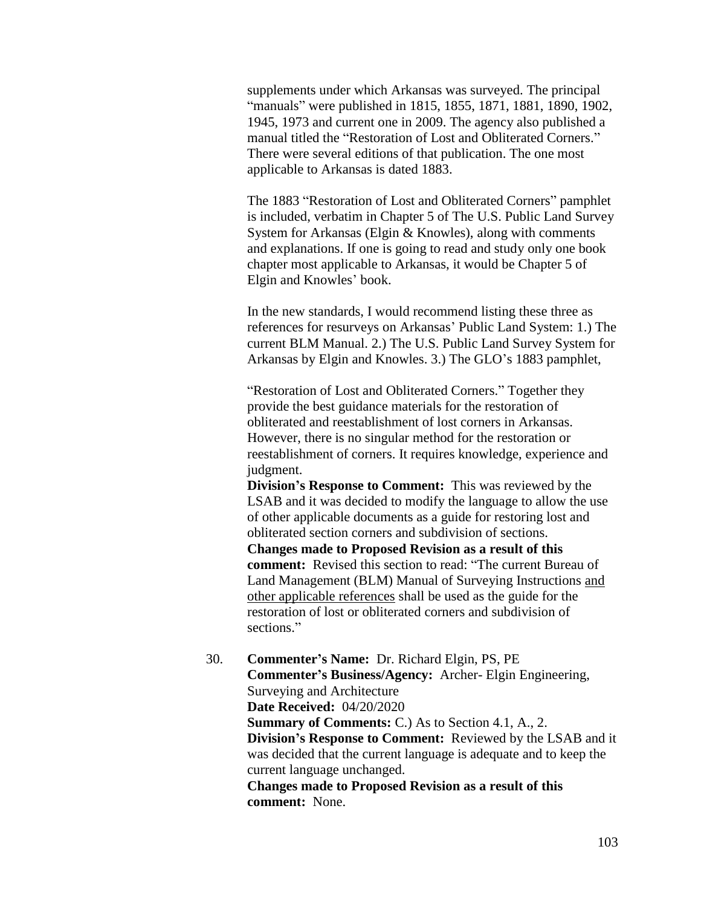supplements under which Arkansas was surveyed. The principal "manuals" were published in 1815, 1855, 1871, 1881, 1890, 1902, 1945, 1973 and current one in 2009. The agency also published a manual titled the "Restoration of Lost and Obliterated Corners." There were several editions of that publication. The one most applicable to Arkansas is dated 1883.

The 1883 "Restoration of Lost and Obliterated Corners" pamphlet is included, verbatim in Chapter 5 of The U.S. Public Land Survey System for Arkansas (Elgin & Knowles), along with comments and explanations. If one is going to read and study only one book chapter most applicable to Arkansas, it would be Chapter 5 of Elgin and Knowles' book.

In the new standards, I would recommend listing these three as references for resurveys on Arkansas' Public Land System: 1.) The current BLM Manual. 2.) The U.S. Public Land Survey System for Arkansas by Elgin and Knowles. 3.) The GLO's 1883 pamphlet,

"Restoration of Lost and Obliterated Corners." Together they provide the best guidance materials for the restoration of obliterated and reestablishment of lost corners in Arkansas. However, there is no singular method for the restoration or reestablishment of corners. It requires knowledge, experience and judgment.

**Division's Response to Comment:** This was reviewed by the LSAB and it was decided to modify the language to allow the use of other applicable documents as a guide for restoring lost and obliterated section corners and subdivision of sections. **Changes made to Proposed Revision as a result of this comment:** Revised this section to read: "The current Bureau of Land Management (BLM) Manual of Surveying Instructions and other applicable references shall be used as the guide for the restoration of lost or obliterated corners and subdivision of sections."

30. **Commenter's Name:** Dr. Richard Elgin, PS, PE **Commenter's Business/Agency:** Archer- Elgin Engineering, Surveying and Architecture **Date Received:** 04/20/2020 **Summary of Comments:** C.) As to Section 4.1, A., 2. **Division's Response to Comment:** Reviewed by the LSAB and it was decided that the current language is adequate and to keep the current language unchanged. **Changes made to Proposed Revision as a result of this comment:** None.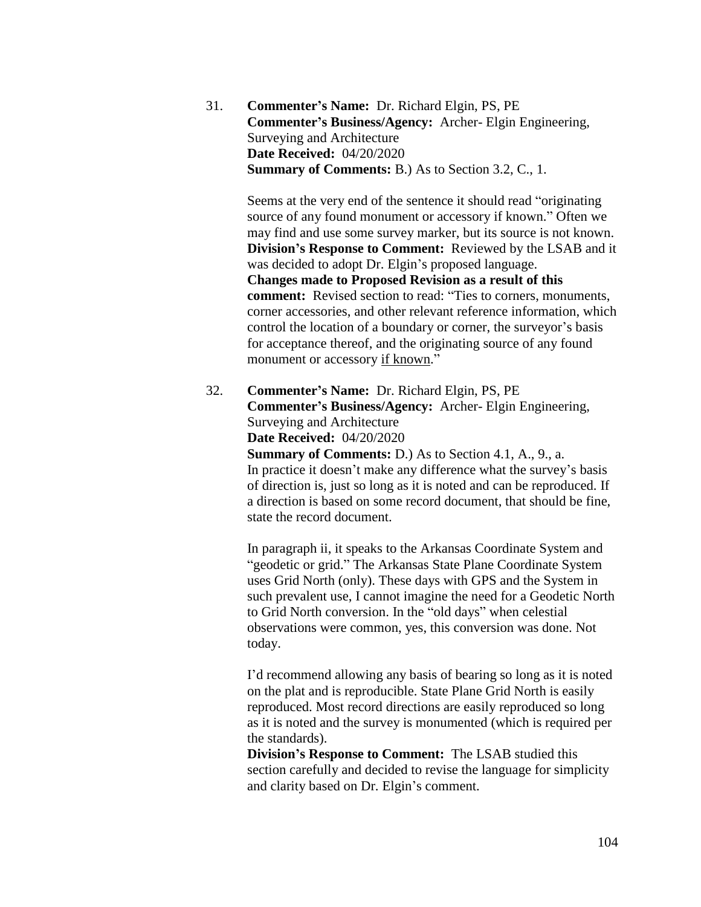31. **Commenter's Name:** Dr. Richard Elgin, PS, PE **Commenter's Business/Agency:** Archer- Elgin Engineering, Surveying and Architecture **Date Received:** 04/20/2020 **Summary of Comments:** B.) As to Section 3.2, C., 1.

> Seems at the very end of the sentence it should read "originating source of any found monument or accessory if known." Often we may find and use some survey marker, but its source is not known. **Division's Response to Comment:** Reviewed by the LSAB and it was decided to adopt Dr. Elgin's proposed language. **Changes made to Proposed Revision as a result of this comment:** Revised section to read: "Ties to corners, monuments, corner accessories, and other relevant reference information, which control the location of a boundary or corner, the surveyor's basis for acceptance thereof, and the originating source of any found monument or accessory if known."

32. **Commenter's Name:** Dr. Richard Elgin, PS, PE **Commenter's Business/Agency:** Archer- Elgin Engineering, Surveying and Architecture **Date Received:** 04/20/2020

**Summary of Comments:** D.) As to Section 4.1, A., 9., a. In practice it doesn't make any difference what the survey's basis of direction is, just so long as it is noted and can be reproduced. If a direction is based on some record document, that should be fine, state the record document.

In paragraph ii, it speaks to the Arkansas Coordinate System and "geodetic or grid." The Arkansas State Plane Coordinate System uses Grid North (only). These days with GPS and the System in such prevalent use, I cannot imagine the need for a Geodetic North to Grid North conversion. In the "old days" when celestial observations were common, yes, this conversion was done. Not today.

I'd recommend allowing any basis of bearing so long as it is noted on the plat and is reproducible. State Plane Grid North is easily reproduced. Most record directions are easily reproduced so long as it is noted and the survey is monumented (which is required per the standards).

**Division's Response to Comment:** The LSAB studied this section carefully and decided to revise the language for simplicity and clarity based on Dr. Elgin's comment.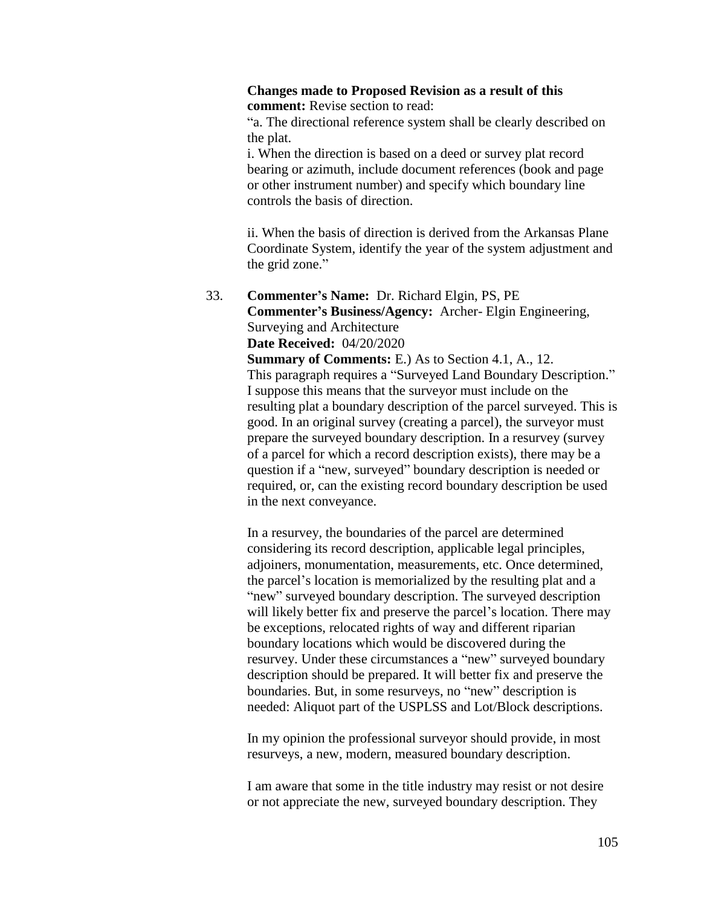## **Changes made to Proposed Revision as a result of this comment:** Revise section to read:

"a. The directional reference system shall be clearly described on the plat.

i. When the direction is based on a deed or survey plat record bearing or azimuth, include document references (book and page or other instrument number) and specify which boundary line controls the basis of direction.

ii. When the basis of direction is derived from the Arkansas Plane Coordinate System, identify the year of the system adjustment and the grid zone."

33. **Commenter's Name:** Dr. Richard Elgin, PS, PE **Commenter's Business/Agency:** Archer- Elgin Engineering, Surveying and Architecture **Date Received:** 04/20/2020

> **Summary of Comments:** E.) As to Section 4.1, A., 12. This paragraph requires a "Surveyed Land Boundary Description." I suppose this means that the surveyor must include on the resulting plat a boundary description of the parcel surveyed. This is good. In an original survey (creating a parcel), the surveyor must prepare the surveyed boundary description. In a resurvey (survey of a parcel for which a record description exists), there may be a question if a "new, surveyed" boundary description is needed or required, or, can the existing record boundary description be used in the next conveyance.

In a resurvey, the boundaries of the parcel are determined considering its record description, applicable legal principles, adjoiners, monumentation, measurements, etc. Once determined, the parcel's location is memorialized by the resulting plat and a "new" surveyed boundary description. The surveyed description will likely better fix and preserve the parcel's location. There may be exceptions, relocated rights of way and different riparian boundary locations which would be discovered during the resurvey. Under these circumstances a "new" surveyed boundary description should be prepared. It will better fix and preserve the boundaries. But, in some resurveys, no "new" description is needed: Aliquot part of the USPLSS and Lot/Block descriptions.

In my opinion the professional surveyor should provide, in most resurveys, a new, modern, measured boundary description.

I am aware that some in the title industry may resist or not desire or not appreciate the new, surveyed boundary description. They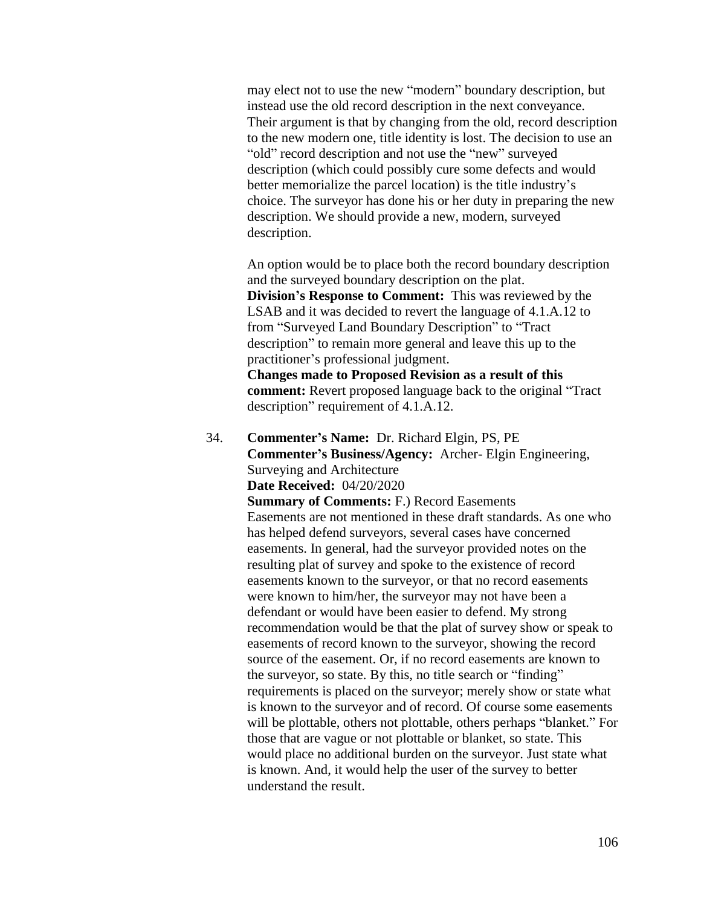may elect not to use the new "modern" boundary description, but instead use the old record description in the next conveyance. Their argument is that by changing from the old, record description to the new modern one, title identity is lost. The decision to use an "old" record description and not use the "new" surveyed description (which could possibly cure some defects and would better memorialize the parcel location) is the title industry's choice. The surveyor has done his or her duty in preparing the new description. We should provide a new, modern, surveyed description.

An option would be to place both the record boundary description and the surveyed boundary description on the plat. **Division's Response to Comment:** This was reviewed by the LSAB and it was decided to revert the language of 4.1.A.12 to from "Surveyed Land Boundary Description" to "Tract description" to remain more general and leave this up to the practitioner's professional judgment.

**Changes made to Proposed Revision as a result of this comment:** Revert proposed language back to the original "Tract description" requirement of 4.1.A.12.

34. **Commenter's Name:** Dr. Richard Elgin, PS, PE **Commenter's Business/Agency:** Archer- Elgin Engineering, Surveying and Architecture **Date Received:** 04/20/2020

> **Summary of Comments:** F.) Record Easements Easements are not mentioned in these draft standards. As one who has helped defend surveyors, several cases have concerned easements. In general, had the surveyor provided notes on the resulting plat of survey and spoke to the existence of record easements known to the surveyor, or that no record easements were known to him/her, the surveyor may not have been a defendant or would have been easier to defend. My strong recommendation would be that the plat of survey show or speak to easements of record known to the surveyor, showing the record source of the easement. Or, if no record easements are known to the surveyor, so state. By this, no title search or "finding" requirements is placed on the surveyor; merely show or state what is known to the surveyor and of record. Of course some easements will be plottable, others not plottable, others perhaps "blanket." For those that are vague or not plottable or blanket, so state. This would place no additional burden on the surveyor. Just state what is known. And, it would help the user of the survey to better understand the result.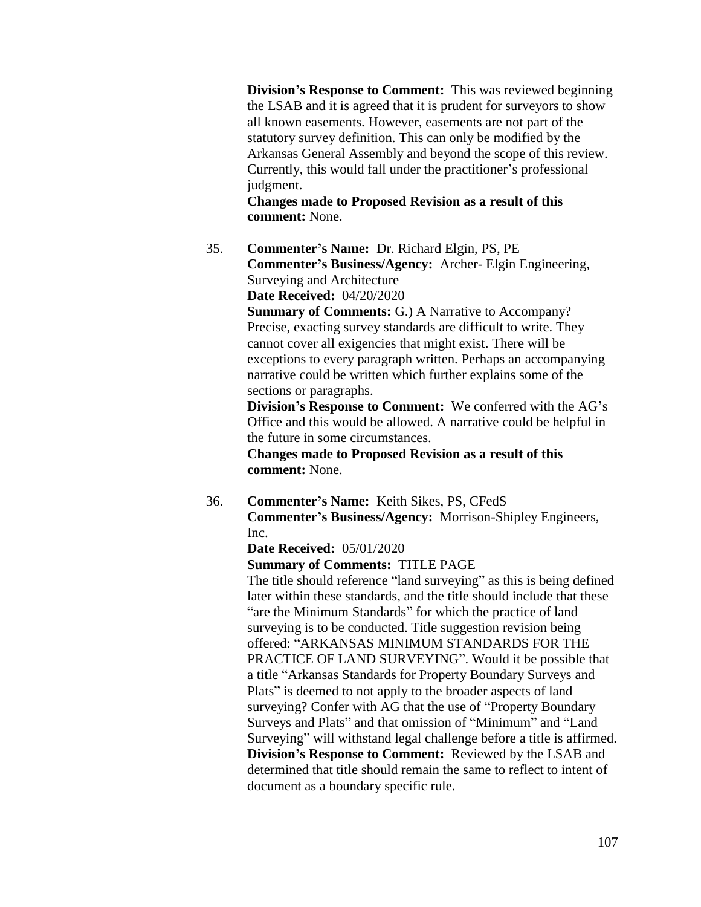**Division's Response to Comment:** This was reviewed beginning the LSAB and it is agreed that it is prudent for surveyors to show all known easements. However, easements are not part of the statutory survey definition. This can only be modified by the Arkansas General Assembly and beyond the scope of this review. Currently, this would fall under the practitioner's professional judgment.

**Changes made to Proposed Revision as a result of this comment:** None.

35. **Commenter's Name:** Dr. Richard Elgin, PS, PE **Commenter's Business/Agency:** Archer- Elgin Engineering, Surveying and Architecture

**Date Received:** 04/20/2020

**Summary of Comments: G.) A Narrative to Accompany?** Precise, exacting survey standards are difficult to write. They cannot cover all exigencies that might exist. There will be exceptions to every paragraph written. Perhaps an accompanying narrative could be written which further explains some of the sections or paragraphs.

**Division's Response to Comment:** We conferred with the AG's Office and this would be allowed. A narrative could be helpful in the future in some circumstances.

**Changes made to Proposed Revision as a result of this comment:** None.

36. **Commenter's Name:** Keith Sikes, PS, CFedS **Commenter's Business/Agency:** Morrison-Shipley Engineers, Inc.

## **Date Received:** 05/01/2020

#### **Summary of Comments:** TITLE PAGE

The title should reference "land surveying" as this is being defined later within these standards, and the title should include that these "are the Minimum Standards" for which the practice of land surveying is to be conducted. Title suggestion revision being offered: "ARKANSAS MINIMUM STANDARDS FOR THE PRACTICE OF LAND SURVEYING". Would it be possible that a title "Arkansas Standards for Property Boundary Surveys and Plats" is deemed to not apply to the broader aspects of land surveying? Confer with AG that the use of "Property Boundary Surveys and Plats" and that omission of "Minimum" and "Land Surveying" will withstand legal challenge before a title is affirmed. **Division's Response to Comment:** Reviewed by the LSAB and determined that title should remain the same to reflect to intent of document as a boundary specific rule.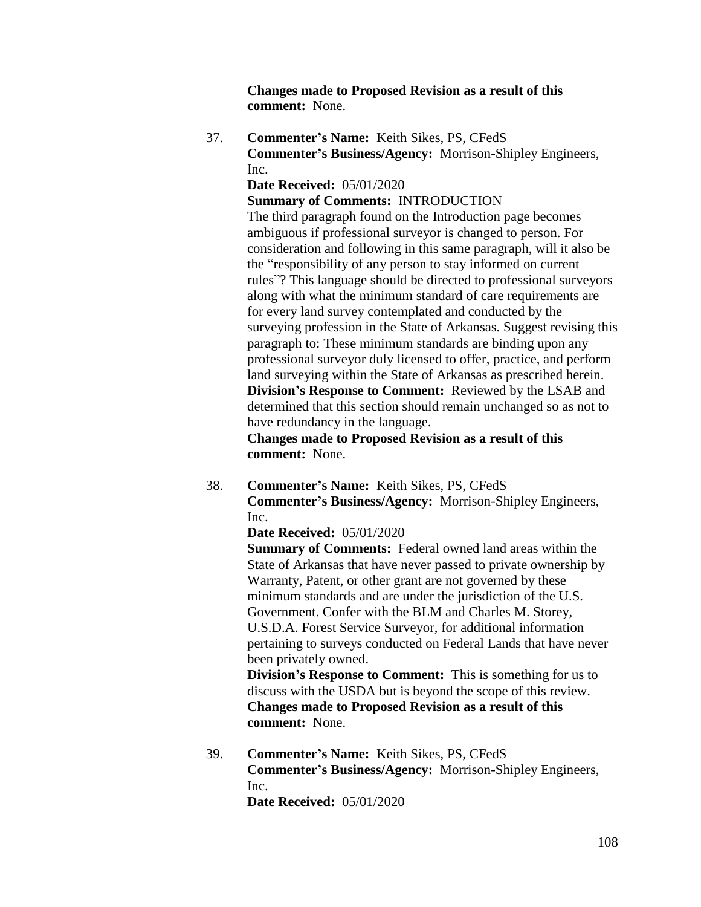**Changes made to Proposed Revision as a result of this comment:** None.

37. **Commenter's Name:** Keith Sikes, PS, CFedS **Commenter's Business/Agency:** Morrison-Shipley Engineers, Inc.

**Date Received:** 05/01/2020

**Summary of Comments:** INTRODUCTION

The third paragraph found on the Introduction page becomes ambiguous if professional surveyor is changed to person. For consideration and following in this same paragraph, will it also be the "responsibility of any person to stay informed on current rules"? This language should be directed to professional surveyors along with what the minimum standard of care requirements are for every land survey contemplated and conducted by the surveying profession in the State of Arkansas. Suggest revising this paragraph to: These minimum standards are binding upon any professional surveyor duly licensed to offer, practice, and perform land surveying within the State of Arkansas as prescribed herein. **Division's Response to Comment:** Reviewed by the LSAB and determined that this section should remain unchanged so as not to have redundancy in the language.

**Changes made to Proposed Revision as a result of this comment:** None.

38. **Commenter's Name:** Keith Sikes, PS, CFedS **Commenter's Business/Agency:** Morrison-Shipley Engineers, Inc.

#### **Date Received:** 05/01/2020

**Summary of Comments:** Federal owned land areas within the State of Arkansas that have never passed to private ownership by Warranty, Patent, or other grant are not governed by these minimum standards and are under the jurisdiction of the U.S. Government. Confer with the BLM and Charles M. Storey, U.S.D.A. Forest Service Surveyor, for additional information pertaining to surveys conducted on Federal Lands that have never been privately owned.

**Division's Response to Comment:** This is something for us to discuss with the USDA but is beyond the scope of this review. **Changes made to Proposed Revision as a result of this comment:** None.

39. **Commenter's Name:** Keith Sikes, PS, CFedS **Commenter's Business/Agency:** Morrison-Shipley Engineers, Inc.

**Date Received:** 05/01/2020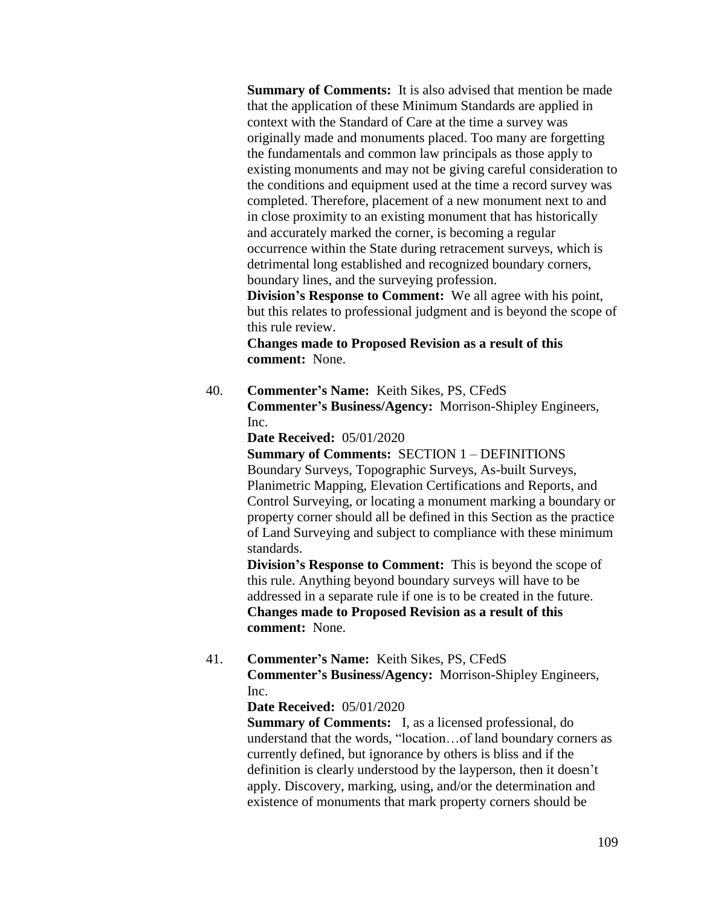**Summary of Comments:** It is also advised that mention be made that the application of these Minimum Standards are applied in context with the Standard of Care at the time a survey was originally made and monuments placed. Too many are forgetting the fundamentals and common law principals as those apply to existing monuments and may not be giving careful consideration to the conditions and equipment used at the time a record survey was completed. Therefore, placement of a new monument next to and in close proximity to an existing monument that has historically and accurately marked the corner, is becoming a regular occurrence within the State during retracement surveys, which is detrimental long established and recognized boundary corners, boundary lines, and the surveying profession.

**Division's Response to Comment:** We all agree with his point, but this relates to professional judgment and is beyond the scope of this rule review.

**Changes made to Proposed Revision as a result of this comment:** None.

40. **Commenter's Name:** Keith Sikes, PS, CFedS **Commenter's Business/Agency:** Morrison-Shipley Engineers, Inc.

**Date Received:** 05/01/2020

**Summary of Comments:** SECTION 1 – DEFINITIONS Boundary Surveys, Topographic Surveys, As-built Surveys, Planimetric Mapping, Elevation Certifications and Reports, and Control Surveying, or locating a monument marking a boundary or property corner should all be defined in this Section as the practice of Land Surveying and subject to compliance with these minimum standards.

**Division's Response to Comment:** This is beyond the scope of this rule. Anything beyond boundary surveys will have to be addressed in a separate rule if one is to be created in the future. **Changes made to Proposed Revision as a result of this comment:** None.

41. **Commenter's Name:** Keith Sikes, PS, CFedS **Commenter's Business/Agency:** Morrison-Shipley Engineers, Inc.

#### **Date Received:** 05/01/2020

**Summary of Comments:** I, as a licensed professional, do understand that the words, "location…of land boundary corners as currently defined, but ignorance by others is bliss and if the definition is clearly understood by the layperson, then it doesn't apply. Discovery, marking, using, and/or the determination and existence of monuments that mark property corners should be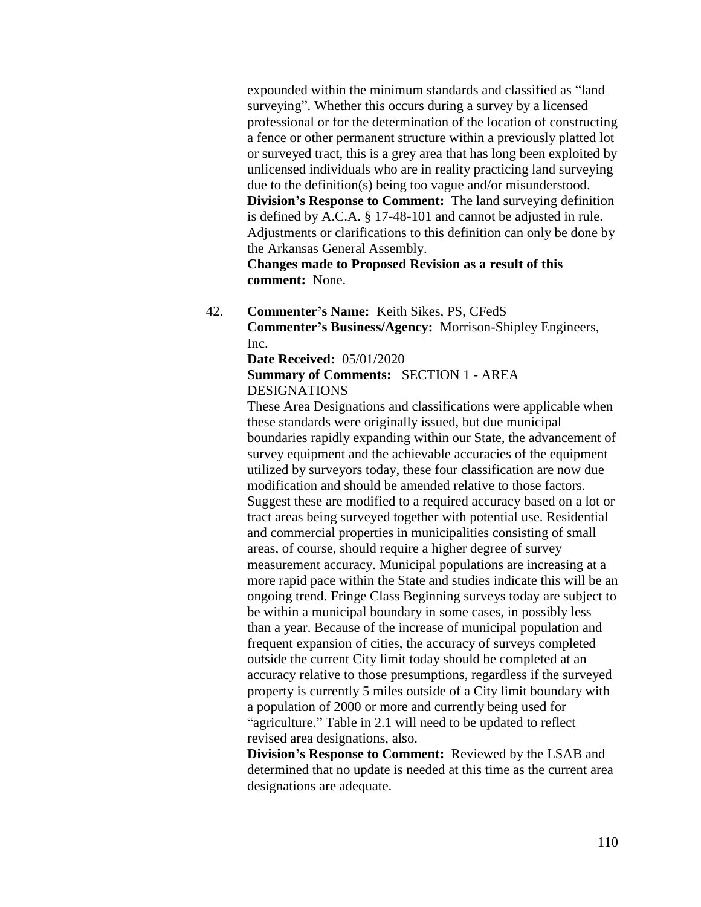expounded within the minimum standards and classified as "land surveying". Whether this occurs during a survey by a licensed professional or for the determination of the location of constructing a fence or other permanent structure within a previously platted lot or surveyed tract, this is a grey area that has long been exploited by unlicensed individuals who are in reality practicing land surveying due to the definition(s) being too vague and/or misunderstood. **Division's Response to Comment:** The land surveying definition is defined by A.C.A. § 17-48-101 and cannot be adjusted in rule. Adjustments or clarifications to this definition can only be done by the Arkansas General Assembly.

**Changes made to Proposed Revision as a result of this comment:** None.

42. **Commenter's Name:** Keith Sikes, PS, CFedS **Commenter's Business/Agency:** Morrison-Shipley Engineers, Inc.

**Date Received:** 05/01/2020

**Summary of Comments:** SECTION 1 - AREA DESIGNATIONS

These Area Designations and classifications were applicable when these standards were originally issued, but due municipal boundaries rapidly expanding within our State, the advancement of survey equipment and the achievable accuracies of the equipment utilized by surveyors today, these four classification are now due modification and should be amended relative to those factors. Suggest these are modified to a required accuracy based on a lot or tract areas being surveyed together with potential use. Residential and commercial properties in municipalities consisting of small areas, of course, should require a higher degree of survey measurement accuracy. Municipal populations are increasing at a more rapid pace within the State and studies indicate this will be an ongoing trend. Fringe Class Beginning surveys today are subject to be within a municipal boundary in some cases, in possibly less than a year. Because of the increase of municipal population and frequent expansion of cities, the accuracy of surveys completed outside the current City limit today should be completed at an accuracy relative to those presumptions, regardless if the surveyed property is currently 5 miles outside of a City limit boundary with a population of 2000 or more and currently being used for "agriculture." Table in 2.1 will need to be updated to reflect revised area designations, also.

**Division's Response to Comment:** Reviewed by the LSAB and determined that no update is needed at this time as the current area designations are adequate.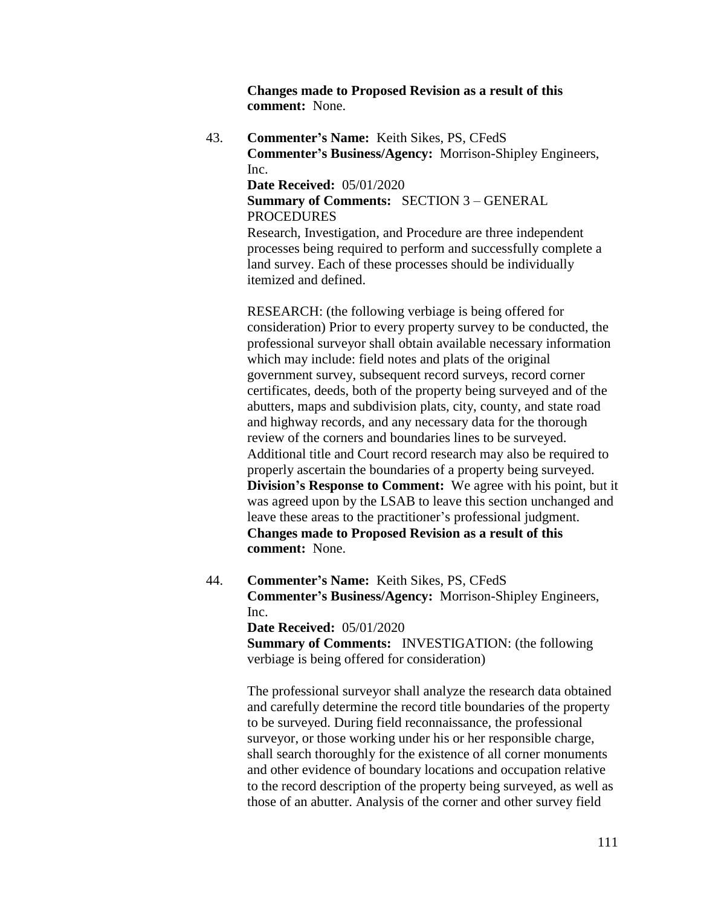**Changes made to Proposed Revision as a result of this comment:** None.

43. **Commenter's Name:** Keith Sikes, PS, CFedS **Commenter's Business/Agency:** Morrison-Shipley Engineers, Inc.

**Date Received:** 05/01/2020

**Summary of Comments:** SECTION 3 – GENERAL **PROCEDURES** 

Research, Investigation, and Procedure are three independent processes being required to perform and successfully complete a land survey. Each of these processes should be individually itemized and defined.

RESEARCH: (the following verbiage is being offered for consideration) Prior to every property survey to be conducted, the professional surveyor shall obtain available necessary information which may include: field notes and plats of the original government survey, subsequent record surveys, record corner certificates, deeds, both of the property being surveyed and of the abutters, maps and subdivision plats, city, county, and state road and highway records, and any necessary data for the thorough review of the corners and boundaries lines to be surveyed. Additional title and Court record research may also be required to properly ascertain the boundaries of a property being surveyed. **Division's Response to Comment:** We agree with his point, but it was agreed upon by the LSAB to leave this section unchanged and leave these areas to the practitioner's professional judgment. **Changes made to Proposed Revision as a result of this comment:** None.

44. **Commenter's Name:** Keith Sikes, PS, CFedS **Commenter's Business/Agency:** Morrison-Shipley Engineers, Inc. **Date Received:** 05/01/2020 **Summary of Comments: INVESTIGATION:** (the following verbiage is being offered for consideration)

> The professional surveyor shall analyze the research data obtained and carefully determine the record title boundaries of the property to be surveyed. During field reconnaissance, the professional surveyor, or those working under his or her responsible charge, shall search thoroughly for the existence of all corner monuments and other evidence of boundary locations and occupation relative to the record description of the property being surveyed, as well as those of an abutter. Analysis of the corner and other survey field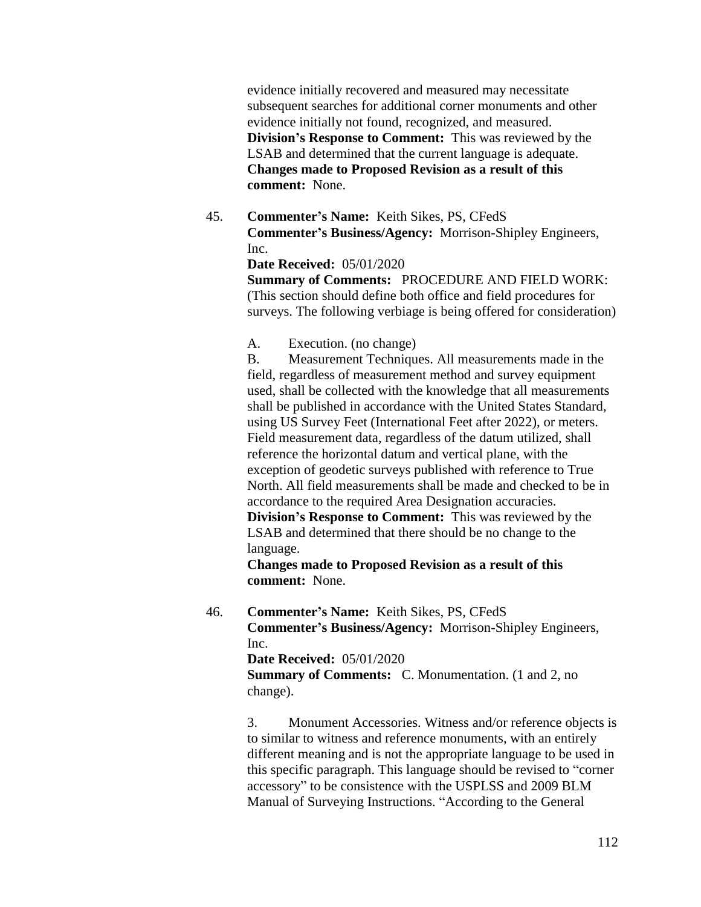evidence initially recovered and measured may necessitate subsequent searches for additional corner monuments and other evidence initially not found, recognized, and measured. **Division's Response to Comment:** This was reviewed by the LSAB and determined that the current language is adequate. **Changes made to Proposed Revision as a result of this comment:** None.

45. **Commenter's Name:** Keith Sikes, PS, CFedS **Commenter's Business/Agency:** Morrison-Shipley Engineers, Inc.

#### **Date Received:** 05/01/2020

**Summary of Comments:** PROCEDURE AND FIELD WORK: (This section should define both office and field procedures for surveys. The following verbiage is being offered for consideration)

### A. Execution. (no change)

B. Measurement Techniques. All measurements made in the field, regardless of measurement method and survey equipment used, shall be collected with the knowledge that all measurements shall be published in accordance with the United States Standard, using US Survey Feet (International Feet after 2022), or meters. Field measurement data, regardless of the datum utilized, shall reference the horizontal datum and vertical plane, with the exception of geodetic surveys published with reference to True North. All field measurements shall be made and checked to be in accordance to the required Area Designation accuracies. **Division's Response to Comment:** This was reviewed by the LSAB and determined that there should be no change to the

language.

**Changes made to Proposed Revision as a result of this comment:** None.

## 46. **Commenter's Name:** Keith Sikes, PS, CFedS **Commenter's Business/Agency:** Morrison-Shipley Engineers, Inc.

**Date Received:** 05/01/2020

**Summary of Comments:** C. Monumentation. (1 and 2, no change).

3. Monument Accessories. Witness and/or reference objects is to similar to witness and reference monuments, with an entirely different meaning and is not the appropriate language to be used in this specific paragraph. This language should be revised to "corner accessory" to be consistence with the USPLSS and 2009 BLM Manual of Surveying Instructions. "According to the General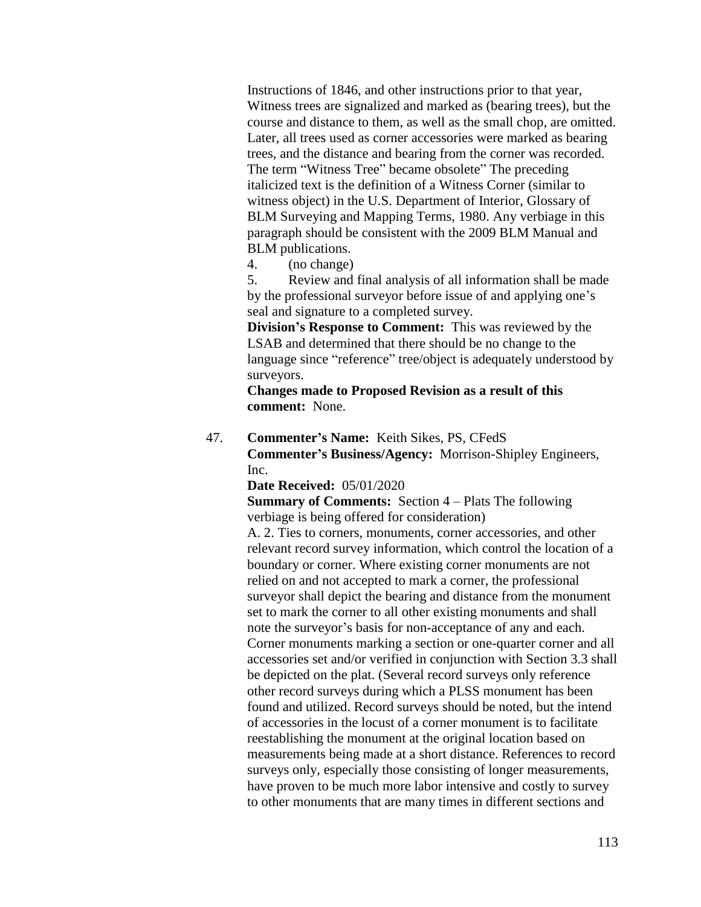Instructions of 1846, and other instructions prior to that year, Witness trees are signalized and marked as (bearing trees), but the course and distance to them, as well as the small chop, are omitted. Later, all trees used as corner accessories were marked as bearing trees, and the distance and bearing from the corner was recorded. The term "Witness Tree" became obsolete" The preceding italicized text is the definition of a Witness Corner (similar to witness object) in the U.S. Department of Interior, Glossary of BLM Surveying and Mapping Terms, 1980. Any verbiage in this paragraph should be consistent with the 2009 BLM Manual and BLM publications.

4. (no change)

5. Review and final analysis of all information shall be made by the professional surveyor before issue of and applying one's seal and signature to a completed survey.

**Division's Response to Comment:** This was reviewed by the LSAB and determined that there should be no change to the language since "reference" tree/object is adequately understood by surveyors.

**Changes made to Proposed Revision as a result of this comment:** None.

47. **Commenter's Name:** Keith Sikes, PS, CFedS **Commenter's Business/Agency:** Morrison-Shipley Engineers, Inc.

**Date Received:** 05/01/2020

**Summary of Comments:** Section 4 – Plats The following verbiage is being offered for consideration)

A. 2. Ties to corners, monuments, corner accessories, and other relevant record survey information, which control the location of a boundary or corner. Where existing corner monuments are not relied on and not accepted to mark a corner, the professional surveyor shall depict the bearing and distance from the monument set to mark the corner to all other existing monuments and shall note the surveyor's basis for non-acceptance of any and each. Corner monuments marking a section or one-quarter corner and all accessories set and/or verified in conjunction with Section 3.3 shall be depicted on the plat. (Several record surveys only reference other record surveys during which a PLSS monument has been found and utilized. Record surveys should be noted, but the intend of accessories in the locust of a corner monument is to facilitate reestablishing the monument at the original location based on measurements being made at a short distance. References to record surveys only, especially those consisting of longer measurements, have proven to be much more labor intensive and costly to survey to other monuments that are many times in different sections and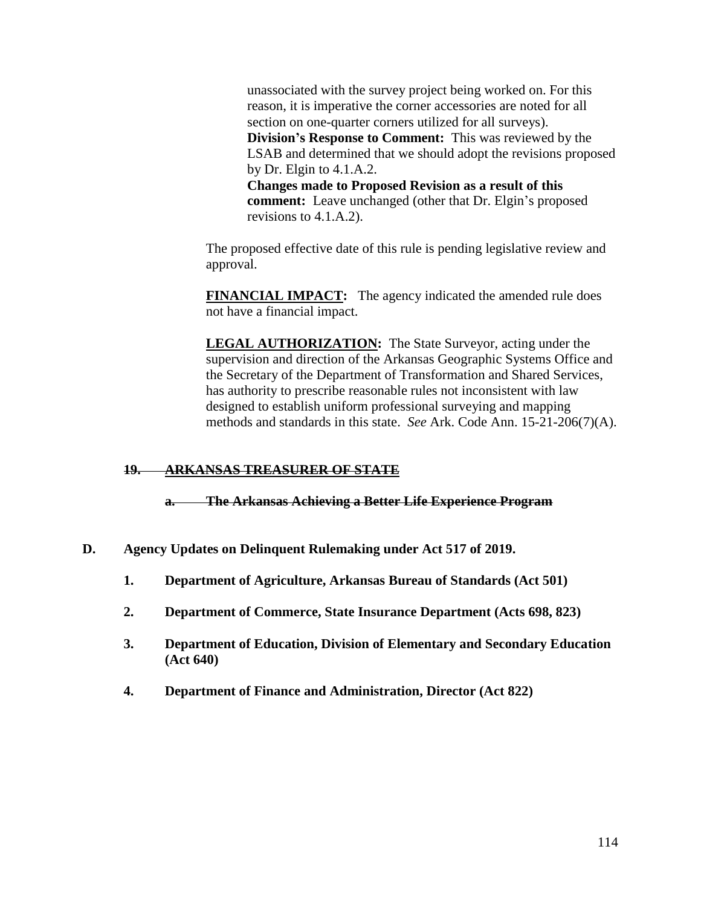unassociated with the survey project being worked on. For this reason, it is imperative the corner accessories are noted for all section on one-quarter corners utilized for all surveys). **Division's Response to Comment:** This was reviewed by the LSAB and determined that we should adopt the revisions proposed by Dr. Elgin to 4.1.A.2. **Changes made to Proposed Revision as a result of this** 

**comment:** Leave unchanged (other that Dr. Elgin's proposed revisions to 4.1.A.2).

The proposed effective date of this rule is pending legislative review and approval.

**FINANCIAL IMPACT:** The agency indicated the amended rule does not have a financial impact.

**LEGAL AUTHORIZATION:** The State Surveyor, acting under the supervision and direction of the Arkansas Geographic Systems Office and the Secretary of the Department of Transformation and Shared Services, has authority to prescribe reasonable rules not inconsistent with law designed to establish uniform professional surveying and mapping methods and standards in this state. *See* Ark. Code Ann. 15-21-206(7)(A).

# **19. ARKANSAS TREASURER OF STATE**

**a. The Arkansas Achieving a Better Life Experience Program**

- **D. Agency Updates on Delinquent Rulemaking under Act 517 of 2019.**
	- **1. Department of Agriculture, Arkansas Bureau of Standards (Act 501)**
	- **2. Department of Commerce, State Insurance Department (Acts 698, 823)**
	- **3. Department of Education, Division of Elementary and Secondary Education (Act 640)**
	- **4. Department of Finance and Administration, Director (Act 822)**